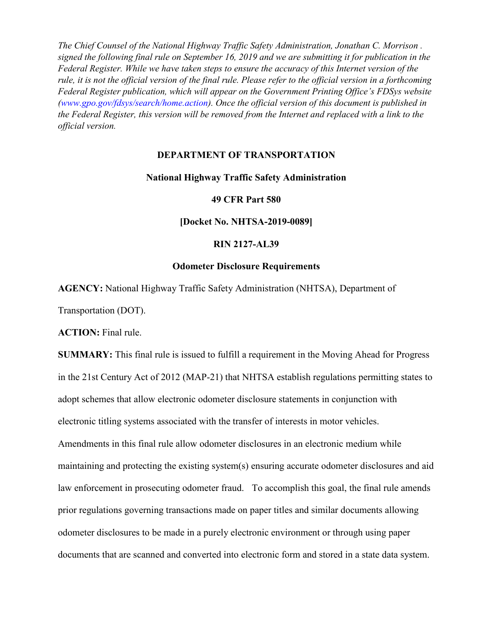*The Chief Counsel of the National Highway Traffic Safety Administration, Jonathan C. Morrison . signed the following final rule on September 16, 2019 and we are submitting it for publication in the Federal Register. While we have taken steps to ensure the accuracy of this Internet version of the rule, it is not the official version of the final rule. Please refer to the official version in a forthcoming Federal Register publication, which will appear on the Government Printing Office's FDSys website (www.gpo.gov/fdsys/search/home.action). Once the official version of this document is published in the Federal Register, this version will be removed from the Internet and replaced with a link to the official version.*

## **DEPARTMENT OF TRANSPORTATION**

## **National Highway Traffic Safety Administration**

## **49 CFR Part 580**

**[Docket No. NHTSA-2019-0089]**

### **RIN 2127-AL39**

# **Odometer Disclosure Requirements**

**AGENCY:** National Highway Traffic Safety Administration (NHTSA), Department of

Transportation (DOT).

**ACTION:** Final rule.

**SUMMARY:** This final rule is issued to fulfill a requirement in the Moving Ahead for Progress in the 21st Century Act of 2012 (MAP-21) that NHTSA establish regulations permitting states to adopt schemes that allow electronic odometer disclosure statements in conjunction with electronic titling systems associated with the transfer of interests in motor vehicles. Amendments in this final rule allow odometer disclosures in an electronic medium while maintaining and protecting the existing system(s) ensuring accurate odometer disclosures and aid law enforcement in prosecuting odometer fraud. To accomplish this goal, the final rule amends prior regulations governing transactions made on paper titles and similar documents allowing odometer disclosures to be made in a purely electronic environment or through using paper documents that are scanned and converted into electronic form and stored in a state data system.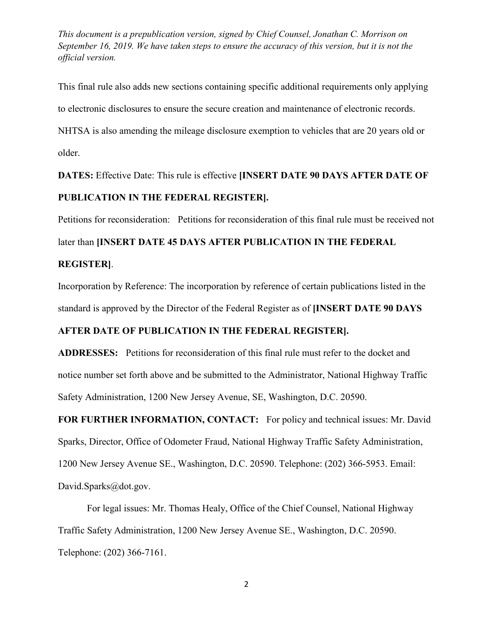This final rule also adds new sections containing specific additional requirements only applying to electronic disclosures to ensure the secure creation and maintenance of electronic records. NHTSA is also amending the mileage disclosure exemption to vehicles that are 20 years old or older.

**DATES:** Effective Date: This rule is effective **[INSERT DATE 90 DAYS AFTER DATE OF PUBLICATION IN THE FEDERAL REGISTER].**

Petitions for reconsideration: Petitions for reconsideration of this final rule must be received not

later than **[INSERT DATE 45 DAYS AFTER PUBLICATION IN THE FEDERAL** 

## **REGISTER]**.

Incorporation by Reference: The incorporation by reference of certain publications listed in the standard is approved by the Director of the Federal Register as of **[INSERT DATE 90 DAYS** 

# **AFTER DATE OF PUBLICATION IN THE FEDERAL REGISTER].**

**ADDRESSES:** Petitions for reconsideration of this final rule must refer to the docket and notice number set forth above and be submitted to the Administrator, National Highway Traffic Safety Administration, 1200 New Jersey Avenue, SE, Washington, D.C. 20590.

**FOR FURTHER INFORMATION, CONTACT:** For policy and technical issues: Mr. David Sparks, Director, Office of Odometer Fraud, National Highway Traffic Safety Administration, 1200 New Jersey Avenue SE., Washington, D.C. 20590. Telephone: (202) 366-5953. Email: David.Sparks@dot.gov.

For legal issues: Mr. Thomas Healy, Office of the Chief Counsel, National Highway Traffic Safety Administration, 1200 New Jersey Avenue SE., Washington, D.C. 20590. Telephone: (202) 366-7161.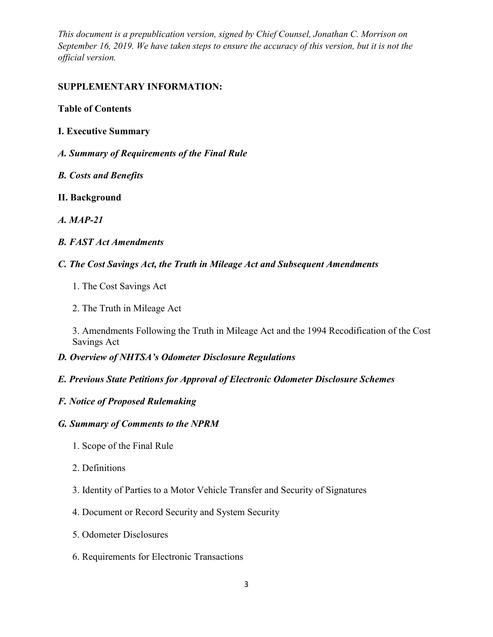# **SUPPLEMENTARY INFORMATION:**

## **Table of Contents**

- **I. Executive Summary**
- *A. Summary of Requirements of the Final Rule*
- *B. Costs and Benefits*
- **II. Background**
- *A. MAP-21*
- *B. FAST Act Amendments*
- *C. The Cost Savings Act, the Truth in Mileage Act and Subsequent Amendments*
	- 1. The Cost Savings Act
	- 2. The Truth in Mileage Act

3. Amendments Following the Truth in Mileage Act and the 1994 Recodification of the Cost Savings Act

- *D. Overview of NHTSA's Odometer Disclosure Regulations*
- *E. Previous State Petitions for Approval of Electronic Odometer Disclosure Schemes*
- *F. Notice of Proposed Rulemaking*

## *G. Summary of Comments to the NPRM*

- 1. Scope of the Final Rule
- 2. Definitions
- 3. Identity of Parties to a Motor Vehicle Transfer and Security of Signatures
- 4. Document or Record Security and System Security
- 5. Odometer Disclosures
- 6. Requirements for Electronic Transactions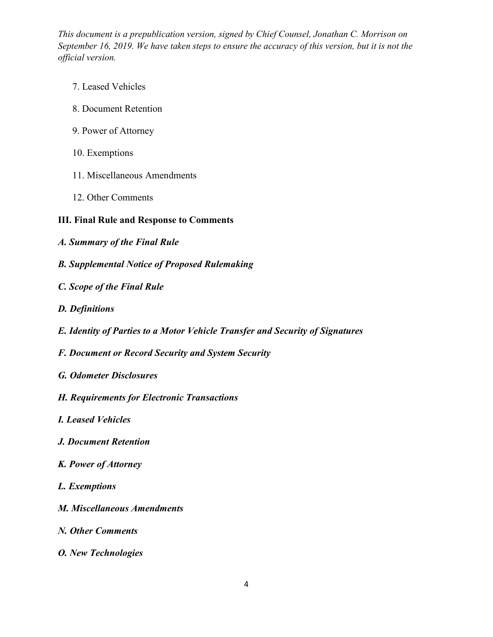- 7. Leased Vehicles
- 8. Document Retention
- 9. Power of Attorney
- 10. Exemptions
- 11. Miscellaneous Amendments
- 12. Other Comments

# **III. Final Rule and Response to Comments**

- *A. Summary of the Final Rule*
- *B. Supplemental Notice of Proposed Rulemaking*
- *C. Scope of the Final Rule*
- *D. Definitions*
- *E. Identity of Parties to a Motor Vehicle Transfer and Security of Signatures*
- *F. Document or Record Security and System Security*
- *G. Odometer Disclosures*
- *H. Requirements for Electronic Transactions*
- *I. Leased Vehicles*
- *J. Document Retention*
- *K. Power of Attorney*
- *L. Exemptions*
- *M. Miscellaneous Amendments*
- *N. Other Comments*
- *O. New Technologies*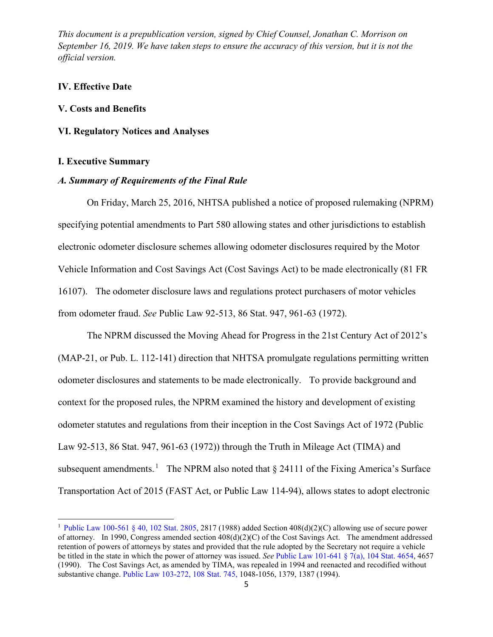## **IV. Effective Date**

#### **V. Costs and Benefits**

## **VI. Regulatory Notices and Analyses**

## **I. Executive Summary**

 $\overline{\phantom{a}}$ 

#### *A. Summary of Requirements of the Final Rule*

On Friday, March 25, 2016, NHTSA published a notice of proposed rulemaking (NPRM) specifying potential amendments to Part 580 allowing states and other jurisdictions to establish electronic odometer disclosure schemes allowing odometer disclosures required by the Motor Vehicle Information and Cost Savings Act (Cost Savings Act) to be made electronically (81 FR 16107). The odometer disclosure laws and regulations protect purchasers of motor vehicles from odometer fraud. *See* Public Law 92-513, 86 Stat. 947, 961-63 (1972).

The NPRM discussed the Moving Ahead for Progress in the 21st Century Act of 2012's (MAP-21, or [Pub. L. 112-141\)](http://www.westlaw.com/Link/Document/FullText?findType=l&pubNum=1077005&cite=UUID(I2A1C2250CA-8A11E199E7A-65B8DD87876)&originatingDoc=IC350B0F0F25711E5AE9ECA0D137ECF34&refType=SL&originationContext=document&vr=3.0&rs=cblt1.0&transitionType=DocumentItem&contextData=(sc.UserEnteredCitation)) direction that NHTSA promulgate regulations permitting written odometer disclosures and statements to be made electronically. To provide background and context for the proposed rules, the NPRM examined the history and development of existing odometer statutes and regulations from their inception in the Cost Savings Act of 1972 (Public Law 92-513, 86 Stat. 947, 961-63 (1972)) through the Truth in Mileage Act (TIMA) and subsequent amendments.<sup>1</sup> The NPRM also noted that  $\S$  24111 of the Fixing America's Surface Transportation Act of 2015 (FAST Act, or [Public Law 114-94\)](http://www.westlaw.com/Link/Document/FullText?findType=l&pubNum=1077005&cite=UUID(I840D2700B8-7F11E580171-00BA91EEAC9)&originatingDoc=IC350B0F0F25711E5AE9ECA0D137ECF34&refType=SL&originationContext=document&vr=3.0&rs=cblt1.0&transitionType=DocumentItem&contextData=(sc.UserEnteredCitation)), allows states to adopt electronic

<sup>&</sup>lt;sup>1</sup> [Public Law 100-561 § 40, 102 Stat. 2805,](http://www.westlaw.com/Link/Document/FullText?findType=l&pubNum=1077005&cite=UUID(IF0512170A8-DB4263BC145-D0E1D0BD9BE)&originatingDoc=IC350B0F0F25711E5AE9ECA0D137ECF34&refType=SL&originationContext=document&vr=3.0&rs=cblt1.0&transitionType=DocumentItem&contextData=(sc.UserEnteredCitation)) 2817 (1988) added Section  $408(d)(2)(C)$  allowing use of secure power of attorney. In 1990, Congress amended section 408(d)(2)(C) of the Cost Savings Act. The amendment addressed retention of powers of attorneys by states and provided that the rule adopted by the Secretary not require a vehicle be titled in the state in which the power of attorney was issued. *See* [Public Law 101-641 § 7\(a\), 104 Stat. 4654,](http://www.westlaw.com/Link/Document/FullText?findType=l&pubNum=1077005&cite=UUID(IAC353EE710-A54EE18F00D-E2DBD011310)&originatingDoc=IC350B0F0F25711E5AE9ECA0D137ECF34&refType=SL&originationContext=document&vr=3.0&rs=cblt1.0&transitionType=DocumentItem&contextData=(sc.UserEnteredCitation)) 4657 (1990). The Cost Savings Act, as amended by TIMA, was repealed in 1994 and reenacted and recodified without substantive change. [Public Law 103-272, 108 Stat. 745,](http://www.westlaw.com/Link/Document/FullText?findType=l&pubNum=1077005&cite=UUID(I795103618A-E74D0EABEE1-1A41F6F2457)&originatingDoc=IC350B0F0F25711E5AE9ECA0D137ECF34&refType=SL&originationContext=document&vr=3.0&rs=cblt1.0&transitionType=DocumentItem&contextData=(sc.UserEnteredCitation)) 1048-1056, 1379, 1387 (1994).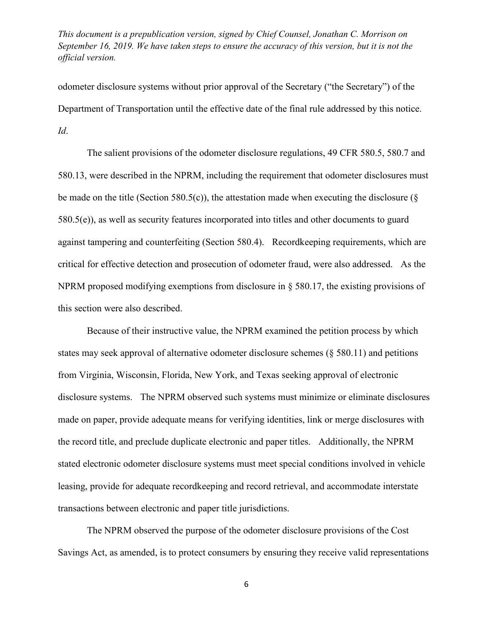odometer disclosure systems without prior approval of the Secretary ("the Secretary") of the Department of Transportation until the effective date of the final rule addressed by this notice. *Id*.

The salient provisions of the odometer disclosure regulations, [49 CFR 580.5,](http://www.westlaw.com/Link/Document/FullText?findType=L&pubNum=1000547&cite=49CFRS580.5&originatingDoc=IC350B0F0F25711E5AE9ECA0D137ECF34&refType=LQ&originationContext=document&vr=3.0&rs=cblt1.0&transitionType=DocumentItem&contextData=(sc.UserEnteredCitation)) [580.7](http://www.westlaw.com/Link/Document/FullText?findType=L&pubNum=1000547&cite=49CFRS580.7&originatingDoc=IC350B0F0F25711E5AE9ECA0D137ECF34&refType=LQ&originationContext=document&vr=3.0&rs=cblt1.0&transitionType=DocumentItem&contextData=(sc.UserEnteredCitation)) and [580.13,](http://www.westlaw.com/Link/Document/FullText?findType=L&pubNum=1000547&cite=49CFRS580.13&originatingDoc=IC350B0F0F25711E5AE9ECA0D137ECF34&refType=LQ&originationContext=document&vr=3.0&rs=cblt1.0&transitionType=DocumentItem&contextData=(sc.UserEnteredCitation)) were described in the NPRM, including the requirement that odometer disclosures must be made on the title [\(Section 580.5\(c\)\)](http://www.westlaw.com/Link/Document/FullText?findType=L&pubNum=1000547&cite=49CFRS580.5&originatingDoc=IC350B0F0F25711E5AE9ECA0D137ECF34&refType=RB&originationContext=document&vr=3.0&rs=cblt1.0&transitionType=DocumentItem&contextData=(sc.UserEnteredCitation)#co_pp_4b24000003ba5), the attestation made when executing the disclosure ( $\S$ [580.5\(e\)\)](http://www.westlaw.com/Link/Document/FullText?findType=L&pubNum=1000547&cite=49CFRS580.5&originatingDoc=IC350B0F0F25711E5AE9ECA0D137ECF34&refType=RB&originationContext=document&vr=3.0&rs=cblt1.0&transitionType=DocumentItem&contextData=(sc.UserEnteredCitation)#co_pp_7fdd00001ca15), as well as security features incorporated into titles and other documents to guard against tampering and counterfeiting (Section 580.4). Recordkeeping requirements, which are critical for effective detection and prosecution of odometer fraud, were also addressed. As the NPRM proposed modifying exemptions from disclosure in § 580.17, the existing provisions of this section were also described.

Because of their instructive value, the NPRM examined the petition process by which states may seek approval of alternative odometer disclosure schemes (§ 580.11) and petitions from Virginia, Wisconsin, Florida, New York, and Texas seeking approval of electronic disclosure systems. The NPRM observed such systems must minimize or eliminate disclosures made on paper, provide adequate means for verifying identities, link or merge disclosures with the record title, and preclude duplicate electronic and paper titles. Additionally, the NPRM stated electronic odometer disclosure systems must meet special conditions involved in vehicle leasing, provide for adequate recordkeeping and record retrieval, and accommodate interstate transactions between electronic and paper title jurisdictions.

The NPRM observed the purpose of the odometer disclosure provisions of the Cost Savings Act, as amended, is to protect consumers by ensuring they receive valid representations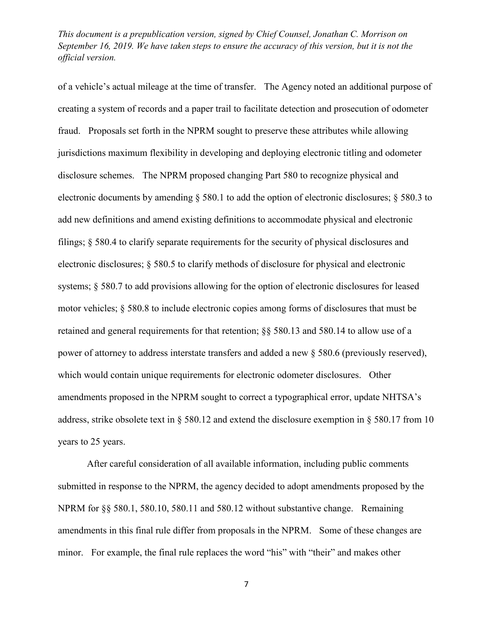of a vehicle's actual mileage at the time of transfer. The Agency noted an additional purpose of creating a system of records and a paper trail to facilitate detection and prosecution of odometer fraud. Proposals set forth in the NPRM sought to preserve these attributes while allowing jurisdictions maximum flexibility in developing and deploying electronic titling and odometer disclosure schemes. The NPRM proposed changing Part 580 to recognize physical and electronic documents by amending § 580.1 to add the option of electronic disclosures; § 580.3 to add new definitions and amend existing definitions to accommodate physical and electronic filings; § 580.4 to clarify separate requirements for the security of physical disclosures and electronic disclosures; § 580.5 to clarify methods of disclosure for physical and electronic systems; § 580.7 to add provisions allowing for the option of electronic disclosures for leased motor vehicles; § 580.8 to include electronic copies among forms of disclosures that must be retained and general requirements for that retention; §§ 580.13 and 580.14 to allow use of a power of attorney to address interstate transfers and added a new § 580.6 (previously reserved), which would contain unique requirements for electronic odometer disclosures. Other amendments proposed in the NPRM sought to correct a typographical error, update NHTSA's address, strike obsolete text in § 580.12 and extend the disclosure exemption in § 580.17 from 10 years to 25 years.

After careful consideration of all available information, including public comments submitted in response to the NPRM, the agency decided to adopt amendments proposed by the NPRM for §§ 580.1, 580.10, 580.11 and 580.12 without substantive change. Remaining amendments in this final rule differ from proposals in the NPRM. Some of these changes are minor. For example, the final rule replaces the word "his" with "their" and makes other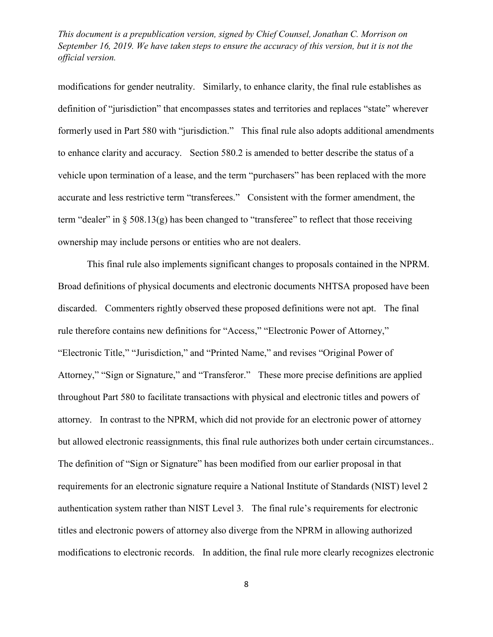modifications for gender neutrality. Similarly, to enhance clarity, the final rule establishes as definition of "jurisdiction" that encompasses states and territories and replaces "state" wherever formerly used in Part 580 with "jurisdiction." This final rule also adopts additional amendments to enhance clarity and accuracy. Section 580.2 is amended to better describe the status of a vehicle upon termination of a lease, and the term "purchasers" has been replaced with the more accurate and less restrictive term "transferees." Consistent with the former amendment, the term "dealer" in  $\S$  508.13(g) has been changed to "transferee" to reflect that those receiving ownership may include persons or entities who are not dealers.

This final rule also implements significant changes to proposals contained in the NPRM. Broad definitions of physical documents and electronic documents NHTSA proposed have been discarded. Commenters rightly observed these proposed definitions were not apt. The final rule therefore contains new definitions for "Access," "Electronic Power of Attorney," "Electronic Title," "Jurisdiction," and "Printed Name," and revises "Original Power of Attorney," "Sign or Signature," and "Transferor." These more precise definitions are applied throughout Part 580 to facilitate transactions with physical and electronic titles and powers of attorney. In contrast to the NPRM, which did not provide for an electronic power of attorney but allowed electronic reassignments, this final rule authorizes both under certain circumstances.. The definition of "Sign or Signature" has been modified from our earlier proposal in that requirements for an electronic signature require a National Institute of Standards (NIST) level 2 authentication system rather than NIST Level 3. The final rule's requirements for electronic titles and electronic powers of attorney also diverge from the NPRM in allowing authorized modifications to electronic records. In addition, the final rule more clearly recognizes electronic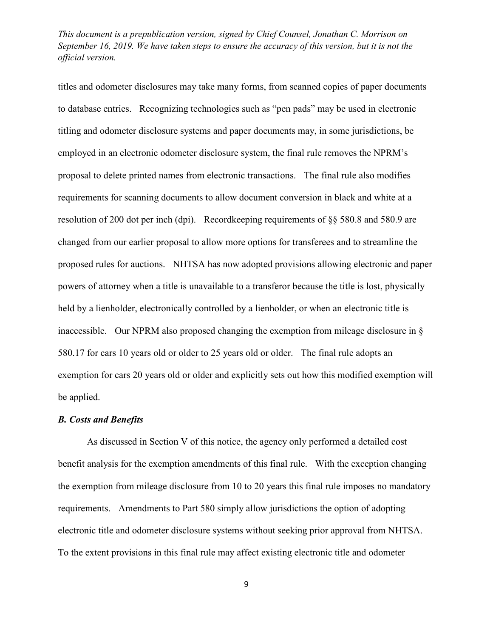titles and odometer disclosures may take many forms, from scanned copies of paper documents to database entries. Recognizing technologies such as "pen pads" may be used in electronic titling and odometer disclosure systems and paper documents may, in some jurisdictions, be employed in an electronic odometer disclosure system, the final rule removes the NPRM's proposal to delete printed names from electronic transactions. The final rule also modifies requirements for scanning documents to allow document conversion in black and white at a resolution of 200 dot per inch (dpi). Recordkeeping requirements of §§ 580.8 and 580.9 are changed from our earlier proposal to allow more options for transferees and to streamline the proposed rules for auctions. NHTSA has now adopted provisions allowing electronic and paper powers of attorney when a title is unavailable to a transferor because the title is lost, physically held by a lienholder, electronically controlled by a lienholder, or when an electronic title is inaccessible. Our NPRM also proposed changing the exemption from mileage disclosure in § 580.17 for cars 10 years old or older to 25 years old or older. The final rule adopts an exemption for cars 20 years old or older and explicitly sets out how this modified exemption will be applied.

### *B. Costs and Benefits*

As discussed in Section V of this notice, the agency only performed a detailed cost benefit analysis for the exemption amendments of this final rule. With the exception changing the exemption from mileage disclosure from 10 to 20 years this final rule imposes no mandatory requirements. Amendments to Part 580 simply allow jurisdictions the option of adopting electronic title and odometer disclosure systems without seeking prior approval from NHTSA. To the extent provisions in this final rule may affect existing electronic title and odometer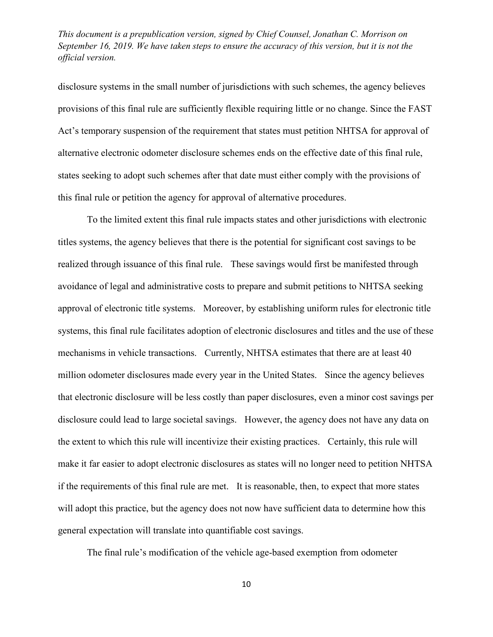disclosure systems in the small number of jurisdictions with such schemes, the agency believes provisions of this final rule are sufficiently flexible requiring little or no change. Since the FAST Act's temporary suspension of the requirement that states must petition NHTSA for approval of alternative electronic odometer disclosure schemes ends on the effective date of this final rule, states seeking to adopt such schemes after that date must either comply with the provisions of this final rule or petition the agency for approval of alternative procedures.

To the limited extent this final rule impacts states and other jurisdictions with electronic titles systems, the agency believes that there is the potential for significant cost savings to be realized through issuance of this final rule. These savings would first be manifested through avoidance of legal and administrative costs to prepare and submit petitions to NHTSA seeking approval of electronic title systems. Moreover, by establishing uniform rules for electronic title systems, this final rule facilitates adoption of electronic disclosures and titles and the use of these mechanisms in vehicle transactions. Currently, NHTSA estimates that there are at least 40 million odometer disclosures made every year in the United States. Since the agency believes that electronic disclosure will be less costly than paper disclosures, even a minor cost savings per disclosure could lead to large societal savings. However, the agency does not have any data on the extent to which this rule will incentivize their existing practices. Certainly, this rule will make it far easier to adopt electronic disclosures as states will no longer need to petition NHTSA if the requirements of this final rule are met. It is reasonable, then, to expect that more states will adopt this practice, but the agency does not now have sufficient data to determine how this general expectation will translate into quantifiable cost savings.

The final rule's modification of the vehicle age-based exemption from odometer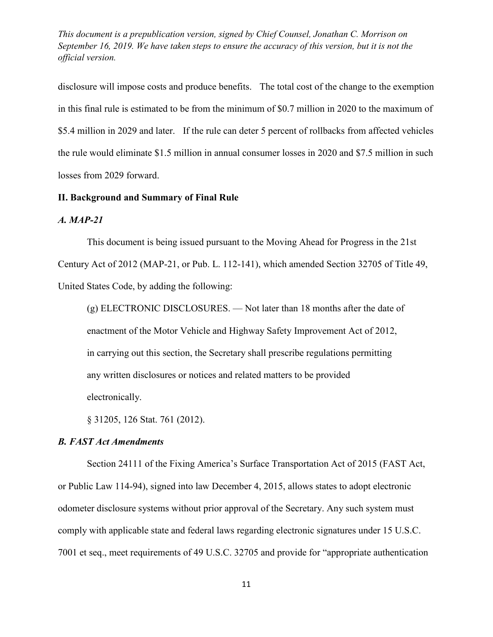disclosure will impose costs and produce benefits. The total cost of the change to the exemption in this final rule is estimated to be from the minimum of \$0.7 million in 2020 to the maximum of \$5.4 million in 2029 and later. If the rule can deter 5 percent of rollbacks from affected vehicles the rule would eliminate \$1.5 million in annual consumer losses in 2020 and \$7.5 million in such losses from 2029 forward.

#### **II. Background and Summary of Final Rule**

#### *A. MAP-21*

This document is being issued pursuant to the Moving Ahead for Progress in the 21st Century Act of 2012 (MAP-21, or [Pub. L. 112-141\)](http://www.westlaw.com/Link/Document/FullText?findType=l&pubNum=1077005&cite=UUID(I2A1C2250CA-8A11E199E7A-65B8DD87876)&originatingDoc=IC350B0F0F25711E5AE9ECA0D137ECF34&refType=SL&originationContext=document&vr=3.0&rs=cblt1.0&transitionType=DocumentItem&contextData=(sc.UserEnteredCitation)), which amended [Section 32705 of Title 49,](http://www.westlaw.com/Link/Document/FullText?findType=L&pubNum=1000546&cite=49USCAS32705&originatingDoc=IC350B0F0F25711E5AE9ECA0D137ECF34&refType=LQ&originationContext=document&vr=3.0&rs=cblt1.0&transitionType=DocumentItem&contextData=(sc.UserEnteredCitation))  [United States Code,](http://www.westlaw.com/Link/Document/FullText?findType=L&pubNum=1000546&cite=49USCAS32705&originatingDoc=IC350B0F0F25711E5AE9ECA0D137ECF34&refType=LQ&originationContext=document&vr=3.0&rs=cblt1.0&transitionType=DocumentItem&contextData=(sc.UserEnteredCitation)) by adding the following:

(g) ELECTRONIC DISCLOSURES. — Not later than 18 months after the date of enactment of the Motor Vehicle and Highway Safety Improvement Act of 2012, in carrying out this section, the Secretary shall prescribe regulations permitting any written disclosures or notices and related matters to be provided electronically.

§ 31205, 126 Stat. 761 (2012).

## *B. FAST Act Amendments*

Section 24111 of the Fixing America's Surface Transportation Act of 2015 (FAST Act, or Public Law 114-94), signed into law December 4, 2015, allows states to adopt electronic odometer disclosure systems without prior approval of the Secretary. Any such system must comply with applicable state and federal laws regarding electronic signatures under 15 U.S.C. 7001 et seq., meet requirements of 49 U.S.C. 32705 and provide for "appropriate authentication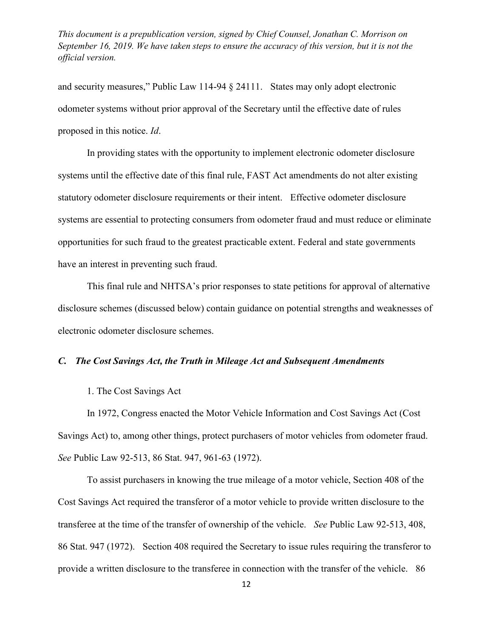and security measures," Public Law 114-94 § 24111. States may only adopt electronic odometer systems without prior approval of the Secretary until the effective date of rules proposed in this notice. *Id*.

In providing states with the opportunity to implement electronic odometer disclosure systems until the effective date of this final rule, FAST Act amendments do not alter existing statutory odometer disclosure requirements or their intent. Effective odometer disclosure systems are essential to protecting consumers from odometer fraud and must reduce or eliminate opportunities for such fraud to the greatest practicable extent. Federal and state governments have an interest in preventing such fraud.

This final rule and NHTSA's prior responses to state petitions for approval of alternative disclosure schemes (discussed below) contain guidance on potential strengths and weaknesses of electronic odometer disclosure schemes.

## *C.**The Cost Savings Act, the Truth in Mileage Act and Subsequent Amendments*

#### 1. The Cost Savings Act

In 1972, Congress enacted the Motor Vehicle Information and Cost Savings Act (Cost Savings Act) to, among other things, protect purchasers of motor vehicles from odometer fraud. *See* Public Law 92-513, 86 Stat. 947, 961-63 (1972).

To assist purchasers in knowing the true mileage of a motor vehicle, Section 408 of the Cost Savings Act required the transferor of a motor vehicle to provide written disclosure to the transferee at the time of the transfer of ownership of the vehicle. *See* Public Law 92-513, 408, 86 Stat. 947 (1972). Section 408 required the Secretary to issue rules requiring the transferor to provide a written disclosure to the transferee in connection with the transfer of the vehicle. 86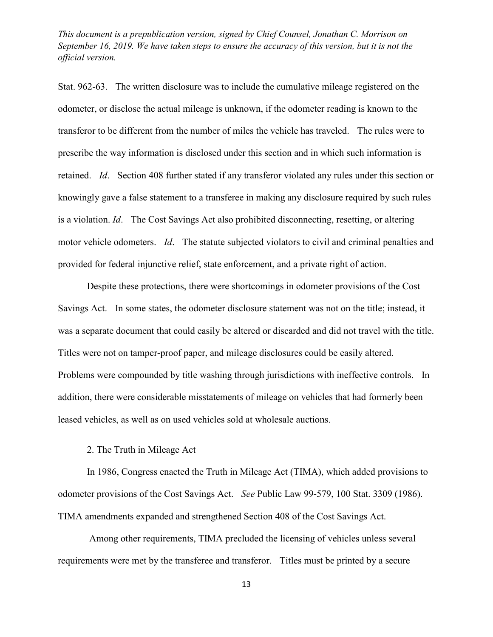Stat. 962-63. The written disclosure was to include the cumulative mileage registered on the odometer, or disclose the actual mileage is unknown, if the odometer reading is known to the transferor to be different from the number of miles the vehicle has traveled. The rules were to prescribe the way information is disclosed under this section and in which such information is retained. *Id*. Section 408 further stated if any transferor violated any rules under this section or knowingly gave a false statement to a transferee in making any disclosure required by such rules is a violation. *Id*. The Cost Savings Act also prohibited disconnecting, resetting, or altering motor vehicle odometers. *Id*. The statute subjected violators to civil and criminal penalties and provided for federal injunctive relief, state enforcement, and a private right of action.

Despite these protections, there were shortcomings in odometer provisions of the Cost Savings Act. In some states, the odometer disclosure statement was not on the title; instead, it was a separate document that could easily be altered or discarded and did not travel with the title. Titles were not on tamper-proof paper, and mileage disclosures could be easily altered. Problems were compounded by title washing through jurisdictions with ineffective controls. In addition, there were considerable misstatements of mileage on vehicles that had formerly been leased vehicles, as well as on used vehicles sold at wholesale auctions.

2. The Truth in Mileage Act

In 1986, Congress enacted the Truth in Mileage Act (TIMA), which added provisions to odometer provisions of the Cost Savings Act. *See* [Public Law 99-579, 100 Stat. 3309 \(1986\).](http://www.westlaw.com/Link/Document/FullText?findType=l&pubNum=1077005&cite=UUID(I3AF2F7BC10-EB4C64BFCE3-9EE6B0390A8)&originatingDoc=IC350B0F0F25711E5AE9ECA0D137ECF34&refType=SL&originationContext=document&vr=3.0&rs=cblt1.0&transitionType=DocumentItem&contextData=(sc.UserEnteredCitation)) TIMA amendments expanded and strengthened Section 408 of the Cost Savings Act.

Among other requirements, TIMA precluded the licensing of vehicles unless several requirements were met by the transferee and transferor. Titles must be printed by a secure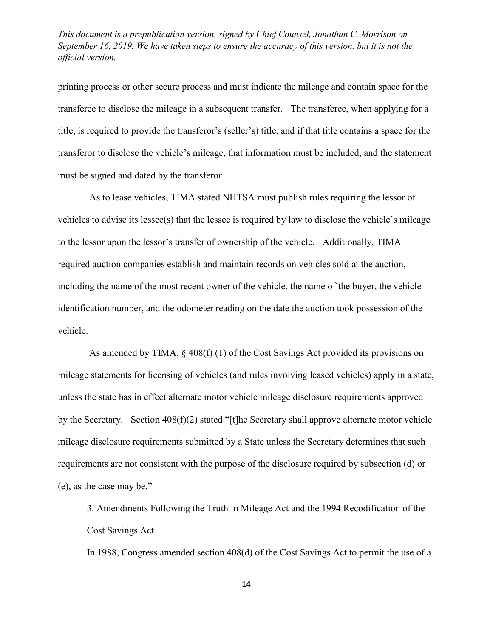printing process or other secure process and must indicate the mileage and contain space for the transferee to disclose the mileage in a subsequent transfer. The transferee, when applying for a title, is required to provide the transferor's (seller's) title, and if that title contains a space for the transferor to disclose the vehicle's mileage, that information must be included, and the statement must be signed and dated by the transferor.

As to lease vehicles, TIMA stated NHTSA must publish rules requiring the lessor of vehicles to advise its lessee(s) that the lessee is required by law to disclose the vehicle's mileage to the lessor upon the lessor's transfer of ownership of the vehicle. Additionally, TIMA required auction companies establish and maintain records on vehicles sold at the auction, including the name of the most recent owner of the vehicle, the name of the buyer, the vehicle identification number, and the odometer reading on the date the auction took possession of the vehicle.

As amended by TIMA, § 408(f) (1) of the Cost Savings Act provided its provisions on mileage statements for licensing of vehicles (and rules involving leased vehicles) apply in a state, unless the state has in effect alternate motor vehicle mileage disclosure requirements approved by the Secretary. Section 408(f)(2) stated "[t]he Secretary shall approve alternate motor vehicle mileage disclosure requirements submitted by a State unless the Secretary determines that such requirements are not consistent with the purpose of the disclosure required by subsection (d) or (e), as the case may be."

3. Amendments Following the Truth in Mileage Act and the 1994 Recodification of the Cost Savings Act

In 1988, Congress amended section 408(d) of the Cost Savings Act to permit the use of a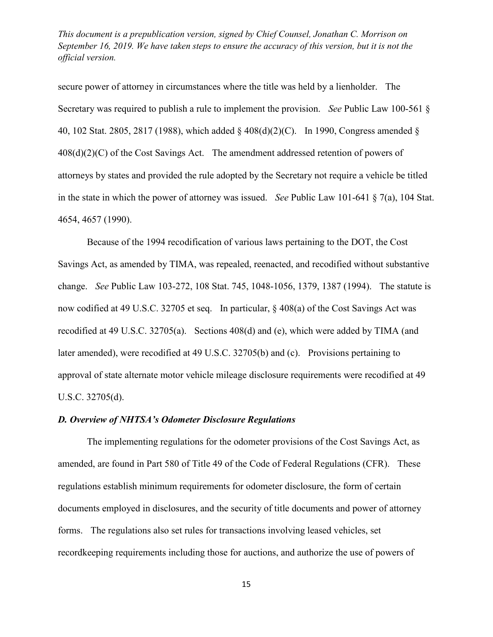secure power of attorney in circumstances where the title was held by a lienholder. The Secretary was required to publish a rule to implement the provision. *See* [Public Law 100-561 §](http://www.westlaw.com/Link/Document/FullText?findType=l&pubNum=1077005&cite=UUID(IF0512170A8-DB4263BC145-D0E1D0BD9BE)&originatingDoc=IC350B0F0F25711E5AE9ECA0D137ECF34&refType=SL&originationContext=document&vr=3.0&rs=cblt1.0&transitionType=DocumentItem&contextData=(sc.UserEnteredCitation))  [40, 102 Stat. 2805,](http://www.westlaw.com/Link/Document/FullText?findType=l&pubNum=1077005&cite=UUID(IF0512170A8-DB4263BC145-D0E1D0BD9BE)&originatingDoc=IC350B0F0F25711E5AE9ECA0D137ECF34&refType=SL&originationContext=document&vr=3.0&rs=cblt1.0&transitionType=DocumentItem&contextData=(sc.UserEnteredCitation)) 2817 (1988), which added § 408(d)(2)(C). In 1990, Congress amended §  $408(d)(2)(C)$  of the Cost Savings Act. The amendment addressed retention of powers of attorneys by states and provided the rule adopted by the Secretary not require a vehicle be titled in the state in which the power of attorney was issued. *See* [Public Law 101-641 § 7\(a\), 104 Stat.](http://www.westlaw.com/Link/Document/FullText?findType=l&pubNum=1077005&cite=UUID(IAC353EE710-A54EE18F00D-E2DBD011310)&originatingDoc=IC350B0F0F25711E5AE9ECA0D137ECF34&refType=SL&originationContext=document&vr=3.0&rs=cblt1.0&transitionType=DocumentItem&contextData=(sc.UserEnteredCitation))  [4654,](http://www.westlaw.com/Link/Document/FullText?findType=l&pubNum=1077005&cite=UUID(IAC353EE710-A54EE18F00D-E2DBD011310)&originatingDoc=IC350B0F0F25711E5AE9ECA0D137ECF34&refType=SL&originationContext=document&vr=3.0&rs=cblt1.0&transitionType=DocumentItem&contextData=(sc.UserEnteredCitation)) 4657 (1990).

Because of the 1994 recodification of various laws pertaining to the DOT, the Cost Savings Act, as amended by TIMA, was repealed, reenacted, and recodified without substantive change. *See* [Public Law 103-272, 108 Stat. 745,](http://www.westlaw.com/Link/Document/FullText?findType=l&pubNum=1077005&cite=UUID(I795103618A-E74D0EABEE1-1A41F6F2457)&originatingDoc=IC350B0F0F25711E5AE9ECA0D137ECF34&refType=SL&originationContext=document&vr=3.0&rs=cblt1.0&transitionType=DocumentItem&contextData=(sc.UserEnteredCitation)) 1048-1056, 1379, 1387 (1994). The statute is now codified at [49 U.S.C. 32705 et seq.](http://www.westlaw.com/Link/Document/FullText?findType=L&pubNum=1000546&cite=49USCAS32705&originatingDoc=IC350B0F0F25711E5AE9ECA0D137ECF34&refType=LQ&originationContext=document&vr=3.0&rs=cblt1.0&transitionType=DocumentItem&contextData=(sc.UserEnteredCitation)) In particular, § 408(a) of the Cost Savings Act was recodified at [49 U.S.C. 32705\(a\).](http://www.westlaw.com/Link/Document/FullText?findType=L&pubNum=1000546&cite=49USCAS32705&originatingDoc=IC350B0F0F25711E5AE9ECA0D137ECF34&refType=RB&originationContext=document&vr=3.0&rs=cblt1.0&transitionType=DocumentItem&contextData=(sc.UserEnteredCitation)#co_pp_8b3b0000958a4) Sections 408(d) and (e), which were added by TIMA (and later amended), were recodified at [49 U.S.C. 32705\(b\)](http://www.westlaw.com/Link/Document/FullText?findType=L&pubNum=1000546&cite=49USCAS32705&originatingDoc=IC350B0F0F25711E5AE9ECA0D137ECF34&refType=RB&originationContext=document&vr=3.0&rs=cblt1.0&transitionType=DocumentItem&contextData=(sc.UserEnteredCitation)#co_pp_a83b000018c76) and [\(c\).](http://www.westlaw.com/Link/Document/FullText?findType=L&pubNum=1000546&cite=49USCAS32705&originatingDoc=IC350B0F0F25711E5AE9ECA0D137ECF34&refType=RB&originationContext=document&vr=3.0&rs=cblt1.0&transitionType=DocumentItem&contextData=(sc.UserEnteredCitation)#co_pp_4b24000003ba5) Provisions pertaining to approval of state alternate motor vehicle mileage disclosure requirements were recodified at [49](http://www.westlaw.com/Link/Document/FullText?findType=L&pubNum=1000546&cite=49USCAS32705&originatingDoc=IC350B0F0F25711E5AE9ECA0D137ECF34&refType=RB&originationContext=document&vr=3.0&rs=cblt1.0&transitionType=DocumentItem&contextData=(sc.UserEnteredCitation)#co_pp_5ba1000067d06)  [U.S.C. 32705\(d\).](http://www.westlaw.com/Link/Document/FullText?findType=L&pubNum=1000546&cite=49USCAS32705&originatingDoc=IC350B0F0F25711E5AE9ECA0D137ECF34&refType=RB&originationContext=document&vr=3.0&rs=cblt1.0&transitionType=DocumentItem&contextData=(sc.UserEnteredCitation)#co_pp_5ba1000067d06)

# *D. Overview of NHTSA's Odometer Disclosure Regulations*

The implementing regulations for the odometer provisions of the Cost Savings Act, as amended, are found in Part 580 of Title 49 of the Code of Federal Regulations (CFR). These regulations establish minimum requirements for odometer disclosure, the form of certain documents employed in disclosures, and the security of title documents and power of attorney forms. The regulations also set rules for transactions involving leased vehicles, set recordkeeping requirements including those for auctions, and authorize the use of powers of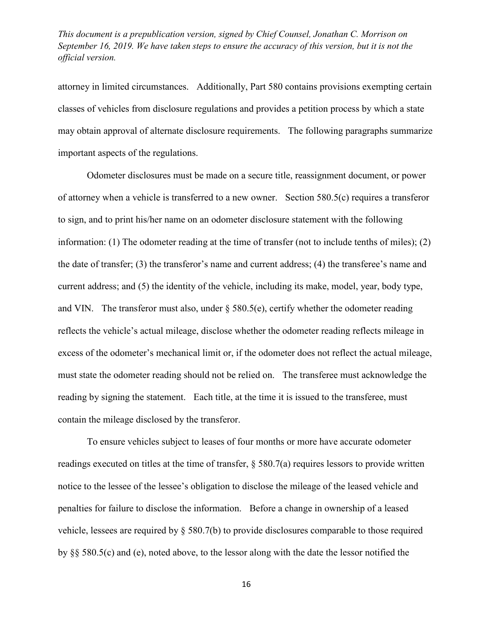attorney in limited circumstances. Additionally, Part 580 contains provisions exempting certain classes of vehicles from disclosure regulations and provides a petition process by which a state may obtain approval of alternate disclosure requirements. The following paragraphs summarize important aspects of the regulations.

Odometer disclosures must be made on a secure title, reassignment document, or power of attorney when a vehicle is transferred to a new owner. [Section 580.5\(c\)](http://www.westlaw.com/Link/Document/FullText?findType=L&pubNum=1000547&cite=49CFRS580.5&originatingDoc=IC350B0F0F25711E5AE9ECA0D137ECF34&refType=RB&originationContext=document&vr=3.0&rs=cblt1.0&transitionType=DocumentItem&contextData=(sc.UserEnteredCitation)#co_pp_4b24000003ba5) requires a transferor to sign, and to print his/her name on an odometer disclosure statement with the following information: (1) The odometer reading at the time of transfer (not to include tenths of miles); (2) the date of transfer; (3) the transferor's name and current address; (4) the transferee's name and current address; and (5) the identity of the vehicle, including its make, model, year, body type, and VIN. The transferor must also, under  $\S$  580.5(e), certify whether the odometer reading reflects the vehicle's actual mileage, disclose whether the odometer reading reflects mileage in excess of the odometer's mechanical limit or, if the odometer does not reflect the actual mileage, must state the odometer reading should not be relied on. The transferee must acknowledge the reading by signing the statement. Each title, at the time it is issued to the transferee, must contain the mileage disclosed by the transferor.

To ensure vehicles subject to leases of four months or more have accurate odometer readings executed on titles at the time of transfer, [§ 580.7\(a\)](http://www.westlaw.com/Link/Document/FullText?findType=L&pubNum=1000547&cite=49CFRS580.7&originatingDoc=IC350B0F0F25711E5AE9ECA0D137ECF34&refType=RB&originationContext=document&vr=3.0&rs=cblt1.0&transitionType=DocumentItem&contextData=(sc.UserEnteredCitation)#co_pp_8b3b0000958a4) requires lessors to provide written notice to the lessee of the lessee's obligation to disclose the mileage of the leased vehicle and penalties for failure to disclose the information. Before a change in ownership of a leased vehicle, lessees are required by [§ 580.7\(b\)](http://www.westlaw.com/Link/Document/FullText?findType=L&pubNum=1000547&cite=49CFRS580.7&originatingDoc=IC350B0F0F25711E5AE9ECA0D137ECF34&refType=RB&originationContext=document&vr=3.0&rs=cblt1.0&transitionType=DocumentItem&contextData=(sc.UserEnteredCitation)#co_pp_a83b000018c76) to provide disclosures comparable to those required by [§§ 580.5\(c\)](http://www.westlaw.com/Link/Document/FullText?findType=L&pubNum=1000547&cite=49CFRS580.5&originatingDoc=IC350B0F0F25711E5AE9ECA0D137ECF34&refType=RB&originationContext=document&vr=3.0&rs=cblt1.0&transitionType=DocumentItem&contextData=(sc.UserEnteredCitation)#co_pp_4b24000003ba5) and [\(e\),](http://www.westlaw.com/Link/Document/FullText?findType=L&pubNum=1000547&cite=49CFRS580.5&originatingDoc=IC350B0F0F25711E5AE9ECA0D137ECF34&refType=RB&originationContext=document&vr=3.0&rs=cblt1.0&transitionType=DocumentItem&contextData=(sc.UserEnteredCitation)#co_pp_7fdd00001ca15) noted above, to the lessor along with the date the lessor notified the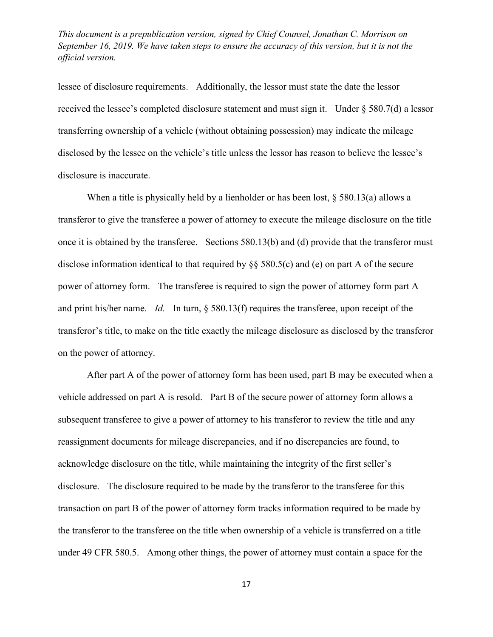lessee of disclosure requirements. Additionally, the lessor must state the date the lessor received the lessee's completed disclosure statement and must sign it. Under [§ 580.7\(d\)](http://www.westlaw.com/Link/Document/FullText?findType=L&pubNum=1000547&cite=49CFRS580.7&originatingDoc=IC350B0F0F25711E5AE9ECA0D137ECF34&refType=RB&originationContext=document&vr=3.0&rs=cblt1.0&transitionType=DocumentItem&contextData=(sc.UserEnteredCitation)#co_pp_5ba1000067d06) a lessor transferring ownership of a vehicle (without obtaining possession) may indicate the mileage disclosed by the lessee on the vehicle's title unless the lessor has reason to believe the lessee's disclosure is inaccurate.

When a title is physically held by a lienholder or has been lost, [§ 580.13\(a\)](http://www.westlaw.com/Link/Document/FullText?findType=L&pubNum=1000547&cite=49CFRS580.13&originatingDoc=IC350B0F0F25711E5AE9ECA0D137ECF34&refType=RB&originationContext=document&vr=3.0&rs=cblt1.0&transitionType=DocumentItem&contextData=(sc.UserEnteredCitation)#co_pp_8b3b0000958a4) allows a transferor to give the transferee a power of attorney to execute the mileage disclosure on the title once it is obtained by the transferee. [Sections 580.13\(b\)](http://www.westlaw.com/Link/Document/FullText?findType=L&pubNum=1000547&cite=49CFRS580.13&originatingDoc=IC350B0F0F25711E5AE9ECA0D137ECF34&refType=RB&originationContext=document&vr=3.0&rs=cblt1.0&transitionType=DocumentItem&contextData=(sc.UserEnteredCitation)#co_pp_a83b000018c76) and [\(d\)](http://www.westlaw.com/Link/Document/FullText?findType=L&pubNum=1000547&cite=49CFRS580.13&originatingDoc=IC350B0F0F25711E5AE9ECA0D137ECF34&refType=RB&originationContext=document&vr=3.0&rs=cblt1.0&transitionType=DocumentItem&contextData=(sc.UserEnteredCitation)#co_pp_5ba1000067d06) provide that the transferor must disclose information identical to that required by [§§ 580.5\(c\)](http://www.westlaw.com/Link/Document/FullText?findType=L&pubNum=1000547&cite=49CFRS580.5&originatingDoc=IC350B0F0F25711E5AE9ECA0D137ECF34&refType=RB&originationContext=document&vr=3.0&rs=cblt1.0&transitionType=DocumentItem&contextData=(sc.UserEnteredCitation)#co_pp_4b24000003ba5) and [\(e\)](http://www.westlaw.com/Link/Document/FullText?findType=L&pubNum=1000547&cite=49CFRS580.5&originatingDoc=IC350B0F0F25711E5AE9ECA0D137ECF34&refType=RB&originationContext=document&vr=3.0&rs=cblt1.0&transitionType=DocumentItem&contextData=(sc.UserEnteredCitation)#co_pp_7fdd00001ca15) on part A of the secure power of attorney form. The transferee is required to sign the power of attorney form part A and print his/her name. *Id.* In turn, [§ 580.13\(f\)](http://www.westlaw.com/Link/Document/FullText?findType=L&pubNum=1000547&cite=49CFRS580.13&originatingDoc=IC350B0F0F25711E5AE9ECA0D137ECF34&refType=RB&originationContext=document&vr=3.0&rs=cblt1.0&transitionType=DocumentItem&contextData=(sc.UserEnteredCitation)#co_pp_ae0d0000c5150) requires the transferee, upon receipt of the transferor's title, to make on the title exactly the mileage disclosure as disclosed by the transferor on the power of attorney.

After part A of the power of attorney form has been used, part B may be executed when a vehicle addressed on part A is resold. Part B of the secure power of attorney form allows a subsequent transferee to give a power of attorney to his transferor to review the title and any reassignment documents for mileage discrepancies, and if no discrepancies are found, to acknowledge disclosure on the title, while maintaining the integrity of the first seller's disclosure. The disclosure required to be made by the transferor to the transferee for this transaction on part B of the power of attorney form tracks information required to be made by the transferor to the transferee on the title when ownership of a vehicle is transferred on a title under [49 CFR 580.5.](http://www.westlaw.com/Link/Document/FullText?findType=L&pubNum=1000547&cite=49CFRS580.5&originatingDoc=IC350B0F0F25711E5AE9ECA0D137ECF34&refType=LQ&originationContext=document&vr=3.0&rs=cblt1.0&transitionType=DocumentItem&contextData=(sc.UserEnteredCitation)) Among other things, the power of attorney must contain a space for the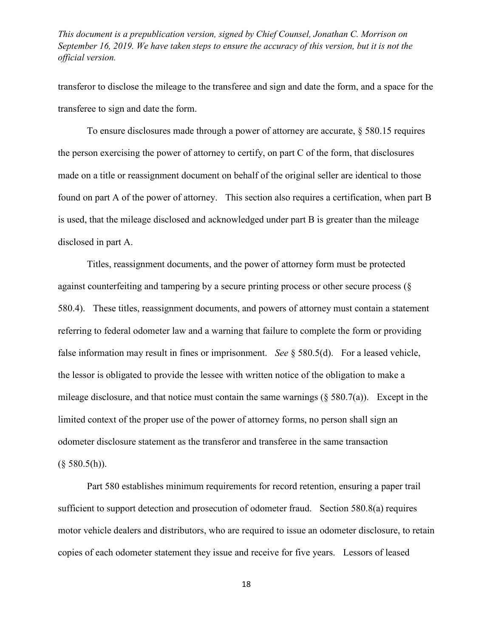transferor to disclose the mileage to the transferee and sign and date the form, and a space for the transferee to sign and date the form.

To ensure disclosures made through a power of attorney are accurate, § 580.15 requires the person exercising the power of attorney to certify, on part C of the form, that disclosures made on a title or reassignment document on behalf of the original seller are identical to those found on part A of the power of attorney. This section also requires a certification, when part B is used, that the mileage disclosed and acknowledged under part B is greater than the mileage disclosed in part A.

Titles, reassignment documents, and the power of attorney form must be protected against counterfeiting and tampering by a secure printing process or other secure process (§ 580.4). These titles, reassignment documents, and powers of attorney must contain a statement referring to federal odometer law and a warning that failure to complete the form or providing false information may result in fines or imprisonment. *See* § 580.5(d). For a leased vehicle, the lessor is obligated to provide the lessee with written notice of the obligation to make a mileage disclosure, and that notice must contain the same warnings  $(\xi 580.7(a))$ . Except in the limited context of the proper use of the power of attorney forms, no person shall sign an odometer disclosure statement as the transferor and transferee in the same transaction  $(\S 580.5(h))$ .

Part 580 establishes minimum requirements for record retention, ensuring a paper trail sufficient to support detection and prosecution of odometer fraud. Section 580.8(a) requires motor vehicle dealers and distributors, who are required to issue an odometer disclosure, to retain copies of each odometer statement they issue and receive for five years. Lessors of leased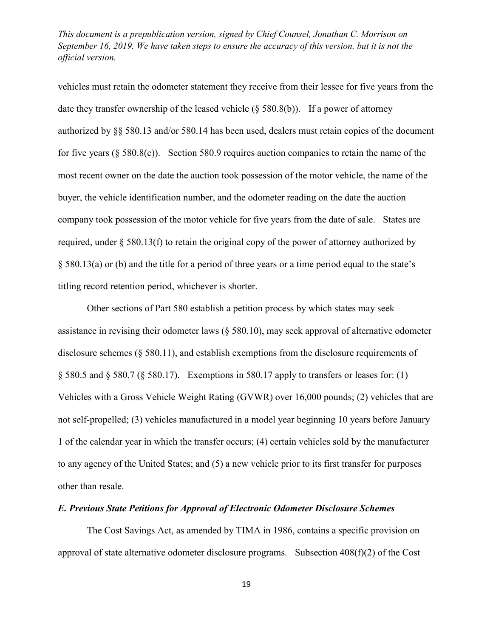vehicles must retain the odometer statement they receive from their lessee for five years from the date they transfer ownership of the leased vehicle (§ 580.8(b)). If a power of attorney authorized by [§§ 580.13](http://www.westlaw.com/Link/Document/FullText?findType=L&pubNum=1000547&cite=49CFRS580.13&originatingDoc=IC350B0F0F25711E5AE9ECA0D137ECF34&refType=LQ&originationContext=document&vr=3.0&rs=cblt1.0&transitionType=DocumentItem&contextData=(sc.UserEnteredCitation)) and/or 580.14 has been used, dealers must retain copies of the document for five years (§ 580.8(c)). Section 580.9 requires auction companies to retain the name of the most recent owner on the date the auction took possession of the motor vehicle, the name of the buyer, the vehicle identification number, and the odometer reading on the date the auction company took possession of the motor vehicle for five years from the date of sale. States are required, under [§ 580.13\(f\)](http://www.westlaw.com/Link/Document/FullText?findType=L&pubNum=1000547&cite=49CFRS580.13&originatingDoc=IC350B0F0F25711E5AE9ECA0D137ECF34&refType=RB&originationContext=document&vr=3.0&rs=cblt1.0&transitionType=DocumentItem&contextData=(sc.UserEnteredCitation)#co_pp_ae0d0000c5150) to retain the original copy of the power of attorney authorized by [§ 580.13\(a\)](http://www.westlaw.com/Link/Document/FullText?findType=L&pubNum=1000547&cite=49CFRS580.13&originatingDoc=IC350B0F0F25711E5AE9ECA0D137ECF34&refType=RB&originationContext=document&vr=3.0&rs=cblt1.0&transitionType=DocumentItem&contextData=(sc.UserEnteredCitation)#co_pp_8b3b0000958a4) or [\(b\)](http://www.westlaw.com/Link/Document/FullText?findType=L&pubNum=1000547&cite=49CFRS580.13&originatingDoc=IC350B0F0F25711E5AE9ECA0D137ECF34&refType=RB&originationContext=document&vr=3.0&rs=cblt1.0&transitionType=DocumentItem&contextData=(sc.UserEnteredCitation)#co_pp_a83b000018c76) and the title for a period of three years or a time period equal to the state's titling record retention period, whichever is shorter.

Other sections of Part 580 establish a petition process by which states may seek assistance in revising their odometer laws (§ 580.10), may seek approval of alternative odometer disclosure schemes (§ 580.11), and establish exemptions from the disclosure requirements of [§ 580.5](http://www.westlaw.com/Link/Document/FullText?findType=L&pubNum=1000547&cite=49CFRS580.5&originatingDoc=IC350B0F0F25711E5AE9ECA0D137ECF34&refType=LQ&originationContext=document&vr=3.0&rs=cblt1.0&transitionType=DocumentItem&contextData=(sc.UserEnteredCitation)) and [§ 580.7](http://www.westlaw.com/Link/Document/FullText?findType=L&pubNum=1000547&cite=49CFRS580.7&originatingDoc=IC350B0F0F25711E5AE9ECA0D137ECF34&refType=LQ&originationContext=document&vr=3.0&rs=cblt1.0&transitionType=DocumentItem&contextData=(sc.UserEnteredCitation)) [\(§ 580.17\)](http://www.westlaw.com/Link/Document/FullText?findType=L&pubNum=1000547&cite=49CFRS580.17&originatingDoc=IC350B0F0F25711E5AE9ECA0D137ECF34&refType=LQ&originationContext=document&vr=3.0&rs=cblt1.0&transitionType=DocumentItem&contextData=(sc.UserEnteredCitation)). Exemptions in 580.17 apply to transfers or leases for: (1) Vehicles with a Gross Vehicle Weight Rating (GVWR) over 16,000 pounds; (2) vehicles that are not self-propelled; (3) vehicles manufactured in a model year beginning 10 years before January 1 of the calendar year in which the transfer occurs; (4) certain vehicles sold by the manufacturer to any agency of the United States; and (5) a new vehicle prior to its first transfer for purposes other than resale.

### *E. Previous State Petitions for Approval of Electronic Odometer Disclosure Schemes*

The Cost Savings Act, as amended by TIMA in 1986, contains a specific provision on approval of state alternative odometer disclosure programs. Subsection 408(f)(2) of the Cost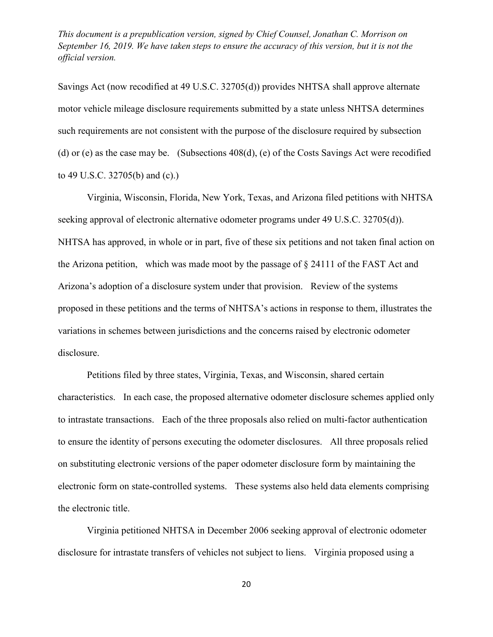Savings Act (now recodified at [49 U.S.C. 32705\(d\)\)](http://www.westlaw.com/Link/Document/FullText?findType=L&pubNum=1000546&cite=49USCAS32705&originatingDoc=IC350B0F0F25711E5AE9ECA0D137ECF34&refType=RB&originationContext=document&vr=3.0&rs=cblt1.0&transitionType=DocumentItem&contextData=(sc.UserEnteredCitation)#co_pp_5ba1000067d06) provides NHTSA shall approve alternate motor vehicle mileage disclosure requirements submitted by a state unless NHTSA determines such requirements are not consistent with the purpose of the disclosure required by subsection (d) or (e) as the case may be. (Subsections 408(d), (e) of the Costs Savings Act were recodified to [49 U.S.C. 32705\(b\)](http://www.westlaw.com/Link/Document/FullText?findType=L&pubNum=1000546&cite=49USCAS32705&originatingDoc=IC350B0F0F25711E5AE9ECA0D137ECF34&refType=RB&originationContext=document&vr=3.0&rs=cblt1.0&transitionType=DocumentItem&contextData=(sc.UserEnteredCitation)#co_pp_a83b000018c76) and [\(c\).](http://www.westlaw.com/Link/Document/FullText?findType=L&pubNum=1000546&cite=49USCAS32705&originatingDoc=IC350B0F0F25711E5AE9ECA0D137ECF34&refType=RB&originationContext=document&vr=3.0&rs=cblt1.0&transitionType=DocumentItem&contextData=(sc.UserEnteredCitation)#co_pp_4b24000003ba5))

Virginia, Wisconsin, Florida, New York, Texas, and Arizona filed petitions with NHTSA seeking approval of electronic alternative odometer programs under [49 U.S.C. 32705\(d\)\)](http://www.westlaw.com/Link/Document/FullText?findType=L&pubNum=1000546&cite=49USCAS32705&originatingDoc=IC350B0F0F25711E5AE9ECA0D137ECF34&refType=RB&originationContext=document&vr=3.0&rs=cblt1.0&transitionType=DocumentItem&contextData=(sc.UserEnteredCitation)#co_pp_5ba1000067d06). NHTSA has approved, in whole or in part, five of these six petitions and not taken final action on the Arizona petition, which was made moot by the passage of § 24111 of the FAST Act and Arizona's adoption of a disclosure system under that provision. Review of the systems proposed in these petitions and the terms of NHTSA's actions in response to them, illustrates the variations in schemes between jurisdictions and the concerns raised by electronic odometer disclosure.

Petitions filed by three states, Virginia, Texas, and Wisconsin, shared certain characteristics. In each case, the proposed alternative odometer disclosure schemes applied only to intrastate transactions. Each of the three proposals also relied on multi-factor authentication to ensure the identity of persons executing the odometer disclosures. All three proposals relied on substituting electronic versions of the paper odometer disclosure form by maintaining the electronic form on state-controlled systems. These systems also held data elements comprising the electronic title.

Virginia petitioned NHTSA in December 2006 seeking approval of electronic odometer disclosure for intrastate transfers of vehicles not subject to liens. Virginia proposed using a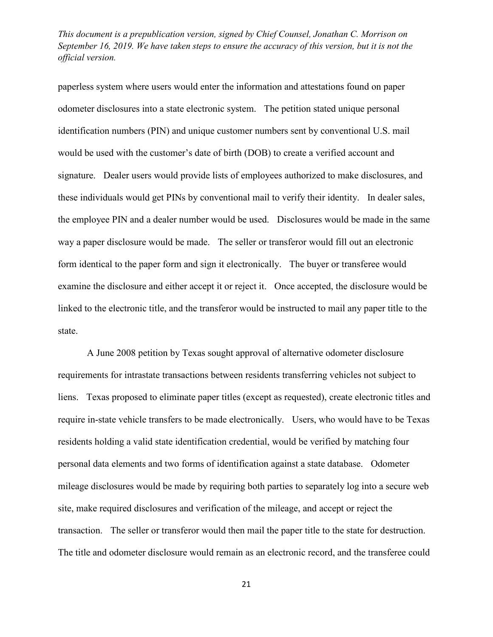paperless system where users would enter the information and attestations found on paper odometer disclosures into a state electronic system. The petition stated unique personal identification numbers (PIN) and unique customer numbers sent by conventional U.S. mail would be used with the customer's date of birth (DOB) to create a verified account and signature. Dealer users would provide lists of employees authorized to make disclosures, and these individuals would get PINs by conventional mail to verify their identity. In dealer sales, the employee PIN and a dealer number would be used. Disclosures would be made in the same way a paper disclosure would be made. The seller or transferor would fill out an electronic form identical to the paper form and sign it electronically. The buyer or transferee would examine the disclosure and either accept it or reject it. Once accepted, the disclosure would be linked to the electronic title, and the transferor would be instructed to mail any paper title to the state.

A June 2008 petition by Texas sought approval of alternative odometer disclosure requirements for intrastate transactions between residents transferring vehicles not subject to liens. Texas proposed to eliminate paper titles (except as requested), create electronic titles and require in-state vehicle transfers to be made electronically. Users, who would have to be Texas residents holding a valid state identification credential, would be verified by matching four personal data elements and two forms of identification against a state database. Odometer mileage disclosures would be made by requiring both parties to separately log into a secure web site, make required disclosures and verification of the mileage, and accept or reject the transaction. The seller or transferor would then mail the paper title to the state for destruction. The title and odometer disclosure would remain as an electronic record, and the transferee could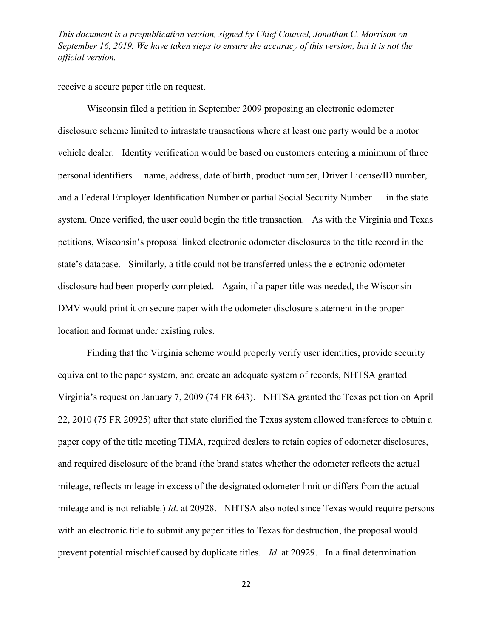receive a secure paper title on request.

Wisconsin filed a petition in September 2009 proposing an electronic odometer disclosure scheme limited to intrastate transactions where at least one party would be a motor vehicle dealer. Identity verification would be based on customers entering a minimum of three personal identifiers —name, address, date of birth, product number, Driver License/ID number, and a Federal Employer Identification Number or partial Social Security Number — in the state system. Once verified, the user could begin the title transaction. As with the Virginia and Texas petitions, Wisconsin's proposal linked electronic odometer disclosures to the title record in the state's database. Similarly, a title could not be transferred unless the electronic odometer disclosure had been properly completed. Again, if a paper title was needed, the Wisconsin DMV would print it on secure paper with the odometer disclosure statement in the proper location and format under existing rules.

Finding that the Virginia scheme would properly verify user identities, provide security equivalent to the paper system, and create an adequate system of records, NHTSA granted Virginia's request on January 7, 2009 [\(74 FR 643\)](http://www.westlaw.com/Link/Document/FullText?findType=l&pubNum=0001037&cite=UUID(I6DC6AFD0DCB211DDA2798A457B2C0B4C)&originatingDoc=IC350B0F0F25711E5AE9ECA0D137ECF34&refType=CP&fi=co_pp_sp_1037_643&originationContext=document&vr=3.0&rs=cblt1.0&transitionType=DocumentItem&contextData=(sc.UserEnteredCitation)#co_pp_sp_1037_643). NHTSA granted the Texas petition on April 22, 2010 [\(75 FR 20925\)](http://www.westlaw.com/Link/Document/FullText?findType=l&pubNum=0001037&cite=UUID(I25B8AFA04DEE11DF9026D0C125F6B202)&originatingDoc=IC350B0F0F25711E5AE9ECA0D137ECF34&refType=CP&fi=co_pp_sp_1037_20925&originationContext=document&vr=3.0&rs=cblt1.0&transitionType=DocumentItem&contextData=(sc.UserEnteredCitation)#co_pp_sp_1037_20925) after that state clarified the Texas system allowed transferees to obtain a paper copy of the title meeting TIMA, required dealers to retain copies of odometer disclosures, and required disclosure of the brand (the brand states whether the odometer reflects the actual mileage, reflects mileage in excess of the designated odometer limit or differs from the actual mileage and is not reliable.) *Id*[. at 2](http://www.westlaw.com/Link/Document/FullText?findType=l&pubNum=0001037&cite=UUID(IE99E58F0D42911DE8E9EF796F0BD161F)&originatingDoc=IC350B0F0F25711E5AE9ECA0D137ECF34&refType=CP&fi=co_pp_sp_1037_59503&originationContext=document&vr=3.0&rs=cblt1.0&transitionType=DocumentItem&contextData=(sc.UserEnteredCitation)#co_pp_sp_1037_59503)0928. NHTSA also noted since Texas would require persons with an electronic title to submit any paper titles to Texas for destruction, the proposal would prevent potential mischief caused by duplicate titles. *Id*[. at 20929.](http://www.westlaw.com/Link/Document/FullText?findType=l&pubNum=0001037&cite=UUID(I25B8AFA04DEE11DF9026D0C125F6B202)&originatingDoc=IC350B0F0F25711E5AE9ECA0D137ECF34&refType=CP&fi=co_pp_sp_1037_20925&originationContext=document&vr=3.0&rs=cblt1.0&transitionType=DocumentItem&contextData=(sc.UserEnteredCitation)#co_pp_sp_1037_20925) In a final determination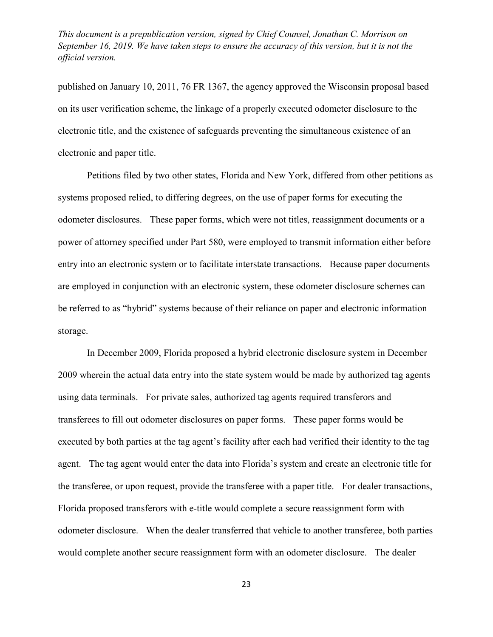published on January 10, 2011, [76 FR 1367,](http://www.westlaw.com/Link/Document/FullText?findType=l&pubNum=0001037&cite=UUID(I081C75301CA111E08A3DF1DFE35A728B)&originatingDoc=IC350B0F0F25711E5AE9ECA0D137ECF34&refType=CP&fi=co_pp_sp_1037_1367&originationContext=document&vr=3.0&rs=cblt1.0&transitionType=DocumentItem&contextData=(sc.UserEnteredCitation)#co_pp_sp_1037_1367) the agency approved the Wisconsin proposal based on its user verification scheme, the linkage of a properly executed odometer disclosure to the electronic title, and the existence of safeguards preventing the simultaneous existence of an electronic and paper title.

Petitions filed by two other states, Florida and New York, differed from other petitions as systems proposed relied, to differing degrees, on the use of paper forms for executing the odometer disclosures. These paper forms, which were not titles, reassignment documents or a power of attorney specified under Part 580, were employed to transmit information either before entry into an electronic system or to facilitate interstate transactions. Because paper documents are employed in conjunction with an electronic system, these odometer disclosure schemes can be referred to as "hybrid" systems because of their reliance on paper and electronic information storage.

In December 2009, Florida proposed a hybrid electronic disclosure system in December 2009 wherein the actual data entry into the state system would be made by authorized tag agents using data terminals. For private sales, authorized tag agents required transferors and transferees to fill out odometer disclosures on paper forms. These paper forms would be executed by both parties at the tag agent's facility after each had verified their identity to the tag agent. The tag agent would enter the data into Florida's system and create an electronic title for the transferee, or upon request, provide the transferee with a paper title. For dealer transactions, Florida proposed transferors with e-title would complete a secure reassignment form with odometer disclosure. When the dealer transferred that vehicle to another transferee, both parties would complete another secure reassignment form with an odometer disclosure. The dealer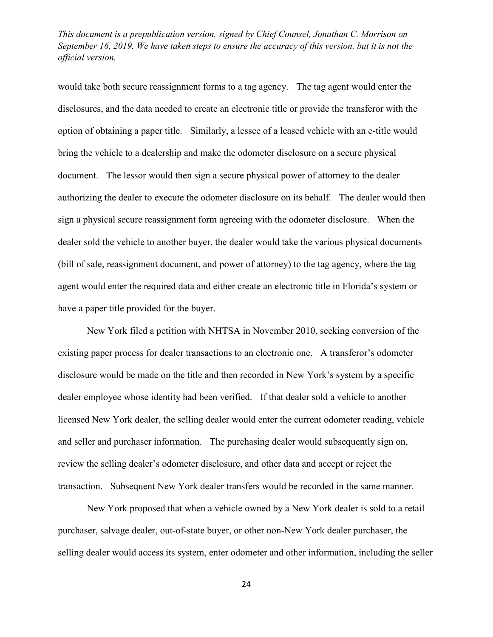would take both secure reassignment forms to a tag agency. The tag agent would enter the disclosures, and the data needed to create an electronic title or provide the transferor with the option of obtaining a paper title. Similarly, a lessee of a leased vehicle with an e-title would bring the vehicle to a dealership and make the odometer disclosure on a secure physical document. The lessor would then sign a secure physical power of attorney to the dealer authorizing the dealer to execute the odometer disclosure on its behalf. The dealer would then sign a physical secure reassignment form agreeing with the odometer disclosure. When the dealer sold the vehicle to another buyer, the dealer would take the various physical documents (bill of sale, reassignment document, and power of attorney) to the tag agency, where the tag agent would enter the required data and either create an electronic title in Florida's system or have a paper title provided for the buyer.

New York filed a petition with NHTSA in November 2010, seeking conversion of the existing paper process for dealer transactions to an electronic one. A transferor's odometer disclosure would be made on the title and then recorded in New York's system by a specific dealer employee whose identity had been verified. If that dealer sold a vehicle to another licensed New York dealer, the selling dealer would enter the current odometer reading, vehicle and seller and purchaser information. The purchasing dealer would subsequently sign on, review the selling dealer's odometer disclosure, and other data and accept or reject the transaction. Subsequent New York dealer transfers would be recorded in the same manner.

New York proposed that when a vehicle owned by a New York dealer is sold to a retail purchaser, salvage dealer, out-of-state buyer, or other non-New York dealer purchaser, the selling dealer would access its system, enter odometer and other information, including the seller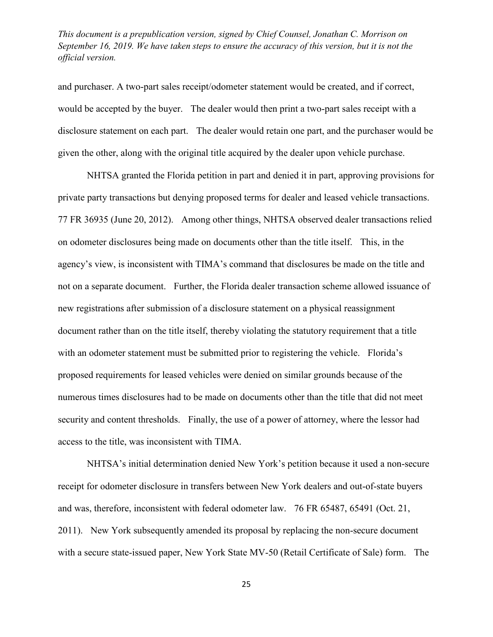and purchaser. A two-part sales receipt/odometer statement would be created, and if correct, would be accepted by the buyer. The dealer would then print a two-part sales receipt with a disclosure statement on each part. The dealer would retain one part, and the purchaser would be given the other, along with the original title acquired by the dealer upon vehicle purchase.

NHTSA granted the Florida petition in part and denied it in part, approving provisions for private party transactions but denying proposed terms for dealer and leased vehicle transactions. [77 FR 36935 \(June 20, 2012\).](http://www.westlaw.com/Link/Document/FullText?findType=l&pubNum=0001037&cite=UUID(IDB4FB630BAA511E19FFBB68C32364A58)&originatingDoc=IC350B0F0F25711E5AE9ECA0D137ECF34&refType=CP&fi=co_pp_sp_1037_36935&originationContext=document&vr=3.0&rs=cblt1.0&transitionType=DocumentItem&contextData=(sc.UserEnteredCitation)#co_pp_sp_1037_36935) Among other things, NHTSA observed dealer transactions relied on odometer disclosures being made on documents other than the title itself. This, in the agency's view, is inconsistent with TIMA's command that disclosures be made on the title and not on a separate document. Further, the Florida dealer transaction scheme allowed issuance of new registrations after submission of a disclosure statement on a physical reassignment document rather than on the title itself, thereby violating the statutory requirement that a title with an odometer statement must be submitted prior to registering the vehicle. Florida's proposed requirements for leased vehicles were denied on similar grounds because of the numerous times disclosures had to be made on documents other than the title that did not meet security and content thresholds. Finally, the use of a power of attorney, where the lessor had access to the title, was inconsistent with TIMA.

NHTSA's initial determination denied New York's petition because it used a non-secure receipt for odometer disclosure in transfers between New York dealers and out-of-state buyers and was, therefore, inconsistent with federal odometer law. [76 FR 65487, 65491 \(Oct. 21,](http://www.westlaw.com/Link/Document/FullText?findType=l&pubNum=0001037&cite=UUID(I81EC4E20FBB311E08A2EA6A6B18686E2)&originatingDoc=IC350B0F0F25711E5AE9ECA0D137ECF34&refType=CP&fi=co_pp_sp_1037_65487&originationContext=document&vr=3.0&rs=cblt1.0&transitionType=DocumentItem&contextData=(sc.UserEnteredCitation)#co_pp_sp_1037_65487)  [2011\).](http://www.westlaw.com/Link/Document/FullText?findType=l&pubNum=0001037&cite=UUID(I81EC4E20FBB311E08A2EA6A6B18686E2)&originatingDoc=IC350B0F0F25711E5AE9ECA0D137ECF34&refType=CP&fi=co_pp_sp_1037_65487&originationContext=document&vr=3.0&rs=cblt1.0&transitionType=DocumentItem&contextData=(sc.UserEnteredCitation)#co_pp_sp_1037_65487) New York subsequently amended its proposal by replacing the non-secure document with a secure state-issued paper, New York State MV-50 (Retail Certificate of Sale) form. The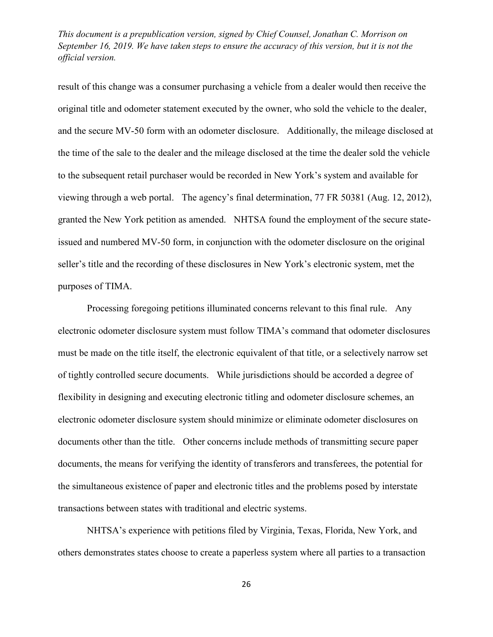result of this change was a consumer purchasing a vehicle from a dealer would then receive the original title and odometer statement executed by the owner, who sold the vehicle to the dealer, and the secure MV-50 form with an odometer disclosure. Additionally, the mileage disclosed at the time of the sale to the dealer and the mileage disclosed at the time the dealer sold the vehicle to the subsequent retail purchaser would be recorded in New York's system and available for viewing through a web portal. The agency's final determination, [77 FR 50381 \(Aug. 12, 2012\),](http://www.westlaw.com/Link/Document/FullText?findType=l&pubNum=0001037&cite=UUID(I0A269760EB5E11E1A7ACC86B50A57916)&originatingDoc=IC350B0F0F25711E5AE9ECA0D137ECF34&refType=CP&fi=co_pp_sp_1037_50381&originationContext=document&vr=3.0&rs=cblt1.0&transitionType=DocumentItem&contextData=(sc.UserEnteredCitation)#co_pp_sp_1037_50381) granted the New York petition as amended. NHTSA found the employment of the secure stateissued and numbered MV-50 form, in conjunction with the odometer disclosure on the original seller's title and the recording of these disclosures in New York's electronic system, met the purposes of TIMA.

Processing foregoing petitions illuminated concerns relevant to this final rule. Any electronic odometer disclosure system must follow TIMA's command that odometer disclosures must be made on the title itself, the electronic equivalent of that title, or a selectively narrow set of tightly controlled secure documents. While jurisdictions should be accorded a degree of flexibility in designing and executing electronic titling and odometer disclosure schemes, an electronic odometer disclosure system should minimize or eliminate odometer disclosures on documents other than the title. Other concerns include methods of transmitting secure paper documents, the means for verifying the identity of transferors and transferees, the potential for the simultaneous existence of paper and electronic titles and the problems posed by interstate transactions between states with traditional and electric systems.

NHTSA's experience with petitions filed by Virginia, Texas, Florida, New York, and others demonstrates states choose to create a paperless system where all parties to a transaction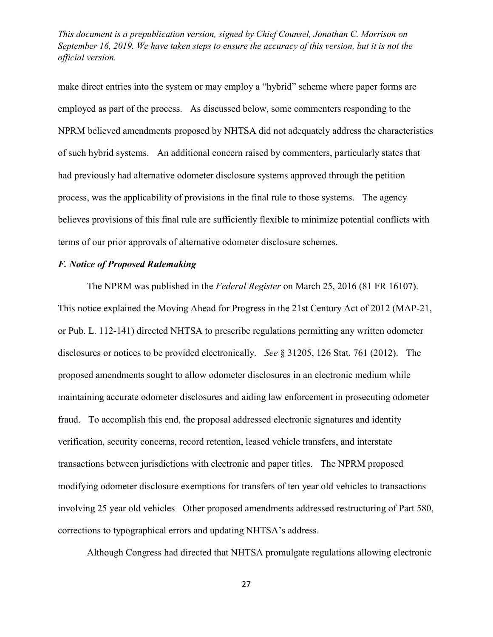make direct entries into the system or may employ a "hybrid" scheme where paper forms are employed as part of the process. As discussed below, some commenters responding to the NPRM believed amendments proposed by NHTSA did not adequately address the characteristics of such hybrid systems. An additional concern raised by commenters, particularly states that had previously had alternative odometer disclosure systems approved through the petition process, was the applicability of provisions in the final rule to those systems. The agency believes provisions of this final rule are sufficiently flexible to minimize potential conflicts with terms of our prior approvals of alternative odometer disclosure schemes.

# *F. Notice of Proposed Rulemaking*

The NPRM was published in the *Federal Register* on March 25, 2016 (81 FR 16107). This notice explained the Moving Ahead for Progress in the 21st Century Act of 2012 (MAP-21, or [Pub. L. 112-141\)](http://www.westlaw.com/Link/Document/FullText?findType=l&pubNum=1077005&cite=UUID(I2A1C2250CA-8A11E199E7A-65B8DD87876)&originatingDoc=IC350B0F0F25711E5AE9ECA0D137ECF34&refType=SL&originationContext=document&vr=3.0&rs=cblt1.0&transitionType=DocumentItem&contextData=(sc.UserEnteredCitation)) directed NHTSA to prescribe regulations permitting any written odometer disclosures or notices to be provided electronically. *See* § 31205, 126 Stat. 761 (2012). The proposed amendments sought to allow odometer disclosures in an electronic medium while maintaining accurate odometer disclosures and aiding law enforcement in prosecuting odometer fraud. To accomplish this end, the proposal addressed electronic signatures and identity verification, security concerns, record retention, leased vehicle transfers, and interstate transactions between jurisdictions with electronic and paper titles. The NPRM proposed modifying odometer disclosure exemptions for transfers of ten year old vehicles to transactions involving 25 year old vehicles Other proposed amendments addressed restructuring of Part 580, corrections to typographical errors and updating NHTSA's address.

Although Congress had directed that NHTSA promulgate regulations allowing electronic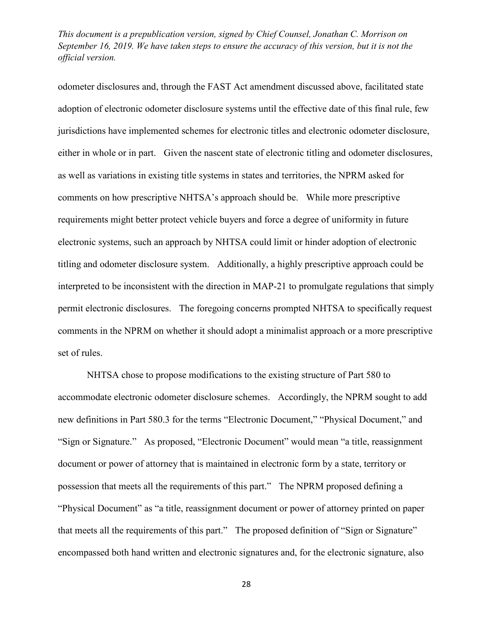odometer disclosures and, through the FAST Act amendment discussed above, facilitated state adoption of electronic odometer disclosure systems until the effective date of this final rule, few jurisdictions have implemented schemes for electronic titles and electronic odometer disclosure, either in whole or in part. Given the nascent state of electronic titling and odometer disclosures, as well as variations in existing title systems in states and territories, the NPRM asked for comments on how prescriptive NHTSA's approach should be. While more prescriptive requirements might better protect vehicle buyers and force a degree of uniformity in future electronic systems, such an approach by NHTSA could limit or hinder adoption of electronic titling and odometer disclosure system. Additionally, a highly prescriptive approach could be interpreted to be inconsistent with the direction in MAP-21 to promulgate regulations that simply permit electronic disclosures. The foregoing concerns prompted NHTSA to specifically request comments in the NPRM on whether it should adopt a minimalist approach or a more prescriptive set of rules.

NHTSA chose to propose modifications to the existing structure of Part 580 to accommodate electronic odometer disclosure schemes. Accordingly, the NPRM sought to add new definitions in Part 580.3 for the terms "Electronic Document," "Physical Document," and "Sign or Signature." As proposed, "Electronic Document" would mean "a title, reassignment document or power of attorney that is maintained in electronic form by a state, territory or possession that meets all the requirements of this part." The NPRM proposed defining a "Physical Document" as "a title, reassignment document or power of attorney printed on paper that meets all the requirements of this part." The proposed definition of "Sign or Signature" encompassed both hand written and electronic signatures and, for the electronic signature, also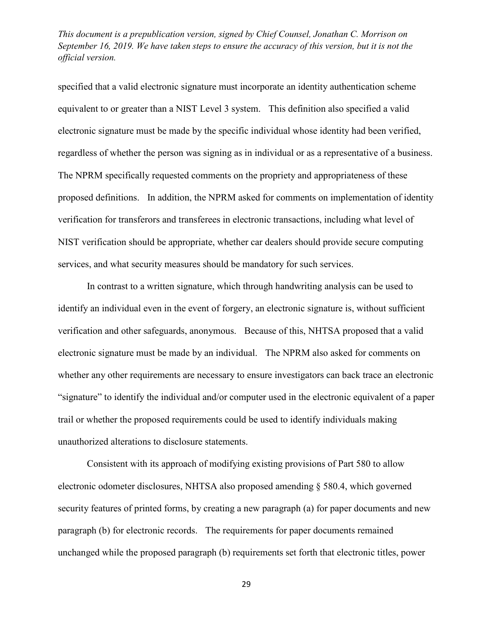specified that a valid electronic signature must incorporate an identity authentication scheme equivalent to or greater than a NIST Level 3 system. This definition also specified a valid electronic signature must be made by the specific individual whose identity had been verified, regardless of whether the person was signing as in individual or as a representative of a business. The NPRM specifically requested comments on the propriety and appropriateness of these proposed definitions. In addition, the NPRM asked for comments on implementation of identity verification for transferors and transferees in electronic transactions, including what level of NIST verification should be appropriate, whether car dealers should provide secure computing services, and what security measures should be mandatory for such services.

In contrast to a written signature, which through handwriting analysis can be used to identify an individual even in the event of forgery, an electronic signature is, without sufficient verification and other safeguards, anonymous. Because of this, NHTSA proposed that a valid electronic signature must be made by an individual. The NPRM also asked for comments on whether any other requirements are necessary to ensure investigators can back trace an electronic "signature" to identify the individual and/or computer used in the electronic equivalent of a paper trail or whether the proposed requirements could be used to identify individuals making unauthorized alterations to disclosure statements.

Consistent with its approach of modifying existing provisions of Part 580 to allow electronic odometer disclosures, NHTSA also proposed amending § 580.4, which governed security features of printed forms, by creating a new paragraph (a) for paper documents and new paragraph (b) for electronic records. The requirements for paper documents remained unchanged while the proposed paragraph (b) requirements set forth that electronic titles, power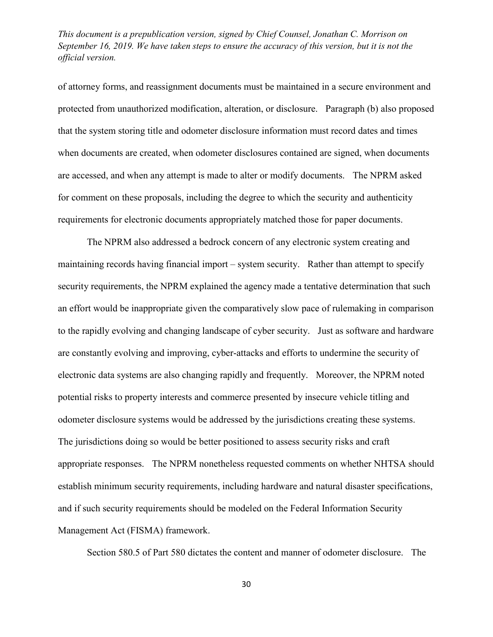of attorney forms, and reassignment documents must be maintained in a secure environment and protected from unauthorized modification, alteration, or disclosure. Paragraph (b) also proposed that the system storing title and odometer disclosure information must record dates and times when documents are created, when odometer disclosures contained are signed, when documents are accessed, and when any attempt is made to alter or modify documents. The NPRM asked for comment on these proposals, including the degree to which the security and authenticity requirements for electronic documents appropriately matched those for paper documents.

The NPRM also addressed a bedrock concern of any electronic system creating and maintaining records having financial import – system security. Rather than attempt to specify security requirements, the NPRM explained the agency made a tentative determination that such an effort would be inappropriate given the comparatively slow pace of rulemaking in comparison to the rapidly evolving and changing landscape of cyber security. Just as software and hardware are constantly evolving and improving, cyber-attacks and efforts to undermine the security of electronic data systems are also changing rapidly and frequently. Moreover, the NPRM noted potential risks to property interests and commerce presented by insecure vehicle titling and odometer disclosure systems would be addressed by the jurisdictions creating these systems. The jurisdictions doing so would be better positioned to assess security risks and craft appropriate responses. The NPRM nonetheless requested comments on whether NHTSA should establish minimum security requirements, including hardware and natural disaster specifications, and if such security requirements should be modeled on the Federal Information Security Management Act (FISMA) framework.

Section 580.5 of Part 580 dictates the content and manner of odometer disclosure. The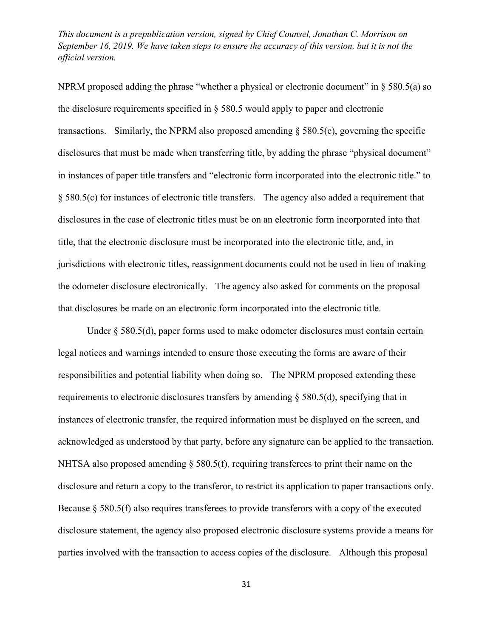NPRM proposed adding the phrase "whether a physical or electronic document" in  $\S$  580.5(a) so the disclosure requirements specified in [§ 580.5](http://www.westlaw.com/Link/Document/FullText?findType=L&pubNum=1000547&cite=49CFRS580.5&originatingDoc=IC350B0F0F25711E5AE9ECA0D137ECF34&refType=LQ&originationContext=document&vr=3.0&rs=cblt1.0&transitionType=DocumentItem&contextData=(sc.UserEnteredCitation)) would apply to paper and electronic transactions. Similarly, the NPRM also proposed amending  $\S$  580.5(c), governing the specific disclosures that must be made when transferring title, by adding the phrase "physical document" in instances of paper title transfers and "electronic form incorporated into the electronic title." to [§ 580.5\(c\)](http://www.westlaw.com/Link/Document/FullText?findType=L&pubNum=1000547&cite=49CFRS580.5&originatingDoc=IC350B0F0F25711E5AE9ECA0D137ECF34&refType=RB&originationContext=document&vr=3.0&rs=cblt1.0&transitionType=DocumentItem&contextData=(sc.UserEnteredCitation)#co_pp_4b24000003ba5) for instances of electronic title transfers. The agency also added a requirement that disclosures in the case of electronic titles must be on an electronic form incorporated into that title, that the electronic disclosure must be incorporated into the electronic title, and, in jurisdictions with electronic titles, reassignment documents could not be used in lieu of making the odometer disclosure electronically. The agency also asked for comments on the proposal that disclosures be made on an electronic form incorporated into the electronic title.

Under [§ 580.5\(d\),](http://www.westlaw.com/Link/Document/FullText?findType=L&pubNum=1000547&cite=49CFRS580.5&originatingDoc=IC350B0F0F25711E5AE9ECA0D137ECF34&refType=RB&originationContext=document&vr=3.0&rs=cblt1.0&transitionType=DocumentItem&contextData=(sc.UserEnteredCitation)#co_pp_5ba1000067d06) paper forms used to make odometer disclosures must contain certain legal notices and warnings intended to ensure those executing the forms are aware of their responsibilities and potential liability when doing so. The NPRM proposed extending these requirements to electronic disclosures transfers by amending [§ 580.5\(d\),](http://www.westlaw.com/Link/Document/FullText?findType=L&pubNum=1000547&cite=49CFRS580.5&originatingDoc=IC350B0F0F25711E5AE9ECA0D137ECF34&refType=RB&originationContext=document&vr=3.0&rs=cblt1.0&transitionType=DocumentItem&contextData=(sc.UserEnteredCitation)#co_pp_5ba1000067d06) specifying that in instances of electronic transfer, the required information must be displayed on the screen, and acknowledged as understood by that party, before any signature can be applied to the transaction. NHTSA also proposed amending [§ 580.5\(f\),](http://www.westlaw.com/Link/Document/FullText?findType=L&pubNum=1000547&cite=49CFRS580.5&originatingDoc=IC350B0F0F25711E5AE9ECA0D137ECF34&refType=RB&originationContext=document&vr=3.0&rs=cblt1.0&transitionType=DocumentItem&contextData=(sc.UserEnteredCitation)#co_pp_ae0d0000c5150) requiring transferees to print their name on the disclosure and return a copy to the transferor, to restrict its application to paper transactions only. Because [§ 580.5\(f\)](http://www.westlaw.com/Link/Document/FullText?findType=L&pubNum=1000547&cite=49CFRS580.5&originatingDoc=IC350B0F0F25711E5AE9ECA0D137ECF34&refType=RB&originationContext=document&vr=3.0&rs=cblt1.0&transitionType=DocumentItem&contextData=(sc.UserEnteredCitation)#co_pp_ae0d0000c5150) also requires transferees to provide transferors with a copy of the executed disclosure statement, the agency also proposed electronic disclosure systems provide a means for parties involved with the transaction to access copies of the disclosure. Although this proposal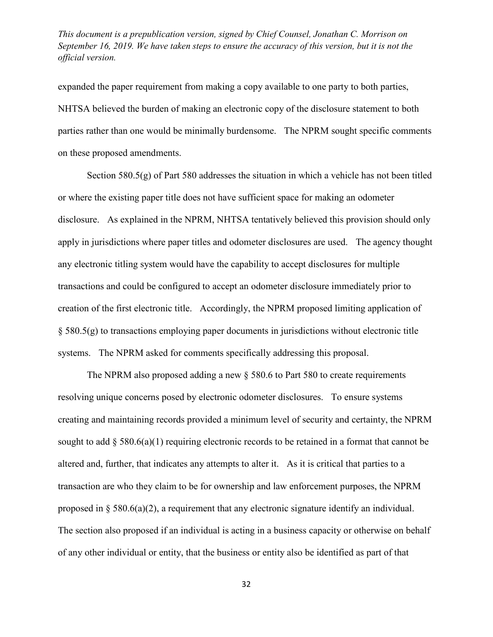expanded the paper requirement from making a copy available to one party to both parties, NHTSA believed the burden of making an electronic copy of the disclosure statement to both parties rather than one would be minimally burdensome. The NPRM sought specific comments on these proposed amendments.

Section 580.5(g) of Part 580 addresses the situation in which a vehicle has not been titled or where the existing paper title does not have sufficient space for making an odometer disclosure. As explained in the NPRM, NHTSA tentatively believed this provision should only apply in jurisdictions where paper titles and odometer disclosures are used. The agency thought any electronic titling system would have the capability to accept disclosures for multiple transactions and could be configured to accept an odometer disclosure immediately prior to creation of the first electronic title. Accordingly, the NPRM proposed limiting application of § 580.5(g) to transactions employing paper documents in jurisdictions without electronic title systems. The NPRM asked for comments specifically addressing this proposal.

The NPRM also proposed adding a new  $\S$  580.6 to Part 580 to create requirements resolving unique concerns posed by electronic odometer disclosures. To ensure systems creating and maintaining records provided a minimum level of security and certainty, the NPRM sought to add  $\S$  580.6(a)(1) requiring electronic records to be retained in a format that cannot be altered and, further, that indicates any attempts to alter it. As it is critical that parties to a transaction are who they claim to be for ownership and law enforcement purposes, the NPRM proposed in  $\S$  580.6(a)(2), a requirement that any electronic signature identify an individual. The section also proposed if an individual is acting in a business capacity or otherwise on behalf of any other individual or entity, that the business or entity also be identified as part of that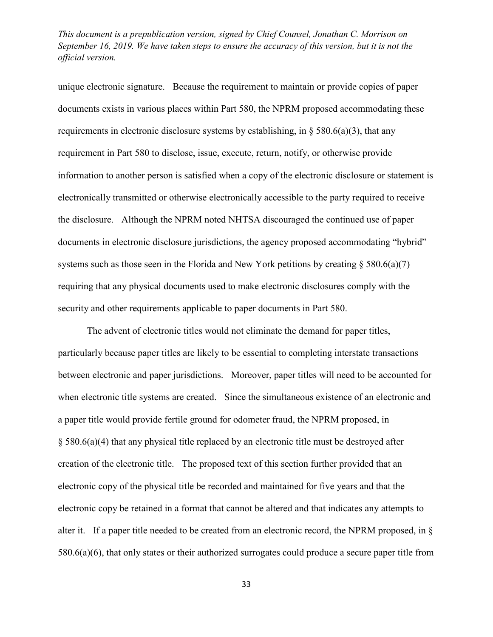unique electronic signature. Because the requirement to maintain or provide copies of paper documents exists in various places within Part 580, the NPRM proposed accommodating these requirements in electronic disclosure systems by establishing, in  $\S$  580.6(a)(3), that any requirement in Part 580 to disclose, issue, execute, return, notify, or otherwise provide information to another person is satisfied when a copy of the electronic disclosure or statement is electronically transmitted or otherwise electronically accessible to the party required to receive the disclosure. Although the NPRM noted NHTSA discouraged the continued use of paper documents in electronic disclosure jurisdictions, the agency proposed accommodating "hybrid" systems such as those seen in the Florida and New York petitions by creating  $\S 580.6(a)$ (7) requiring that any physical documents used to make electronic disclosures comply with the security and other requirements applicable to paper documents in Part 580.

The advent of electronic titles would not eliminate the demand for paper titles, particularly because paper titles are likely to be essential to completing interstate transactions between electronic and paper jurisdictions. Moreover, paper titles will need to be accounted for when electronic title systems are created. Since the simultaneous existence of an electronic and a paper title would provide fertile ground for odometer fraud, the NPRM proposed, in § 580.6(a)(4) that any physical title replaced by an electronic title must be destroyed after creation of the electronic title. The proposed text of this section further provided that an electronic copy of the physical title be recorded and maintained for five years and that the electronic copy be retained in a format that cannot be altered and that indicates any attempts to alter it. If a paper title needed to be created from an electronic record, the NPRM proposed, in § 580.6(a)(6), that only states or their authorized surrogates could produce a secure paper title from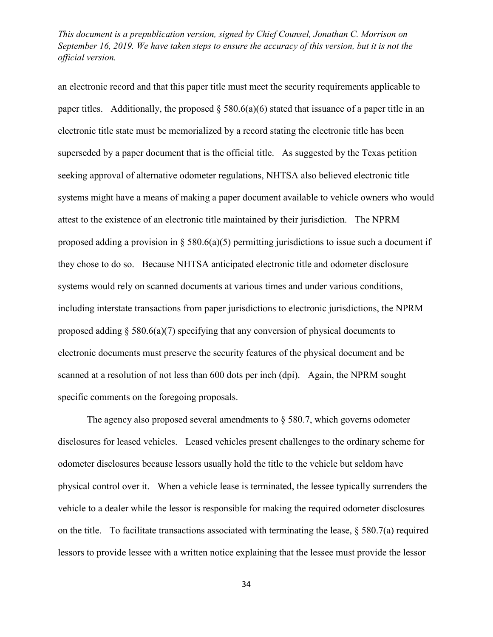an electronic record and that this paper title must meet the security requirements applicable to paper titles. Additionally, the proposed  $\S$  580.6(a)(6) stated that issuance of a paper title in an electronic title state must be memorialized by a record stating the electronic title has been superseded by a paper document that is the official title. As suggested by the Texas petition seeking approval of alternative odometer regulations, NHTSA also believed electronic title systems might have a means of making a paper document available to vehicle owners who would attest to the existence of an electronic title maintained by their jurisdiction. The NPRM proposed adding a provision in § 580.6(a)(5) permitting jurisdictions to issue such a document if they chose to do so. Because NHTSA anticipated electronic title and odometer disclosure systems would rely on scanned documents at various times and under various conditions, including interstate transactions from paper jurisdictions to electronic jurisdictions, the NPRM proposed adding § 580.6(a)(7) specifying that any conversion of physical documents to electronic documents must preserve the security features of the physical document and be scanned at a resolution of not less than 600 dots per inch (dpi). Again, the NPRM sought specific comments on the foregoing proposals.

The agency also proposed several amendments to  $\S$  580.7, which governs odometer disclosures for leased vehicles. Leased vehicles present challenges to the ordinary scheme for odometer disclosures because lessors usually hold the title to the vehicle but seldom have physical control over it. When a vehicle lease is terminated, the lessee typically surrenders the vehicle to a dealer while the lessor is responsible for making the required odometer disclosures on the title. To facilitate transactions associated with terminating the lease,  $\S$  580.7(a) required lessors to provide lessee with a written notice explaining that the lessee must provide the lessor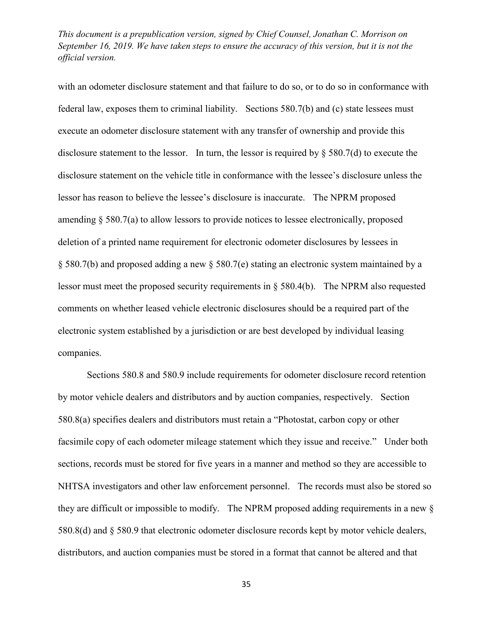with an odometer disclosure statement and that failure to do so, or to do so in conformance with federal law, exposes them to criminal liability. Sections 580.7(b) and (c) state lessees must execute an odometer disclosure statement with any transfer of ownership and provide this disclosure statement to the lessor. In turn, the lessor is required by § 580.7(d) to execute the disclosure statement on the vehicle title in conformance with the lessee's disclosure unless the lessor has reason to believe the lessee's disclosure is inaccurate. The NPRM proposed amending § 580.7(a) to allow lessors to provide notices to lessee electronically, proposed deletion of a printed name requirement for electronic odometer disclosures by lessees in § 580.7(b) and proposed adding a new § 580.7(e) stating an electronic system maintained by a lessor must meet the proposed security requirements in § 580.4(b). The NPRM also requested comments on whether leased vehicle electronic disclosures should be a required part of the electronic system established by a jurisdiction or are best developed by individual leasing companies.

Sections 580.8 and 580.9 include requirements for odometer disclosure record retention by motor vehicle dealers and distributors and by auction companies, respectively. Section 580.8(a) specifies dealers and distributors must retain a "Photostat, carbon copy or other facsimile copy of each odometer mileage statement which they issue and receive." Under both sections, records must be stored for five years in a manner and method so they are accessible to NHTSA investigators and other law enforcement personnel. The records must also be stored so they are difficult or impossible to modify. The NPRM proposed adding requirements in a new § 580.8(d) and § 580.9 that electronic odometer disclosure records kept by motor vehicle dealers, distributors, and auction companies must be stored in a format that cannot be altered and that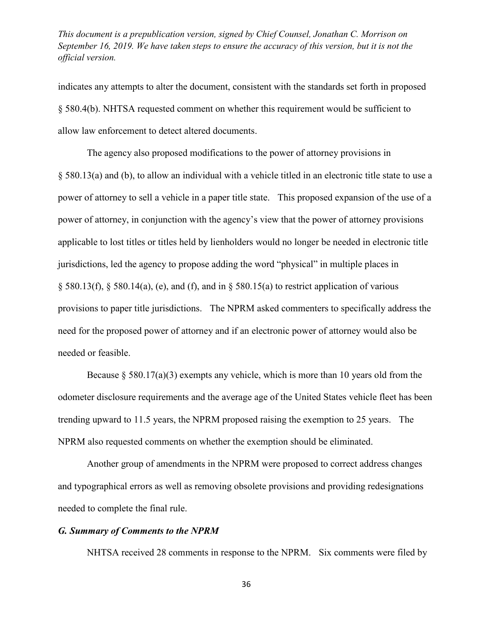indicates any attempts to alter the document, consistent with the standards set forth in proposed § 580.4(b). NHTSA requested comment on whether this requirement would be sufficient to allow law enforcement to detect altered documents.

The agency also proposed modifications to the power of attorney provisions in [§ 580.13\(a\)](http://www.westlaw.com/Link/Document/FullText?findType=L&pubNum=1000547&cite=49CFRS580.13&originatingDoc=IC350B0F0F25711E5AE9ECA0D137ECF34&refType=RB&originationContext=document&vr=3.0&rs=cblt1.0&transitionType=DocumentItem&contextData=(sc.UserEnteredCitation)#co_pp_8b3b0000958a4) and [\(b\),](http://www.westlaw.com/Link/Document/FullText?findType=L&pubNum=1000547&cite=49CFRS580.13&originatingDoc=IC350B0F0F25711E5AE9ECA0D137ECF34&refType=RB&originationContext=document&vr=3.0&rs=cblt1.0&transitionType=DocumentItem&contextData=(sc.UserEnteredCitation)#co_pp_a83b000018c76) to allow an individual with a vehicle titled in an electronic title state to use a power of attorney to sell a vehicle in a paper title state. This proposed expansion of the use of a power of attorney, in conjunction with the agency's view that the power of attorney provisions applicable to lost titles or titles held by lienholders would no longer be needed in electronic title jurisdictions, led the agency to propose adding the word "physical" in multiple places in  $\S$  580.13(f),  $\S$  580.14(a), [\(e\),](http://www.westlaw.com/Link/Document/FullText?findType=L&pubNum=1000547&cite=49CFRS580.14&originatingDoc=IC350B0F0F25711E5AE9ECA0D137ECF34&refType=RB&originationContext=document&vr=3.0&rs=cblt1.0&transitionType=DocumentItem&contextData=(sc.UserEnteredCitation)#co_pp_7fdd00001ca15) and [\(f\),](http://www.westlaw.com/Link/Document/FullText?findType=L&pubNum=1000547&cite=49CFRS580.14&originatingDoc=IC350B0F0F25711E5AE9ECA0D137ECF34&refType=RB&originationContext=document&vr=3.0&rs=cblt1.0&transitionType=DocumentItem&contextData=(sc.UserEnteredCitation)#co_pp_ae0d0000c5150) and in  $\S$  580.15(a) to restrict application of various provisions to paper title jurisdictions. The NPRM asked commenters to specifically address the need for the proposed power of attorney and if an electronic power of attorney would also be needed or feasible.

Because  $\S$  580.17(a)(3) exempts any vehicle, which is more than 10 years old from the odometer disclosure requirements and the average age of the United States vehicle fleet has been trending upward to 11.5 years, the NPRM proposed raising the exemption to 25 years. The NPRM also requested comments on whether the exemption should be eliminated.

Another group of amendments in the NPRM were proposed to correct address changes and typographical errors as well as removing obsolete provisions and providing redesignations needed to complete the final rule.

## *G. Summary of Comments to the NPRM*

NHTSA received 28 comments in response to the NPRM. Six comments were filed by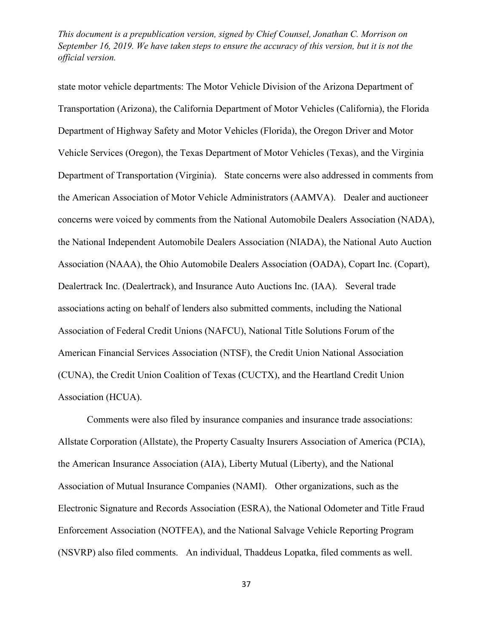state motor vehicle departments: The Motor Vehicle Division of the Arizona Department of Transportation (Arizona), the California Department of Motor Vehicles (California), the Florida Department of Highway Safety and Motor Vehicles (Florida), the Oregon Driver and Motor Vehicle Services (Oregon), the Texas Department of Motor Vehicles (Texas), and the Virginia Department of Transportation (Virginia). State concerns were also addressed in comments from the American Association of Motor Vehicle Administrators (AAMVA). Dealer and auctioneer concerns were voiced by comments from the National Automobile Dealers Association (NADA), the National Independent Automobile Dealers Association (NIADA), the National Auto Auction Association (NAAA), the Ohio Automobile Dealers Association (OADA), Copart Inc. (Copart), Dealertrack Inc. (Dealertrack), and Insurance Auto Auctions Inc. (IAA). Several trade associations acting on behalf of lenders also submitted comments, including the National Association of Federal Credit Unions (NAFCU), National Title Solutions Forum of the American Financial Services Association (NTSF), the Credit Union National Association (CUNA), the Credit Union Coalition of Texas (CUCTX), and the Heartland Credit Union Association (HCUA).

Comments were also filed by insurance companies and insurance trade associations: Allstate Corporation (Allstate), the Property Casualty Insurers Association of America (PCIA), the American Insurance Association (AIA), Liberty Mutual (Liberty), and the National Association of Mutual Insurance Companies (NAMI). Other organizations, such as the Electronic Signature and Records Association (ESRA), the National Odometer and Title Fraud Enforcement Association (NOTFEA), and the National Salvage Vehicle Reporting Program (NSVRP) also filed comments. An individual, Thaddeus Lopatka, filed comments as well.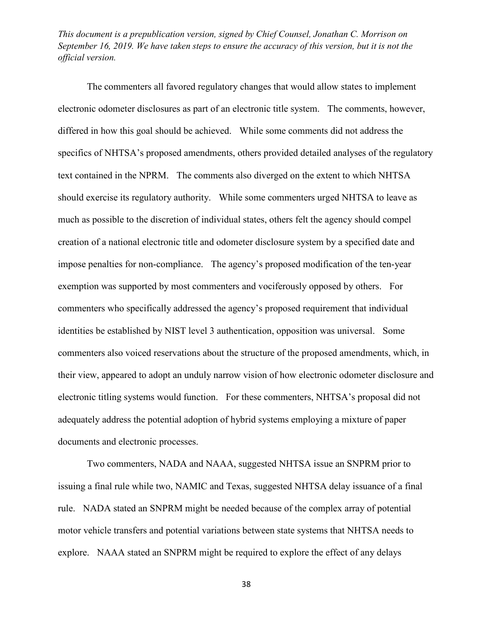The commenters all favored regulatory changes that would allow states to implement electronic odometer disclosures as part of an electronic title system. The comments, however, differed in how this goal should be achieved. While some comments did not address the specifics of NHTSA's proposed amendments, others provided detailed analyses of the regulatory text contained in the NPRM. The comments also diverged on the extent to which NHTSA should exercise its regulatory authority. While some commenters urged NHTSA to leave as much as possible to the discretion of individual states, others felt the agency should compel creation of a national electronic title and odometer disclosure system by a specified date and impose penalties for non-compliance. The agency's proposed modification of the ten-year exemption was supported by most commenters and vociferously opposed by others. For commenters who specifically addressed the agency's proposed requirement that individual identities be established by NIST level 3 authentication, opposition was universal. Some commenters also voiced reservations about the structure of the proposed amendments, which, in their view, appeared to adopt an unduly narrow vision of how electronic odometer disclosure and electronic titling systems would function. For these commenters, NHTSA's proposal did not adequately address the potential adoption of hybrid systems employing a mixture of paper documents and electronic processes.

Two commenters, NADA and NAAA, suggested NHTSA issue an SNPRM prior to issuing a final rule while two, NAMIC and Texas, suggested NHTSA delay issuance of a final rule. NADA stated an SNPRM might be needed because of the complex array of potential motor vehicle transfers and potential variations between state systems that NHTSA needs to explore. NAAA stated an SNPRM might be required to explore the effect of any delays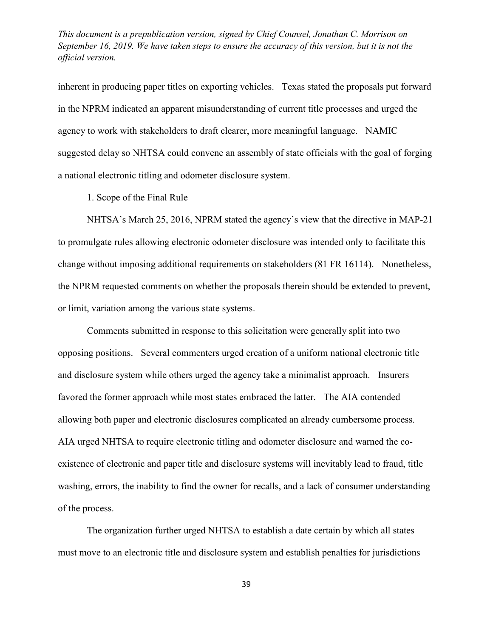inherent in producing paper titles on exporting vehicles. Texas stated the proposals put forward in the NPRM indicated an apparent misunderstanding of current title processes and urged the agency to work with stakeholders to draft clearer, more meaningful language. NAMIC suggested delay so NHTSA could convene an assembly of state officials with the goal of forging a national electronic titling and odometer disclosure system.

1. Scope of the Final Rule

NHTSA's March 25, 2016, NPRM stated the agency's view that the directive in MAP-21 to promulgate rules allowing electronic odometer disclosure was intended only to facilitate this change without imposing additional requirements on stakeholders (81 FR 16114). Nonetheless, the NPRM requested comments on whether the proposals therein should be extended to prevent, or limit, variation among the various state systems.

Comments submitted in response to this solicitation were generally split into two opposing positions. Several commenters urged creation of a uniform national electronic title and disclosure system while others urged the agency take a minimalist approach. Insurers favored the former approach while most states embraced the latter. The AIA contended allowing both paper and electronic disclosures complicated an already cumbersome process. AIA urged NHTSA to require electronic titling and odometer disclosure and warned the coexistence of electronic and paper title and disclosure systems will inevitably lead to fraud, title washing, errors, the inability to find the owner for recalls, and a lack of consumer understanding of the process.

The organization further urged NHTSA to establish a date certain by which all states must move to an electronic title and disclosure system and establish penalties for jurisdictions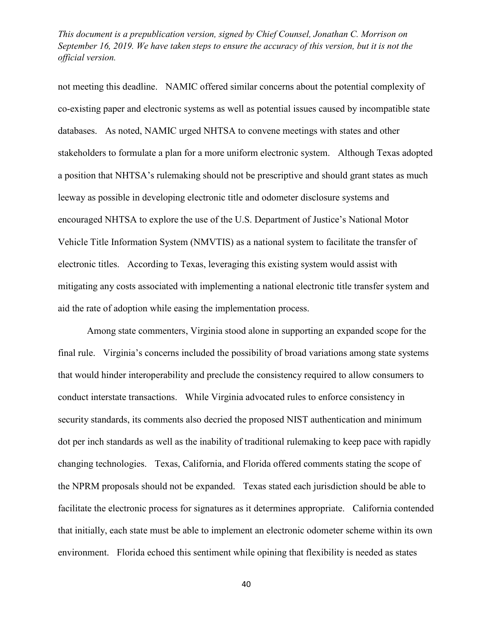not meeting this deadline. NAMIC offered similar concerns about the potential complexity of co-existing paper and electronic systems as well as potential issues caused by incompatible state databases. As noted, NAMIC urged NHTSA to convene meetings with states and other stakeholders to formulate a plan for a more uniform electronic system. Although Texas adopted a position that NHTSA's rulemaking should not be prescriptive and should grant states as much leeway as possible in developing electronic title and odometer disclosure systems and encouraged NHTSA to explore the use of the U.S. Department of Justice's National Motor Vehicle Title Information System (NMVTIS) as a national system to facilitate the transfer of electronic titles. According to Texas, leveraging this existing system would assist with mitigating any costs associated with implementing a national electronic title transfer system and aid the rate of adoption while easing the implementation process.

Among state commenters, Virginia stood alone in supporting an expanded scope for the final rule. Virginia's concerns included the possibility of broad variations among state systems that would hinder interoperability and preclude the consistency required to allow consumers to conduct interstate transactions. While Virginia advocated rules to enforce consistency in security standards, its comments also decried the proposed NIST authentication and minimum dot per inch standards as well as the inability of traditional rulemaking to keep pace with rapidly changing technologies. Texas, California, and Florida offered comments stating the scope of the NPRM proposals should not be expanded. Texas stated each jurisdiction should be able to facilitate the electronic process for signatures as it determines appropriate. California contended that initially, each state must be able to implement an electronic odometer scheme within its own environment. Florida echoed this sentiment while opining that flexibility is needed as states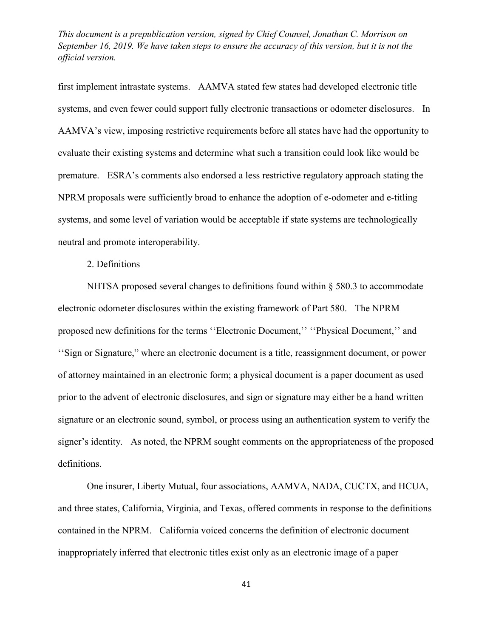first implement intrastate systems. AAMVA stated few states had developed electronic title systems, and even fewer could support fully electronic transactions or odometer disclosures. In AAMVA's view, imposing restrictive requirements before all states have had the opportunity to evaluate their existing systems and determine what such a transition could look like would be premature. ESRA's comments also endorsed a less restrictive regulatory approach stating the NPRM proposals were sufficiently broad to enhance the adoption of e-odometer and e-titling systems, and some level of variation would be acceptable if state systems are technologically neutral and promote interoperability.

2. Definitions

NHTSA proposed several changes to definitions found within  $\S$  580.3 to accommodate electronic odometer disclosures within the existing framework of Part 580. The NPRM proposed new definitions for the terms ''Electronic Document,'' ''Physical Document,'' and ''Sign or Signature," where an electronic document is a title, reassignment document, or power of attorney maintained in an electronic form; a physical document is a paper document as used prior to the advent of electronic disclosures, and sign or signature may either be a hand written signature or an electronic sound, symbol, or process using an authentication system to verify the signer's identity. As noted, the NPRM sought comments on the appropriateness of the proposed definitions.

One insurer, Liberty Mutual, four associations, AAMVA, NADA, CUCTX, and HCUA, and three states, California, Virginia, and Texas, offered comments in response to the definitions contained in the NPRM. California voiced concerns the definition of electronic document inappropriately inferred that electronic titles exist only as an electronic image of a paper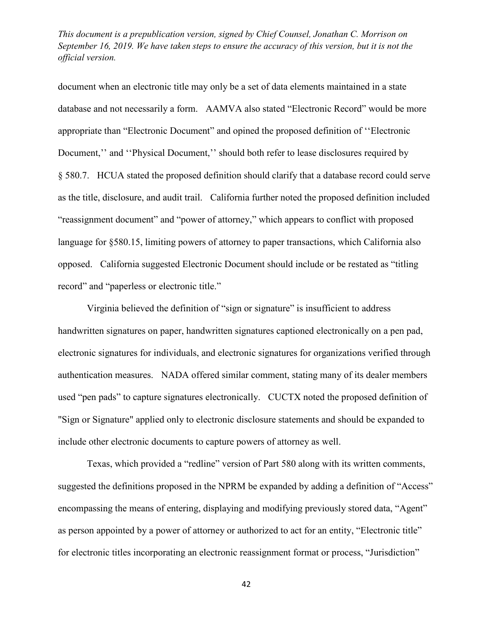document when an electronic title may only be a set of data elements maintained in a state database and not necessarily a form. AAMVA also stated "Electronic Record" would be more appropriate than "Electronic Document" and opined the proposed definition of ''Electronic Document," and "Physical Document," should both refer to lease disclosures required by § 580.7. HCUA stated the proposed definition should clarify that a database record could serve as the title, disclosure, and audit trail. California further noted the proposed definition included "reassignment document" and "power of attorney," which appears to conflict with proposed language for §580.15, limiting powers of attorney to paper transactions, which California also opposed. California suggested Electronic Document should include or be restated as "titling record" and "paperless or electronic title."

Virginia believed the definition of "sign or signature" is insufficient to address handwritten signatures on paper, handwritten signatures captioned electronically on a pen pad, electronic signatures for individuals, and electronic signatures for organizations verified through authentication measures. NADA offered similar comment, stating many of its dealer members used "pen pads" to capture signatures electronically. CUCTX noted the proposed definition of "Sign or Signature" applied only to electronic disclosure statements and should be expanded to include other electronic documents to capture powers of attorney as well.

Texas, which provided a "redline" version of Part 580 along with its written comments, suggested the definitions proposed in the NPRM be expanded by adding a definition of "Access" encompassing the means of entering, displaying and modifying previously stored data, "Agent" as person appointed by a power of attorney or authorized to act for an entity, "Electronic title" for electronic titles incorporating an electronic reassignment format or process, "Jurisdiction"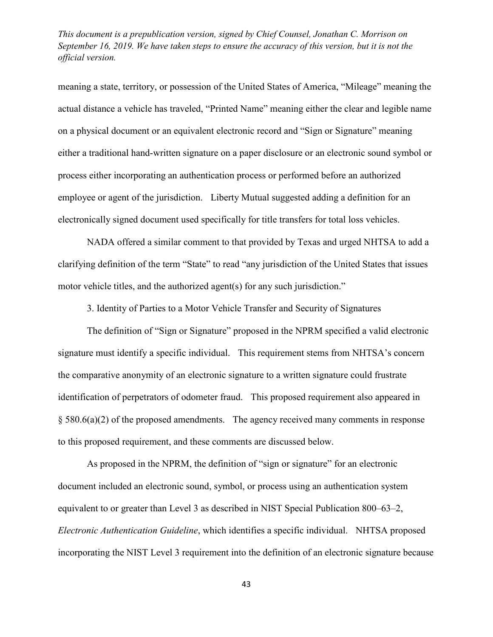meaning a state, territory, or possession of the United States of America, "Mileage" meaning the actual distance a vehicle has traveled, "Printed Name" meaning either the clear and legible name on a physical document or an equivalent electronic record and "Sign or Signature" meaning either a traditional hand-written signature on a paper disclosure or an electronic sound symbol or process either incorporating an authentication process or performed before an authorized employee or agent of the jurisdiction. Liberty Mutual suggested adding a definition for an electronically signed document used specifically for title transfers for total loss vehicles.

NADA offered a similar comment to that provided by Texas and urged NHTSA to add a clarifying definition of the term "State" to read "any jurisdiction of the United States that issues motor vehicle titles, and the authorized agent(s) for any such jurisdiction."

3. Identity of Parties to a Motor Vehicle Transfer and Security of Signatures

The definition of "Sign or Signature" proposed in the NPRM specified a valid electronic signature must identify a specific individual. This requirement stems from NHTSA's concern the comparative anonymity of an electronic signature to a written signature could frustrate identification of perpetrators of odometer fraud. This proposed requirement also appeared in § 580.6(a)(2) of the proposed amendments. The agency received many comments in response to this proposed requirement, and these comments are discussed below.

As proposed in the NPRM, the definition of "sign or signature" for an electronic document included an electronic sound, symbol, or process using an authentication system equivalent to or greater than Level 3 as described in NIST Special Publication 800–63–2, *Electronic Authentication Guideline*, which identifies a specific individual. NHTSA proposed incorporating the NIST Level 3 requirement into the definition of an electronic signature because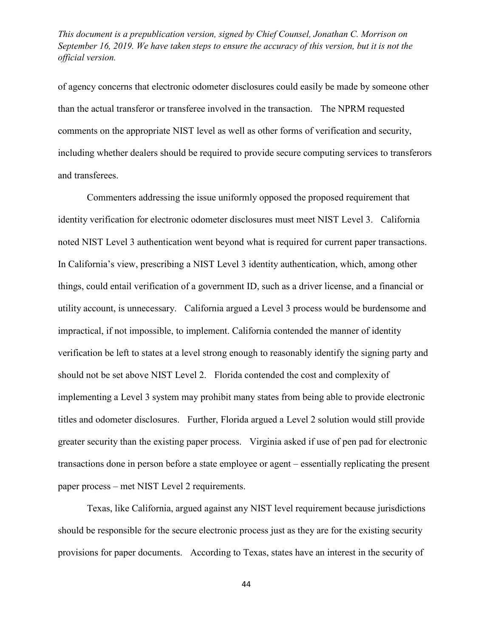of agency concerns that electronic odometer disclosures could easily be made by someone other than the actual transferor or transferee involved in the transaction. The NPRM requested comments on the appropriate NIST level as well as other forms of verification and security, including whether dealers should be required to provide secure computing services to transferors and transferees.

Commenters addressing the issue uniformly opposed the proposed requirement that identity verification for electronic odometer disclosures must meet NIST Level 3. California noted NIST Level 3 authentication went beyond what is required for current paper transactions. In California's view, prescribing a NIST Level 3 identity authentication, which, among other things, could entail verification of a government ID, such as a driver license, and a financial or utility account, is unnecessary. California argued a Level 3 process would be burdensome and impractical, if not impossible, to implement. California contended the manner of identity verification be left to states at a level strong enough to reasonably identify the signing party and should not be set above NIST Level 2. Florida contended the cost and complexity of implementing a Level 3 system may prohibit many states from being able to provide electronic titles and odometer disclosures. Further, Florida argued a Level 2 solution would still provide greater security than the existing paper process. Virginia asked if use of pen pad for electronic transactions done in person before a state employee or agent – essentially replicating the present paper process – met NIST Level 2 requirements.

Texas, like California, argued against any NIST level requirement because jurisdictions should be responsible for the secure electronic process just as they are for the existing security provisions for paper documents. According to Texas, states have an interest in the security of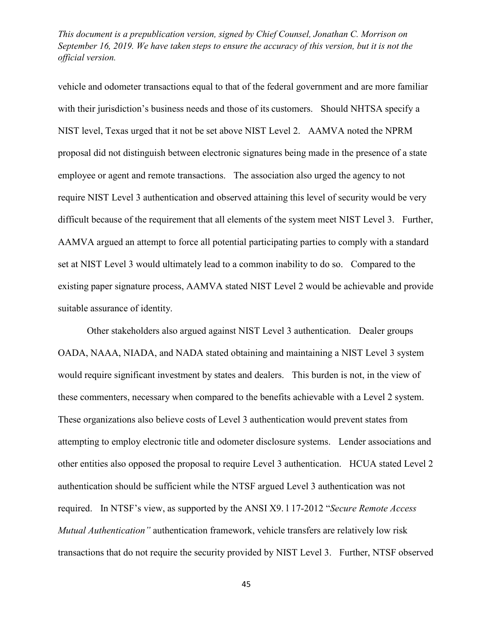vehicle and odometer transactions equal to that of the federal government and are more familiar with their jurisdiction's business needs and those of its customers. Should NHTSA specify a NIST level, Texas urged that it not be set above NIST Level 2. AAMVA noted the NPRM proposal did not distinguish between electronic signatures being made in the presence of a state employee or agent and remote transactions. The association also urged the agency to not require NIST Level 3 authentication and observed attaining this level of security would be very difficult because of the requirement that all elements of the system meet NIST Level 3. Further, AAMVA argued an attempt to force all potential participating parties to comply with a standard set at NIST Level 3 would ultimately lead to a common inability to do so. Compared to the existing paper signature process, AAMVA stated NIST Level 2 would be achievable and provide suitable assurance of identity.

Other stakeholders also argued against NIST Level 3 authentication. Dealer groups OADA, NAAA, NIADA, and NADA stated obtaining and maintaining a NIST Level 3 system would require significant investment by states and dealers. This burden is not, in the view of these commenters, necessary when compared to the benefits achievable with a Level 2 system. These organizations also believe costs of Level 3 authentication would prevent states from attempting to employ electronic title and odometer disclosure systems. Lender associations and other entities also opposed the proposal to require Level 3 authentication. HCUA stated Level 2 authentication should be sufficient while the NTSF argued Level 3 authentication was not required. In NTSF's view, as supported by the ANSI X9. l 17-2012 "*Secure Remote Access Mutual Authentication"* authentication framework, vehicle transfers are relatively low risk transactions that do not require the security provided by NIST Level 3. Further, NTSF observed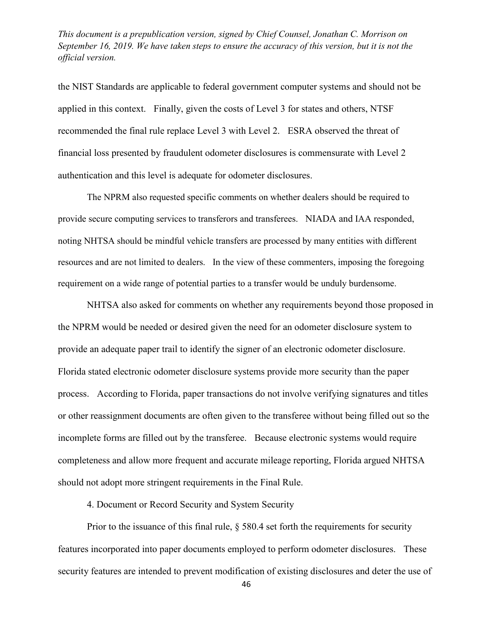the NIST Standards are applicable to federal government computer systems and should not be applied in this context. Finally, given the costs of Level 3 for states and others, NTSF recommended the final rule replace Level 3 with Level 2. ESRA observed the threat of financial loss presented by fraudulent odometer disclosures is commensurate with Level 2 authentication and this level is adequate for odometer disclosures.

The NPRM also requested specific comments on whether dealers should be required to provide secure computing services to transferors and transferees. NIADA and IAA responded, noting NHTSA should be mindful vehicle transfers are processed by many entities with different resources and are not limited to dealers. In the view of these commenters, imposing the foregoing requirement on a wide range of potential parties to a transfer would be unduly burdensome.

NHTSA also asked for comments on whether any requirements beyond those proposed in the NPRM would be needed or desired given the need for an odometer disclosure system to provide an adequate paper trail to identify the signer of an electronic odometer disclosure. Florida stated electronic odometer disclosure systems provide more security than the paper process. According to Florida, paper transactions do not involve verifying signatures and titles or other reassignment documents are often given to the transferee without being filled out so the incomplete forms are filled out by the transferee. Because electronic systems would require completeness and allow more frequent and accurate mileage reporting, Florida argued NHTSA should not adopt more stringent requirements in the Final Rule.

4. Document or Record Security and System Security

Prior to the issuance of this final rule,  $\S$  580.4 set forth the requirements for security features incorporated into paper documents employed to perform odometer disclosures. These security features are intended to prevent modification of existing disclosures and deter the use of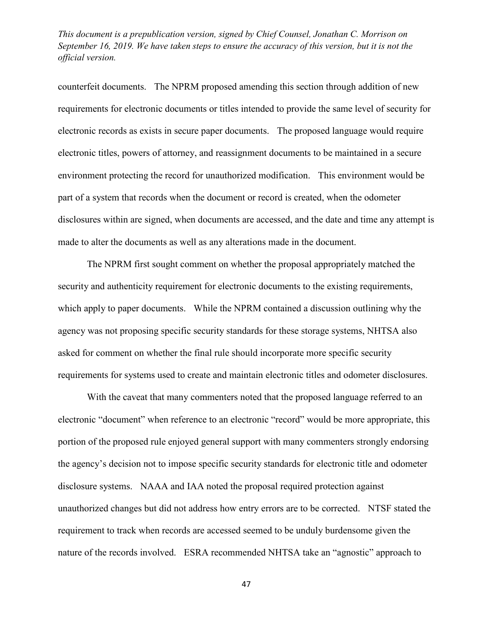counterfeit documents. The NPRM proposed amending this section through addition of new requirements for electronic documents or titles intended to provide the same level of security for electronic records as exists in secure paper documents. The proposed language would require electronic titles, powers of attorney, and reassignment documents to be maintained in a secure environment protecting the record for unauthorized modification. This environment would be part of a system that records when the document or record is created, when the odometer disclosures within are signed, when documents are accessed, and the date and time any attempt is made to alter the documents as well as any alterations made in the document.

The NPRM first sought comment on whether the proposal appropriately matched the security and authenticity requirement for electronic documents to the existing requirements, which apply to paper documents. While the NPRM contained a discussion outlining why the agency was not proposing specific security standards for these storage systems, NHTSA also asked for comment on whether the final rule should incorporate more specific security requirements for systems used to create and maintain electronic titles and odometer disclosures.

With the caveat that many commenters noted that the proposed language referred to an electronic "document" when reference to an electronic "record" would be more appropriate, this portion of the proposed rule enjoyed general support with many commenters strongly endorsing the agency's decision not to impose specific security standards for electronic title and odometer disclosure systems. NAAA and IAA noted the proposal required protection against unauthorized changes but did not address how entry errors are to be corrected. NTSF stated the requirement to track when records are accessed seemed to be unduly burdensome given the nature of the records involved. ESRA recommended NHTSA take an "agnostic" approach to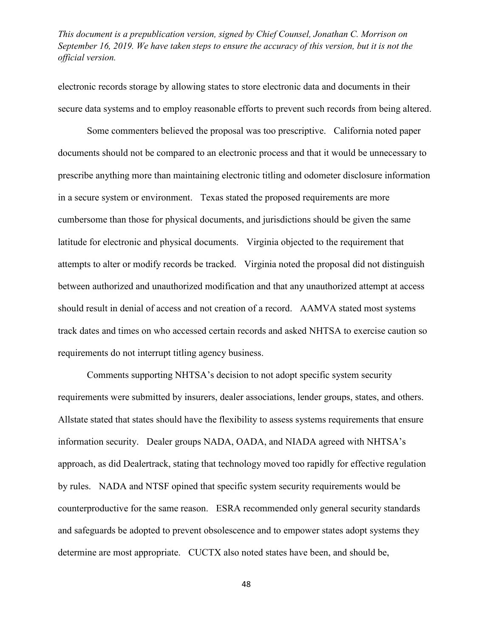electronic records storage by allowing states to store electronic data and documents in their secure data systems and to employ reasonable efforts to prevent such records from being altered.

Some commenters believed the proposal was too prescriptive. California noted paper documents should not be compared to an electronic process and that it would be unnecessary to prescribe anything more than maintaining electronic titling and odometer disclosure information in a secure system or environment. Texas stated the proposed requirements are more cumbersome than those for physical documents, and jurisdictions should be given the same latitude for electronic and physical documents. Virginia objected to the requirement that attempts to alter or modify records be tracked. Virginia noted the proposal did not distinguish between authorized and unauthorized modification and that any unauthorized attempt at access should result in denial of access and not creation of a record. AAMVA stated most systems track dates and times on who accessed certain records and asked NHTSA to exercise caution so requirements do not interrupt titling agency business.

Comments supporting NHTSA's decision to not adopt specific system security requirements were submitted by insurers, dealer associations, lender groups, states, and others. Allstate stated that states should have the flexibility to assess systems requirements that ensure information security. Dealer groups NADA, OADA, and NIADA agreed with NHTSA's approach, as did Dealertrack, stating that technology moved too rapidly for effective regulation by rules. NADA and NTSF opined that specific system security requirements would be counterproductive for the same reason. ESRA recommended only general security standards and safeguards be adopted to prevent obsolescence and to empower states adopt systems they determine are most appropriate. CUCTX also noted states have been, and should be,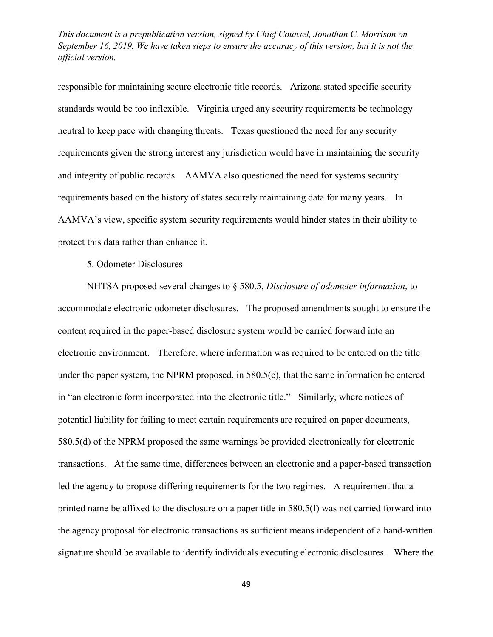responsible for maintaining secure electronic title records. Arizona stated specific security standards would be too inflexible. Virginia urged any security requirements be technology neutral to keep pace with changing threats. Texas questioned the need for any security requirements given the strong interest any jurisdiction would have in maintaining the security and integrity of public records. AAMVA also questioned the need for systems security requirements based on the history of states securely maintaining data for many years. In AAMVA's view, specific system security requirements would hinder states in their ability to protect this data rather than enhance it.

5. Odometer Disclosures

NHTSA proposed several changes to § 580.5, *Disclosure of odometer information*, to accommodate electronic odometer disclosures. The proposed amendments sought to ensure the content required in the paper-based disclosure system would be carried forward into an electronic environment. Therefore, where information was required to be entered on the title under the paper system, the NPRM proposed, in 580.5(c), that the same information be entered in "an electronic form incorporated into the electronic title." Similarly, where notices of potential liability for failing to meet certain requirements are required on paper documents, 580.5(d) of the NPRM proposed the same warnings be provided electronically for electronic transactions. At the same time, differences between an electronic and a paper-based transaction led the agency to propose differing requirements for the two regimes. A requirement that a printed name be affixed to the disclosure on a paper title in 580.5(f) was not carried forward into the agency proposal for electronic transactions as sufficient means independent of a hand-written signature should be available to identify individuals executing electronic disclosures. Where the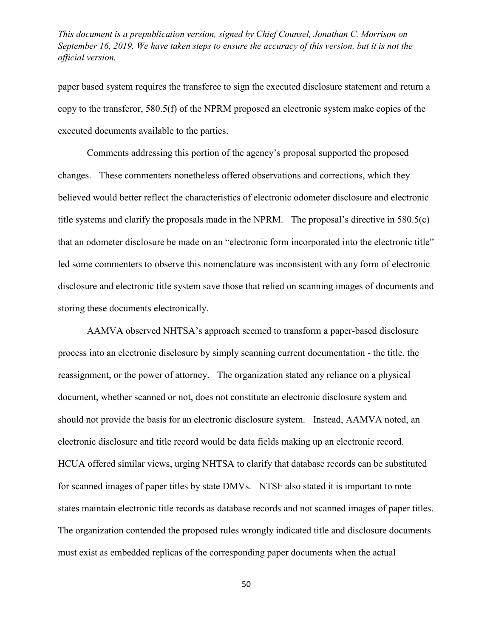paper based system requires the transferee to sign the executed disclosure statement and return a copy to the transferor, 580.5(f) of the NPRM proposed an electronic system make copies of the executed documents available to the parties.

Comments addressing this portion of the agency's proposal supported the proposed changes. These commenters nonetheless offered observations and corrections, which they believed would better reflect the characteristics of electronic odometer disclosure and electronic title systems and clarify the proposals made in the NPRM. The proposal's directive in 580.5(c) that an odometer disclosure be made on an "electronic form incorporated into the electronic title" led some commenters to observe this nomenclature was inconsistent with any form of electronic disclosure and electronic title system save those that relied on scanning images of documents and storing these documents electronically.

AAMVA observed NHTSA's approach seemed to transform a paper-based disclosure process into an electronic disclosure by simply scanning current documentation - the title, the reassignment, or the power of attorney. The organization stated any reliance on a physical document, whether scanned or not, does not constitute an electronic disclosure system and should not provide the basis for an electronic disclosure system. Instead, AAMVA noted, an electronic disclosure and title record would be data fields making up an electronic record. HCUA offered similar views, urging NHTSA to clarify that database records can be substituted for scanned images of paper titles by state DMVs. NTSF also stated it is important to note states maintain electronic title records as database records and not scanned images of paper titles. The organization contended the proposed rules wrongly indicated title and disclosure documents must exist as embedded replicas of the corresponding paper documents when the actual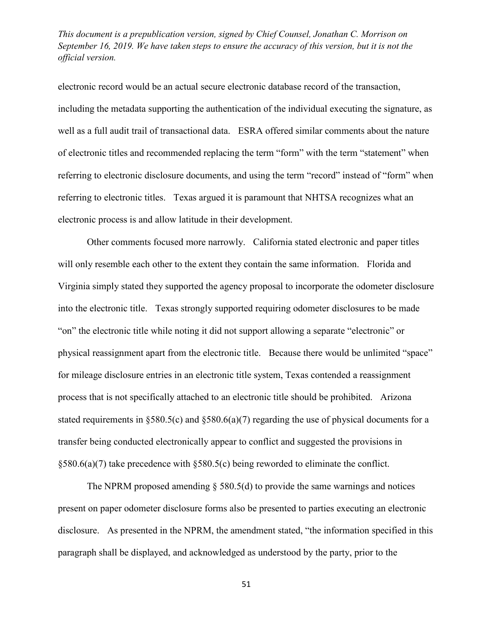electronic record would be an actual secure electronic database record of the transaction, including the metadata supporting the authentication of the individual executing the signature, as well as a full audit trail of transactional data. ESRA offered similar comments about the nature of electronic titles and recommended replacing the term "form" with the term "statement" when referring to electronic disclosure documents, and using the term "record" instead of "form" when referring to electronic titles. Texas argued it is paramount that NHTSA recognizes what an electronic process is and allow latitude in their development.

Other comments focused more narrowly. California stated electronic and paper titles will only resemble each other to the extent they contain the same information. Florida and Virginia simply stated they supported the agency proposal to incorporate the odometer disclosure into the electronic title. Texas strongly supported requiring odometer disclosures to be made "on" the electronic title while noting it did not support allowing a separate "electronic" or physical reassignment apart from the electronic title. Because there would be unlimited "space" for mileage disclosure entries in an electronic title system, Texas contended a reassignment process that is not specifically attached to an electronic title should be prohibited. Arizona stated requirements in §580.5(c) and §580.6(a)(7) regarding the use of physical documents for a transfer being conducted electronically appear to conflict and suggested the provisions in §580.6(a)(7) take precedence with §580.5(c) being reworded to eliminate the conflict.

The NPRM proposed amending  $\S$  580.5(d) to provide the same warnings and notices present on paper odometer disclosure forms also be presented to parties executing an electronic disclosure. As presented in the NPRM, the amendment stated, "the information specified in this paragraph shall be displayed, and acknowledged as understood by the party, prior to the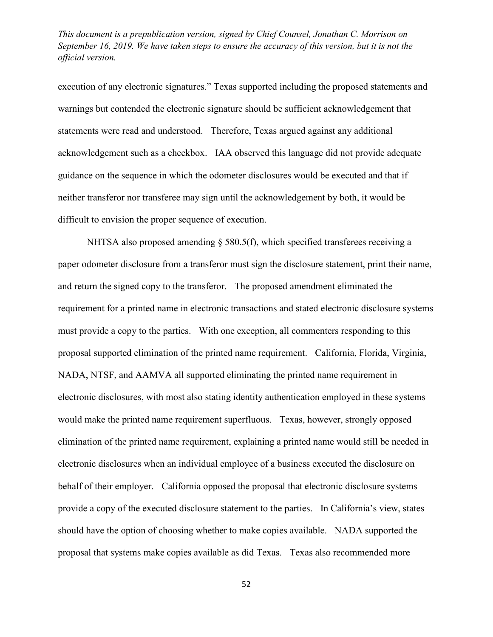execution of any electronic signatures." Texas supported including the proposed statements and warnings but contended the electronic signature should be sufficient acknowledgement that statements were read and understood. Therefore, Texas argued against any additional acknowledgement such as a checkbox. IAA observed this language did not provide adequate guidance on the sequence in which the odometer disclosures would be executed and that if neither transferor nor transferee may sign until the acknowledgement by both, it would be difficult to envision the proper sequence of execution.

NHTSA also proposed amending  $\S$  580.5(f), which specified transferees receiving a paper odometer disclosure from a transferor must sign the disclosure statement, print their name, and return the signed copy to the transferor. The proposed amendment eliminated the requirement for a printed name in electronic transactions and stated electronic disclosure systems must provide a copy to the parties. With one exception, all commenters responding to this proposal supported elimination of the printed name requirement. California, Florida, Virginia, NADA, NTSF, and AAMVA all supported eliminating the printed name requirement in electronic disclosures, with most also stating identity authentication employed in these systems would make the printed name requirement superfluous. Texas, however, strongly opposed elimination of the printed name requirement, explaining a printed name would still be needed in electronic disclosures when an individual employee of a business executed the disclosure on behalf of their employer. California opposed the proposal that electronic disclosure systems provide a copy of the executed disclosure statement to the parties. In California's view, states should have the option of choosing whether to make copies available. NADA supported the proposal that systems make copies available as did Texas. Texas also recommended more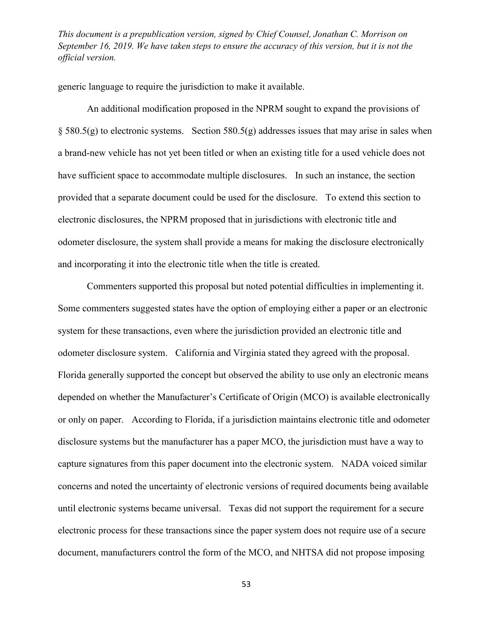generic language to require the jurisdiction to make it available.

An additional modification proposed in the NPRM sought to expand the provisions of  $\S$  580.5(g) to electronic systems. Section 580.5(g) addresses issues that may arise in sales when a brand-new vehicle has not yet been titled or when an existing title for a used vehicle does not have sufficient space to accommodate multiple disclosures. In such an instance, the section provided that a separate document could be used for the disclosure. To extend this section to electronic disclosures, the NPRM proposed that in jurisdictions with electronic title and odometer disclosure, the system shall provide a means for making the disclosure electronically and incorporating it into the electronic title when the title is created.

Commenters supported this proposal but noted potential difficulties in implementing it. Some commenters suggested states have the option of employing either a paper or an electronic system for these transactions, even where the jurisdiction provided an electronic title and odometer disclosure system. California and Virginia stated they agreed with the proposal. Florida generally supported the concept but observed the ability to use only an electronic means depended on whether the Manufacturer's Certificate of Origin (MCO) is available electronically or only on paper. According to Florida, if a jurisdiction maintains electronic title and odometer disclosure systems but the manufacturer has a paper MCO, the jurisdiction must have a way to capture signatures from this paper document into the electronic system. NADA voiced similar concerns and noted the uncertainty of electronic versions of required documents being available until electronic systems became universal. Texas did not support the requirement for a secure electronic process for these transactions since the paper system does not require use of a secure document, manufacturers control the form of the MCO, and NHTSA did not propose imposing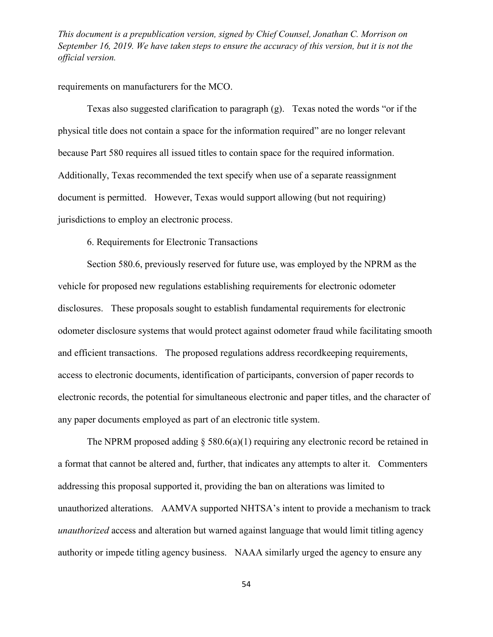requirements on manufacturers for the MCO.

Texas also suggested clarification to paragraph (g). Texas noted the words "or if the physical title does not contain a space for the information required" are no longer relevant because Part 580 requires all issued titles to contain space for the required information. Additionally, Texas recommended the text specify when use of a separate reassignment document is permitted. However, Texas would support allowing (but not requiring) jurisdictions to employ an electronic process.

6. Requirements for Electronic Transactions

Section 580.6, previously reserved for future use, was employed by the NPRM as the vehicle for proposed new regulations establishing requirements for electronic odometer disclosures. These proposals sought to establish fundamental requirements for electronic odometer disclosure systems that would protect against odometer fraud while facilitating smooth and efficient transactions. The proposed regulations address recordkeeping requirements, access to electronic documents, identification of participants, conversion of paper records to electronic records, the potential for simultaneous electronic and paper titles, and the character of any paper documents employed as part of an electronic title system.

The NPRM proposed adding  $\S$  580.6(a)(1) requiring any electronic record be retained in a format that cannot be altered and, further, that indicates any attempts to alter it. Commenters addressing this proposal supported it, providing the ban on alterations was limited to unauthorized alterations. AAMVA supported NHTSA's intent to provide a mechanism to track *unauthorized* access and alteration but warned against language that would limit titling agency authority or impede titling agency business. NAAA similarly urged the agency to ensure any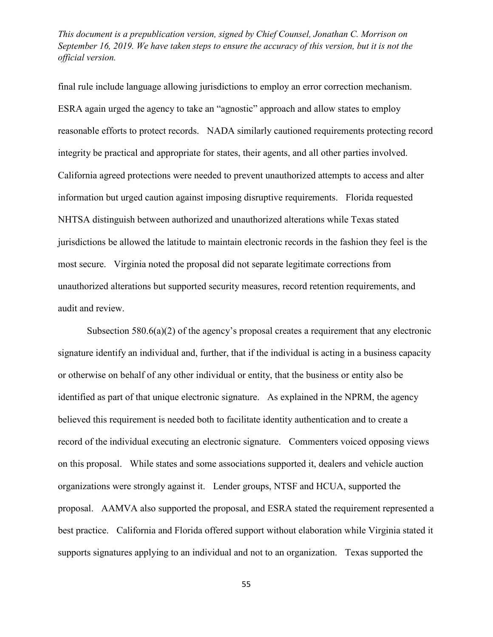final rule include language allowing jurisdictions to employ an error correction mechanism. ESRA again urged the agency to take an "agnostic" approach and allow states to employ reasonable efforts to protect records. NADA similarly cautioned requirements protecting record integrity be practical and appropriate for states, their agents, and all other parties involved. California agreed protections were needed to prevent unauthorized attempts to access and alter information but urged caution against imposing disruptive requirements. Florida requested NHTSA distinguish between authorized and unauthorized alterations while Texas stated jurisdictions be allowed the latitude to maintain electronic records in the fashion they feel is the most secure. Virginia noted the proposal did not separate legitimate corrections from unauthorized alterations but supported security measures, record retention requirements, and audit and review.

Subsection 580.6(a)(2) of the agency's proposal creates a requirement that any electronic signature identify an individual and, further, that if the individual is acting in a business capacity or otherwise on behalf of any other individual or entity, that the business or entity also be identified as part of that unique electronic signature. As explained in the NPRM, the agency believed this requirement is needed both to facilitate identity authentication and to create a record of the individual executing an electronic signature. Commenters voiced opposing views on this proposal. While states and some associations supported it, dealers and vehicle auction organizations were strongly against it. Lender groups, NTSF and HCUA, supported the proposal. AAMVA also supported the proposal, and ESRA stated the requirement represented a best practice. California and Florida offered support without elaboration while Virginia stated it supports signatures applying to an individual and not to an organization. Texas supported the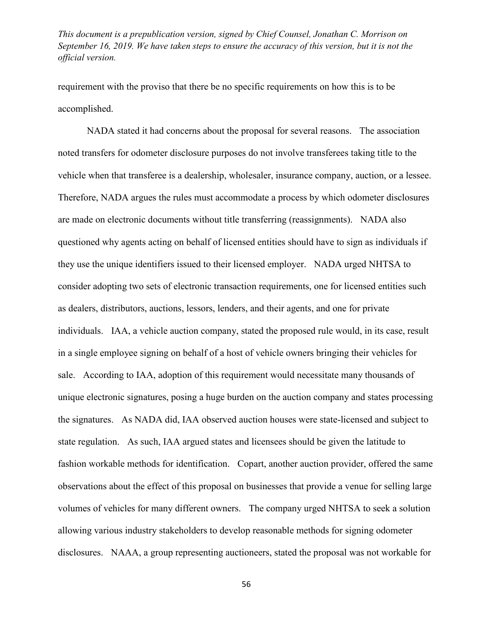requirement with the proviso that there be no specific requirements on how this is to be accomplished.

NADA stated it had concerns about the proposal for several reasons. The association noted transfers for odometer disclosure purposes do not involve transferees taking title to the vehicle when that transferee is a dealership, wholesaler, insurance company, auction, or a lessee. Therefore, NADA argues the rules must accommodate a process by which odometer disclosures are made on electronic documents without title transferring (reassignments). NADA also questioned why agents acting on behalf of licensed entities should have to sign as individuals if they use the unique identifiers issued to their licensed employer. NADA urged NHTSA to consider adopting two sets of electronic transaction requirements, one for licensed entities such as dealers, distributors, auctions, lessors, lenders, and their agents, and one for private individuals. IAA, a vehicle auction company, stated the proposed rule would, in its case, result in a single employee signing on behalf of a host of vehicle owners bringing their vehicles for sale. According to IAA, adoption of this requirement would necessitate many thousands of unique electronic signatures, posing a huge burden on the auction company and states processing the signatures. As NADA did, IAA observed auction houses were state-licensed and subject to state regulation. As such, IAA argued states and licensees should be given the latitude to fashion workable methods for identification. Copart, another auction provider, offered the same observations about the effect of this proposal on businesses that provide a venue for selling large volumes of vehicles for many different owners. The company urged NHTSA to seek a solution allowing various industry stakeholders to develop reasonable methods for signing odometer disclosures. NAAA, a group representing auctioneers, stated the proposal was not workable for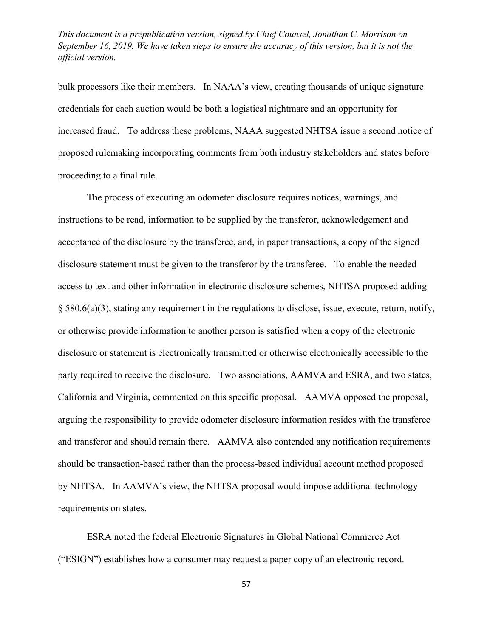bulk processors like their members. In NAAA's view, creating thousands of unique signature credentials for each auction would be both a logistical nightmare and an opportunity for increased fraud. To address these problems, NAAA suggested NHTSA issue a second notice of proposed rulemaking incorporating comments from both industry stakeholders and states before proceeding to a final rule.

The process of executing an odometer disclosure requires notices, warnings, and instructions to be read, information to be supplied by the transferor, acknowledgement and acceptance of the disclosure by the transferee, and, in paper transactions, a copy of the signed disclosure statement must be given to the transferor by the transferee. To enable the needed access to text and other information in electronic disclosure schemes, NHTSA proposed adding § 580.6(a)(3), stating any requirement in the regulations to disclose, issue, execute, return, notify, or otherwise provide information to another person is satisfied when a copy of the electronic disclosure or statement is electronically transmitted or otherwise electronically accessible to the party required to receive the disclosure. Two associations, AAMVA and ESRA, and two states, California and Virginia, commented on this specific proposal. AAMVA opposed the proposal, arguing the responsibility to provide odometer disclosure information resides with the transferee and transferor and should remain there. AAMVA also contended any notification requirements should be transaction-based rather than the process-based individual account method proposed by NHTSA. In AAMVA's view, the NHTSA proposal would impose additional technology requirements on states.

ESRA noted the federal Electronic Signatures in Global National Commerce Act ("ESIGN") establishes how a consumer may request a paper copy of an electronic record.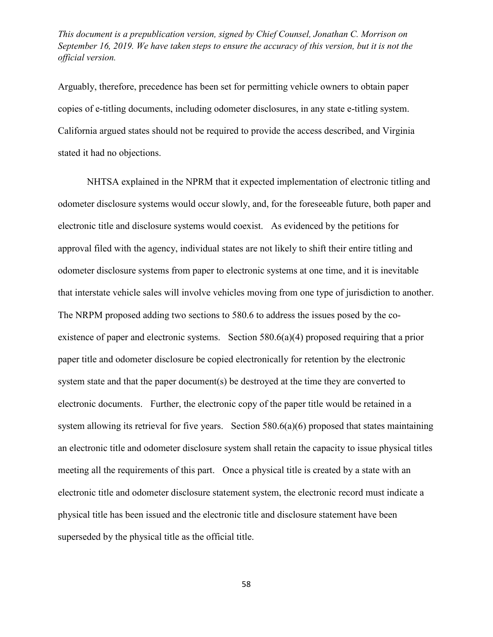Arguably, therefore, precedence has been set for permitting vehicle owners to obtain paper copies of e-titling documents, including odometer disclosures, in any state e-titling system. California argued states should not be required to provide the access described, and Virginia stated it had no objections.

NHTSA explained in the NPRM that it expected implementation of electronic titling and odometer disclosure systems would occur slowly, and, for the foreseeable future, both paper and electronic title and disclosure systems would coexist. As evidenced by the petitions for approval filed with the agency, individual states are not likely to shift their entire titling and odometer disclosure systems from paper to electronic systems at one time, and it is inevitable that interstate vehicle sales will involve vehicles moving from one type of jurisdiction to another. The NRPM proposed adding two sections to 580.6 to address the issues posed by the coexistence of paper and electronic systems. Section 580.6(a)(4) proposed requiring that a prior paper title and odometer disclosure be copied electronically for retention by the electronic system state and that the paper document(s) be destroyed at the time they are converted to electronic documents. Further, the electronic copy of the paper title would be retained in a system allowing its retrieval for five years. Section 580.6(a)(6) proposed that states maintaining an electronic title and odometer disclosure system shall retain the capacity to issue physical titles meeting all the requirements of this part. Once a physical title is created by a state with an electronic title and odometer disclosure statement system, the electronic record must indicate a physical title has been issued and the electronic title and disclosure statement have been superseded by the physical title as the official title.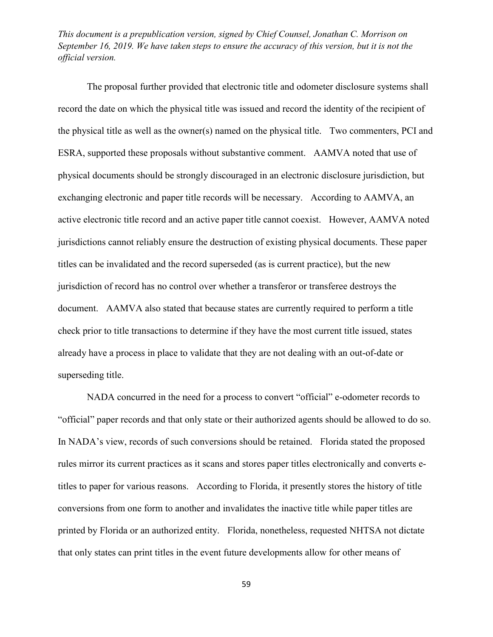The proposal further provided that electronic title and odometer disclosure systems shall record the date on which the physical title was issued and record the identity of the recipient of the physical title as well as the owner(s) named on the physical title. Two commenters, PCI and ESRA, supported these proposals without substantive comment. AAMVA noted that use of physical documents should be strongly discouraged in an electronic disclosure jurisdiction, but exchanging electronic and paper title records will be necessary. According to AAMVA, an active electronic title record and an active paper title cannot coexist. However, AAMVA noted jurisdictions cannot reliably ensure the destruction of existing physical documents. These paper titles can be invalidated and the record superseded (as is current practice), but the new jurisdiction of record has no control over whether a transferor or transferee destroys the document. AAMVA also stated that because states are currently required to perform a title check prior to title transactions to determine if they have the most current title issued, states already have a process in place to validate that they are not dealing with an out-of-date or superseding title.

NADA concurred in the need for a process to convert "official" e-odometer records to "official" paper records and that only state or their authorized agents should be allowed to do so. In NADA's view, records of such conversions should be retained. Florida stated the proposed rules mirror its current practices as it scans and stores paper titles electronically and converts etitles to paper for various reasons. According to Florida, it presently stores the history of title conversions from one form to another and invalidates the inactive title while paper titles are printed by Florida or an authorized entity. Florida, nonetheless, requested NHTSA not dictate that only states can print titles in the event future developments allow for other means of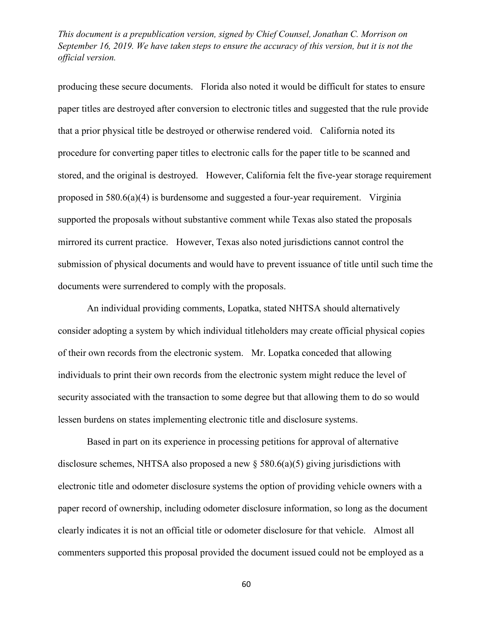producing these secure documents. Florida also noted it would be difficult for states to ensure paper titles are destroyed after conversion to electronic titles and suggested that the rule provide that a prior physical title be destroyed or otherwise rendered void. California noted its procedure for converting paper titles to electronic calls for the paper title to be scanned and stored, and the original is destroyed. However, California felt the five-year storage requirement proposed in 580.6(a)(4) is burdensome and suggested a four-year requirement. Virginia supported the proposals without substantive comment while Texas also stated the proposals mirrored its current practice. However, Texas also noted jurisdictions cannot control the submission of physical documents and would have to prevent issuance of title until such time the documents were surrendered to comply with the proposals.

An individual providing comments, Lopatka, stated NHTSA should alternatively consider adopting a system by which individual titleholders may create official physical copies of their own records from the electronic system. Mr. Lopatka conceded that allowing individuals to print their own records from the electronic system might reduce the level of security associated with the transaction to some degree but that allowing them to do so would lessen burdens on states implementing electronic title and disclosure systems.

Based in part on its experience in processing petitions for approval of alternative disclosure schemes, NHTSA also proposed a new § 580.6(a)(5) giving jurisdictions with electronic title and odometer disclosure systems the option of providing vehicle owners with a paper record of ownership, including odometer disclosure information, so long as the document clearly indicates it is not an official title or odometer disclosure for that vehicle. Almost all commenters supported this proposal provided the document issued could not be employed as a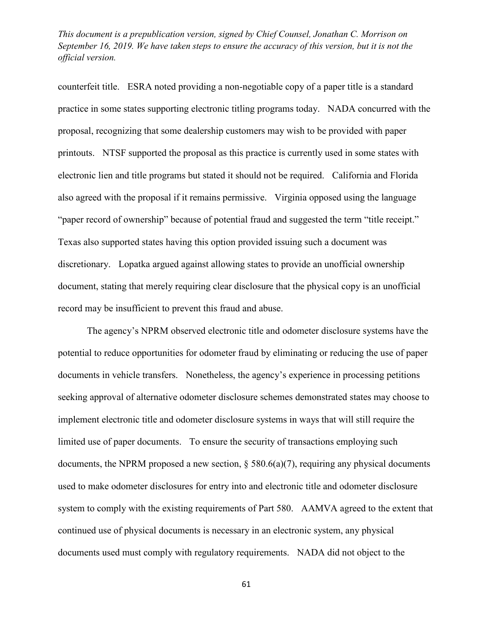counterfeit title. ESRA noted providing a non-negotiable copy of a paper title is a standard practice in some states supporting electronic titling programs today. NADA concurred with the proposal, recognizing that some dealership customers may wish to be provided with paper printouts. NTSF supported the proposal as this practice is currently used in some states with electronic lien and title programs but stated it should not be required. California and Florida also agreed with the proposal if it remains permissive. Virginia opposed using the language "paper record of ownership" because of potential fraud and suggested the term "title receipt." Texas also supported states having this option provided issuing such a document was discretionary. Lopatka argued against allowing states to provide an unofficial ownership document, stating that merely requiring clear disclosure that the physical copy is an unofficial record may be insufficient to prevent this fraud and abuse.

The agency's NPRM observed electronic title and odometer disclosure systems have the potential to reduce opportunities for odometer fraud by eliminating or reducing the use of paper documents in vehicle transfers. Nonetheless, the agency's experience in processing petitions seeking approval of alternative odometer disclosure schemes demonstrated states may choose to implement electronic title and odometer disclosure systems in ways that will still require the limited use of paper documents. To ensure the security of transactions employing such documents, the NPRM proposed a new section,  $\S$  580.6(a)(7), requiring any physical documents used to make odometer disclosures for entry into and electronic title and odometer disclosure system to comply with the existing requirements of Part 580. AAMVA agreed to the extent that continued use of physical documents is necessary in an electronic system, any physical documents used must comply with regulatory requirements. NADA did not object to the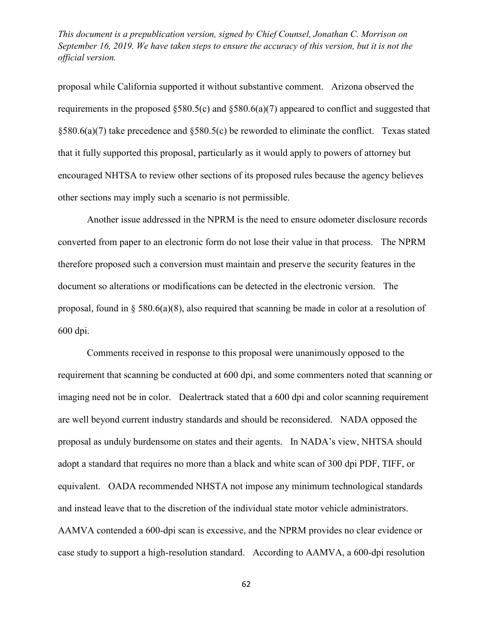proposal while California supported it without substantive comment. Arizona observed the requirements in the proposed §580.5(c) and §580.6(a)(7) appeared to conflict and suggested that §580.6(a)(7) take precedence and §580.5(c) be reworded to eliminate the conflict. Texas stated that it fully supported this proposal, particularly as it would apply to powers of attorney but encouraged NHTSA to review other sections of its proposed rules because the agency believes other sections may imply such a scenario is not permissible.

Another issue addressed in the NPRM is the need to ensure odometer disclosure records converted from paper to an electronic form do not lose their value in that process. The NPRM therefore proposed such a conversion must maintain and preserve the security features in the document so alterations or modifications can be detected in the electronic version. The proposal, found in § 580.6(a)(8), also required that scanning be made in color at a resolution of 600 dpi.

Comments received in response to this proposal were unanimously opposed to the requirement that scanning be conducted at 600 dpi, and some commenters noted that scanning or imaging need not be in color. Dealertrack stated that a 600 dpi and color scanning requirement are well beyond current industry standards and should be reconsidered. NADA opposed the proposal as unduly burdensome on states and their agents. In NADA's view, NHTSA should adopt a standard that requires no more than a black and white scan of 300 dpi PDF, TIFF, or equivalent. OADA recommended NHSTA not impose any minimum technological standards and instead leave that to the discretion of the individual state motor vehicle administrators. AAMVA contended a 600-dpi scan is excessive, and the NPRM provides no clear evidence or case study to support a high-resolution standard. According to AAMVA, a 600-dpi resolution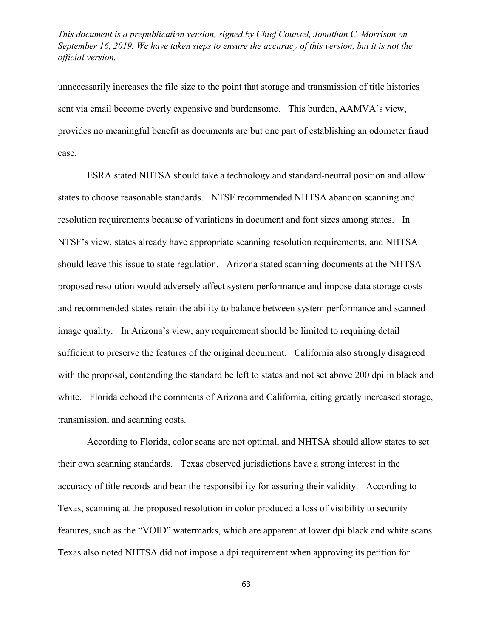unnecessarily increases the file size to the point that storage and transmission of title histories sent via email become overly expensive and burdensome. This burden, AAMVA's view, provides no meaningful benefit as documents are but one part of establishing an odometer fraud case.

ESRA stated NHTSA should take a technology and standard-neutral position and allow states to choose reasonable standards. NTSF recommended NHTSA abandon scanning and resolution requirements because of variations in document and font sizes among states. In NTSF's view, states already have appropriate scanning resolution requirements, and NHTSA should leave this issue to state regulation. Arizona stated scanning documents at the NHTSA proposed resolution would adversely affect system performance and impose data storage costs and recommended states retain the ability to balance between system performance and scanned image quality. In Arizona's view, any requirement should be limited to requiring detail sufficient to preserve the features of the original document. California also strongly disagreed with the proposal, contending the standard be left to states and not set above 200 dpi in black and white. Florida echoed the comments of Arizona and California, citing greatly increased storage, transmission, and scanning costs.

According to Florida, color scans are not optimal, and NHTSA should allow states to set their own scanning standards. Texas observed jurisdictions have a strong interest in the accuracy of title records and bear the responsibility for assuring their validity. According to Texas, scanning at the proposed resolution in color produced a loss of visibility to security features, such as the "VOID" watermarks, which are apparent at lower dpi black and white scans. Texas also noted NHTSA did not impose a dpi requirement when approving its petition for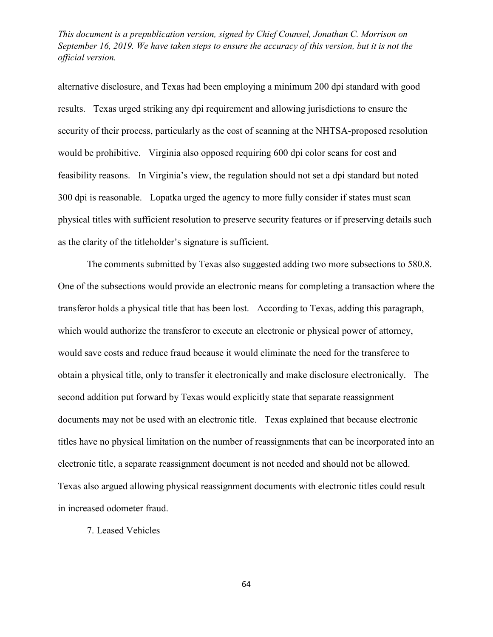alternative disclosure, and Texas had been employing a minimum 200 dpi standard with good results. Texas urged striking any dpi requirement and allowing jurisdictions to ensure the security of their process, particularly as the cost of scanning at the NHTSA-proposed resolution would be prohibitive. Virginia also opposed requiring 600 dpi color scans for cost and feasibility reasons. In Virginia's view, the regulation should not set a dpi standard but noted 300 dpi is reasonable. Lopatka urged the agency to more fully consider if states must scan physical titles with sufficient resolution to preserve security features or if preserving details such as the clarity of the titleholder's signature is sufficient.

The comments submitted by Texas also suggested adding two more subsections to 580.8. One of the subsections would provide an electronic means for completing a transaction where the transferor holds a physical title that has been lost. According to Texas, adding this paragraph, which would authorize the transferor to execute an electronic or physical power of attorney, would save costs and reduce fraud because it would eliminate the need for the transferee to obtain a physical title, only to transfer it electronically and make disclosure electronically. The second addition put forward by Texas would explicitly state that separate reassignment documents may not be used with an electronic title. Texas explained that because electronic titles have no physical limitation on the number of reassignments that can be incorporated into an electronic title, a separate reassignment document is not needed and should not be allowed. Texas also argued allowing physical reassignment documents with electronic titles could result in increased odometer fraud.

7. Leased Vehicles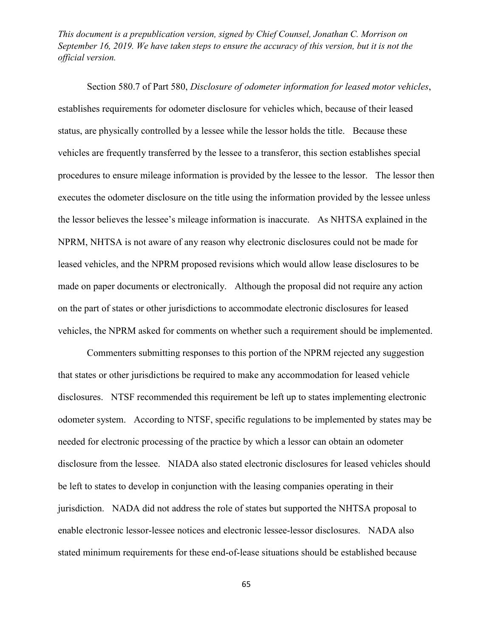Section 580.7 of Part 580, *Disclosure of odometer information for leased motor vehicles*, establishes requirements for odometer disclosure for vehicles which, because of their leased status, are physically controlled by a lessee while the lessor holds the title. Because these vehicles are frequently transferred by the lessee to a transferor, this section establishes special procedures to ensure mileage information is provided by the lessee to the lessor. The lessor then executes the odometer disclosure on the title using the information provided by the lessee unless the lessor believes the lessee's mileage information is inaccurate. As NHTSA explained in the NPRM, NHTSA is not aware of any reason why electronic disclosures could not be made for leased vehicles, and the NPRM proposed revisions which would allow lease disclosures to be made on paper documents or electronically. Although the proposal did not require any action on the part of states or other jurisdictions to accommodate electronic disclosures for leased vehicles, the NPRM asked for comments on whether such a requirement should be implemented.

Commenters submitting responses to this portion of the NPRM rejected any suggestion that states or other jurisdictions be required to make any accommodation for leased vehicle disclosures. NTSF recommended this requirement be left up to states implementing electronic odometer system. According to NTSF, specific regulations to be implemented by states may be needed for electronic processing of the practice by which a lessor can obtain an odometer disclosure from the lessee. NIADA also stated electronic disclosures for leased vehicles should be left to states to develop in conjunction with the leasing companies operating in their jurisdiction. NADA did not address the role of states but supported the NHTSA proposal to enable electronic lessor-lessee notices and electronic lessee-lessor disclosures. NADA also stated minimum requirements for these end-of-lease situations should be established because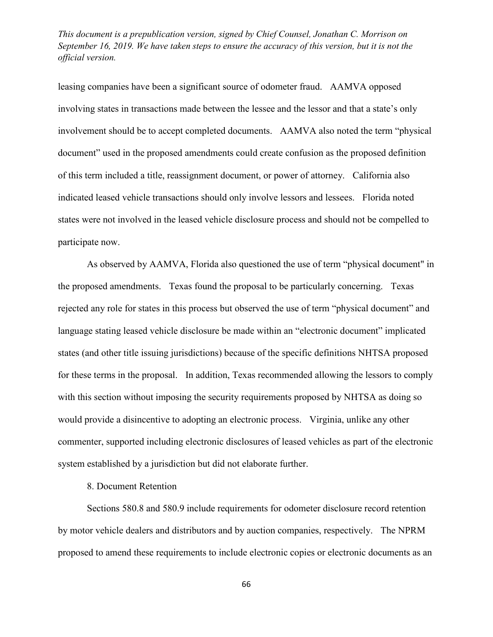leasing companies have been a significant source of odometer fraud. AAMVA opposed involving states in transactions made between the lessee and the lessor and that a state's only involvement should be to accept completed documents. AAMVA also noted the term "physical document" used in the proposed amendments could create confusion as the proposed definition of this term included a title, reassignment document, or power of attorney. California also indicated leased vehicle transactions should only involve lessors and lessees. Florida noted states were not involved in the leased vehicle disclosure process and should not be compelled to participate now.

As observed by AAMVA, Florida also questioned the use of term "physical document" in the proposed amendments. Texas found the proposal to be particularly concerning. Texas rejected any role for states in this process but observed the use of term "physical document" and language stating leased vehicle disclosure be made within an "electronic document" implicated states (and other title issuing jurisdictions) because of the specific definitions NHTSA proposed for these terms in the proposal. In addition, Texas recommended allowing the lessors to comply with this section without imposing the security requirements proposed by NHTSA as doing so would provide a disincentive to adopting an electronic process. Virginia, unlike any other commenter, supported including electronic disclosures of leased vehicles as part of the electronic system established by a jurisdiction but did not elaborate further.

## 8. Document Retention

Sections 580.8 and 580.9 include requirements for odometer disclosure record retention by motor vehicle dealers and distributors and by auction companies, respectively. The NPRM proposed to amend these requirements to include electronic copies or electronic documents as an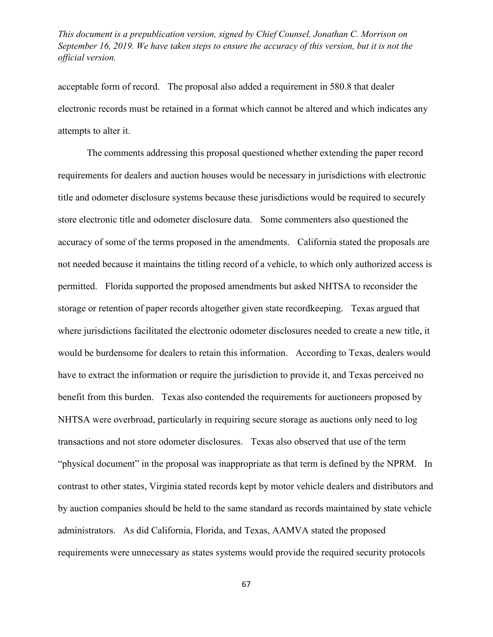acceptable form of record. The proposal also added a requirement in 580.8 that dealer electronic records must be retained in a format which cannot be altered and which indicates any attempts to alter it.

The comments addressing this proposal questioned whether extending the paper record requirements for dealers and auction houses would be necessary in jurisdictions with electronic title and odometer disclosure systems because these jurisdictions would be required to securely store electronic title and odometer disclosure data. Some commenters also questioned the accuracy of some of the terms proposed in the amendments. California stated the proposals are not needed because it maintains the titling record of a vehicle, to which only authorized access is permitted. Florida supported the proposed amendments but asked NHTSA to reconsider the storage or retention of paper records altogether given state recordkeeping. Texas argued that where jurisdictions facilitated the electronic odometer disclosures needed to create a new title, it would be burdensome for dealers to retain this information. According to Texas, dealers would have to extract the information or require the jurisdiction to provide it, and Texas perceived no benefit from this burden. Texas also contended the requirements for auctioneers proposed by NHTSA were overbroad, particularly in requiring secure storage as auctions only need to log transactions and not store odometer disclosures. Texas also observed that use of the term "physical document" in the proposal was inappropriate as that term is defined by the NPRM. In contrast to other states, Virginia stated records kept by motor vehicle dealers and distributors and by auction companies should be held to the same standard as records maintained by state vehicle administrators. As did California, Florida, and Texas, AAMVA stated the proposed requirements were unnecessary as states systems would provide the required security protocols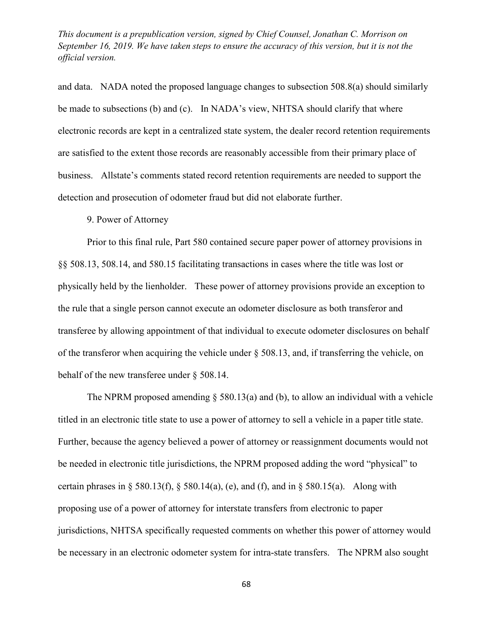and data. NADA noted the proposed language changes to subsection 508.8(a) should similarly be made to subsections (b) and (c). In NADA's view, NHTSA should clarify that where electronic records are kept in a centralized state system, the dealer record retention requirements are satisfied to the extent those records are reasonably accessible from their primary place of business. Allstate's comments stated record retention requirements are needed to support the detection and prosecution of odometer fraud but did not elaborate further.

## 9. Power of Attorney

Prior to this final rule, Part 580 contained secure paper power of attorney provisions in §§ 508.13, 508.14, and 580.15 facilitating transactions in cases where the title was lost or physically held by the lienholder. These power of attorney provisions provide an exception to the rule that a single person cannot execute an odometer disclosure as both transferor and transferee by allowing appointment of that individual to execute odometer disclosures on behalf of the transferor when acquiring the vehicle under § 508.13, and, if transferring the vehicle, on behalf of the new transferee under § 508.14.

The NPRM proposed amending  $\S$  580.13(a) and [\(b\),](http://www.westlaw.com/Link/Document/FullText?findType=L&pubNum=1000547&cite=49CFRS580.13&originatingDoc=IC350B0F0F25711E5AE9ECA0D137ECF34&refType=RB&originationContext=document&vr=3.0&rs=cblt1.0&transitionType=DocumentItem&contextData=(sc.UserEnteredCitation)#co_pp_a83b000018c76) to allow an individual with a vehicle titled in an electronic title state to use a power of attorney to sell a vehicle in a paper title state. Further, because the agency believed a power of attorney or reassignment documents would not be needed in electronic title jurisdictions, the NPRM proposed adding the word "physical" to certain phrases in [§ 580.13\(f\),](http://www.westlaw.com/Link/Document/FullText?findType=L&pubNum=1000547&cite=49CFRS580.13&originatingDoc=IC350B0F0F25711E5AE9ECA0D137ECF34&refType=RB&originationContext=document&vr=3.0&rs=cblt1.0&transitionType=DocumentItem&contextData=(sc.UserEnteredCitation)#co_pp_ae0d0000c5150) [§ 580.14\(a\),](http://www.westlaw.com/Link/Document/FullText?findType=L&pubNum=1000547&cite=49CFRS580.14&originatingDoc=IC350B0F0F25711E5AE9ECA0D137ECF34&refType=RB&originationContext=document&vr=3.0&rs=cblt1.0&transitionType=DocumentItem&contextData=(sc.UserEnteredCitation)#co_pp_8b3b0000958a4) [\(e\),](http://www.westlaw.com/Link/Document/FullText?findType=L&pubNum=1000547&cite=49CFRS580.14&originatingDoc=IC350B0F0F25711E5AE9ECA0D137ECF34&refType=RB&originationContext=document&vr=3.0&rs=cblt1.0&transitionType=DocumentItem&contextData=(sc.UserEnteredCitation)#co_pp_7fdd00001ca15) and [\(f\),](http://www.westlaw.com/Link/Document/FullText?findType=L&pubNum=1000547&cite=49CFRS580.14&originatingDoc=IC350B0F0F25711E5AE9ECA0D137ECF34&refType=RB&originationContext=document&vr=3.0&rs=cblt1.0&transitionType=DocumentItem&contextData=(sc.UserEnteredCitation)#co_pp_ae0d0000c5150) and in § 580.15(a). Along with proposing use of a power of attorney for interstate transfers from electronic to paper jurisdictions, NHTSA specifically requested comments on whether this power of attorney would be necessary in an electronic odometer system for intra-state transfers. The NPRM also sought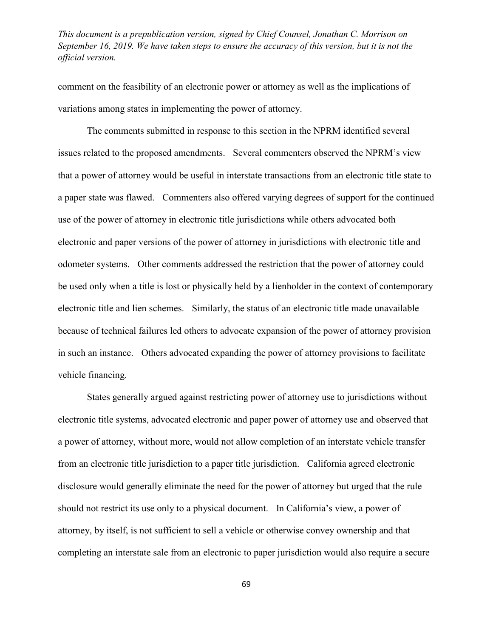comment on the feasibility of an electronic power or attorney as well as the implications of variations among states in implementing the power of attorney.

The comments submitted in response to this section in the NPRM identified several issues related to the proposed amendments. Several commenters observed the NPRM's view that a power of attorney would be useful in interstate transactions from an electronic title state to a paper state was flawed. Commenters also offered varying degrees of support for the continued use of the power of attorney in electronic title jurisdictions while others advocated both electronic and paper versions of the power of attorney in jurisdictions with electronic title and odometer systems. Other comments addressed the restriction that the power of attorney could be used only when a title is lost or physically held by a lienholder in the context of contemporary electronic title and lien schemes. Similarly, the status of an electronic title made unavailable because of technical failures led others to advocate expansion of the power of attorney provision in such an instance. Others advocated expanding the power of attorney provisions to facilitate vehicle financing.

States generally argued against restricting power of attorney use to jurisdictions without electronic title systems, advocated electronic and paper power of attorney use and observed that a power of attorney, without more, would not allow completion of an interstate vehicle transfer from an electronic title jurisdiction to a paper title jurisdiction. California agreed electronic disclosure would generally eliminate the need for the power of attorney but urged that the rule should not restrict its use only to a physical document. In California's view, a power of attorney, by itself, is not sufficient to sell a vehicle or otherwise convey ownership and that completing an interstate sale from an electronic to paper jurisdiction would also require a secure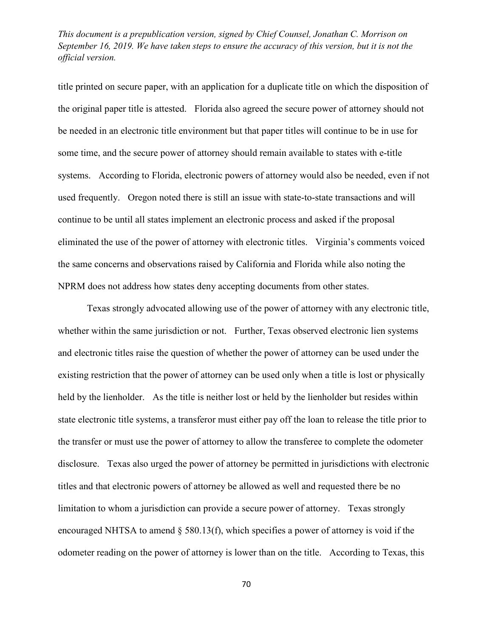title printed on secure paper, with an application for a duplicate title on which the disposition of the original paper title is attested. Florida also agreed the secure power of attorney should not be needed in an electronic title environment but that paper titles will continue to be in use for some time, and the secure power of attorney should remain available to states with e-title systems. According to Florida, electronic powers of attorney would also be needed, even if not used frequently. Oregon noted there is still an issue with state-to-state transactions and will continue to be until all states implement an electronic process and asked if the proposal eliminated the use of the power of attorney with electronic titles. Virginia's comments voiced the same concerns and observations raised by California and Florida while also noting the NPRM does not address how states deny accepting documents from other states.

Texas strongly advocated allowing use of the power of attorney with any electronic title, whether within the same jurisdiction or not. Further, Texas observed electronic lien systems and electronic titles raise the question of whether the power of attorney can be used under the existing restriction that the power of attorney can be used only when a title is lost or physically held by the lienholder. As the title is neither lost or held by the lienholder but resides within state electronic title systems, a transferor must either pay off the loan to release the title prior to the transfer or must use the power of attorney to allow the transferee to complete the odometer disclosure. Texas also urged the power of attorney be permitted in jurisdictions with electronic titles and that electronic powers of attorney be allowed as well and requested there be no limitation to whom a jurisdiction can provide a secure power of attorney. Texas strongly encouraged NHTSA to amend § 580.13(f), which specifies a power of attorney is void if the odometer reading on the power of attorney is lower than on the title. According to Texas, this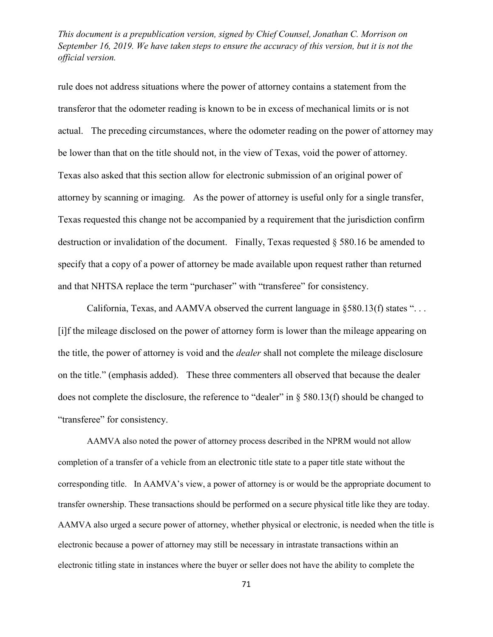rule does not address situations where the power of attorney contains a statement from the transferor that the odometer reading is known to be in excess of mechanical limits or is not actual. The preceding circumstances, where the odometer reading on the power of attorney may be lower than that on the title should not, in the view of Texas, void the power of attorney. Texas also asked that this section allow for electronic submission of an original power of attorney by scanning or imaging. As the power of attorney is useful only for a single transfer, Texas requested this change not be accompanied by a requirement that the jurisdiction confirm destruction or invalidation of the document. Finally, Texas requested § 580.16 be amended to specify that a copy of a power of attorney be made available upon request rather than returned and that NHTSA replace the term "purchaser" with "transferee" for consistency.

California, Texas, and AAMVA observed the current language in  $\S 580.13(f)$  states "... [i]f the mileage disclosed on the power of attorney form is lower than the mileage appearing on the title, the power of attorney is void and the *dealer* shall not complete the mileage disclosure on the title." (emphasis added). These three commenters all observed that because the dealer does not complete the disclosure, the reference to "dealer" in  $\S$  580.13(f) should be changed to "transferee" for consistency.

AAMVA also noted the power of attorney process described in the NPRM would not allow completion of a transfer of a vehicle from an electronic title state to a paper title state without the corresponding title. In AAMVA's view, a power of attorney is or would be the appropriate document to transfer ownership. These transactions should be performed on a secure physical title like they are today. AAMVA also urged a secure power of attorney, whether physical or electronic, is needed when the title is electronic because a power of attorney may still be necessary in intrastate transactions within an electronic titling state in instances where the buyer or seller does not have the ability to complete the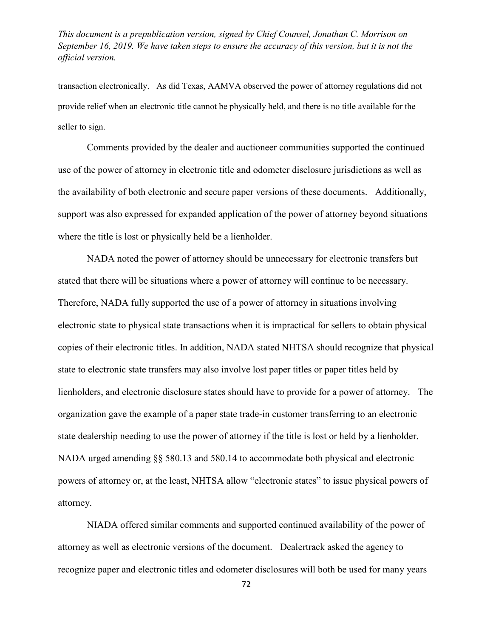transaction electronically. As did Texas, AAMVA observed the power of attorney regulations did not provide relief when an electronic title cannot be physically held, and there is no title available for the seller to sign.

Comments provided by the dealer and auctioneer communities supported the continued use of the power of attorney in electronic title and odometer disclosure jurisdictions as well as the availability of both electronic and secure paper versions of these documents. Additionally, support was also expressed for expanded application of the power of attorney beyond situations where the title is lost or physically held be a lienholder.

NADA noted the power of attorney should be unnecessary for electronic transfers but stated that there will be situations where a power of attorney will continue to be necessary. Therefore, NADA fully supported the use of a power of attorney in situations involving electronic state to physical state transactions when it is impractical for sellers to obtain physical copies of their electronic titles. In addition, NADA stated NHTSA should recognize that physical state to electronic state transfers may also involve lost paper titles or paper titles held by lienholders, and electronic disclosure states should have to provide for a power of attorney. The organization gave the example of a paper state trade-in customer transferring to an electronic state dealership needing to use the power of attorney if the title is lost or held by a lienholder. NADA urged amending §§ 580.13 and 580.14 to accommodate both physical and electronic powers of attorney or, at the least, NHTSA allow "electronic states" to issue physical powers of attorney.

NIADA offered similar comments and supported continued availability of the power of attorney as well as electronic versions of the document. Dealertrack asked the agency to recognize paper and electronic titles and odometer disclosures will both be used for many years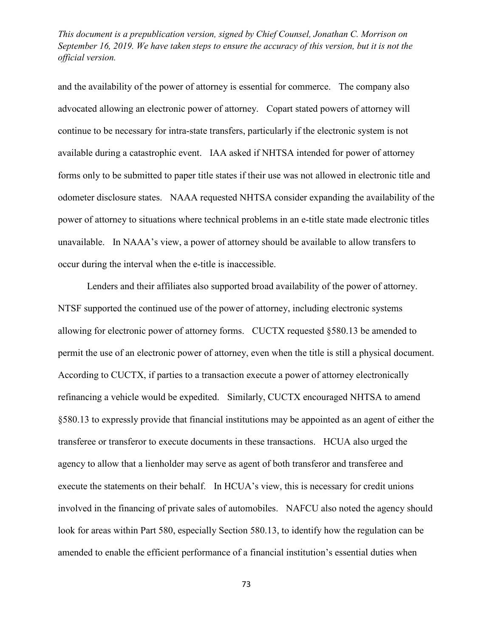and the availability of the power of attorney is essential for commerce. The company also advocated allowing an electronic power of attorney. Copart stated powers of attorney will continue to be necessary for intra-state transfers, particularly if the electronic system is not available during a catastrophic event. IAA asked if NHTSA intended for power of attorney forms only to be submitted to paper title states if their use was not allowed in electronic title and odometer disclosure states. NAAA requested NHTSA consider expanding the availability of the power of attorney to situations where technical problems in an e-title state made electronic titles unavailable. In NAAA's view, a power of attorney should be available to allow transfers to occur during the interval when the e-title is inaccessible.

Lenders and their affiliates also supported broad availability of the power of attorney. NTSF supported the continued use of the power of attorney, including electronic systems allowing for electronic power of attorney forms. CUCTX requested §580.13 be amended to permit the use of an electronic power of attorney, even when the title is still a physical document. According to CUCTX, if parties to a transaction execute a power of attorney electronically refinancing a vehicle would be expedited. Similarly, CUCTX encouraged NHTSA to amend §580.13 to expressly provide that financial institutions may be appointed as an agent of either the transferee or transferor to execute documents in these transactions. HCUA also urged the agency to allow that a lienholder may serve as agent of both transferor and transferee and execute the statements on their behalf. In HCUA's view, this is necessary for credit unions involved in the financing of private sales of automobiles. NAFCU also noted the agency should look for areas within Part 580, especially Section 580.13, to identify how the regulation can be amended to enable the efficient performance of a financial institution's essential duties when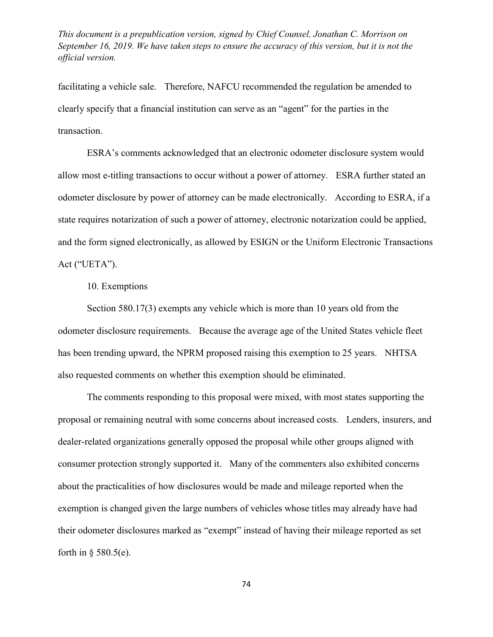facilitating a vehicle sale. Therefore, NAFCU recommended the regulation be amended to clearly specify that a financial institution can serve as an "agent" for the parties in the transaction.

ESRA's comments acknowledged that an electronic odometer disclosure system would allow most e-titling transactions to occur without a power of attorney. ESRA further stated an odometer disclosure by power of attorney can be made electronically. According to ESRA, if a state requires notarization of such a power of attorney, electronic notarization could be applied, and the form signed electronically, as allowed by ESIGN or the Uniform Electronic Transactions Act ("UETA").

10. Exemptions

Section 580.17(3) exempts any vehicle which is more than 10 years old from the odometer disclosure requirements. Because the average age of the United States vehicle fleet has been trending upward, the NPRM proposed raising this exemption to 25 years. NHTSA also requested comments on whether this exemption should be eliminated.

The comments responding to this proposal were mixed, with most states supporting the proposal or remaining neutral with some concerns about increased costs. Lenders, insurers, and dealer-related organizations generally opposed the proposal while other groups aligned with consumer protection strongly supported it. Many of the commenters also exhibited concerns about the practicalities of how disclosures would be made and mileage reported when the exemption is changed given the large numbers of vehicles whose titles may already have had their odometer disclosures marked as "exempt" instead of having their mileage reported as set forth in  $\S$  580.5(e).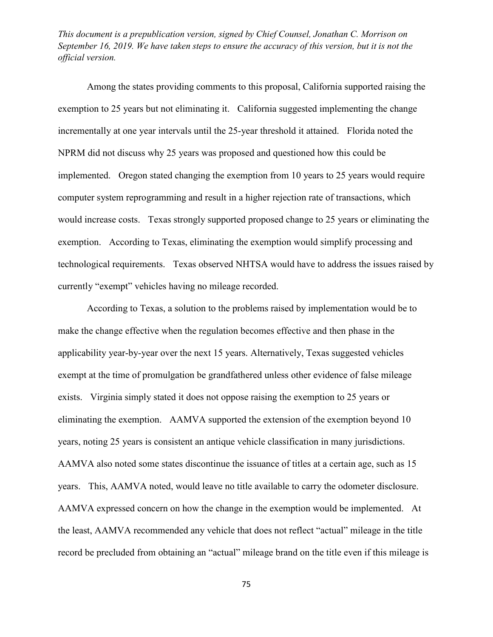Among the states providing comments to this proposal, California supported raising the exemption to 25 years but not eliminating it. California suggested implementing the change incrementally at one year intervals until the 25-year threshold it attained. Florida noted the NPRM did not discuss why 25 years was proposed and questioned how this could be implemented. Oregon stated changing the exemption from 10 years to 25 years would require computer system reprogramming and result in a higher rejection rate of transactions, which would increase costs. Texas strongly supported proposed change to 25 years or eliminating the exemption. According to Texas, eliminating the exemption would simplify processing and technological requirements. Texas observed NHTSA would have to address the issues raised by currently "exempt" vehicles having no mileage recorded.

According to Texas, a solution to the problems raised by implementation would be to make the change effective when the regulation becomes effective and then phase in the applicability year-by-year over the next 15 years. Alternatively, Texas suggested vehicles exempt at the time of promulgation be grandfathered unless other evidence of false mileage exists. Virginia simply stated it does not oppose raising the exemption to 25 years or eliminating the exemption. AAMVA supported the extension of the exemption beyond 10 years, noting 25 years is consistent an antique vehicle classification in many jurisdictions. AAMVA also noted some states discontinue the issuance of titles at a certain age, such as 15 years. This, AAMVA noted, would leave no title available to carry the odometer disclosure. AAMVA expressed concern on how the change in the exemption would be implemented. At the least, AAMVA recommended any vehicle that does not reflect "actual" mileage in the title record be precluded from obtaining an "actual" mileage brand on the title even if this mileage is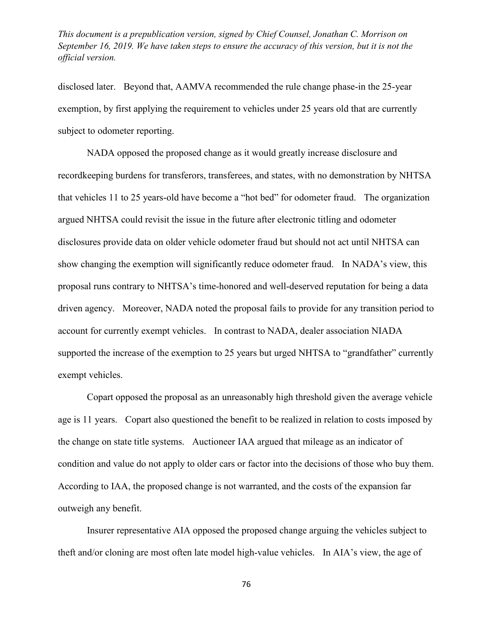disclosed later. Beyond that, AAMVA recommended the rule change phase-in the 25-year exemption, by first applying the requirement to vehicles under 25 years old that are currently subject to odometer reporting.

NADA opposed the proposed change as it would greatly increase disclosure and recordkeeping burdens for transferors, transferees, and states, with no demonstration by NHTSA that vehicles 11 to 25 years-old have become a "hot bed" for odometer fraud. The organization argued NHTSA could revisit the issue in the future after electronic titling and odometer disclosures provide data on older vehicle odometer fraud but should not act until NHTSA can show changing the exemption will significantly reduce odometer fraud. In NADA's view, this proposal runs contrary to NHTSA's time-honored and well-deserved reputation for being a data driven agency. Moreover, NADA noted the proposal fails to provide for any transition period to account for currently exempt vehicles. In contrast to NADA, dealer association NIADA supported the increase of the exemption to 25 years but urged NHTSA to "grandfather" currently exempt vehicles.

Copart opposed the proposal as an unreasonably high threshold given the average vehicle age is 11 years. Copart also questioned the benefit to be realized in relation to costs imposed by the change on state title systems. Auctioneer IAA argued that mileage as an indicator of condition and value do not apply to older cars or factor into the decisions of those who buy them. According to IAA, the proposed change is not warranted, and the costs of the expansion far outweigh any benefit.

Insurer representative AIA opposed the proposed change arguing the vehicles subject to theft and/or cloning are most often late model high-value vehicles. In AIA's view, the age of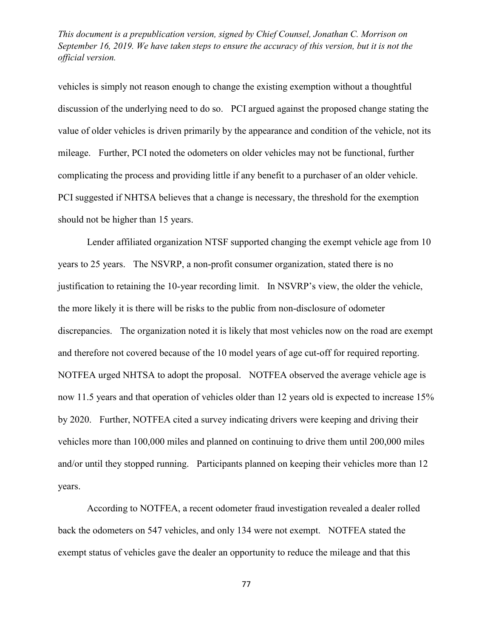vehicles is simply not reason enough to change the existing exemption without a thoughtful discussion of the underlying need to do so. PCI argued against the proposed change stating the value of older vehicles is driven primarily by the appearance and condition of the vehicle, not its mileage. Further, PCI noted the odometers on older vehicles may not be functional, further complicating the process and providing little if any benefit to a purchaser of an older vehicle. PCI suggested if NHTSA believes that a change is necessary, the threshold for the exemption should not be higher than 15 years.

Lender affiliated organization NTSF supported changing the exempt vehicle age from 10 years to 25 years. The NSVRP, a non-profit consumer organization, stated there is no justification to retaining the 10-year recording limit. In NSVRP's view, the older the vehicle, the more likely it is there will be risks to the public from non-disclosure of odometer discrepancies. The organization noted it is likely that most vehicles now on the road are exempt and therefore not covered because of the 10 model years of age cut-off for required reporting. NOTFEA urged NHTSA to adopt the proposal. NOTFEA observed the average vehicle age is now 11.5 years and that operation of vehicles older than 12 years old is expected to increase 15% by 2020. Further, NOTFEA cited a survey indicating drivers were keeping and driving their vehicles more than 100,000 miles and planned on continuing to drive them until 200,000 miles and/or until they stopped running. Participants planned on keeping their vehicles more than 12 years.

According to NOTFEA, a recent odometer fraud investigation revealed a dealer rolled back the odometers on 547 vehicles, and only 134 were not exempt. NOTFEA stated the exempt status of vehicles gave the dealer an opportunity to reduce the mileage and that this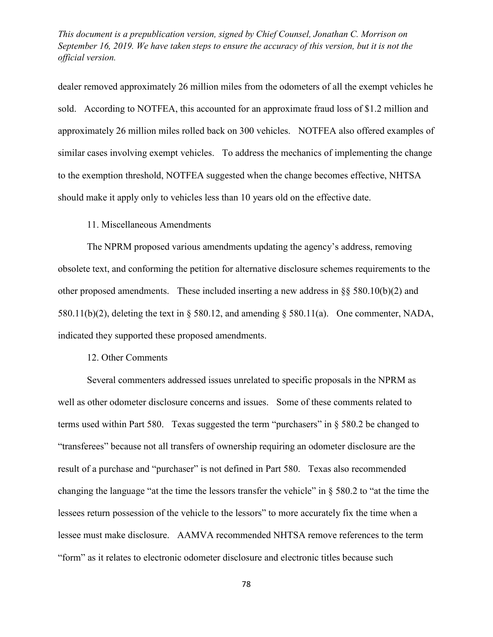dealer removed approximately 26 million miles from the odometers of all the exempt vehicles he sold. According to NOTFEA, this accounted for an approximate fraud loss of \$1.2 million and approximately 26 million miles rolled back on 300 vehicles. NOTFEA also offered examples of similar cases involving exempt vehicles. To address the mechanics of implementing the change to the exemption threshold, NOTFEA suggested when the change becomes effective, NHTSA should make it apply only to vehicles less than 10 years old on the effective date.

### 11. Miscellaneous Amendments

The NPRM proposed various amendments updating the agency's address, removing obsolete text, and conforming the petition for alternative disclosure schemes requirements to the other proposed amendments. These included inserting a new address in  $\S$ § 580.10(b)(2) and 580.11(b)(2), deleting the text in § 580.12, and amending § 580.11(a). One commenter, NADA, indicated they supported these proposed amendments.

#### 12. Other Comments

Several commenters addressed issues unrelated to specific proposals in the NPRM as well as other odometer disclosure concerns and issues. Some of these comments related to terms used within Part 580. Texas suggested the term "purchasers" in § 580.2 be changed to "transferees" because not all transfers of ownership requiring an odometer disclosure are the result of a purchase and "purchaser" is not defined in Part 580. Texas also recommended changing the language "at the time the lessors transfer the vehicle" in § 580.2 to "at the time the lessees return possession of the vehicle to the lessors" to more accurately fix the time when a lessee must make disclosure. AAMVA recommended NHTSA remove references to the term "form" as it relates to electronic odometer disclosure and electronic titles because such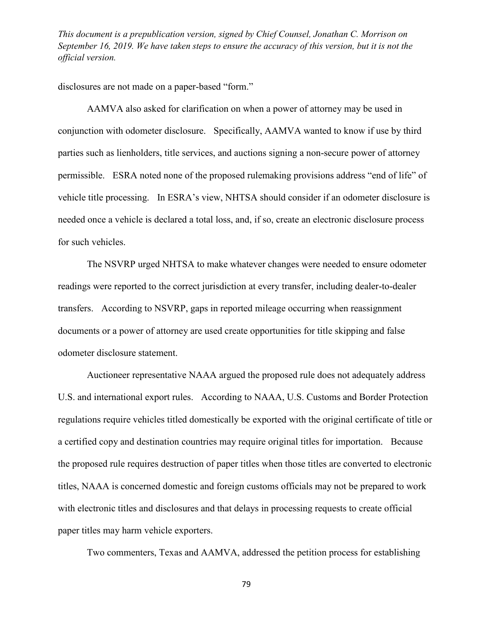disclosures are not made on a paper-based "form."

AAMVA also asked for clarification on when a power of attorney may be used in conjunction with odometer disclosure. Specifically, AAMVA wanted to know if use by third parties such as lienholders, title services, and auctions signing a non-secure power of attorney permissible. ESRA noted none of the proposed rulemaking provisions address "end of life" of vehicle title processing. In ESRA's view, NHTSA should consider if an odometer disclosure is needed once a vehicle is declared a total loss, and, if so, create an electronic disclosure process for such vehicles.

The NSVRP urged NHTSA to make whatever changes were needed to ensure odometer readings were reported to the correct jurisdiction at every transfer, including dealer-to-dealer transfers. According to NSVRP, gaps in reported mileage occurring when reassignment documents or a power of attorney are used create opportunities for title skipping and false odometer disclosure statement.

Auctioneer representative NAAA argued the proposed rule does not adequately address U.S. and international export rules. According to NAAA, U.S. Customs and Border Protection regulations require vehicles titled domestically be exported with the original certificate of title or a certified copy and destination countries may require original titles for importation. Because the proposed rule requires destruction of paper titles when those titles are converted to electronic titles, NAAA is concerned domestic and foreign customs officials may not be prepared to work with electronic titles and disclosures and that delays in processing requests to create official paper titles may harm vehicle exporters.

Two commenters, Texas and AAMVA, addressed the petition process for establishing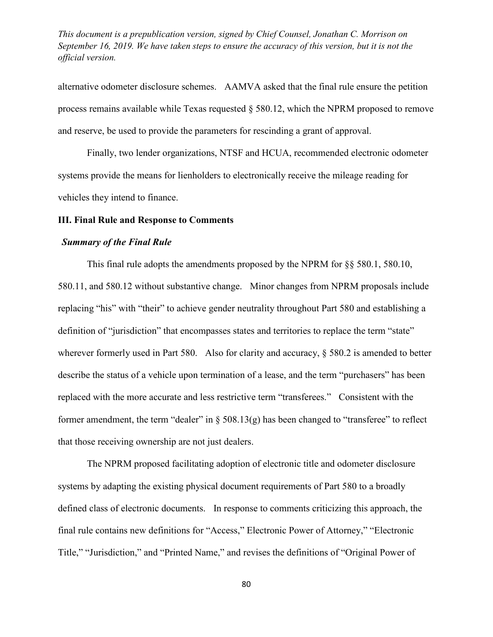alternative odometer disclosure schemes. AAMVA asked that the final rule ensure the petition process remains available while Texas requested § 580.12, which the NPRM proposed to remove and reserve, be used to provide the parameters for rescinding a grant of approval.

Finally, two lender organizations, NTSF and HCUA, recommended electronic odometer systems provide the means for lienholders to electronically receive the mileage reading for vehicles they intend to finance.

## **III. Final Rule and Response to Comments**

### *Summary of the Final Rule*

This final rule adopts the amendments proposed by the NPRM for §§ 580.1, 580.10, 580.11, and 580.12 without substantive change. Minor changes from NPRM proposals include replacing "his" with "their" to achieve gender neutrality throughout Part 580 and establishing a definition of "jurisdiction" that encompasses states and territories to replace the term "state" wherever formerly used in Part 580. Also for clarity and accuracy,  $\S$  580.2 is amended to better describe the status of a vehicle upon termination of a lease, and the term "purchasers" has been replaced with the more accurate and less restrictive term "transferees." Consistent with the former amendment, the term "dealer" in  $\S$  508.13(g) has been changed to "transferee" to reflect that those receiving ownership are not just dealers.

The NPRM proposed facilitating adoption of electronic title and odometer disclosure systems by adapting the existing physical document requirements of Part 580 to a broadly defined class of electronic documents. In response to comments criticizing this approach, the final rule contains new definitions for "Access," Electronic Power of Attorney," "Electronic Title," "Jurisdiction," and "Printed Name," and revises the definitions of "Original Power of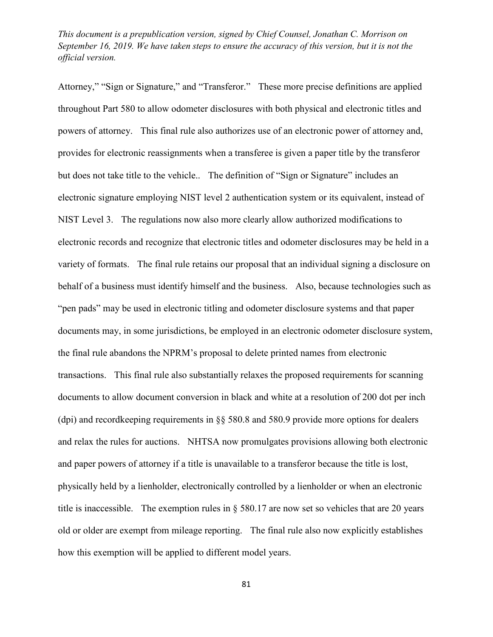Attorney," "Sign or Signature," and "Transferor." These more precise definitions are applied throughout Part 580 to allow odometer disclosures with both physical and electronic titles and powers of attorney. This final rule also authorizes use of an electronic power of attorney and, provides for electronic reassignments when a transferee is given a paper title by the transferor but does not take title to the vehicle.. The definition of "Sign or Signature" includes an electronic signature employing NIST level 2 authentication system or its equivalent, instead of NIST Level 3. The regulations now also more clearly allow authorized modifications to electronic records and recognize that electronic titles and odometer disclosures may be held in a variety of formats. The final rule retains our proposal that an individual signing a disclosure on behalf of a business must identify himself and the business. Also, because technologies such as "pen pads" may be used in electronic titling and odometer disclosure systems and that paper documents may, in some jurisdictions, be employed in an electronic odometer disclosure system, the final rule abandons the NPRM's proposal to delete printed names from electronic transactions. This final rule also substantially relaxes the proposed requirements for scanning documents to allow document conversion in black and white at a resolution of 200 dot per inch (dpi) and recordkeeping requirements in §§ 580.8 and 580.9 provide more options for dealers and relax the rules for auctions. NHTSA now promulgates provisions allowing both electronic and paper powers of attorney if a title is unavailable to a transferor because the title is lost, physically held by a lienholder, electronically controlled by a lienholder or when an electronic title is inaccessible. The exemption rules in § 580.17 are now set so vehicles that are 20 years old or older are exempt from mileage reporting. The final rule also now explicitly establishes how this exemption will be applied to different model years.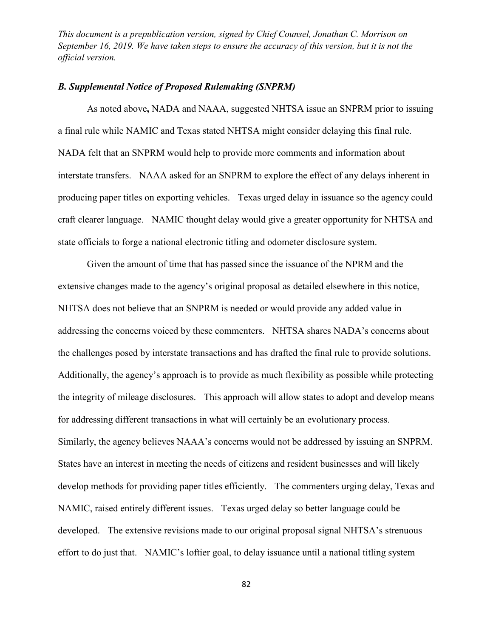# *B. Supplemental Notice of Proposed Rulemaking (SNPRM)*

As noted above**,** NADA and NAAA, suggested NHTSA issue an SNPRM prior to issuing a final rule while NAMIC and Texas stated NHTSA might consider delaying this final rule. NADA felt that an SNPRM would help to provide more comments and information about interstate transfers. NAAA asked for an SNPRM to explore the effect of any delays inherent in producing paper titles on exporting vehicles. Texas urged delay in issuance so the agency could craft clearer language. NAMIC thought delay would give a greater opportunity for NHTSA and state officials to forge a national electronic titling and odometer disclosure system.

Given the amount of time that has passed since the issuance of the NPRM and the extensive changes made to the agency's original proposal as detailed elsewhere in this notice, NHTSA does not believe that an SNPRM is needed or would provide any added value in addressing the concerns voiced by these commenters. NHTSA shares NADA's concerns about the challenges posed by interstate transactions and has drafted the final rule to provide solutions. Additionally, the agency's approach is to provide as much flexibility as possible while protecting the integrity of mileage disclosures. This approach will allow states to adopt and develop means for addressing different transactions in what will certainly be an evolutionary process. Similarly, the agency believes NAAA's concerns would not be addressed by issuing an SNPRM. States have an interest in meeting the needs of citizens and resident businesses and will likely develop methods for providing paper titles efficiently. The commenters urging delay, Texas and NAMIC, raised entirely different issues. Texas urged delay so better language could be developed. The extensive revisions made to our original proposal signal NHTSA's strenuous effort to do just that. NAMIC's loftier goal, to delay issuance until a national titling system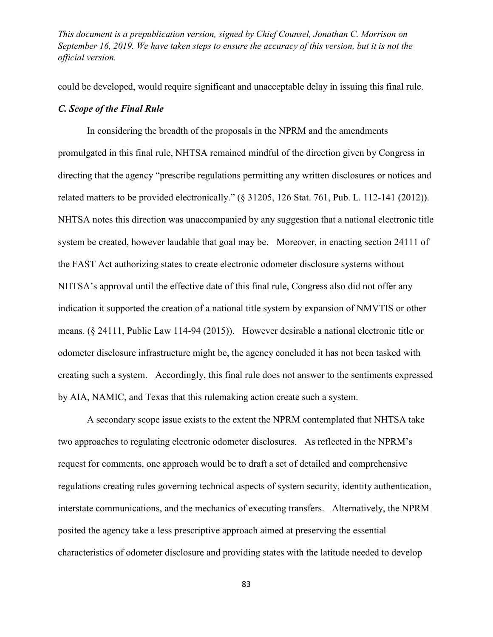could be developed, would require significant and unacceptable delay in issuing this final rule.

## *C. Scope of the Final Rule*

In considering the breadth of the proposals in the NPRM and the amendments promulgated in this final rule, NHTSA remained mindful of the direction given by Congress in directing that the agency "prescribe regulations permitting any written disclosures or notices and related matters to be provided electronically." (§ 31205, 126 Stat. 761, Pub. L. 112-141 (2012)). NHTSA notes this direction was unaccompanied by any suggestion that a national electronic title system be created, however laudable that goal may be. Moreover, in enacting section 24111 of the FAST Act authorizing states to create electronic odometer disclosure systems without NHTSA's approval until the effective date of this final rule, Congress also did not offer any indication it supported the creation of a national title system by expansion of NMVTIS or other means. (§ 24111, Public Law 114-94 (2015)). However desirable a national electronic title or odometer disclosure infrastructure might be, the agency concluded it has not been tasked with creating such a system. Accordingly, this final rule does not answer to the sentiments expressed by AIA, NAMIC, and Texas that this rulemaking action create such a system.

A secondary scope issue exists to the extent the NPRM contemplated that NHTSA take two approaches to regulating electronic odometer disclosures. As reflected in the NPRM's request for comments, one approach would be to draft a set of detailed and comprehensive regulations creating rules governing technical aspects of system security, identity authentication, interstate communications, and the mechanics of executing transfers. Alternatively, the NPRM posited the agency take a less prescriptive approach aimed at preserving the essential characteristics of odometer disclosure and providing states with the latitude needed to develop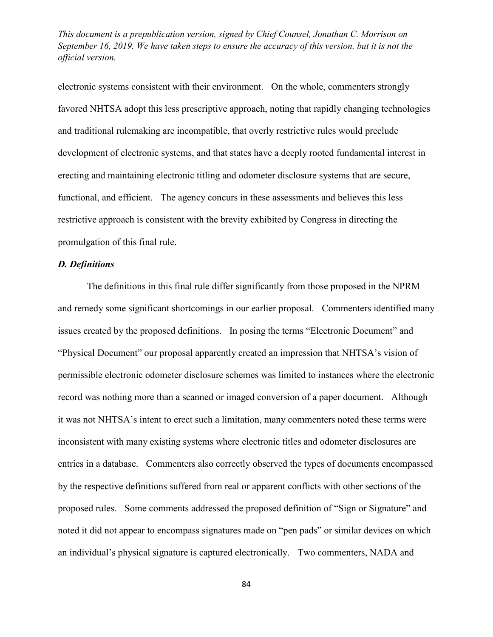electronic systems consistent with their environment. On the whole, commenters strongly favored NHTSA adopt this less prescriptive approach, noting that rapidly changing technologies and traditional rulemaking are incompatible, that overly restrictive rules would preclude development of electronic systems, and that states have a deeply rooted fundamental interest in erecting and maintaining electronic titling and odometer disclosure systems that are secure, functional, and efficient. The agency concurs in these assessments and believes this less restrictive approach is consistent with the brevity exhibited by Congress in directing the promulgation of this final rule.

### *D. Definitions*

The definitions in this final rule differ significantly from those proposed in the NPRM and remedy some significant shortcomings in our earlier proposal. Commenters identified many issues created by the proposed definitions. In posing the terms "Electronic Document" and "Physical Document" our proposal apparently created an impression that NHTSA's vision of permissible electronic odometer disclosure schemes was limited to instances where the electronic record was nothing more than a scanned or imaged conversion of a paper document. Although it was not NHTSA's intent to erect such a limitation, many commenters noted these terms were inconsistent with many existing systems where electronic titles and odometer disclosures are entries in a database. Commenters also correctly observed the types of documents encompassed by the respective definitions suffered from real or apparent conflicts with other sections of the proposed rules. Some comments addressed the proposed definition of "Sign or Signature" and noted it did not appear to encompass signatures made on "pen pads" or similar devices on which an individual's physical signature is captured electronically. Two commenters, NADA and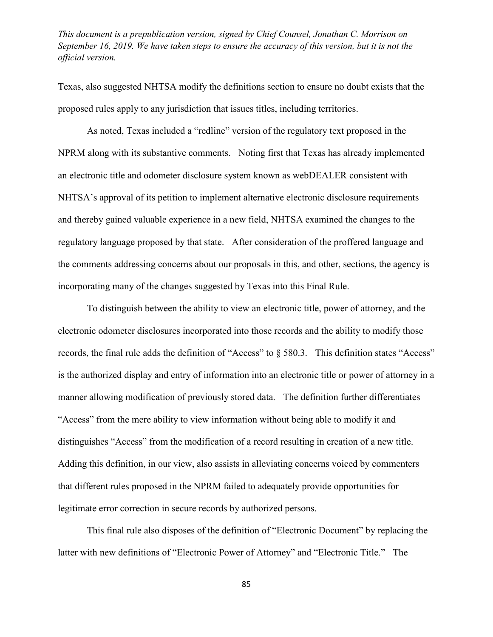Texas, also suggested NHTSA modify the definitions section to ensure no doubt exists that the proposed rules apply to any jurisdiction that issues titles, including territories.

As noted, Texas included a "redline" version of the regulatory text proposed in the NPRM along with its substantive comments. Noting first that Texas has already implemented an electronic title and odometer disclosure system known as webDEALER consistent with NHTSA's approval of its petition to implement alternative electronic disclosure requirements and thereby gained valuable experience in a new field, NHTSA examined the changes to the regulatory language proposed by that state. After consideration of the proffered language and the comments addressing concerns about our proposals in this, and other, sections, the agency is incorporating many of the changes suggested by Texas into this Final Rule.

To distinguish between the ability to view an electronic title, power of attorney, and the electronic odometer disclosures incorporated into those records and the ability to modify those records, the final rule adds the definition of "Access" to § 580.3. This definition states "Access" is the authorized display and entry of information into an electronic title or power of attorney in a manner allowing modification of previously stored data. The definition further differentiates "Access" from the mere ability to view information without being able to modify it and distinguishes "Access" from the modification of a record resulting in creation of a new title. Adding this definition, in our view, also assists in alleviating concerns voiced by commenters that different rules proposed in the NPRM failed to adequately provide opportunities for legitimate error correction in secure records by authorized persons.

This final rule also disposes of the definition of "Electronic Document" by replacing the latter with new definitions of "Electronic Power of Attorney" and "Electronic Title." The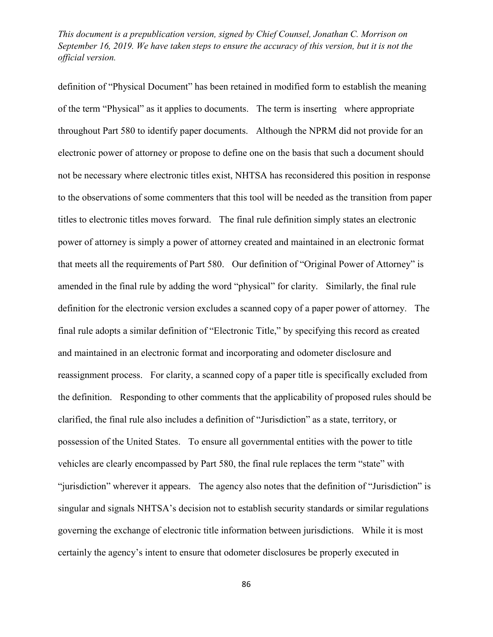definition of "Physical Document" has been retained in modified form to establish the meaning of the term "Physical" as it applies to documents. The term is inserting where appropriate throughout Part 580 to identify paper documents. Although the NPRM did not provide for an electronic power of attorney or propose to define one on the basis that such a document should not be necessary where electronic titles exist, NHTSA has reconsidered this position in response to the observations of some commenters that this tool will be needed as the transition from paper titles to electronic titles moves forward. The final rule definition simply states an electronic power of attorney is simply a power of attorney created and maintained in an electronic format that meets all the requirements of Part 580. Our definition of "Original Power of Attorney" is amended in the final rule by adding the word "physical" for clarity. Similarly, the final rule definition for the electronic version excludes a scanned copy of a paper power of attorney. The final rule adopts a similar definition of "Electronic Title," by specifying this record as created and maintained in an electronic format and incorporating and odometer disclosure and reassignment process. For clarity, a scanned copy of a paper title is specifically excluded from the definition. Responding to other comments that the applicability of proposed rules should be clarified, the final rule also includes a definition of "Jurisdiction" as a state, territory, or possession of the United States. To ensure all governmental entities with the power to title vehicles are clearly encompassed by Part 580, the final rule replaces the term "state" with "jurisdiction" wherever it appears. The agency also notes that the definition of "Jurisdiction" is singular and signals NHTSA's decision not to establish security standards or similar regulations governing the exchange of electronic title information between jurisdictions. While it is most certainly the agency's intent to ensure that odometer disclosures be properly executed in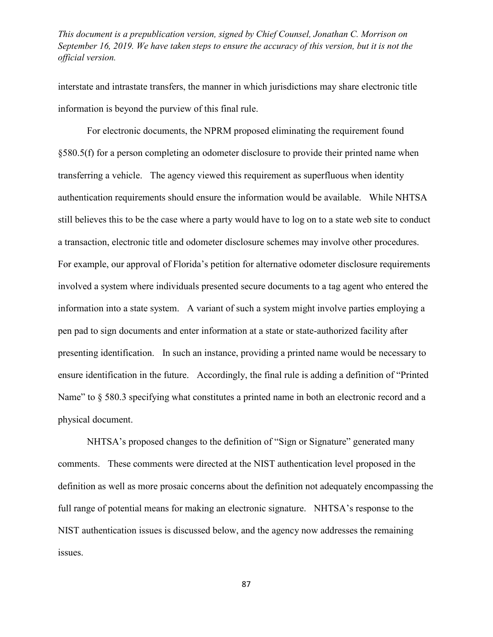interstate and intrastate transfers, the manner in which jurisdictions may share electronic title information is beyond the purview of this final rule.

For electronic documents, the NPRM proposed eliminating the requirement found §580.5(f) for a person completing an odometer disclosure to provide their printed name when transferring a vehicle. The agency viewed this requirement as superfluous when identity authentication requirements should ensure the information would be available. While NHTSA still believes this to be the case where a party would have to log on to a state web site to conduct a transaction, electronic title and odometer disclosure schemes may involve other procedures. For example, our approval of Florida's petition for alternative odometer disclosure requirements involved a system where individuals presented secure documents to a tag agent who entered the information into a state system. A variant of such a system might involve parties employing a pen pad to sign documents and enter information at a state or state-authorized facility after presenting identification. In such an instance, providing a printed name would be necessary to ensure identification in the future. Accordingly, the final rule is adding a definition of "Printed Name" to  $\S$  580.3 specifying what constitutes a printed name in both an electronic record and a physical document.

NHTSA's proposed changes to the definition of "Sign or Signature" generated many comments. These comments were directed at the NIST authentication level proposed in the definition as well as more prosaic concerns about the definition not adequately encompassing the full range of potential means for making an electronic signature. NHTSA's response to the NIST authentication issues is discussed below, and the agency now addresses the remaining issues.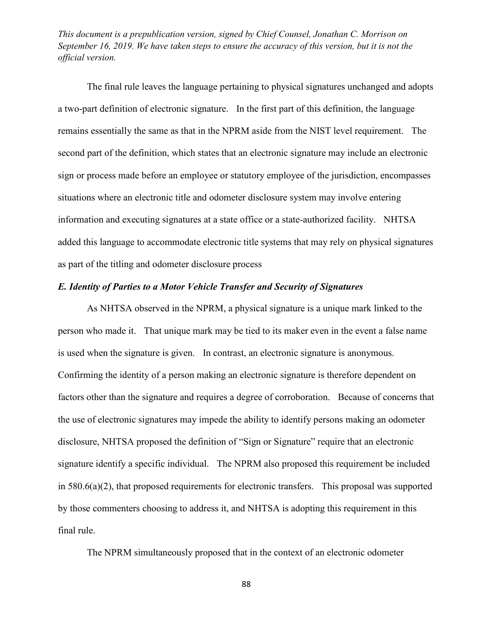The final rule leaves the language pertaining to physical signatures unchanged and adopts a two-part definition of electronic signature. In the first part of this definition, the language remains essentially the same as that in the NPRM aside from the NIST level requirement. The second part of the definition, which states that an electronic signature may include an electronic sign or process made before an employee or statutory employee of the jurisdiction, encompasses situations where an electronic title and odometer disclosure system may involve entering information and executing signatures at a state office or a state-authorized facility. NHTSA added this language to accommodate electronic title systems that may rely on physical signatures as part of the titling and odometer disclosure process

# *E. Identity of Parties to a Motor Vehicle Transfer and Security of Signatures*

As NHTSA observed in the NPRM, a physical signature is a unique mark linked to the person who made it. That unique mark may be tied to its maker even in the event a false name is used when the signature is given. In contrast, an electronic signature is anonymous. Confirming the identity of a person making an electronic signature is therefore dependent on factors other than the signature and requires a degree of corroboration. Because of concerns that the use of electronic signatures may impede the ability to identify persons making an odometer disclosure, NHTSA proposed the definition of "Sign or Signature" require that an electronic signature identify a specific individual. The NPRM also proposed this requirement be included in 580.6(a)(2), that proposed requirements for electronic transfers. This proposal was supported by those commenters choosing to address it, and NHTSA is adopting this requirement in this final rule.

The NPRM simultaneously proposed that in the context of an electronic odometer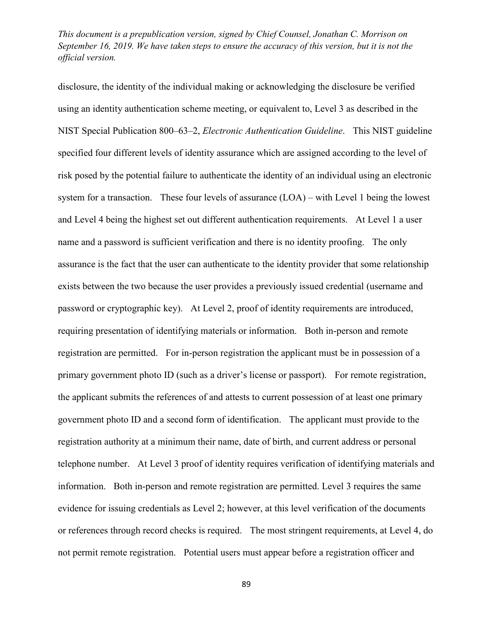disclosure, the identity of the individual making or acknowledging the disclosure be verified using an identity authentication scheme meeting, or equivalent to, Level 3 as described in the NIST Special Publication 800–63–2, *Electronic Authentication Guideline*. This NIST guideline specified four different levels of identity assurance which are assigned according to the level of risk posed by the potential failure to authenticate the identity of an individual using an electronic system for a transaction. These four levels of assurance (LOA) – with Level 1 being the lowest and Level 4 being the highest set out different authentication requirements. At Level 1 a user name and a password is sufficient verification and there is no identity proofing. The only assurance is the fact that the user can authenticate to the identity provider that some relationship exists between the two because the user provides a previously issued credential (username and password or cryptographic key). At Level 2, proof of identity requirements are introduced, requiring presentation of identifying materials or information. Both in-person and remote registration are permitted. For in-person registration the applicant must be in possession of a primary government photo ID (such as a driver's license or passport). For remote registration, the applicant submits the references of and attests to current possession of at least one primary government photo ID and a second form of identification. The applicant must provide to the registration authority at a minimum their name, date of birth, and current address or personal telephone number. At Level 3 proof of identity requires verification of identifying materials and information. Both in-person and remote registration are permitted. Level 3 requires the same evidence for issuing credentials as Level 2; however, at this level verification of the documents or references through record checks is required. The most stringent requirements, at Level 4, do not permit remote registration. Potential users must appear before a registration officer and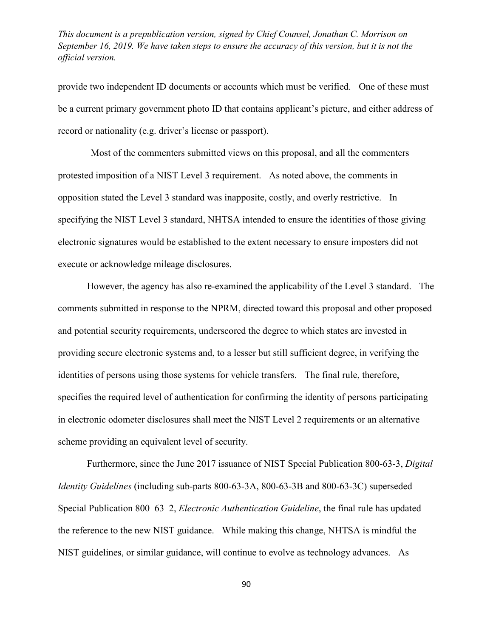provide two independent ID documents or accounts which must be verified. One of these must be a current primary government photo ID that contains applicant's picture, and either address of record or nationality (e.g. driver's license or passport).

Most of the commenters submitted views on this proposal, and all the commenters protested imposition of a NIST Level 3 requirement. As noted above, the comments in opposition stated the Level 3 standard was inapposite, costly, and overly restrictive. In specifying the NIST Level 3 standard, NHTSA intended to ensure the identities of those giving electronic signatures would be established to the extent necessary to ensure imposters did not execute or acknowledge mileage disclosures.

However, the agency has also re-examined the applicability of the Level 3 standard. The comments submitted in response to the NPRM, directed toward this proposal and other proposed and potential security requirements, underscored the degree to which states are invested in providing secure electronic systems and, to a lesser but still sufficient degree, in verifying the identities of persons using those systems for vehicle transfers. The final rule, therefore, specifies the required level of authentication for confirming the identity of persons participating in electronic odometer disclosures shall meet the NIST Level 2 requirements or an alternative scheme providing an equivalent level of security.

Furthermore, since the June 2017 issuance of NIST Special Publication 800-63-3, *Digital Identity Guidelines* (including sub-parts 800-63-3A, 800-63-3B and 800-63-3C) superseded Special Publication 800–63–2, *Electronic Authentication Guideline*, the final rule has updated the reference to the new NIST guidance. While making this change, NHTSA is mindful the NIST guidelines, or similar guidance, will continue to evolve as technology advances. As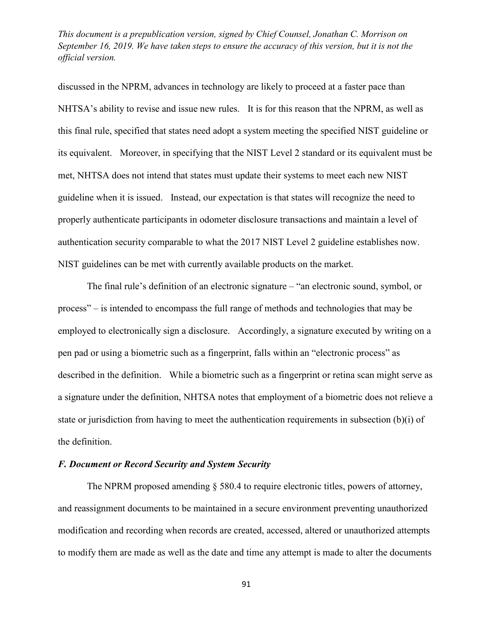discussed in the NPRM, advances in technology are likely to proceed at a faster pace than NHTSA's ability to revise and issue new rules. It is for this reason that the NPRM, as well as this final rule, specified that states need adopt a system meeting the specified NIST guideline or its equivalent. Moreover, in specifying that the NIST Level 2 standard or its equivalent must be met, NHTSA does not intend that states must update their systems to meet each new NIST guideline when it is issued. Instead, our expectation is that states will recognize the need to properly authenticate participants in odometer disclosure transactions and maintain a level of authentication security comparable to what the 2017 NIST Level 2 guideline establishes now. NIST guidelines can be met with currently available products on the market.

The final rule's definition of an electronic signature – "an electronic sound, symbol, or process" – is intended to encompass the full range of methods and technologies that may be employed to electronically sign a disclosure. Accordingly, a signature executed by writing on a pen pad or using a biometric such as a fingerprint, falls within an "electronic process" as described in the definition. While a biometric such as a fingerprint or retina scan might serve as a signature under the definition, NHTSA notes that employment of a biometric does not relieve a state or jurisdiction from having to meet the authentication requirements in subsection (b)(i) of the definition.

## *F. Document or Record Security and System Security*

The NPRM proposed amending § 580.4 to require electronic titles, powers of attorney, and reassignment documents to be maintained in a secure environment preventing unauthorized modification and recording when records are created, accessed, altered or unauthorized attempts to modify them are made as well as the date and time any attempt is made to alter the documents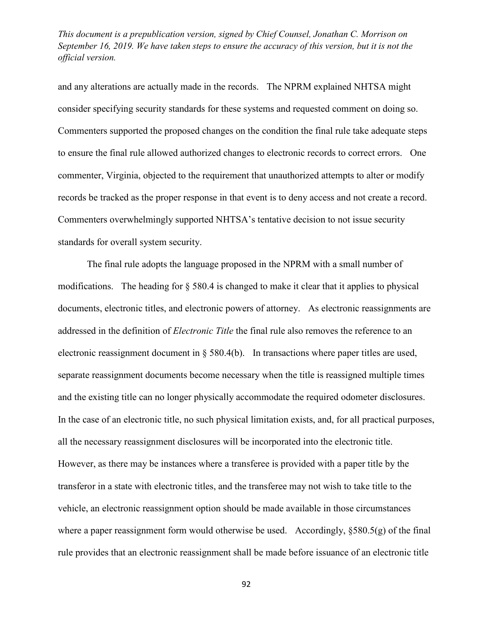and any alterations are actually made in the records. The NPRM explained NHTSA might consider specifying security standards for these systems and requested comment on doing so. Commenters supported the proposed changes on the condition the final rule take adequate steps to ensure the final rule allowed authorized changes to electronic records to correct errors. One commenter, Virginia, objected to the requirement that unauthorized attempts to alter or modify records be tracked as the proper response in that event is to deny access and not create a record. Commenters overwhelmingly supported NHTSA's tentative decision to not issue security standards for overall system security.

The final rule adopts the language proposed in the NPRM with a small number of modifications. The heading for § 580.4 is changed to make it clear that it applies to physical documents, electronic titles, and electronic powers of attorney. As electronic reassignments are addressed in the definition of *Electronic Title* the final rule also removes the reference to an electronic reassignment document in § 580.4(b). In transactions where paper titles are used, separate reassignment documents become necessary when the title is reassigned multiple times and the existing title can no longer physically accommodate the required odometer disclosures. In the case of an electronic title, no such physical limitation exists, and, for all practical purposes, all the necessary reassignment disclosures will be incorporated into the electronic title. However, as there may be instances where a transferee is provided with a paper title by the transferor in a state with electronic titles, and the transferee may not wish to take title to the vehicle, an electronic reassignment option should be made available in those circumstances where a paper reassignment form would otherwise be used. Accordingly,  $\S 580.5(g)$  of the final rule provides that an electronic reassignment shall be made before issuance of an electronic title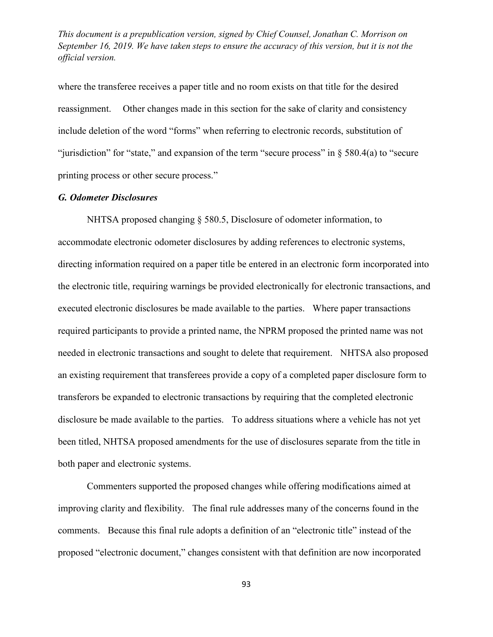where the transferee receives a paper title and no room exists on that title for the desired reassignment. Other changes made in this section for the sake of clarity and consistency include deletion of the word "forms" when referring to electronic records, substitution of "jurisdiction" for "state," and expansion of the term "secure process" in § 580.4(a) to "secure printing process or other secure process."

### *G. Odometer Disclosures*

NHTSA proposed changing § 580.5, Disclosure of odometer information, to accommodate electronic odometer disclosures by adding references to electronic systems, directing information required on a paper title be entered in an electronic form incorporated into the electronic title, requiring warnings be provided electronically for electronic transactions, and executed electronic disclosures be made available to the parties. Where paper transactions required participants to provide a printed name, the NPRM proposed the printed name was not needed in electronic transactions and sought to delete that requirement. NHTSA also proposed an existing requirement that transferees provide a copy of a completed paper disclosure form to transferors be expanded to electronic transactions by requiring that the completed electronic disclosure be made available to the parties. To address situations where a vehicle has not yet been titled, NHTSA proposed amendments for the use of disclosures separate from the title in both paper and electronic systems.

Commenters supported the proposed changes while offering modifications aimed at improving clarity and flexibility. The final rule addresses many of the concerns found in the comments. Because this final rule adopts a definition of an "electronic title" instead of the proposed "electronic document," changes consistent with that definition are now incorporated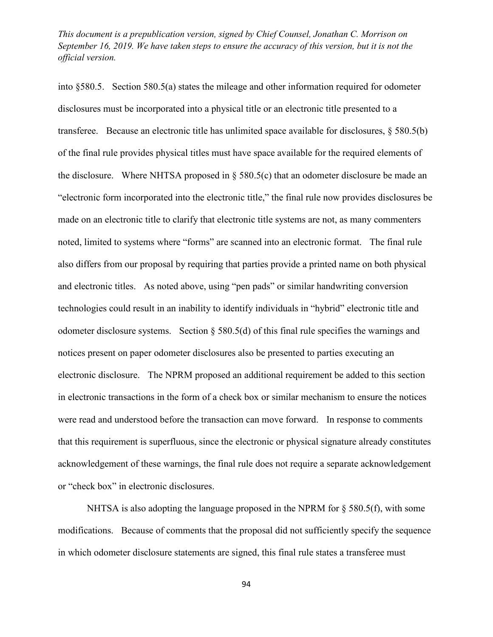into §580.5. Section 580.5(a) states the mileage and other information required for odometer disclosures must be incorporated into a physical title or an electronic title presented to a transferee. Because an electronic title has unlimited space available for disclosures, § 580.5(b) of the final rule provides physical titles must have space available for the required elements of the disclosure. Where NHTSA proposed in  $\S$  580.5(c) that an odometer disclosure be made an "electronic form incorporated into the electronic title," the final rule now provides disclosures be made on an electronic title to clarify that electronic title systems are not, as many commenters noted, limited to systems where "forms" are scanned into an electronic format. The final rule also differs from our proposal by requiring that parties provide a printed name on both physical and electronic titles. As noted above, using "pen pads" or similar handwriting conversion technologies could result in an inability to identify individuals in "hybrid" electronic title and odometer disclosure systems. Section § 580.5(d) of this final rule specifies the warnings and notices present on paper odometer disclosures also be presented to parties executing an electronic disclosure. The NPRM proposed an additional requirement be added to this section in electronic transactions in the form of a check box or similar mechanism to ensure the notices were read and understood before the transaction can move forward. In response to comments that this requirement is superfluous, since the electronic or physical signature already constitutes acknowledgement of these warnings, the final rule does not require a separate acknowledgement or "check box" in electronic disclosures.

NHTSA is also adopting the language proposed in the NPRM for  $\S$  580.5(f), with some modifications. Because of comments that the proposal did not sufficiently specify the sequence in which odometer disclosure statements are signed, this final rule states a transferee must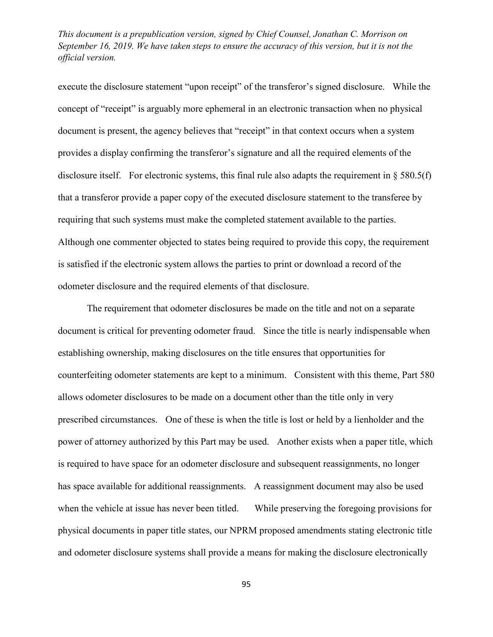execute the disclosure statement "upon receipt" of the transferor's signed disclosure. While the concept of "receipt" is arguably more ephemeral in an electronic transaction when no physical document is present, the agency believes that "receipt" in that context occurs when a system provides a display confirming the transferor's signature and all the required elements of the disclosure itself. For electronic systems, this final rule also adapts the requirement in § 580.5(f) that a transferor provide a paper copy of the executed disclosure statement to the transferee by requiring that such systems must make the completed statement available to the parties. Although one commenter objected to states being required to provide this copy, the requirement is satisfied if the electronic system allows the parties to print or download a record of the odometer disclosure and the required elements of that disclosure.

The requirement that odometer disclosures be made on the title and not on a separate document is critical for preventing odometer fraud. Since the title is nearly indispensable when establishing ownership, making disclosures on the title ensures that opportunities for counterfeiting odometer statements are kept to a minimum. Consistent with this theme, Part 580 allows odometer disclosures to be made on a document other than the title only in very prescribed circumstances. One of these is when the title is lost or held by a lienholder and the power of attorney authorized by this Part may be used. Another exists when a paper title, which is required to have space for an odometer disclosure and subsequent reassignments, no longer has space available for additional reassignments. A reassignment document may also be used when the vehicle at issue has never been titled. While preserving the foregoing provisions for physical documents in paper title states, our NPRM proposed amendments stating electronic title and odometer disclosure systems shall provide a means for making the disclosure electronically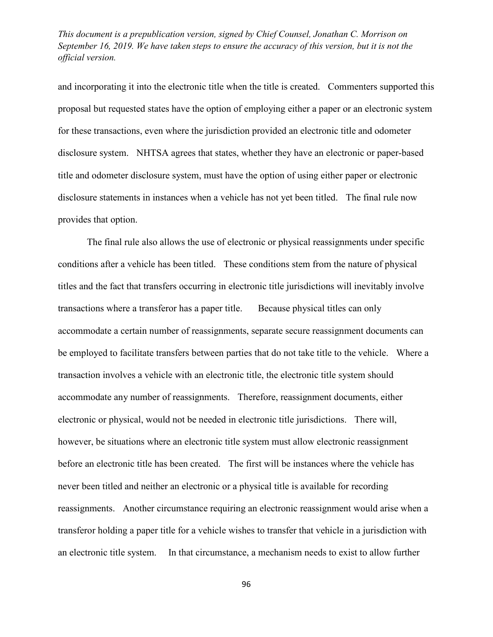and incorporating it into the electronic title when the title is created. Commenters supported this proposal but requested states have the option of employing either a paper or an electronic system for these transactions, even where the jurisdiction provided an electronic title and odometer disclosure system. NHTSA agrees that states, whether they have an electronic or paper-based title and odometer disclosure system, must have the option of using either paper or electronic disclosure statements in instances when a vehicle has not yet been titled. The final rule now provides that option.

The final rule also allows the use of electronic or physical reassignments under specific conditions after a vehicle has been titled. These conditions stem from the nature of physical titles and the fact that transfers occurring in electronic title jurisdictions will inevitably involve transactions where a transferor has a paper title. Because physical titles can only accommodate a certain number of reassignments, separate secure reassignment documents can be employed to facilitate transfers between parties that do not take title to the vehicle. Where a transaction involves a vehicle with an electronic title, the electronic title system should accommodate any number of reassignments. Therefore, reassignment documents, either electronic or physical, would not be needed in electronic title jurisdictions. There will, however, be situations where an electronic title system must allow electronic reassignment before an electronic title has been created. The first will be instances where the vehicle has never been titled and neither an electronic or a physical title is available for recording reassignments. Another circumstance requiring an electronic reassignment would arise when a transferor holding a paper title for a vehicle wishes to transfer that vehicle in a jurisdiction with an electronic title system. In that circumstance, a mechanism needs to exist to allow further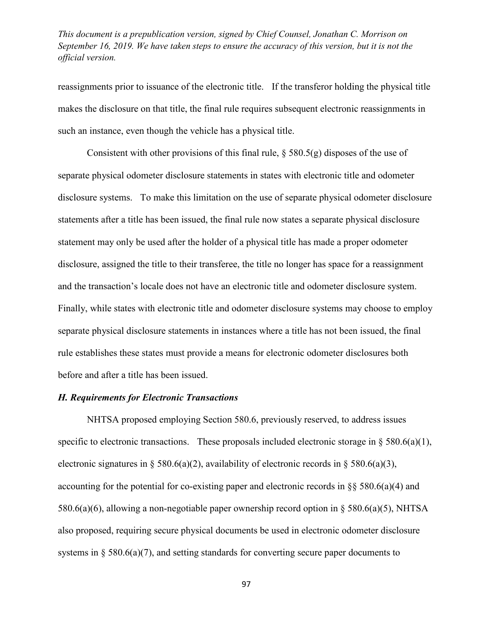reassignments prior to issuance of the electronic title. If the transferor holding the physical title makes the disclosure on that title, the final rule requires subsequent electronic reassignments in such an instance, even though the vehicle has a physical title.

Consistent with other provisions of this final rule,  $\S$  580.5(g) disposes of the use of separate physical odometer disclosure statements in states with electronic title and odometer disclosure systems. To make this limitation on the use of separate physical odometer disclosure statements after a title has been issued, the final rule now states a separate physical disclosure statement may only be used after the holder of a physical title has made a proper odometer disclosure, assigned the title to their transferee, the title no longer has space for a reassignment and the transaction's locale does not have an electronic title and odometer disclosure system. Finally, while states with electronic title and odometer disclosure systems may choose to employ separate physical disclosure statements in instances where a title has not been issued, the final rule establishes these states must provide a means for electronic odometer disclosures both before and after a title has been issued.

### *H. Requirements for Electronic Transactions*

NHTSA proposed employing Section 580.6, previously reserved, to address issues specific to electronic transactions. These proposals included electronic storage in  $\S$  580.6(a)(1), electronic signatures in § 580.6(a)(2), availability of electronic records in § 580.6(a)(3), accounting for the potential for co-existing paper and electronic records in  $\S$ § 580.6(a)(4) and 580.6(a)(6), allowing a non-negotiable paper ownership record option in § 580.6(a)(5), NHTSA also proposed, requiring secure physical documents be used in electronic odometer disclosure systems in § 580.6(a)(7), and setting standards for converting secure paper documents to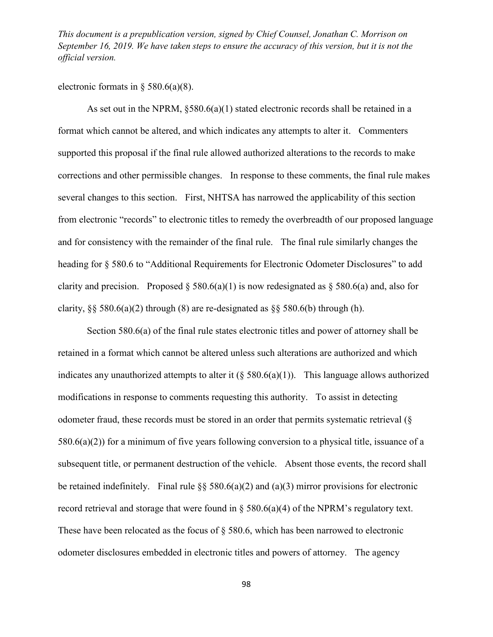electronic formats in  $\S$  580.6(a)(8).

As set out in the NPRM,  $\delta$ 580.6(a)(1) stated electronic records shall be retained in a format which cannot be altered, and which indicates any attempts to alter it. Commenters supported this proposal if the final rule allowed authorized alterations to the records to make corrections and other permissible changes. In response to these comments, the final rule makes several changes to this section. First, NHTSA has narrowed the applicability of this section from electronic "records" to electronic titles to remedy the overbreadth of our proposed language and for consistency with the remainder of the final rule. The final rule similarly changes the heading for § 580.6 to "Additional Requirements for Electronic Odometer Disclosures" to add clarity and precision. Proposed  $\S 580.6(a)(1)$  is now redesignated as  $\S 580.6(a)$  and, also for clarity,  $\S$ § 580.6(a)(2) through (8) are re-designated as  $\S$ § 580.6(b) through (h).

Section 580.6(a) of the final rule states electronic titles and power of attorney shall be retained in a format which cannot be altered unless such alterations are authorized and which indicates any unauthorized attempts to alter it  $(\xi 580.6(a)(1))$ . This language allows authorized modifications in response to comments requesting this authority. To assist in detecting odometer fraud, these records must be stored in an order that permits systematic retrieval (§ 580.6(a)(2)) for a minimum of five years following conversion to a physical title, issuance of a subsequent title, or permanent destruction of the vehicle. Absent those events, the record shall be retained indefinitely. Final rule  $\S$ § 580.6(a)(2) and (a)(3) mirror provisions for electronic record retrieval and storage that were found in  $\S$  580.6(a)(4) of the NPRM's regulatory text. These have been relocated as the focus of  $\S$  580.6, which has been narrowed to electronic odometer disclosures embedded in electronic titles and powers of attorney. The agency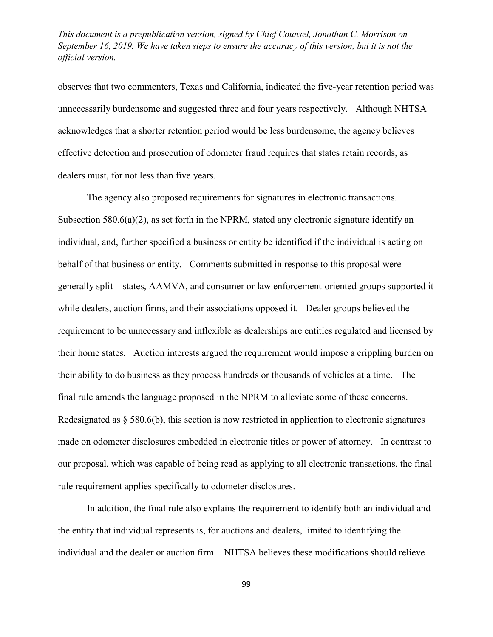observes that two commenters, Texas and California, indicated the five-year retention period was unnecessarily burdensome and suggested three and four years respectively. Although NHTSA acknowledges that a shorter retention period would be less burdensome, the agency believes effective detection and prosecution of odometer fraud requires that states retain records, as dealers must, for not less than five years.

The agency also proposed requirements for signatures in electronic transactions. Subsection 580.6(a)(2), as set forth in the NPRM, stated any electronic signature identify an individual, and, further specified a business or entity be identified if the individual is acting on behalf of that business or entity. Comments submitted in response to this proposal were generally split – states, AAMVA, and consumer or law enforcement-oriented groups supported it while dealers, auction firms, and their associations opposed it. Dealer groups believed the requirement to be unnecessary and inflexible as dealerships are entities regulated and licensed by their home states. Auction interests argued the requirement would impose a crippling burden on their ability to do business as they process hundreds or thousands of vehicles at a time. The final rule amends the language proposed in the NPRM to alleviate some of these concerns. Redesignated as § 580.6(b), this section is now restricted in application to electronic signatures made on odometer disclosures embedded in electronic titles or power of attorney. In contrast to our proposal, which was capable of being read as applying to all electronic transactions, the final rule requirement applies specifically to odometer disclosures.

In addition, the final rule also explains the requirement to identify both an individual and the entity that individual represents is, for auctions and dealers, limited to identifying the individual and the dealer or auction firm. NHTSA believes these modifications should relieve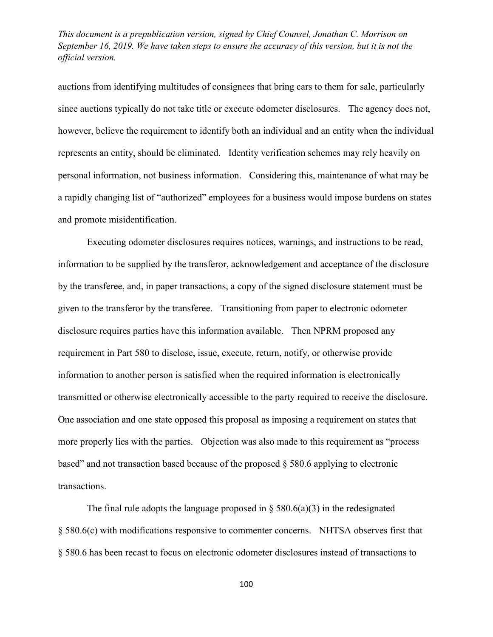auctions from identifying multitudes of consignees that bring cars to them for sale, particularly since auctions typically do not take title or execute odometer disclosures. The agency does not, however, believe the requirement to identify both an individual and an entity when the individual represents an entity, should be eliminated. Identity verification schemes may rely heavily on personal information, not business information. Considering this, maintenance of what may be a rapidly changing list of "authorized" employees for a business would impose burdens on states and promote misidentification.

Executing odometer disclosures requires notices, warnings, and instructions to be read, information to be supplied by the transferor, acknowledgement and acceptance of the disclosure by the transferee, and, in paper transactions, a copy of the signed disclosure statement must be given to the transferor by the transferee. Transitioning from paper to electronic odometer disclosure requires parties have this information available. Then NPRM proposed any requirement in Part 580 to disclose, issue, execute, return, notify, or otherwise provide information to another person is satisfied when the required information is electronically transmitted or otherwise electronically accessible to the party required to receive the disclosure. One association and one state opposed this proposal as imposing a requirement on states that more properly lies with the parties. Objection was also made to this requirement as "process based" and not transaction based because of the proposed § 580.6 applying to electronic transactions.

The final rule adopts the language proposed in  $\S$  580.6(a)(3) in the redesignated § 580.6(c) with modifications responsive to commenter concerns. NHTSA observes first that § 580.6 has been recast to focus on electronic odometer disclosures instead of transactions to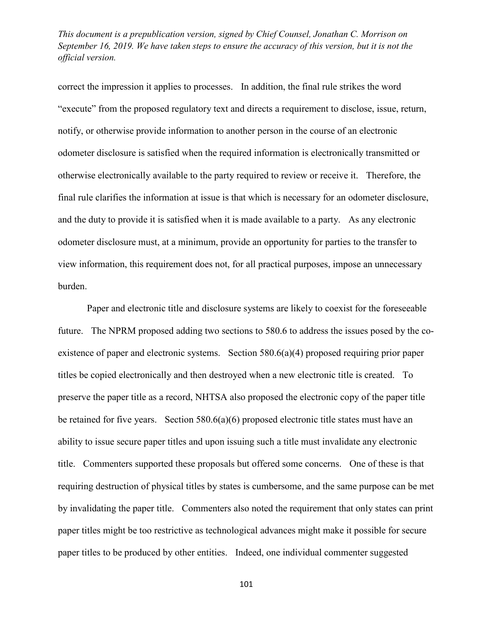correct the impression it applies to processes. In addition, the final rule strikes the word "execute" from the proposed regulatory text and directs a requirement to disclose, issue, return, notify, or otherwise provide information to another person in the course of an electronic odometer disclosure is satisfied when the required information is electronically transmitted or otherwise electronically available to the party required to review or receive it. Therefore, the final rule clarifies the information at issue is that which is necessary for an odometer disclosure, and the duty to provide it is satisfied when it is made available to a party. As any electronic odometer disclosure must, at a minimum, provide an opportunity for parties to the transfer to view information, this requirement does not, for all practical purposes, impose an unnecessary burden.

Paper and electronic title and disclosure systems are likely to coexist for the foreseeable future. The NPRM proposed adding two sections to 580.6 to address the issues posed by the coexistence of paper and electronic systems. Section 580.6(a)(4) proposed requiring prior paper titles be copied electronically and then destroyed when a new electronic title is created. To preserve the paper title as a record, NHTSA also proposed the electronic copy of the paper title be retained for five years. Section  $580.6(a)(6)$  proposed electronic title states must have an ability to issue secure paper titles and upon issuing such a title must invalidate any electronic title. Commenters supported these proposals but offered some concerns. One of these is that requiring destruction of physical titles by states is cumbersome, and the same purpose can be met by invalidating the paper title. Commenters also noted the requirement that only states can print paper titles might be too restrictive as technological advances might make it possible for secure paper titles to be produced by other entities. Indeed, one individual commenter suggested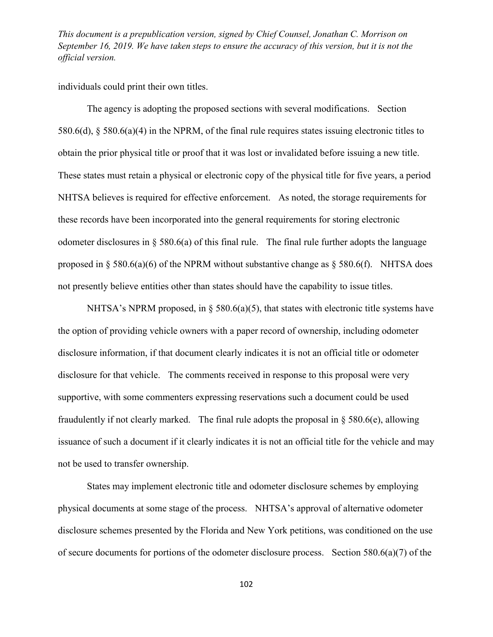individuals could print their own titles.

The agency is adopting the proposed sections with several modifications. Section 580.6(d), § 580.6(a)(4) in the NPRM, of the final rule requires states issuing electronic titles to obtain the prior physical title or proof that it was lost or invalidated before issuing a new title. These states must retain a physical or electronic copy of the physical title for five years, a period NHTSA believes is required for effective enforcement. As noted, the storage requirements for these records have been incorporated into the general requirements for storing electronic odometer disclosures in § 580.6(a) of this final rule. The final rule further adopts the language proposed in  $\S$  580.6(a)(6) of the NPRM without substantive change as  $\S$  580.6(f). NHTSA does not presently believe entities other than states should have the capability to issue titles.

NHTSA's NPRM proposed, in  $\S$  580.6(a)(5), that states with electronic title systems have the option of providing vehicle owners with a paper record of ownership, including odometer disclosure information, if that document clearly indicates it is not an official title or odometer disclosure for that vehicle. The comments received in response to this proposal were very supportive, with some commenters expressing reservations such a document could be used fraudulently if not clearly marked. The final rule adopts the proposal in  $\S$  580.6(e), allowing issuance of such a document if it clearly indicates it is not an official title for the vehicle and may not be used to transfer ownership.

States may implement electronic title and odometer disclosure schemes by employing physical documents at some stage of the process. NHTSA's approval of alternative odometer disclosure schemes presented by the Florida and New York petitions, was conditioned on the use of secure documents for portions of the odometer disclosure process. Section 580.6(a)(7) of the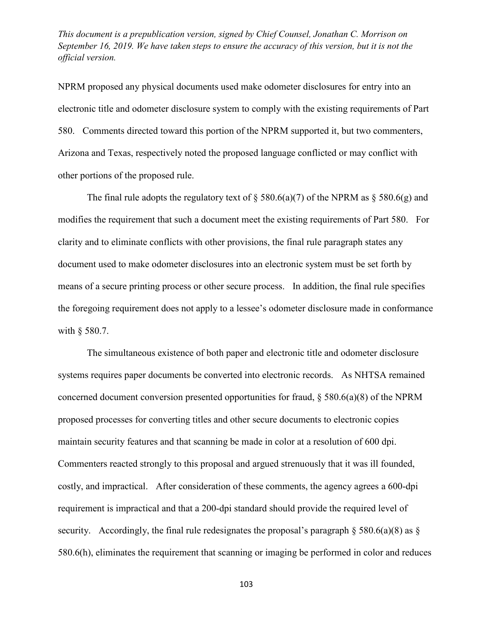NPRM proposed any physical documents used make odometer disclosures for entry into an electronic title and odometer disclosure system to comply with the existing requirements of Part 580. Comments directed toward this portion of the NPRM supported it, but two commenters, Arizona and Texas, respectively noted the proposed language conflicted or may conflict with other portions of the proposed rule.

The final rule adopts the regulatory text of  $\S$  580.6(a)(7) of the NPRM as  $\S$  580.6(g) and modifies the requirement that such a document meet the existing requirements of Part 580. For clarity and to eliminate conflicts with other provisions, the final rule paragraph states any document used to make odometer disclosures into an electronic system must be set forth by means of a secure printing process or other secure process. In addition, the final rule specifies the foregoing requirement does not apply to a lessee's odometer disclosure made in conformance with § 580.7.

The simultaneous existence of both paper and electronic title and odometer disclosure systems requires paper documents be converted into electronic records. As NHTSA remained concerned document conversion presented opportunities for fraud,  $\S$  580.6(a)(8) of the NPRM proposed processes for converting titles and other secure documents to electronic copies maintain security features and that scanning be made in color at a resolution of 600 dpi. Commenters reacted strongly to this proposal and argued strenuously that it was ill founded, costly, and impractical. After consideration of these comments, the agency agrees a 600-dpi requirement is impractical and that a 200-dpi standard should provide the required level of security. Accordingly, the final rule redesignates the proposal's paragraph  $\S$  580.6(a)(8) as  $\S$ 580.6(h), eliminates the requirement that scanning or imaging be performed in color and reduces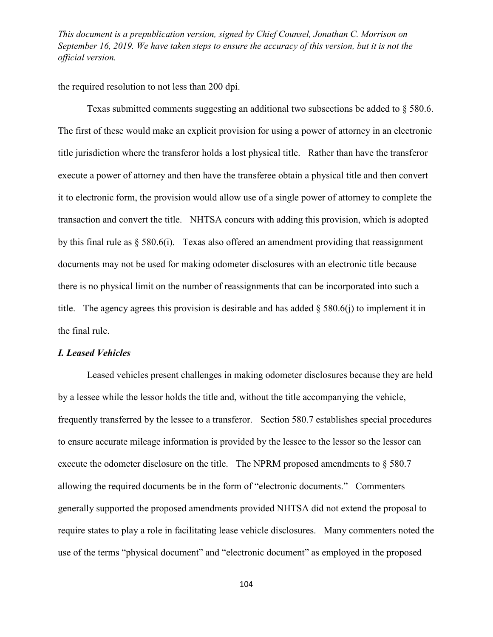the required resolution to not less than 200 dpi.

Texas submitted comments suggesting an additional two subsections be added to § 580.6. The first of these would make an explicit provision for using a power of attorney in an electronic title jurisdiction where the transferor holds a lost physical title. Rather than have the transferor execute a power of attorney and then have the transferee obtain a physical title and then convert it to electronic form, the provision would allow use of a single power of attorney to complete the transaction and convert the title. NHTSA concurs with adding this provision, which is adopted by this final rule as § 580.6(i). Texas also offered an amendment providing that reassignment documents may not be used for making odometer disclosures with an electronic title because there is no physical limit on the number of reassignments that can be incorporated into such a title. The agency agrees this provision is desirable and has added  $\S$  580.6(j) to implement it in the final rule.

### *I. Leased Vehicles*

Leased vehicles present challenges in making odometer disclosures because they are held by a lessee while the lessor holds the title and, without the title accompanying the vehicle, frequently transferred by the lessee to a transferor. Section 580.7 establishes special procedures to ensure accurate mileage information is provided by the lessee to the lessor so the lessor can execute the odometer disclosure on the title. The NPRM proposed amendments to § 580.7 allowing the required documents be in the form of "electronic documents." Commenters generally supported the proposed amendments provided NHTSA did not extend the proposal to require states to play a role in facilitating lease vehicle disclosures. Many commenters noted the use of the terms "physical document" and "electronic document" as employed in the proposed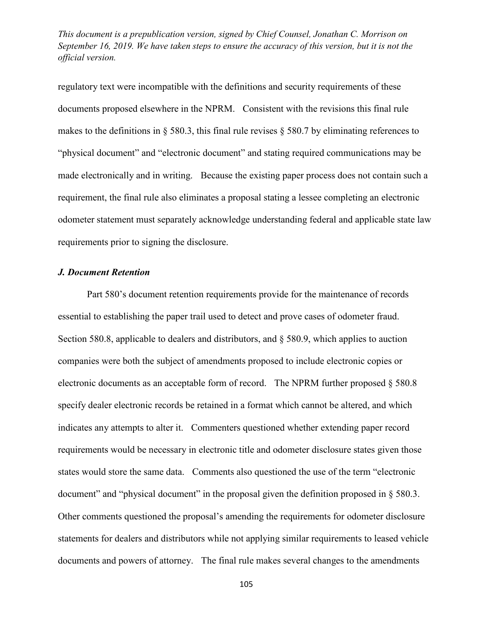regulatory text were incompatible with the definitions and security requirements of these documents proposed elsewhere in the NPRM. Consistent with the revisions this final rule makes to the definitions in  $\S$  580.3, this final rule revises  $\S$  580.7 by eliminating references to "physical document" and "electronic document" and stating required communications may be made electronically and in writing. Because the existing paper process does not contain such a requirement, the final rule also eliminates a proposal stating a lessee completing an electronic odometer statement must separately acknowledge understanding federal and applicable state law requirements prior to signing the disclosure.

### *J. Document Retention*

Part 580's document retention requirements provide for the maintenance of records essential to establishing the paper trail used to detect and prove cases of odometer fraud. Section 580.8, applicable to dealers and distributors, and § 580.9, which applies to auction companies were both the subject of amendments proposed to include electronic copies or electronic documents as an acceptable form of record. The NPRM further proposed § 580.8 specify dealer electronic records be retained in a format which cannot be altered, and which indicates any attempts to alter it. Commenters questioned whether extending paper record requirements would be necessary in electronic title and odometer disclosure states given those states would store the same data. Comments also questioned the use of the term "electronic document" and "physical document" in the proposal given the definition proposed in § 580.3. Other comments questioned the proposal's amending the requirements for odometer disclosure statements for dealers and distributors while not applying similar requirements to leased vehicle documents and powers of attorney. The final rule makes several changes to the amendments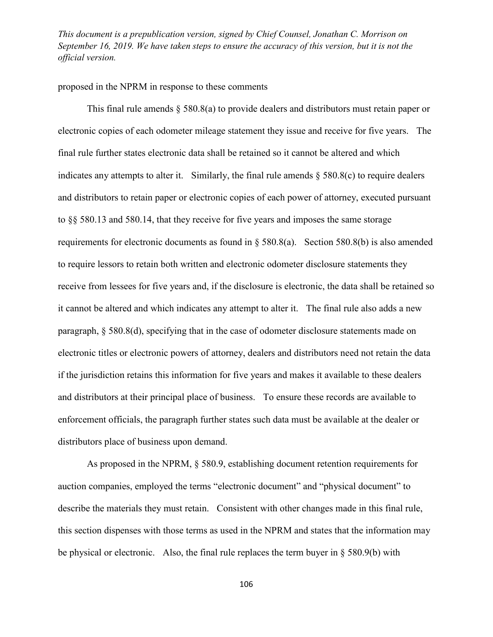## proposed in the NPRM in response to these comments

This final rule amends § 580.8(a) to provide dealers and distributors must retain paper or electronic copies of each odometer mileage statement they issue and receive for five years. The final rule further states electronic data shall be retained so it cannot be altered and which indicates any attempts to alter it. Similarly, the final rule amends  $\S$  580.8(c) to require dealers and distributors to retain paper or electronic copies of each power of attorney, executed pursuant to §§ 580.13 and 580.14, that they receive for five years and imposes the same storage requirements for electronic documents as found in § 580.8(a). Section 580.8(b) is also amended to require lessors to retain both written and electronic odometer disclosure statements they receive from lessees for five years and, if the disclosure is electronic, the data shall be retained so it cannot be altered and which indicates any attempt to alter it. The final rule also adds a new paragraph, § 580.8(d), specifying that in the case of odometer disclosure statements made on electronic titles or electronic powers of attorney, dealers and distributors need not retain the data if the jurisdiction retains this information for five years and makes it available to these dealers and distributors at their principal place of business. To ensure these records are available to enforcement officials, the paragraph further states such data must be available at the dealer or distributors place of business upon demand.

As proposed in the NPRM, § 580.9, establishing document retention requirements for auction companies, employed the terms "electronic document" and "physical document" to describe the materials they must retain. Consistent with other changes made in this final rule, this section dispenses with those terms as used in the NPRM and states that the information may be physical or electronic. Also, the final rule replaces the term buyer in § 580.9(b) with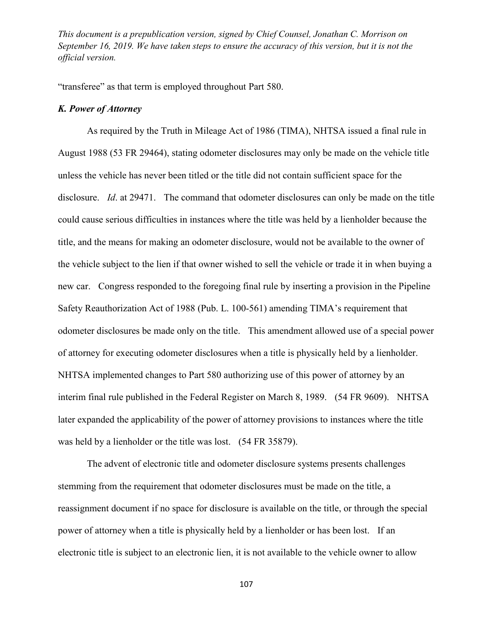"transferee" as that term is employed throughout Part 580.

### *K. Power of Attorney*

As required by the Truth in Mileage Act of 1986 (TIMA), NHTSA issued a final rule in August 1988 (53 FR 29464), stating odometer disclosures may only be made on the vehicle title unless the vehicle has never been titled or the title did not contain sufficient space for the disclosure. *Id*. at 29471. The command that odometer disclosures can only be made on the title could cause serious difficulties in instances where the title was held by a lienholder because the title, and the means for making an odometer disclosure, would not be available to the owner of the vehicle subject to the lien if that owner wished to sell the vehicle or trade it in when buying a new car. Congress responded to the foregoing final rule by inserting a provision in the Pipeline Safety Reauthorization Act of 1988 (Pub. L. 100-561) amending TIMA's requirement that odometer disclosures be made only on the title. This amendment allowed use of a special power of attorney for executing odometer disclosures when a title is physically held by a lienholder. NHTSA implemented changes to Part 580 authorizing use of this power of attorney by an interim final rule published in the Federal Register on March 8, 1989. (54 FR 9609). NHTSA later expanded the applicability of the power of attorney provisions to instances where the title was held by a lienholder or the title was lost. (54 FR 35879).

The advent of electronic title and odometer disclosure systems presents challenges stemming from the requirement that odometer disclosures must be made on the title, a reassignment document if no space for disclosure is available on the title, or through the special power of attorney when a title is physically held by a lienholder or has been lost. If an electronic title is subject to an electronic lien, it is not available to the vehicle owner to allow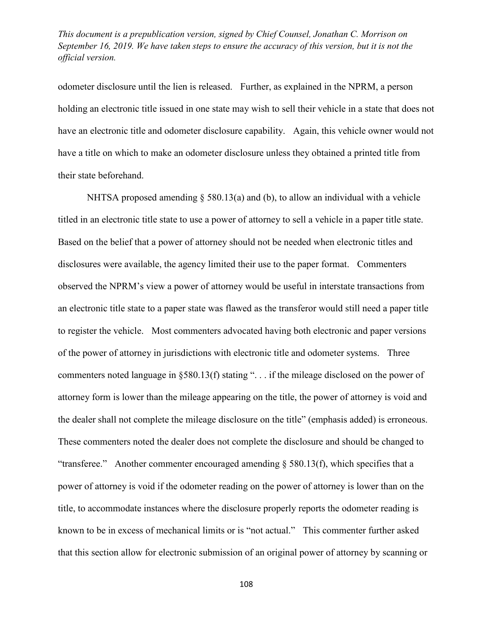odometer disclosure until the lien is released. Further, as explained in the NPRM, a person holding an electronic title issued in one state may wish to sell their vehicle in a state that does not have an electronic title and odometer disclosure capability. Again, this vehicle owner would not have a title on which to make an odometer disclosure unless they obtained a printed title from their state beforehand.

NHTSA proposed amending § 580.13(a) and (b), to allow an individual with a vehicle titled in an electronic title state to use a power of attorney to sell a vehicle in a paper title state. Based on the belief that a power of attorney should not be needed when electronic titles and disclosures were available, the agency limited their use to the paper format. Commenters observed the NPRM's view a power of attorney would be useful in interstate transactions from an electronic title state to a paper state was flawed as the transferor would still need a paper title to register the vehicle. Most commenters advocated having both electronic and paper versions of the power of attorney in jurisdictions with electronic title and odometer systems. Three commenters noted language in §580.13(f) stating ". . . if the mileage disclosed on the power of attorney form is lower than the mileage appearing on the title, the power of attorney is void and the dealer shall not complete the mileage disclosure on the title" (emphasis added) is erroneous. These commenters noted the dealer does not complete the disclosure and should be changed to "transferee." Another commenter encouraged amending  $\S$  580.13(f), which specifies that a power of attorney is void if the odometer reading on the power of attorney is lower than on the title, to accommodate instances where the disclosure properly reports the odometer reading is known to be in excess of mechanical limits or is "not actual." This commenter further asked that this section allow for electronic submission of an original power of attorney by scanning or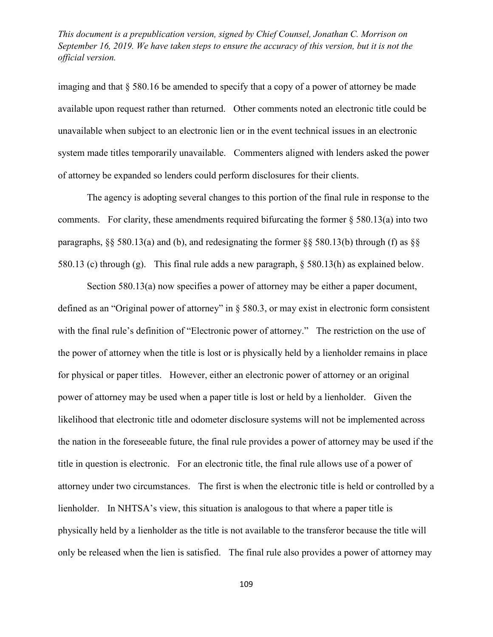imaging and that  $\S 580.16$  be amended to specify that a copy of a power of attorney be made available upon request rather than returned. Other comments noted an electronic title could be unavailable when subject to an electronic lien or in the event technical issues in an electronic system made titles temporarily unavailable. Commenters aligned with lenders asked the power of attorney be expanded so lenders could perform disclosures for their clients.

The agency is adopting several changes to this portion of the final rule in response to the comments. For clarity, these amendments required bifurcating the former  $\S$  580.13(a) into two paragraphs, §§ 580.13(a) and (b), and redesignating the former §§ 580.13(b) through (f) as §§ 580.13 (c) through (g). This final rule adds a new paragraph, § 580.13(h) as explained below.

Section 580.13(a) now specifies a power of attorney may be either a paper document, defined as an "Original power of attorney" in § 580.3, or may exist in electronic form consistent with the final rule's definition of "Electronic power of attorney." The restriction on the use of the power of attorney when the title is lost or is physically held by a lienholder remains in place for physical or paper titles. However, either an electronic power of attorney or an original power of attorney may be used when a paper title is lost or held by a lienholder. Given the likelihood that electronic title and odometer disclosure systems will not be implemented across the nation in the foreseeable future, the final rule provides a power of attorney may be used if the title in question is electronic. For an electronic title, the final rule allows use of a power of attorney under two circumstances. The first is when the electronic title is held or controlled by a lienholder. In NHTSA's view, this situation is analogous to that where a paper title is physically held by a lienholder as the title is not available to the transferor because the title will only be released when the lien is satisfied. The final rule also provides a power of attorney may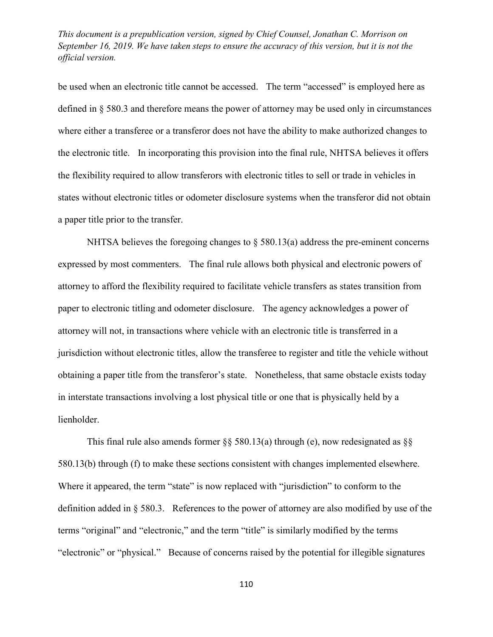be used when an electronic title cannot be accessed. The term "accessed" is employed here as defined in § 580.3 and therefore means the power of attorney may be used only in circumstances where either a transferee or a transferor does not have the ability to make authorized changes to the electronic title. In incorporating this provision into the final rule, NHTSA believes it offers the flexibility required to allow transferors with electronic titles to sell or trade in vehicles in states without electronic titles or odometer disclosure systems when the transferor did not obtain a paper title prior to the transfer.

NHTSA believes the foregoing changes to  $\S$  580.13(a) address the pre-eminent concerns expressed by most commenters. The final rule allows both physical and electronic powers of attorney to afford the flexibility required to facilitate vehicle transfers as states transition from paper to electronic titling and odometer disclosure. The agency acknowledges a power of attorney will not, in transactions where vehicle with an electronic title is transferred in a jurisdiction without electronic titles, allow the transferee to register and title the vehicle without obtaining a paper title from the transferor's state. Nonetheless, that same obstacle exists today in interstate transactions involving a lost physical title or one that is physically held by a lienholder.

This final rule also amends former  $\S$ § 580.13(a) through (e), now redesignated as  $\S$ § 580.13(b) through (f) to make these sections consistent with changes implemented elsewhere. Where it appeared, the term "state" is now replaced with "jurisdiction" to conform to the definition added in § 580.3. References to the power of attorney are also modified by use of the terms "original" and "electronic," and the term "title" is similarly modified by the terms "electronic" or "physical." Because of concerns raised by the potential for illegible signatures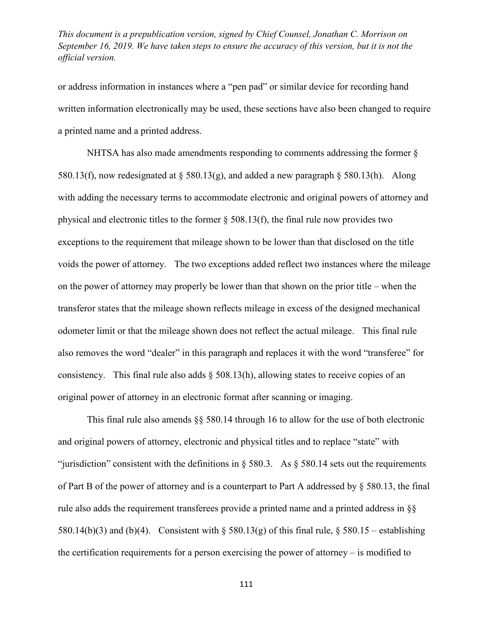or address information in instances where a "pen pad" or similar device for recording hand written information electronically may be used, these sections have also been changed to require a printed name and a printed address.

NHTSA has also made amendments responding to comments addressing the former § 580.13(f), now redesignated at  $\S$  580.13(g), and added a new paragraph  $\S$  580.13(h). Along with adding the necessary terms to accommodate electronic and original powers of attorney and physical and electronic titles to the former § 508.13(f), the final rule now provides two exceptions to the requirement that mileage shown to be lower than that disclosed on the title voids the power of attorney. The two exceptions added reflect two instances where the mileage on the power of attorney may properly be lower than that shown on the prior title – when the transferor states that the mileage shown reflects mileage in excess of the designed mechanical odometer limit or that the mileage shown does not reflect the actual mileage. This final rule also removes the word "dealer" in this paragraph and replaces it with the word "transferee" for consistency. This final rule also adds  $\S$  508.13(h), allowing states to receive copies of an original power of attorney in an electronic format after scanning or imaging.

This final rule also amends §§ 580.14 through 16 to allow for the use of both electronic and original powers of attorney, electronic and physical titles and to replace "state" with "jurisdiction" consistent with the definitions in  $\S$  580.3. As  $\S$  580.14 sets out the requirements of Part B of the power of attorney and is a counterpart to Part A addressed by § 580.13, the final rule also adds the requirement transferees provide a printed name and a printed address in §§ 580.14(b)(3) and (b)(4). Consistent with  $\S$  580.13(g) of this final rule,  $\S$  580.15 – establishing the certification requirements for a person exercising the power of attorney – is modified to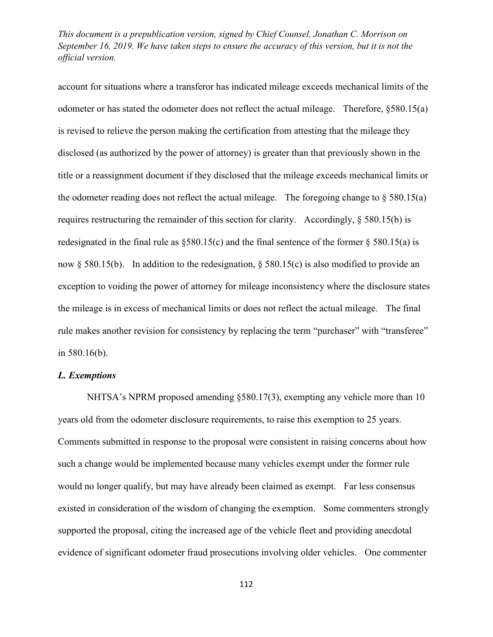account for situations where a transferor has indicated mileage exceeds mechanical limits of the odometer or has stated the odometer does not reflect the actual mileage. Therefore, §580.15(a) is revised to relieve the person making the certification from attesting that the mileage they disclosed (as authorized by the power of attorney) is greater than that previously shown in the title or a reassignment document if they disclosed that the mileage exceeds mechanical limits or the odometer reading does not reflect the actual mileage. The foregoing change to  $\S$  580.15(a) requires restructuring the remainder of this section for clarity. Accordingly, § 580.15(b) is redesignated in the final rule as  $\S 580.15(c)$  and the final sentence of the former  $\S 580.15(a)$  is now § 580.15(b). In addition to the redesignation, § 580.15(c) is also modified to provide an exception to voiding the power of attorney for mileage inconsistency where the disclosure states the mileage is in excess of mechanical limits or does not reflect the actual mileage. The final rule makes another revision for consistency by replacing the term "purchaser" with "transferee" in 580.16(b).

### *L. Exemptions*

NHTSA's NPRM proposed amending §580.17(3), exempting any vehicle more than 10 years old from the odometer disclosure requirements, to raise this exemption to 25 years. Comments submitted in response to the proposal were consistent in raising concerns about how such a change would be implemented because many vehicles exempt under the former rule would no longer qualify, but may have already been claimed as exempt. Far less consensus existed in consideration of the wisdom of changing the exemption. Some commenters strongly supported the proposal, citing the increased age of the vehicle fleet and providing anecdotal evidence of significant odometer fraud prosecutions involving older vehicles. One commenter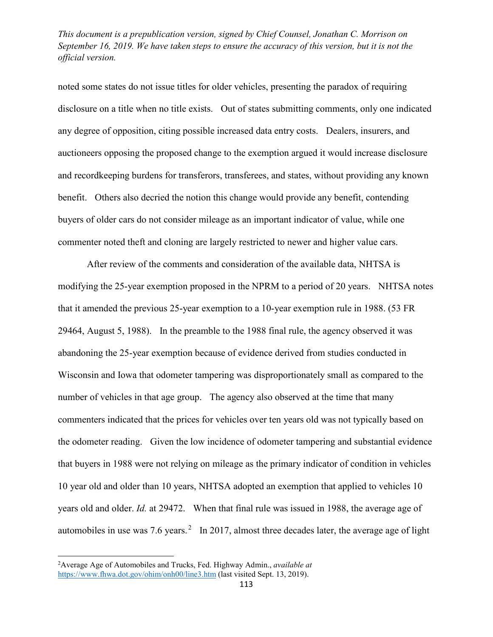noted some states do not issue titles for older vehicles, presenting the paradox of requiring disclosure on a title when no title exists. Out of states submitting comments, only one indicated any degree of opposition, citing possible increased data entry costs. Dealers, insurers, and auctioneers opposing the proposed change to the exemption argued it would increase disclosure and recordkeeping burdens for transferors, transferees, and states, without providing any known benefit. Others also decried the notion this change would provide any benefit, contending buyers of older cars do not consider mileage as an important indicator of value, while one commenter noted theft and cloning are largely restricted to newer and higher value cars.

After review of the comments and consideration of the available data, NHTSA is modifying the 25-year exemption proposed in the NPRM to a period of 20 years. NHTSA notes that it amended the previous 25-year exemption to a 10-year exemption rule in 1988. (53 FR 29464, August 5, 1988). In the preamble to the 1988 final rule, the agency observed it was abandoning the 25-year exemption because of evidence derived from studies conducted in Wisconsin and Iowa that odometer tampering was disproportionately small as compared to the number of vehicles in that age group. The agency also observed at the time that many commenters indicated that the prices for vehicles over ten years old was not typically based on the odometer reading. Given the low incidence of odometer tampering and substantial evidence that buyers in 1988 were not relying on mileage as the primary indicator of condition in vehicles 10 year old and older than 10 years, NHTSA adopted an exemption that applied to vehicles 10 years old and older. *Id.* at 29472. When that final rule was issued in 1988, the average age of automobiles in use was  $7.6$  years.<sup>2</sup> In 2017, almost three decades later, the average age of light

<sup>2</sup> Average Age of Automobiles and Trucks, Fed. Highway Admin., *available at*  <https://www.fhwa.dot.gov/ohim/onh00/line3.htm> (last visited Sept. 13, 2019).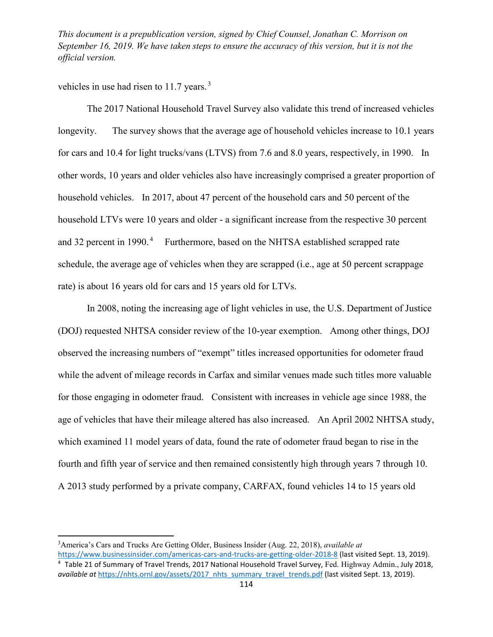vehicles in use had risen to  $11.7$  years.<sup>3</sup>

The 2017 National Household Travel Survey also validate this trend of increased vehicles longevity. The survey shows that the average age of household vehicles increase to 10.1 years for cars and 10.4 for light trucks/vans (LTVS) from 7.6 and 8.0 years, respectively, in 1990. In other words, 10 years and older vehicles also have increasingly comprised a greater proportion of household vehicles. In 2017, about 47 percent of the household cars and 50 percent of the household LTVs were 10 years and older - a significant increase from the respective 30 percent and 32 percent in 1990.<sup>4</sup> Furthermore, based on the NHTSA established scrapped rate schedule, the average age of vehicles when they are scrapped (i.e., age at 50 percent scrappage rate) is about 16 years old for cars and 15 years old for LTVs.

In 2008, noting the increasing age of light vehicles in use, the U.S. Department of Justice (DOJ) requested NHTSA consider review of the 10-year exemption. Among other things, DOJ observed the increasing numbers of "exempt" titles increased opportunities for odometer fraud while the advent of mileage records in Carfax and similar venues made such titles more valuable for those engaging in odometer fraud. Consistent with increases in vehicle age since 1988, the age of vehicles that have their mileage altered has also increased. An April 2002 NHTSA study, which examined 11 model years of data, found the rate of odometer fraud began to rise in the fourth and fifth year of service and then remained consistently high through years 7 through 10. A 2013 study performed by a private company, CARFAX, found vehicles 14 to 15 years old

<sup>3</sup> America's Cars and Trucks Are Getting Older, Business Insider (Aug. 22, 2018), *available at* 

<https://www.businessinsider.com/americas-cars-and-trucks-are-getting-older-2018-8> (last visited Sept. 13, 2019). <sup>4</sup> Table 21 of Summary of Travel Trends, 2017 National Household Travel Survey, Fed. Highway Admin., July 2018, *available at [https://nhts.ornl.gov/assets/2017\\_nhts\\_summary\\_travel\\_trends.pdf](https://nhts.ornl.gov/assets/2017_nhts_summary_travel_trends.pdf) (last visited Sept. 13, 2019).*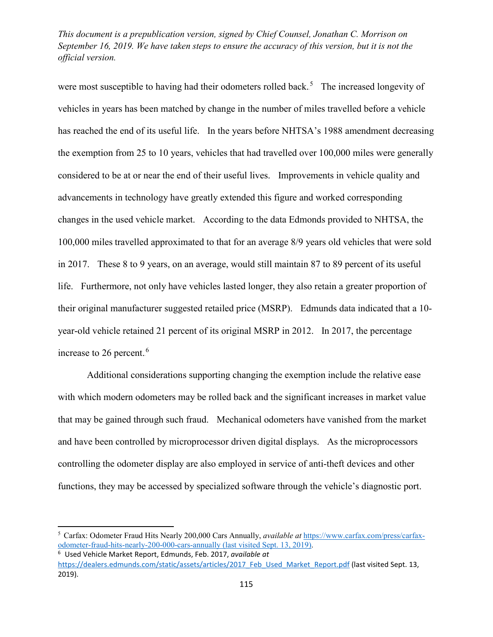were most susceptible to having had their odometers rolled back.<sup>5</sup> The increased longevity of vehicles in years has been matched by change in the number of miles travelled before a vehicle has reached the end of its useful life. In the years before NHTSA's 1988 amendment decreasing the exemption from 25 to 10 years, vehicles that had travelled over 100,000 miles were generally considered to be at or near the end of their useful lives. Improvements in vehicle quality and advancements in technology have greatly extended this figure and worked corresponding changes in the used vehicle market. According to the data Edmonds provided to NHTSA, the 100,000 miles travelled approximated to that for an average 8/9 years old vehicles that were sold in 2017. These 8 to 9 years, on an average, would still maintain 87 to 89 percent of its useful life. Furthermore, not only have vehicles lasted longer, they also retain a greater proportion of their original manufacturer suggested retailed price (MSRP). Edmunds data indicated that a 10 year-old vehicle retained 21 percent of its original MSRP in 2012. In 2017, the percentage increase to 26 percent.<sup>6</sup>

Additional considerations supporting changing the exemption include the relative ease with which modern odometers may be rolled back and the significant increases in market value that may be gained through such fraud. Mechanical odometers have vanished from the market and have been controlled by microprocessor driven digital displays. As the microprocessors controlling the odometer display are also employed in service of anti-theft devices and other functions, they may be accessed by specialized software through the vehicle's diagnostic port.

<sup>5</sup> Carfax: Odometer Fraud Hits Nearly 200,000 Cars Annually, *available at* [https://www.carfax.com/press/carfax](https://www.carfax.com/press/carfax-odometer-fraud-hits-nearly-200-000-cars-annually)[odometer-fraud-hits-nearly-200-000-cars-annually](https://www.carfax.com/press/carfax-odometer-fraud-hits-nearly-200-000-cars-annually) (last visited Sept. 13, 2019). <sup>6</sup> Used Vehicle Market Report, Edmunds, Feb. 2017, *available at* 

[https://dealers.edmunds.com/static/assets/articles/2017\\_Feb\\_Used\\_Market\\_Report.pdf](https://dealers.edmunds.com/static/assets/articles/2017_Feb_Used_Market_Report.pdf) (last visited Sept. 13, 2019).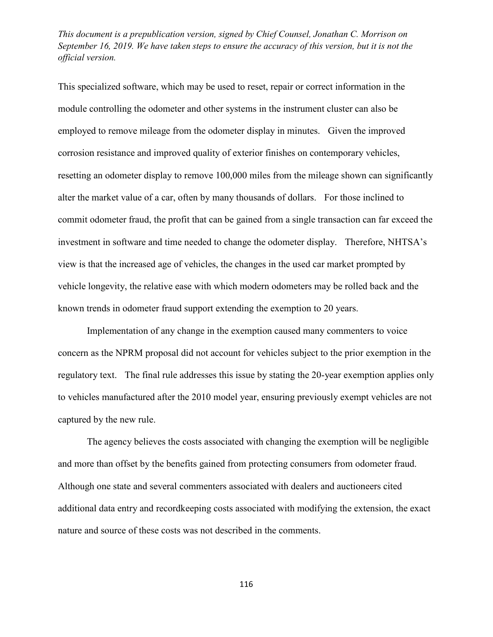This specialized software, which may be used to reset, repair or correct information in the module controlling the odometer and other systems in the instrument cluster can also be employed to remove mileage from the odometer display in minutes. Given the improved corrosion resistance and improved quality of exterior finishes on contemporary vehicles, resetting an odometer display to remove 100,000 miles from the mileage shown can significantly alter the market value of a car, often by many thousands of dollars. For those inclined to commit odometer fraud, the profit that can be gained from a single transaction can far exceed the investment in software and time needed to change the odometer display. Therefore, NHTSA's view is that the increased age of vehicles, the changes in the used car market prompted by vehicle longevity, the relative ease with which modern odometers may be rolled back and the known trends in odometer fraud support extending the exemption to 20 years.

Implementation of any change in the exemption caused many commenters to voice concern as the NPRM proposal did not account for vehicles subject to the prior exemption in the regulatory text. The final rule addresses this issue by stating the 20-year exemption applies only to vehicles manufactured after the 2010 model year, ensuring previously exempt vehicles are not captured by the new rule.

The agency believes the costs associated with changing the exemption will be negligible and more than offset by the benefits gained from protecting consumers from odometer fraud. Although one state and several commenters associated with dealers and auctioneers cited additional data entry and recordkeeping costs associated with modifying the extension, the exact nature and source of these costs was not described in the comments.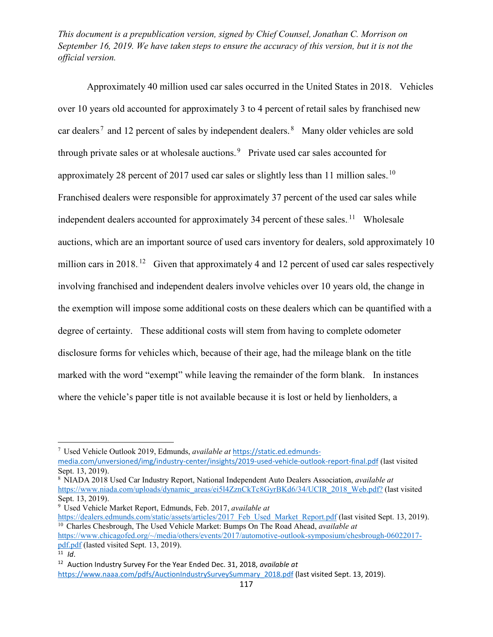Approximately 40 million used car sales occurred in the United States in 2018. Vehicles over 10 years old accounted for approximately 3 to 4 percent of retail sales by franchised new car dealers<sup>7</sup> and 12 percent of sales by independent dealers.<sup>8</sup> Many older vehicles are sold through private sales or at wholesale auctions.<sup>9</sup> Private used car sales accounted for approximately 28 percent of 2017 used car sales or slightly less than 11 million sales.<sup>10</sup> Franchised dealers were responsible for approximately 37 percent of the used car sales while independent dealers accounted for approximately 34 percent of these sales.<sup>11</sup> Wholesale auctions, which are an important source of used cars inventory for dealers, sold approximately 10 million cars in 2018.<sup>12</sup> Given that approximately 4 and 12 percent of used car sales respectively involving franchised and independent dealers involve vehicles over 10 years old, the change in the exemption will impose some additional costs on these dealers which can be quantified with a degree of certainty. These additional costs will stem from having to complete odometer disclosure forms for vehicles which, because of their age, had the mileage blank on the title marked with the word "exempt" while leaving the remainder of the form blank. In instances where the vehicle's paper title is not available because it is lost or held by lienholders, a

 $\overline{\phantom{a}}$ 

<sup>7</sup> Used Vehicle Outlook 2019, Edmunds, *available at* [https://static.ed.edmunds](https://static.ed.edmunds-media.com/unversioned/img/industry-center/insights/2019-used-vehicle-outlook-report-final.pdf)[media.com/unversioned/img/industry-center/insights/2019-used-vehicle-outlook-report-final.pdf](https://static.ed.edmunds-media.com/unversioned/img/industry-center/insights/2019-used-vehicle-outlook-report-final.pdf) (last visited Sept. 13, 2019).<br><sup>8</sup> NIADA 2018 Used Car Industry Report, National Independent Auto Dealers Association, *available at* 

[https://www.niada.com/uploads/dynamic\\_areas/ei5l4ZznCkTc8GyrBKd6/34/UCIR\\_2018\\_Web.pdf?](https://www.niada.com/uploads/dynamic_areas/ei5l4ZznCkTc8GyrBKd6/34/UCIR_2018_Web.pdf?) (last visited Sept. 13, 2019). 9 Used Vehicle Market Report, Edmunds, Feb. 2017, *available at* 

[https://dealers.edmunds.com/static/assets/articles/2017\\_Feb\\_Used\\_Market\\_Report.pdf](https://dealers.edmunds.com/static/assets/articles/2017_Feb_Used_Market_Report.pdf) (last visited Sept. 13, 2019). <sup>10</sup> Charles Chesbrough, The Used Vehicle Market: Bumps On The Road Ahead, *available at* [https://www.chicagofed.org/~/media/others/events/2017/automotive-outlook-symposium/chesbrough-06022017-](https://www.chicagofed.org/%7E/media/others/events/2017/automotive-outlook-symposium/chesbrough-06022017-pdf.pdf)

[pdf.pdf](https://www.chicagofed.org/%7E/media/others/events/2017/automotive-outlook-symposium/chesbrough-06022017-pdf.pdf) (lasted visited Sept. 13, 2019).

<sup>&</sup>lt;sup>11</sup> *Id*.<br><sup>12</sup> Auction Industry Survey For the Year Ended Dec. 31, 2018, *available at* [https://www.naaa.com/pdfs/AuctionIndustrySurveySummary\\_2018.pdf](https://www.naaa.com/pdfs/AuctionIndustrySurveySummary_2018.pdf) (last visited Sept. 13, 2019).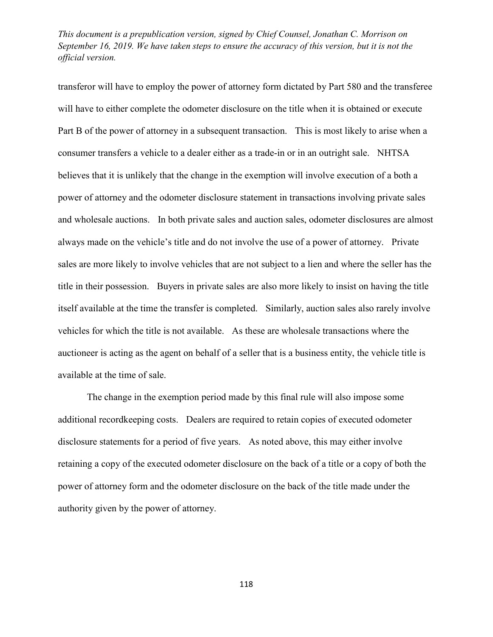transferor will have to employ the power of attorney form dictated by Part 580 and the transferee will have to either complete the odometer disclosure on the title when it is obtained or execute Part B of the power of attorney in a subsequent transaction. This is most likely to arise when a consumer transfers a vehicle to a dealer either as a trade-in or in an outright sale. NHTSA believes that it is unlikely that the change in the exemption will involve execution of a both a power of attorney and the odometer disclosure statement in transactions involving private sales and wholesale auctions. In both private sales and auction sales, odometer disclosures are almost always made on the vehicle's title and do not involve the use of a power of attorney. Private sales are more likely to involve vehicles that are not subject to a lien and where the seller has the title in their possession. Buyers in private sales are also more likely to insist on having the title itself available at the time the transfer is completed. Similarly, auction sales also rarely involve vehicles for which the title is not available. As these are wholesale transactions where the auctioneer is acting as the agent on behalf of a seller that is a business entity, the vehicle title is available at the time of sale.

The change in the exemption period made by this final rule will also impose some additional recordkeeping costs. Dealers are required to retain copies of executed odometer disclosure statements for a period of five years. As noted above, this may either involve retaining a copy of the executed odometer disclosure on the back of a title or a copy of both the power of attorney form and the odometer disclosure on the back of the title made under the authority given by the power of attorney.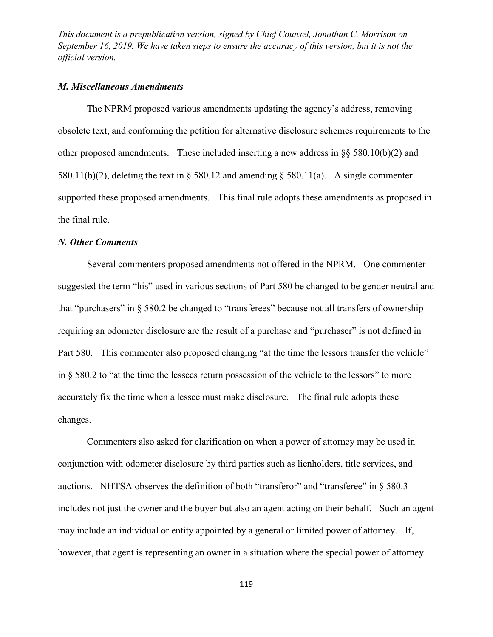### *M. Miscellaneous Amendments*

The NPRM proposed various amendments updating the agency's address, removing obsolete text, and conforming the petition for alternative disclosure schemes requirements to the other proposed amendments. These included inserting a new address in §§ 580.10(b)(2) and 580.11(b)(2), deleting the text in  $\S$  580.12 and amending  $\S$  580.11(a). A single commenter supported these proposed amendments. This final rule adopts these amendments as proposed in the final rule.

#### *N. Other Comments*

Several commenters proposed amendments not offered in the NPRM. One commenter suggested the term "his" used in various sections of Part 580 be changed to be gender neutral and that "purchasers" in § 580.2 be changed to "transferees" because not all transfers of ownership requiring an odometer disclosure are the result of a purchase and "purchaser" is not defined in Part 580. This commenter also proposed changing "at the time the lessors transfer the vehicle" in § 580.2 to "at the time the lessees return possession of the vehicle to the lessors" to more accurately fix the time when a lessee must make disclosure. The final rule adopts these changes.

Commenters also asked for clarification on when a power of attorney may be used in conjunction with odometer disclosure by third parties such as lienholders, title services, and auctions. NHTSA observes the definition of both "transferor" and "transferee" in § 580.3 includes not just the owner and the buyer but also an agent acting on their behalf. Such an agent may include an individual or entity appointed by a general or limited power of attorney. If, however, that agent is representing an owner in a situation where the special power of attorney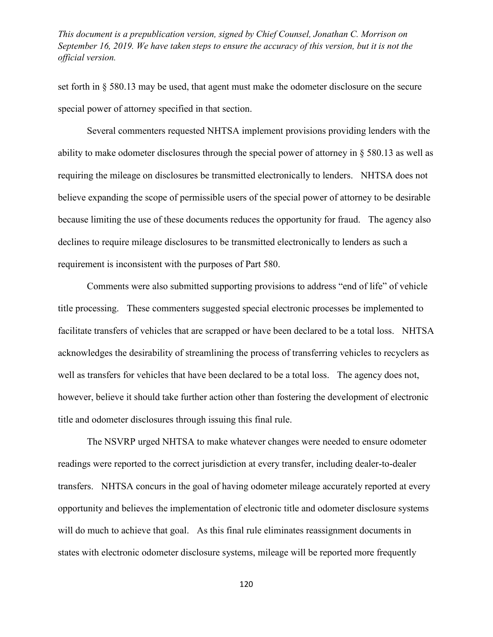set forth in § 580.13 may be used, that agent must make the odometer disclosure on the secure special power of attorney specified in that section.

Several commenters requested NHTSA implement provisions providing lenders with the ability to make odometer disclosures through the special power of attorney in § 580.13 as well as requiring the mileage on disclosures be transmitted electronically to lenders. NHTSA does not believe expanding the scope of permissible users of the special power of attorney to be desirable because limiting the use of these documents reduces the opportunity for fraud. The agency also declines to require mileage disclosures to be transmitted electronically to lenders as such a requirement is inconsistent with the purposes of Part 580.

Comments were also submitted supporting provisions to address "end of life" of vehicle title processing. These commenters suggested special electronic processes be implemented to facilitate transfers of vehicles that are scrapped or have been declared to be a total loss. NHTSA acknowledges the desirability of streamlining the process of transferring vehicles to recyclers as well as transfers for vehicles that have been declared to be a total loss. The agency does not, however, believe it should take further action other than fostering the development of electronic title and odometer disclosures through issuing this final rule.

The NSVRP urged NHTSA to make whatever changes were needed to ensure odometer readings were reported to the correct jurisdiction at every transfer, including dealer-to-dealer transfers. NHTSA concurs in the goal of having odometer mileage accurately reported at every opportunity and believes the implementation of electronic title and odometer disclosure systems will do much to achieve that goal. As this final rule eliminates reassignment documents in states with electronic odometer disclosure systems, mileage will be reported more frequently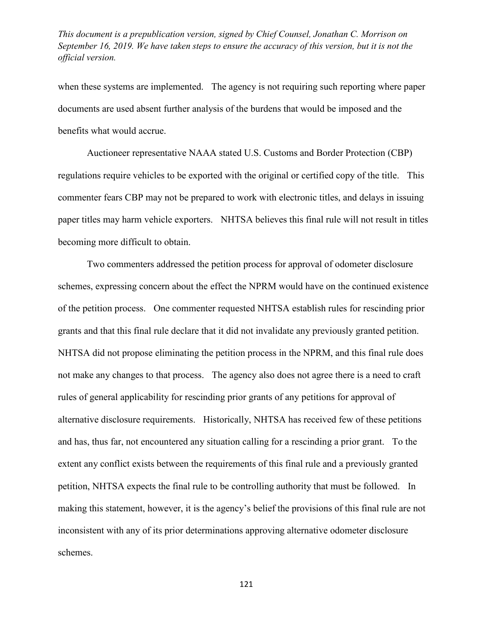when these systems are implemented. The agency is not requiring such reporting where paper documents are used absent further analysis of the burdens that would be imposed and the benefits what would accrue.

Auctioneer representative NAAA stated U.S. Customs and Border Protection (CBP) regulations require vehicles to be exported with the original or certified copy of the title. This commenter fears CBP may not be prepared to work with electronic titles, and delays in issuing paper titles may harm vehicle exporters. NHTSA believes this final rule will not result in titles becoming more difficult to obtain.

Two commenters addressed the petition process for approval of odometer disclosure schemes, expressing concern about the effect the NPRM would have on the continued existence of the petition process. One commenter requested NHTSA establish rules for rescinding prior grants and that this final rule declare that it did not invalidate any previously granted petition. NHTSA did not propose eliminating the petition process in the NPRM, and this final rule does not make any changes to that process. The agency also does not agree there is a need to craft rules of general applicability for rescinding prior grants of any petitions for approval of alternative disclosure requirements. Historically, NHTSA has received few of these petitions and has, thus far, not encountered any situation calling for a rescinding a prior grant. To the extent any conflict exists between the requirements of this final rule and a previously granted petition, NHTSA expects the final rule to be controlling authority that must be followed. In making this statement, however, it is the agency's belief the provisions of this final rule are not inconsistent with any of its prior determinations approving alternative odometer disclosure schemes.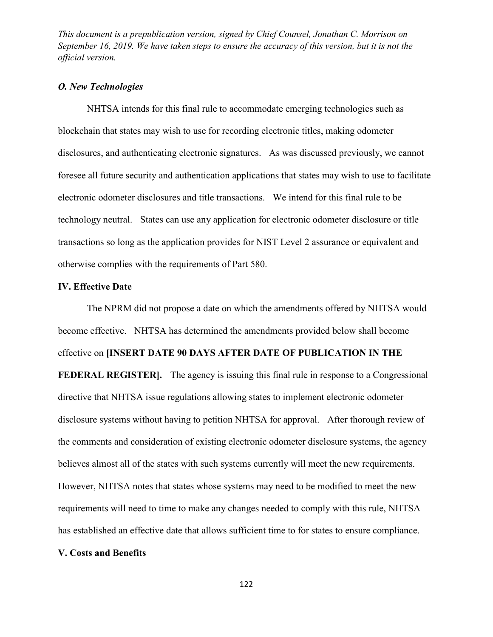#### *O. New Technologies*

NHTSA intends for this final rule to accommodate emerging technologies such as blockchain that states may wish to use for recording electronic titles, making odometer disclosures, and authenticating electronic signatures. As was discussed previously, we cannot foresee all future security and authentication applications that states may wish to use to facilitate electronic odometer disclosures and title transactions. We intend for this final rule to be technology neutral. States can use any application for electronic odometer disclosure or title transactions so long as the application provides for NIST Level 2 assurance or equivalent and otherwise complies with the requirements of Part 580.

#### **IV. Effective Date**

The NPRM did not propose a date on which the amendments offered by NHTSA would become effective. NHTSA has determined the amendments provided below shall become effective on **[INSERT DATE 90 DAYS AFTER DATE OF PUBLICATION IN THE FEDERAL REGISTER**. The agency is issuing this final rule in response to a Congressional directive that NHTSA issue regulations allowing states to implement electronic odometer disclosure systems without having to petition NHTSA for approval. After thorough review of the comments and consideration of existing electronic odometer disclosure systems, the agency believes almost all of the states with such systems currently will meet the new requirements. However, NHTSA notes that states whose systems may need to be modified to meet the new requirements will need to time to make any changes needed to comply with this rule, NHTSA has established an effective date that allows sufficient time to for states to ensure compliance.

## **V. Costs and Benefits**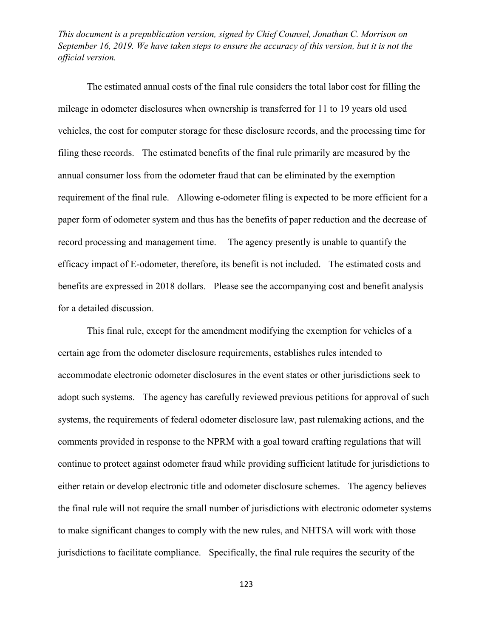The estimated annual costs of the final rule considers the total labor cost for filling the mileage in odometer disclosures when ownership is transferred for 11 to 19 years old used vehicles, the cost for computer storage for these disclosure records, and the processing time for filing these records. The estimated benefits of the final rule primarily are measured by the annual consumer loss from the odometer fraud that can be eliminated by the exemption requirement of the final rule. Allowing e-odometer filing is expected to be more efficient for a paper form of odometer system and thus has the benefits of paper reduction and the decrease of record processing and management time. The agency presently is unable to quantify the efficacy impact of E-odometer, therefore, its benefit is not included. The estimated costs and benefits are expressed in 2018 dollars. Please see the accompanying cost and benefit analysis for a detailed discussion.

This final rule, except for the amendment modifying the exemption for vehicles of a certain age from the odometer disclosure requirements, establishes rules intended to accommodate electronic odometer disclosures in the event states or other jurisdictions seek to adopt such systems. The agency has carefully reviewed previous petitions for approval of such systems, the requirements of federal odometer disclosure law, past rulemaking actions, and the comments provided in response to the NPRM with a goal toward crafting regulations that will continue to protect against odometer fraud while providing sufficient latitude for jurisdictions to either retain or develop electronic title and odometer disclosure schemes. The agency believes the final rule will not require the small number of jurisdictions with electronic odometer systems to make significant changes to comply with the new rules, and NHTSA will work with those jurisdictions to facilitate compliance. Specifically, the final rule requires the security of the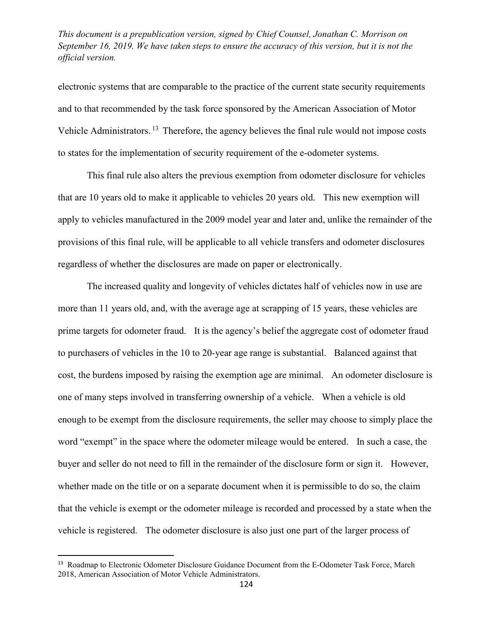electronic systems that are comparable to the practice of the current state security requirements and to that recommended by the task force sponsored by the American Association of Motor Vehicle Administrators.<sup>13</sup> Therefore, the agency believes the final rule would not impose costs to states for the implementation of security requirement of the e-odometer systems.

This final rule also alters the previous exemption from odometer disclosure for vehicles that are 10 years old to make it applicable to vehicles 20 years old. This new exemption will apply to vehicles manufactured in the 2009 model year and later and, unlike the remainder of the provisions of this final rule, will be applicable to all vehicle transfers and odometer disclosures regardless of whether the disclosures are made on paper or electronically.

The increased quality and longevity of vehicles dictates half of vehicles now in use are more than 11 years old, and, with the average age at scrapping of 15 years, these vehicles are prime targets for odometer fraud. It is the agency's belief the aggregate cost of odometer fraud to purchasers of vehicles in the 10 to 20-year age range is substantial. Balanced against that cost, the burdens imposed by raising the exemption age are minimal. An odometer disclosure is one of many steps involved in transferring ownership of a vehicle. When a vehicle is old enough to be exempt from the disclosure requirements, the seller may choose to simply place the word "exempt" in the space where the odometer mileage would be entered. In such a case, the buyer and seller do not need to fill in the remainder of the disclosure form or sign it. However, whether made on the title or on a separate document when it is permissible to do so, the claim that the vehicle is exempt or the odometer mileage is recorded and processed by a state when the vehicle is registered. The odometer disclosure is also just one part of the larger process of

<sup>&</sup>lt;sup>13</sup> Roadmap to Electronic Odometer Disclosure Guidance Document from the E-Odometer Task Force, March 2018, American Association of Motor Vehicle Administrators.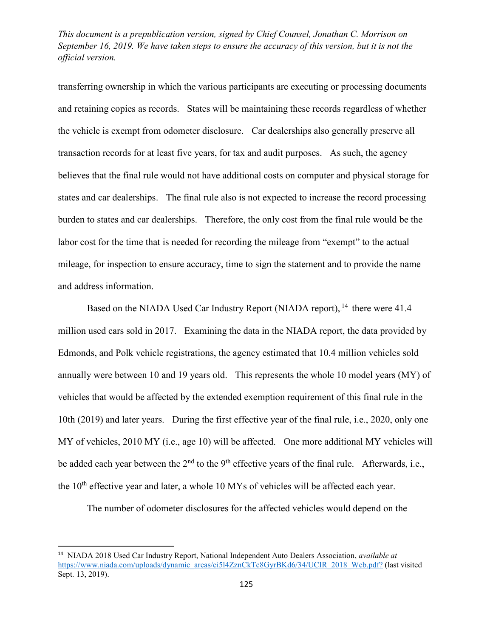transferring ownership in which the various participants are executing or processing documents and retaining copies as records. States will be maintaining these records regardless of whether the vehicle is exempt from odometer disclosure. Car dealerships also generally preserve all transaction records for at least five years, for tax and audit purposes. As such, the agency believes that the final rule would not have additional costs on computer and physical storage for states and car dealerships. The final rule also is not expected to increase the record processing burden to states and car dealerships. Therefore, the only cost from the final rule would be the labor cost for the time that is needed for recording the mileage from "exempt" to the actual mileage, for inspection to ensure accuracy, time to sign the statement and to provide the name and address information.

Based on the NIADA Used Car Industry Report (NIADA report), <sup>14</sup> there were 41.4 million used cars sold in 2017. Examining the data in the NIADA report, the data provided by Edmonds, and Polk vehicle registrations, the agency estimated that 10.4 million vehicles sold annually were between 10 and 19 years old. This represents the whole 10 model years (MY) of vehicles that would be affected by the extended exemption requirement of this final rule in the 10th (2019) and later years. During the first effective year of the final rule, i.e., 2020, only one MY of vehicles, 2010 MY (i.e., age 10) will be affected. One more additional MY vehicles will be added each year between the  $2<sup>nd</sup>$  to the 9<sup>th</sup> effective years of the final rule. Afterwards, i.e., the  $10<sup>th</sup>$  effective year and later, a whole  $10$  MYs of vehicles will be affected each year.

The number of odometer disclosures for the affected vehicles would depend on the

 <sup>14</sup> NIADA 2018 Used Car Industry Report, National Independent Auto Dealers Association, *available at*  [https://www.niada.com/uploads/dynamic\\_areas/ei5l4ZznCkTc8GyrBKd6/34/UCIR\\_2018\\_Web.pdf?](https://www.niada.com/uploads/dynamic_areas/ei5l4ZznCkTc8GyrBKd6/34/UCIR_2018_Web.pdf?) (last visited Sept. 13, 2019).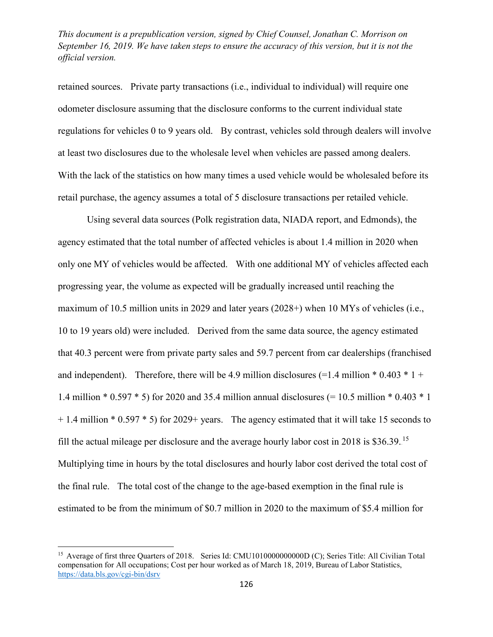retained sources. Private party transactions (i.e., individual to individual) will require one odometer disclosure assuming that the disclosure conforms to the current individual state regulations for vehicles 0 to 9 years old. By contrast, vehicles sold through dealers will involve at least two disclosures due to the wholesale level when vehicles are passed among dealers. With the lack of the statistics on how many times a used vehicle would be wholesaled before its retail purchase, the agency assumes a total of 5 disclosure transactions per retailed vehicle.

Using several data sources (Polk registration data, NIADA report, and Edmonds), the agency estimated that the total number of affected vehicles is about 1.4 million in 2020 when only one MY of vehicles would be affected. With one additional MY of vehicles affected each progressing year, the volume as expected will be gradually increased until reaching the maximum of 10.5 million units in 2029 and later years (2028+) when 10 MYs of vehicles (i.e., 10 to 19 years old) were included. Derived from the same data source, the agency estimated that 40.3 percent were from private party sales and 59.7 percent from car dealerships (franchised and independent). Therefore, there will be 4.9 million disclosures  $(=1.4$  million  $* 0.403 * 1 +$ 1.4 million \* 0.597 \* 5) for 2020 and 35.4 million annual disclosures (= 10.5 million \* 0.403 \* 1 + 1.4 million \* 0.597 \* 5) for 2029+ years. The agency estimated that it will take 15 seconds to fill the actual mileage per disclosure and the average hourly labor cost in 2018 is  $$36.39$ .<sup>15</sup> Multiplying time in hours by the total disclosures and hourly labor cost derived the total cost of the final rule. The total cost of the change to the age-based exemption in the final rule is estimated to be from the minimum of \$0.7 million in 2020 to the maximum of \$5.4 million for

<sup>&</sup>lt;sup>15</sup> Average of first three Quarters of 2018. Series Id: CMU10100000000000 (C); Series Title: All Civilian Total compensation for All occupations; Cost per hour worked as of March 18, 2019, Bureau of Labor Statistics, <https://data.bls.gov/cgi-bin/dsrv>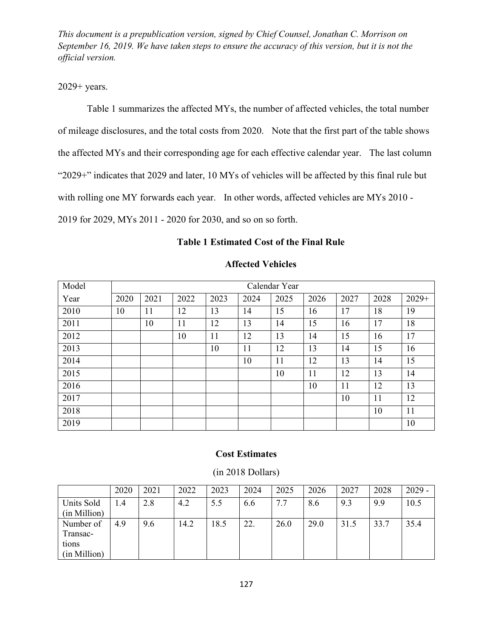2029+ years.

Table 1 summarizes the affected MYs, the number of affected vehicles, the total number of mileage disclosures, and the total costs from 2020. Note that the first part of the table shows the affected MYs and their corresponding age for each effective calendar year. The last column "2029+" indicates that 2029 and later, 10 MYs of vehicles will be affected by this final rule but with rolling one MY forwards each year. In other words, affected vehicles are MYs 2010 - 2019 for 2029, MYs 2011 - 2020 for 2030, and so on so forth.

#### **Table 1 Estimated Cost of the Final Rule**

| Model | Calendar Year |      |      |      |      |      |      |      |      |         |
|-------|---------------|------|------|------|------|------|------|------|------|---------|
| Year  | 2020          | 2021 | 2022 | 2023 | 2024 | 2025 | 2026 | 2027 | 2028 | $2029+$ |
| 2010  | 10            | 11   | 12   | 13   | 14   | 15   | 16   | 17   | 18   | 19      |
| 2011  |               | 10   | 11   | 12   | 13   | 14   | 15   | 16   | 17   | 18      |
| 2012  |               |      | 10   | 11   | 12   | 13   | 14   | 15   | 16   | 17      |
| 2013  |               |      |      | 10   | 11   | 12   | 13   | 14   | 15   | 16      |
| 2014  |               |      |      |      | 10   | 11   | 12   | 13   | 14   | 15      |
| 2015  |               |      |      |      |      | 10   | 11   | 12   | 13   | 14      |
| 2016  |               |      |      |      |      |      | 10   | 11   | 12   | 13      |
| 2017  |               |      |      |      |      |      |      | 10   | 11   | 12      |
| 2018  |               |      |      |      |      |      |      |      | 10   | 11      |
| 2019  |               |      |      |      |      |      |      |      |      | 10      |

### **Affected Vehicles**

#### **Cost Estimates**

(in 2018 Dollars)

|              | 2020 | 2021 | 2022 | 2023 | 2024 | 2025 | 2026 | 2027 | 2028 | $2029 -$ |
|--------------|------|------|------|------|------|------|------|------|------|----------|
| Units Sold   | 1.4  | 2.8  | 4.2  | 5.5  | 6.6  | 7.7  | 8.6  | 9.3  | 9.9  | 10.5     |
| (in Million) |      |      |      |      |      |      |      |      |      |          |
| Number of    | 4.9  | 9.6  | 14.2 | 18.5 | 22.  | 26.0 | 29.0 | 31.5 | 33.7 | 35.4     |
| Transac-     |      |      |      |      |      |      |      |      |      |          |
| tions        |      |      |      |      |      |      |      |      |      |          |
| (in Million) |      |      |      |      |      |      |      |      |      |          |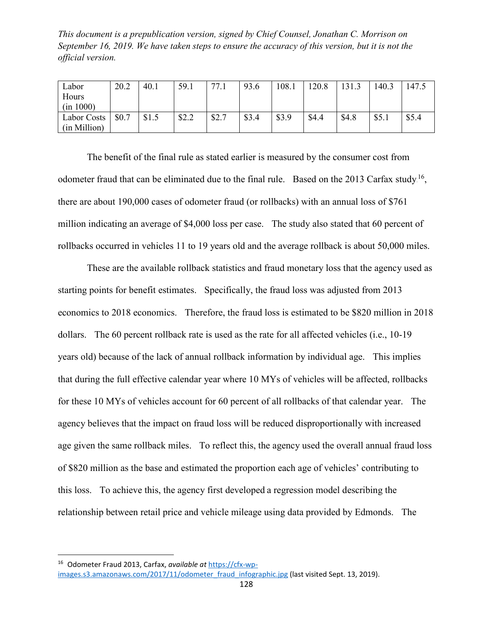| Labor        | 20.2  | 40.1  | 59.1  | 77.1  | 93.6  | 108.1 | 120.8 | 131.3 | 140.3 | 147.5 |
|--------------|-------|-------|-------|-------|-------|-------|-------|-------|-------|-------|
| Hours        |       |       |       |       |       |       |       |       |       |       |
| (in 1000)    |       |       |       |       |       |       |       |       |       |       |
| Labor Costs  | \$0.7 | \$1.5 | \$2.2 | \$2.7 | \$3.4 | \$3.9 | \$4.4 | \$4.8 | \$5.1 | \$5.4 |
| (in Million) |       |       |       |       |       |       |       |       |       |       |

The benefit of the final rule as stated earlier is measured by the consumer cost from odometer fraud that can be eliminated due to the final rule. Based on the 2013 Carfax study.<sup>16</sup>, there are about 190,000 cases of odometer fraud (or rollbacks) with an annual loss of \$761 million indicating an average of \$4,000 loss per case. The study also stated that 60 percent of rollbacks occurred in vehicles 11 to 19 years old and the average rollback is about 50,000 miles.

These are the available rollback statistics and fraud monetary loss that the agency used as starting points for benefit estimates. Specifically, the fraud loss was adjusted from 2013 economics to 2018 economics. Therefore, the fraud loss is estimated to be \$820 million in 2018 dollars. The 60 percent rollback rate is used as the rate for all affected vehicles (i.e., 10-19 years old) because of the lack of annual rollback information by individual age. This implies that during the full effective calendar year where 10 MYs of vehicles will be affected, rollbacks for these 10 MYs of vehicles account for 60 percent of all rollbacks of that calendar year. The agency believes that the impact on fraud loss will be reduced disproportionally with increased age given the same rollback miles. To reflect this, the agency used the overall annual fraud loss of \$820 million as the base and estimated the proportion each age of vehicles' contributing to this loss. To achieve this, the agency first developed a regression model describing the relationship between retail price and vehicle mileage using data provided by Edmonds. The

 <sup>16</sup> Odometer Fraud 2013, Carfax, *available at* [https://cfx-wp](https://cfx-wp-images.s3.amazonaws.com/2017/11/odometer_fraud_infographic.jpg)[images.s3.amazonaws.com/2017/11/odometer\\_fraud\\_infographic.jpg](https://cfx-wp-images.s3.amazonaws.com/2017/11/odometer_fraud_infographic.jpg) (last visited Sept. 13, 2019).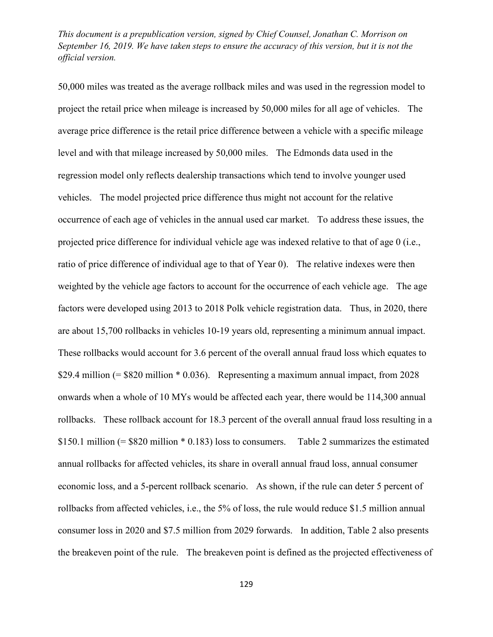50,000 miles was treated as the average rollback miles and was used in the regression model to project the retail price when mileage is increased by 50,000 miles for all age of vehicles. The average price difference is the retail price difference between a vehicle with a specific mileage level and with that mileage increased by 50,000 miles. The Edmonds data used in the regression model only reflects dealership transactions which tend to involve younger used vehicles. The model projected price difference thus might not account for the relative occurrence of each age of vehicles in the annual used car market. To address these issues, the projected price difference for individual vehicle age was indexed relative to that of age 0 (i.e., ratio of price difference of individual age to that of Year 0). The relative indexes were then weighted by the vehicle age factors to account for the occurrence of each vehicle age. The age factors were developed using 2013 to 2018 Polk vehicle registration data. Thus, in 2020, there are about 15,700 rollbacks in vehicles 10-19 years old, representing a minimum annual impact. These rollbacks would account for 3.6 percent of the overall annual fraud loss which equates to \$29.4 million  $(= $820 \text{ million} * 0.036)$ . Representing a maximum annual impact, from 2028 onwards when a whole of 10 MYs would be affected each year, there would be 114,300 annual rollbacks. These rollback account for 18.3 percent of the overall annual fraud loss resulting in a \$150.1 million (= \$820 million \* 0.183) loss to consumers. Table 2 summarizes the estimated annual rollbacks for affected vehicles, its share in overall annual fraud loss, annual consumer economic loss, and a 5-percent rollback scenario. As shown, if the rule can deter 5 percent of rollbacks from affected vehicles, i.e., the 5% of loss, the rule would reduce \$1.5 million annual consumer loss in 2020 and \$7.5 million from 2029 forwards. In addition, Table 2 also presents the breakeven point of the rule. The breakeven point is defined as the projected effectiveness of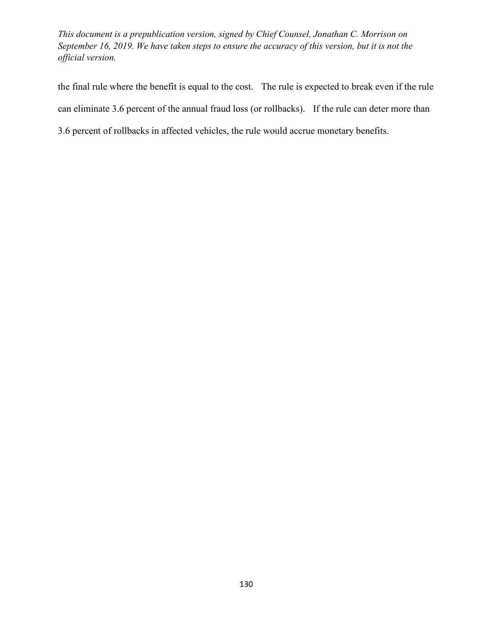the final rule where the benefit is equal to the cost. The rule is expected to break even if the rule can eliminate 3.6 percent of the annual fraud loss (or rollbacks). If the rule can deter more than 3.6 percent of rollbacks in affected vehicles, the rule would accrue monetary benefits.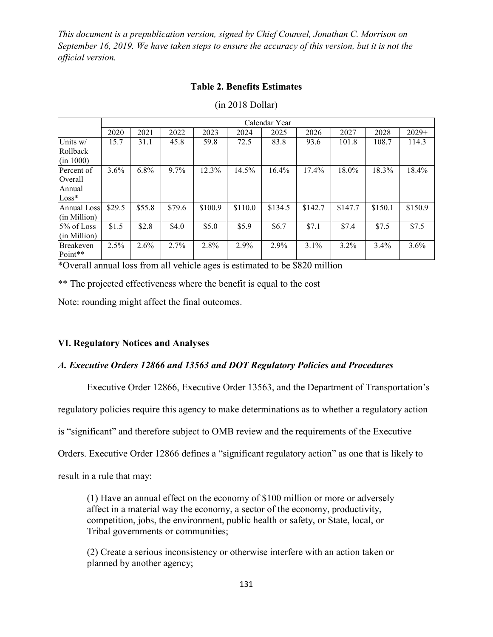### **Table 2. Benefits Estimates**

|                          | Calendar Year |        |         |         |         |         |         |         |         |         |  |
|--------------------------|---------------|--------|---------|---------|---------|---------|---------|---------|---------|---------|--|
|                          | 2020          | 2021   | 2022    | 2023    | 2024    | 2025    | 2026    | 2027    | 2028    | $2029+$ |  |
| Units w/                 | 15.7          | 31.1   | 45.8    | 59.8    | 72.5    | 83.8    | 93.6    | 101.8   | 108.7   | 114.3   |  |
| Rollback                 |               |        |         |         |         |         |         |         |         |         |  |
| $(\text{in } 1000)$      |               |        |         |         |         |         |         |         |         |         |  |
| Percent of               | $3.6\%$       | 6.8%   | $9.7\%$ | 12.3%   | 14.5%   | 16.4%   | 17.4%   | 18.0%   | 18.3%   | 18.4%   |  |
| Overall                  |               |        |         |         |         |         |         |         |         |         |  |
| Annual                   |               |        |         |         |         |         |         |         |         |         |  |
| $Loss*$                  |               |        |         |         |         |         |         |         |         |         |  |
| <b>Annual Loss</b>       | \$29.5        | \$55.8 | \$79.6  | \$100.9 | \$110.0 | \$134.5 | \$142.7 | \$147.7 | \$150.1 | \$150.9 |  |
| $(\text{in}$ Million $)$ |               |        |         |         |         |         |         |         |         |         |  |
| 5% of Loss               | \$1.5         | \$2.8  | \$4.0   | \$5.0   | \$5.9   | \$6.7   | \$7.1   | \$7.4   | \$7.5   | \$7.5   |  |
| $(in$ Million $)$        |               |        |         |         |         |         |         |         |         |         |  |
| <b>Breakeven</b>         | 2.5%          | 2.6%   | 2.7%    | 2.8%    | 2.9%    | 2.9%    | $3.1\%$ | 3.2%    | 3.4%    | 3.6%    |  |
| Point**                  |               |        |         |         |         |         |         |         |         |         |  |

#### (in 2018 Dollar)

\*Overall annual loss from all vehicle ages is estimated to be \$820 million

\*\* The projected effectiveness where the benefit is equal to the cost

Note: rounding might affect the final outcomes.

### **VI. Regulatory Notices and Analyses**

### *A. Executive Orders 12866 and 13563 and DOT Regulatory Policies and Procedures*

Executive Order 12866, Executive Order 13563, and the Department of Transportation's

regulatory policies require this agency to make determinations as to whether a regulatory action

is "significant" and therefore subject to OMB review and the requirements of the Executive

Orders. Executive Order 12866 defines a "significant regulatory action" as one that is likely to

result in a rule that may:

(1) Have an annual effect on the economy of \$100 million or more or adversely affect in a material way the economy, a sector of the economy, productivity, competition, jobs, the environment, public health or safety, or State, local, or Tribal governments or communities;

(2) Create a serious inconsistency or otherwise interfere with an action taken or planned by another agency;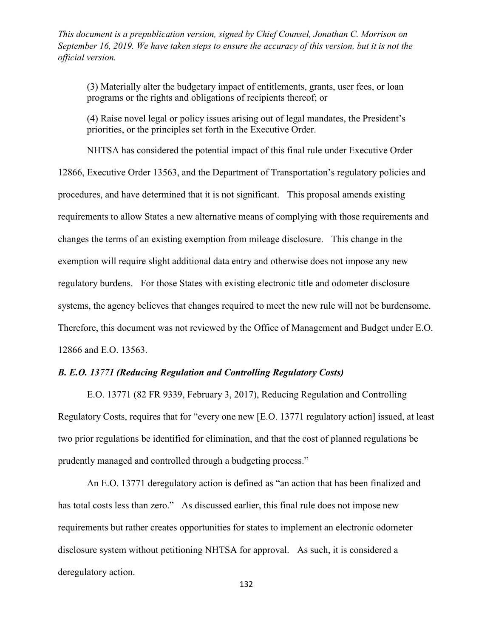(3) Materially alter the budgetary impact of entitlements, grants, user fees, or loan programs or the rights and obligations of recipients thereof; or

(4) Raise novel legal or policy issues arising out of legal mandates, the President's priorities, or the principles set forth in the Executive Order.

NHTSA has considered the potential impact of this final rule under Executive Order

12866, Executive Order 13563, and the Department of Transportation's regulatory policies and procedures, and have determined that it is not significant. This proposal amends existing requirements to allow States a new alternative means of complying with those requirements and changes the terms of an existing exemption from mileage disclosure. This change in the exemption will require slight additional data entry and otherwise does not impose any new regulatory burdens. For those States with existing electronic title and odometer disclosure systems, the agency believes that changes required to meet the new rule will not be burdensome. Therefore, this document was not reviewed by the Office of Management and Budget under E.O. 12866 and E.O. 13563.

# *B. E.O. 13771 (Reducing Regulation and Controlling Regulatory Costs)*

E.O. 13771 (82 FR 9339, February 3, 2017), Reducing Regulation and Controlling Regulatory Costs, requires that for "every one new [E.O. 13771 regulatory action] issued, at least two prior regulations be identified for elimination, and that the cost of planned regulations be prudently managed and controlled through a budgeting process."

An E.O. 13771 deregulatory action is defined as "an action that has been finalized and has total costs less than zero." As discussed earlier, this final rule does not impose new requirements but rather creates opportunities for states to implement an electronic odometer disclosure system without petitioning NHTSA for approval. As such, it is considered a deregulatory action.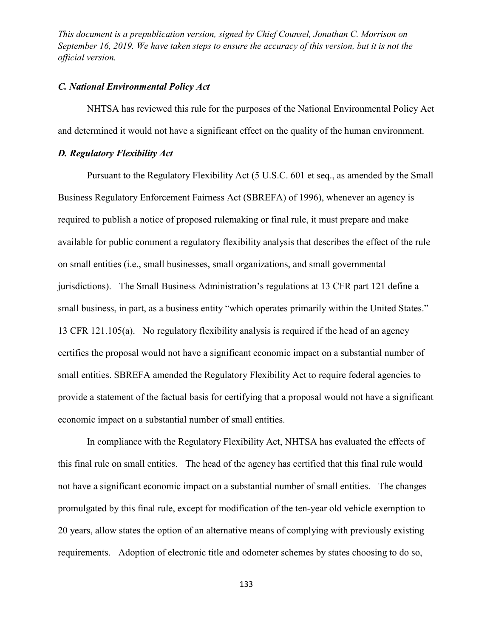### *C. National Environmental Policy Act*

NHTSA has reviewed this rule for the purposes of the National Environmental Policy Act and determined it would not have a significant effect on the quality of the human environment.

#### *D. Regulatory Flexibility Act*

Pursuant to the Regulatory Flexibility Act (5 U.S.C. 601 et seq., as amended by the Small Business Regulatory Enforcement Fairness Act (SBREFA) of 1996), whenever an agency is required to publish a notice of proposed rulemaking or final rule, it must prepare and make available for public comment a regulatory flexibility analysis that describes the effect of the rule on small entities (i.e., small businesses, small organizations, and small governmental jurisdictions). The Small Business Administration's regulations at 13 CFR part 121 define a small business, in part, as a business entity "which operates primarily within the United States." 13 CFR 121.105(a). No regulatory flexibility analysis is required if the head of an agency certifies the proposal would not have a significant economic impact on a substantial number of small entities. SBREFA amended the Regulatory Flexibility Act to require federal agencies to provide a statement of the factual basis for certifying that a proposal would not have a significant economic impact on a substantial number of small entities.

In compliance with the Regulatory Flexibility Act, NHTSA has evaluated the effects of this final rule on small entities. The head of the agency has certified that this final rule would not have a significant economic impact on a substantial number of small entities. The changes promulgated by this final rule, except for modification of the ten-year old vehicle exemption to 20 years, allow states the option of an alternative means of complying with previously existing requirements. Adoption of electronic title and odometer schemes by states choosing to do so,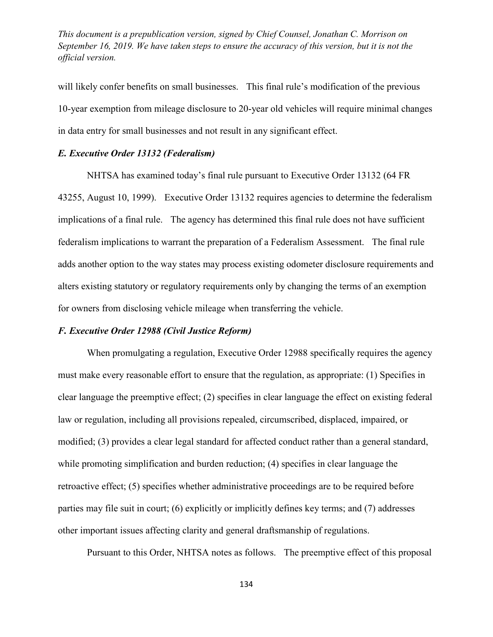will likely confer benefits on small businesses. This final rule's modification of the previous 10-year exemption from mileage disclosure to 20-year old vehicles will require minimal changes in data entry for small businesses and not result in any significant effect.

## *E. Executive Order 13132 (Federalism)*

NHTSA has examined today's final rule pursuant to Executive Order 13132 (64 FR 43255, August 10, 1999). Executive Order 13132 requires agencies to determine the federalism implications of a final rule. The agency has determined this final rule does not have sufficient federalism implications to warrant the preparation of a Federalism Assessment. The final rule adds another option to the way states may process existing odometer disclosure requirements and alters existing statutory or regulatory requirements only by changing the terms of an exemption for owners from disclosing vehicle mileage when transferring the vehicle.

### *F. Executive Order 12988 (Civil Justice Reform)*

When promulgating a regulation, Executive Order 12988 specifically requires the agency must make every reasonable effort to ensure that the regulation, as appropriate: (1) Specifies in clear language the preemptive effect; (2) specifies in clear language the effect on existing federal law or regulation, including all provisions repealed, circumscribed, displaced, impaired, or modified; (3) provides a clear legal standard for affected conduct rather than a general standard, while promoting simplification and burden reduction; (4) specifies in clear language the retroactive effect; (5) specifies whether administrative proceedings are to be required before parties may file suit in court; (6) explicitly or implicitly defines key terms; and (7) addresses other important issues affecting clarity and general draftsmanship of regulations.

Pursuant to this Order, NHTSA notes as follows. The preemptive effect of this proposal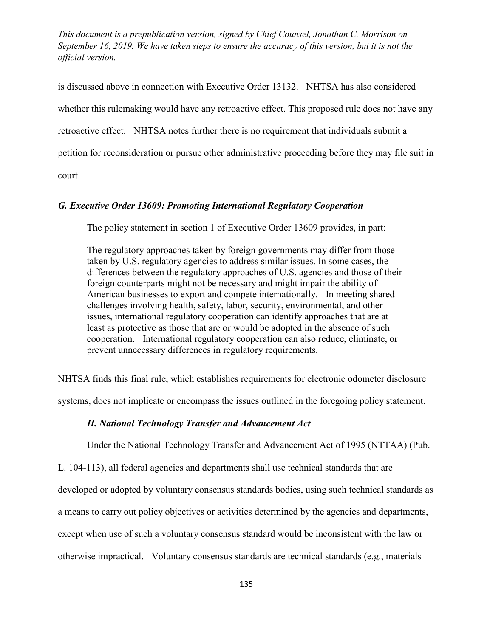is discussed above in connection with Executive Order 13132. NHTSA has also considered whether this rulemaking would have any retroactive effect. This proposed rule does not have any retroactive effect. NHTSA notes further there is no requirement that individuals submit a petition for reconsideration or pursue other administrative proceeding before they may file suit in court.

## *G. Executive Order 13609: Promoting International Regulatory Cooperation*

The policy statement in section 1 of Executive Order 13609 provides, in part:

The regulatory approaches taken by foreign governments may differ from those taken by U.S. regulatory agencies to address similar issues. In some cases, the differences between the regulatory approaches of U.S. agencies and those of their foreign counterparts might not be necessary and might impair the ability of American businesses to export and compete internationally. In meeting shared challenges involving health, safety, labor, security, environmental, and other issues, international regulatory cooperation can identify approaches that are at least as protective as those that are or would be adopted in the absence of such cooperation. International regulatory cooperation can also reduce, eliminate, or prevent unnecessary differences in regulatory requirements.

NHTSA finds this final rule, which establishes requirements for electronic odometer disclosure

systems, does not implicate or encompass the issues outlined in the foregoing policy statement.

#### *H. National Technology Transfer and Advancement Act*

Under the National Technology Transfer and Advancement Act of 1995 (NTTAA) (Pub.

L. 104-113), all federal agencies and departments shall use technical standards that are

developed or adopted by voluntary consensus standards bodies, using such technical standards as

a means to carry out policy objectives or activities determined by the agencies and departments,

except when use of such a voluntary consensus standard would be inconsistent with the law or

otherwise impractical. Voluntary consensus standards are technical standards (e.g., materials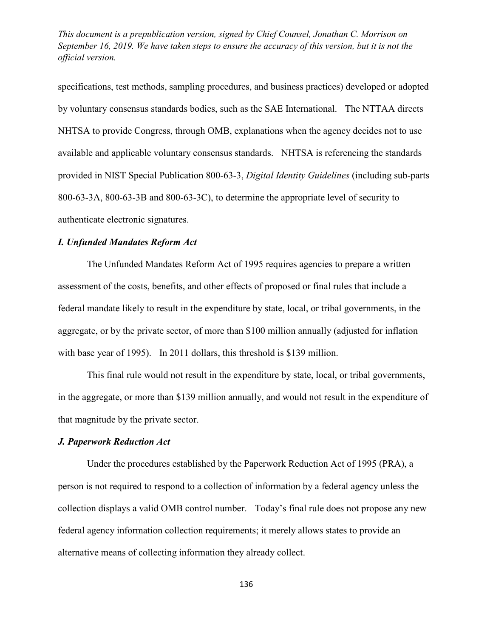specifications, test methods, sampling procedures, and business practices) developed or adopted by voluntary consensus standards bodies, such as the SAE International. The NTTAA directs NHTSA to provide Congress, through OMB, explanations when the agency decides not to use available and applicable voluntary consensus standards. NHTSA is referencing the standards provided in NIST Special Publication 800-63-3, *Digital Identity Guidelines* (including sub-parts 800-63-3A, 800-63-3B and 800-63-3C), to determine the appropriate level of security to authenticate electronic signatures.

#### *I. Unfunded Mandates Reform Act*

The Unfunded Mandates Reform Act of 1995 requires agencies to prepare a written assessment of the costs, benefits, and other effects of proposed or final rules that include a federal mandate likely to result in the expenditure by state, local, or tribal governments, in the aggregate, or by the private sector, of more than \$100 million annually (adjusted for inflation with base year of 1995). In 2011 dollars, this threshold is \$139 million.

This final rule would not result in the expenditure by state, local, or tribal governments, in the aggregate, or more than \$139 million annually, and would not result in the expenditure of that magnitude by the private sector.

### *J. Paperwork Reduction Act*

Under the procedures established by the Paperwork Reduction Act of 1995 (PRA), a person is not required to respond to a collection of information by a federal agency unless the collection displays a valid OMB control number. Today's final rule does not propose any new federal agency information collection requirements; it merely allows states to provide an alternative means of collecting information they already collect.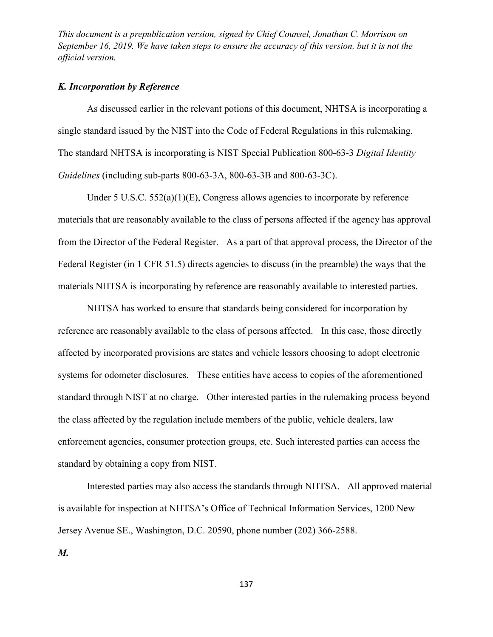#### *K. Incorporation by Reference*

As discussed earlier in the relevant potions of this document, NHTSA is incorporating a single standard issued by the NIST into the Code of Federal Regulations in this rulemaking. The standard NHTSA is incorporating is NIST Special Publication 800-63-3 *Digital Identity Guidelines* (including sub-parts 800-63-3A, 800-63-3B and 800-63-3C).

Under [5 U.S.C. 552\(a\)\(1\)\(E\),](http://www.westlaw.com/Link/Document/FullText?findType=L&pubNum=1000546&cite=5USCAS552&originatingDoc=I8F9F49A0C1D311E6BC92C7E78C5B7C41&refType=RB&originationContext=document&vr=3.0&rs=cblt1.0&transitionType=DocumentItem&contextData=(sc.UserEnteredCitation)#co_pp_5afb00006e6d3) Congress allows agencies to incorporate by reference materials that are reasonably available to the class of persons affected if the agency has approval from the Director of the Federal Register. As a part of that approval process, the Director of the Federal Register (in [1 CFR 51.5\)](http://www.westlaw.com/Link/Document/FullText?findType=L&pubNum=1000547&cite=1CFRS51.5&originatingDoc=I8F9F49A0C1D311E6BC92C7E78C5B7C41&refType=LQ&originationContext=document&vr=3.0&rs=cblt1.0&transitionType=DocumentItem&contextData=(sc.UserEnteredCitation)) directs agencies to discuss (in the preamble) the ways that the materials NHTSA is incorporating by reference are reasonably available to interested parties.

NHTSA has worked to ensure that standards being considered for incorporation by reference are reasonably available to the class of persons affected. In this case, those directly affected by incorporated provisions are states and vehicle lessors choosing to adopt electronic systems for odometer disclosures. These entities have access to copies of the aforementioned standard through NIST at no charge. Other interested parties in the rulemaking process beyond the class affected by the regulation include members of the public, vehicle dealers, law enforcement agencies, consumer protection groups, etc. Such interested parties can access the standard by obtaining a copy from NIST.

Interested parties may also access the standards through NHTSA. All approved material is available for inspection at NHTSA's Office of Technical Information Services, 1200 New Jersey Avenue SE., Washington, D.C. 20590, phone number (202) 366-2588. *M.*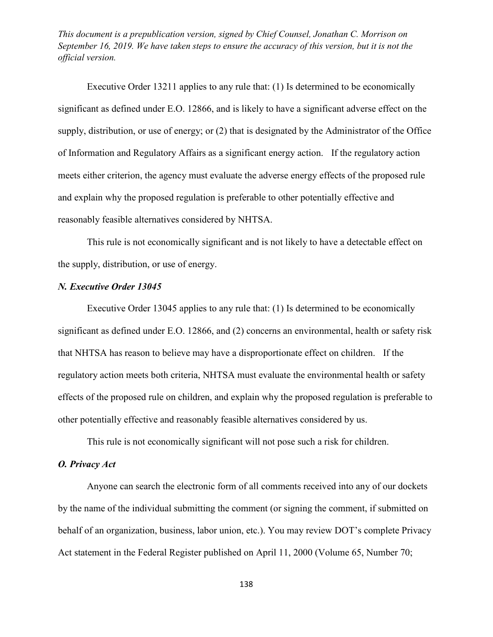[Executive Order 13211](http://www.westlaw.com/Link/Document/FullText?findType=Y&serNum=2005508477&pubNum=0001043&originatingDoc=I8F9F49A0C1D311E6BC92C7E78C5B7C41&refType=CA&originationContext=document&vr=3.0&rs=cblt1.0&transitionType=DocumentItem&contextData=(sc.UserEnteredCitation)) applies to any rule that: (1) Is determined to be economically significant as defined under [E.O. 12866,](http://www.westlaw.com/Link/Document/FullText?findType=Y&serNum=1993511360&pubNum=0001043&originatingDoc=I8F9F49A0C1D311E6BC92C7E78C5B7C41&refType=CA&originationContext=document&vr=3.0&rs=cblt1.0&transitionType=DocumentItem&contextData=(sc.UserEnteredCitation)) and is likely to have a significant adverse effect on the supply, distribution, or use of energy; or (2) that is designated by the Administrator of the Office of Information and Regulatory Affairs as a significant energy action. If the regulatory action meets either criterion, the agency must evaluate the adverse energy effects of the proposed rule and explain why the proposed regulation is preferable to other potentially effective and reasonably feasible alternatives considered by NHTSA.

This rule is not economically significant and is not likely to have a detectable effect on the supply, distribution, or use of energy.

#### *N. [Executive Order 13045](http://www.westlaw.com/Link/Document/FullText?findType=Y&serNum=1997604500&pubNum=0001043&originatingDoc=I8F9F49A0C1D311E6BC92C7E78C5B7C41&refType=CA&originationContext=document&vr=3.0&rs=cblt1.0&transitionType=DocumentItem&contextData=(sc.UserEnteredCitation))*

[Executive Order 13045](http://www.westlaw.com/Link/Document/FullText?findType=Y&serNum=1997604500&pubNum=0001043&originatingDoc=I8F9F49A0C1D311E6BC92C7E78C5B7C41&refType=CA&originationContext=document&vr=3.0&rs=cblt1.0&transitionType=DocumentItem&contextData=(sc.UserEnteredCitation)) applies to any rule that: (1) Is determined to be economically significant as defined under [E.O. 12866,](http://www.westlaw.com/Link/Document/FullText?findType=Y&serNum=1993511360&pubNum=0001043&originatingDoc=I8F9F49A0C1D311E6BC92C7E78C5B7C41&refType=CA&originationContext=document&vr=3.0&rs=cblt1.0&transitionType=DocumentItem&contextData=(sc.UserEnteredCitation)) and (2) concerns an environmental, health or safety risk that NHTSA has reason to believe may have a disproportionate effect on children. If the regulatory action meets both criteria, NHTSA must evaluate the environmental health or safety effects of the proposed rule on children, and explain why the proposed regulation is preferable to other potentially effective and reasonably feasible alternatives considered by us.

This rule is not economically significant will not pose such a risk for children.

# *O. Privacy Act*

Anyone can search the electronic form of all comments received into any of our dockets by the name of the individual submitting the comment (or signing the comment, if submitted on behalf of an organization, business, labor union, etc.). You may review DOT's complete Privacy Act statement in the Federal Register published on April 11, 2000 (Volume 65, Number 70;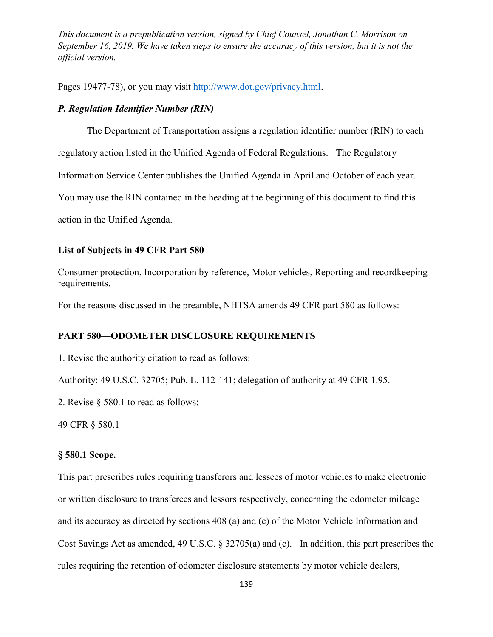Pages 19477-78), or you may visit [http://www.dot.gov/privacy.html.](http://www.dot.gov/privacy.html)

### *P. Regulation Identifier Number (RIN)*

The Department of Transportation assigns a regulation identifier number (RIN) to each

regulatory action listed in the Unified Agenda of Federal Regulations. The Regulatory

Information Service Center publishes the Unified Agenda in April and October of each year.

You may use the RIN contained in the heading at the beginning of this document to find this

action in the Unified Agenda.

#### **List of Subjects in 49 CFR Part 580**

Consumer protection, Incorporation by reference, Motor vehicles, Reporting and recordkeeping requirements.

For the reasons discussed in the preamble, NHTSA amends 49 CFR part 580 as follows:

#### **PART 580—ODOMETER DISCLOSURE REQUIREMENTS**

1. Revise the authority citation to read as follows:

Authority: 49 U.S.C. 32705; Pub. L. 112-141; delegation of authority at 49 CFR 1.95.

2. Revise § 580.1 to read as follows:

49 CFR § 580.1

### **§ 580.1 Scope.**

This part prescribes rules requiring transferors and lessees of motor vehicles to make electronic or written disclosure to transferees and lessors respectively, concerning the odometer mileage and its accuracy as directed by sections 408 (a) and (e) of the Motor Vehicle Information and Cost Savings Act as amended, 49 U.S.C. § 32705(a) and (c). In addition, this part prescribes the rules requiring the retention of odometer disclosure statements by motor vehicle dealers,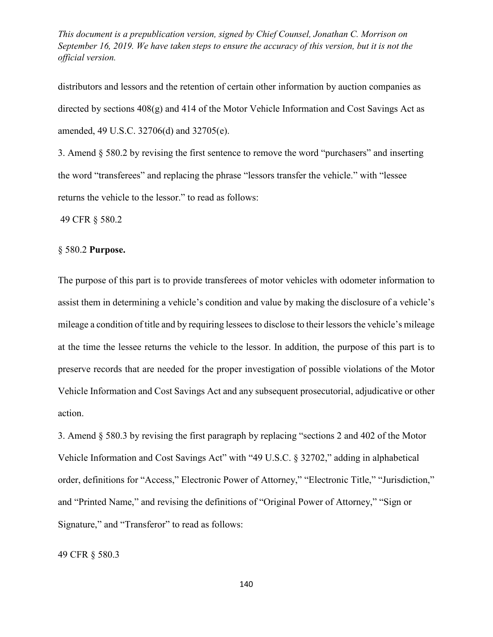distributors and lessors and the retention of certain other information by auction companies as directed by sections 408(g) and 414 of the Motor Vehicle Information and Cost Savings Act as amended, 49 U.S.C. 32706(d) and 32705(e).

3. Amend § 580.2 by revising the first sentence to remove the word "purchasers" and inserting the word "transferees" and replacing the phrase "lessors transfer the vehicle." with "lessee returns the vehicle to the lessor." to read as follows:

49 CFR § 580.2

### § 580.2 **Purpose.**

The purpose of this part is to provide transferees of motor vehicles with odometer information to assist them in determining a vehicle's condition and value by making the disclosure of a vehicle's mileage a condition of title and by requiring lessees to disclose to their lessors the vehicle's mileage at the time the lessee returns the vehicle to the lessor. In addition, the purpose of this part is to preserve records that are needed for the proper investigation of possible violations of the Motor Vehicle Information and Cost Savings Act and any subsequent prosecutorial, adjudicative or other action.

3. Amend § 580.3 by revising the first paragraph by replacing "sections 2 and 402 of the Motor Vehicle Information and Cost Savings Act" with "49 U.S.C. § 32702," adding in alphabetical order, definitions for "Access," Electronic Power of Attorney," "Electronic Title," "Jurisdiction," and "Printed Name," and revising the definitions of "Original Power of Attorney," "Sign or Signature," and "Transferor" to read as follows:

49 CFR § 580.3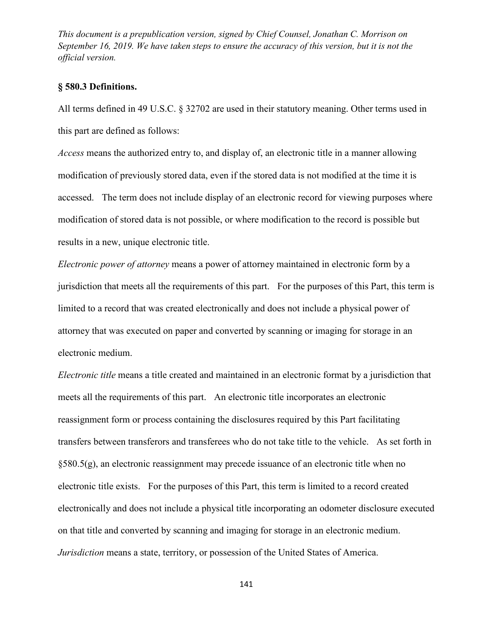### **§ 580.3 Definitions.**

All terms defined in 49 U.S.C. § 32702 are used in their statutory meaning. Other terms used in this part are defined as follows:

*Access* means the authorized entry to, and display of, an electronic title in a manner allowing modification of previously stored data, even if the stored data is not modified at the time it is accessed. The term does not include display of an electronic record for viewing purposes where modification of stored data is not possible, or where modification to the record is possible but results in a new, unique electronic title.

*Electronic power of attorney* means a power of attorney maintained in electronic form by a jurisdiction that meets all the requirements of this part. For the purposes of this Part, this term is limited to a record that was created electronically and does not include a physical power of attorney that was executed on paper and converted by scanning or imaging for storage in an electronic medium.

*Electronic title* means a title created and maintained in an electronic format by a jurisdiction that meets all the requirements of this part. An electronic title incorporates an electronic reassignment form or process containing the disclosures required by this Part facilitating transfers between transferors and transferees who do not take title to the vehicle. As set forth in §580.5(g), an electronic reassignment may precede issuance of an electronic title when no electronic title exists. For the purposes of this Part, this term is limited to a record created electronically and does not include a physical title incorporating an odometer disclosure executed on that title and converted by scanning and imaging for storage in an electronic medium. *Jurisdiction* means a state, territory, or possession of the United States of America.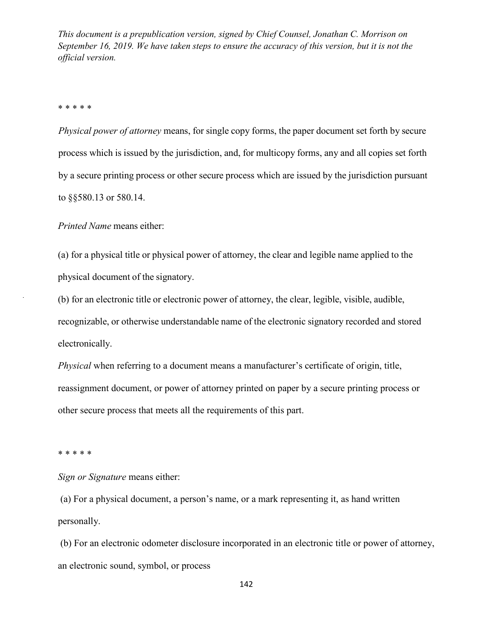#### \* \* \* \* \*

*Physical power of attorney* means, for single copy forms, the paper document set forth by secure process which is issued by the jurisdiction, and, for multicopy forms, any and all copies set forth by a secure printing process or other secure process which are issued by the jurisdiction pursuant to §§580.13 or 580.14.

*Printed Name* means either:

(a) for a physical title or physical power of attorney, the clear and legible name applied to the physical document of the signatory.

(b) for an electronic title or electronic power of attorney, the clear, legible, visible, audible, recognizable, or otherwise understandable name of the electronic signatory recorded and stored electronically.

*Physical* when referring to a document means a manufacturer's certificate of origin, title, reassignment document, or power of attorney printed on paper by a secure printing process or other secure process that meets all the requirements of this part.

#### \* \* \* \* \*

*Sign or Signature* means either:

(a) For a physical document, a person's name, or a mark representing it, as hand written personally.

(b) For an electronic odometer disclosure incorporated in an electronic title or power of attorney, an electronic sound, symbol, or process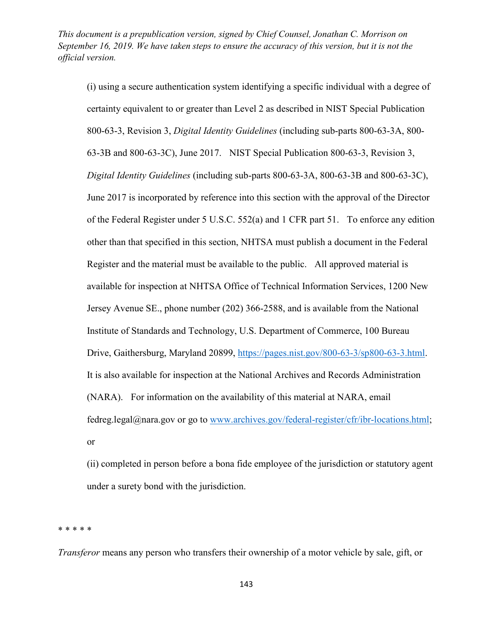(i) using a secure authentication system identifying a specific individual with a degree of certainty equivalent to or greater than Level 2 as described in NIST Special Publication 800-63-3, Revision 3, *Digital Identity Guidelines* (including sub-parts 800-63-3A, 800- 63-3B and 800-63-3C), June 2017. NIST Special Publication 800-63-3, Revision 3, *Digital Identity Guidelines* (including sub-parts 800-63-3A, 800-63-3B and 800-63-3C), June 2017 is incorporated by reference into this section with the approval of the Director of the Federal Register under 5 U.S.C. 552(a) and 1 CFR part 51. To enforce any edition other than that specified in this section, NHTSA must publish a document in the Federal Register and the material must be available to the public. All approved material is available for inspection at NHTSA Office of Technical Information Services, 1200 New Jersey Avenue SE., phone number (202) 366-2588, and is available from the National Institute of Standards and Technology, U.S. Department of Commerce, 100 Bureau Drive, Gaithersburg, Maryland 20899, [https://pages.nist.gov/800-63-3/sp800-63-3.html.](https://pages.nist.gov/800-63-3/sp800-63-3.html) It is also available for inspection at the National Archives and Records Administration (NARA). For information on the availability of this material at NARA, email fedreg.legal@nara.gov or go to [www.archives.gov/federal-register/cfr/ibr-locations.html;](http://www.archives.gov/federal-register/cfr/ibr-locations.html) or

(ii) completed in person before a bona fide employee of the jurisdiction or statutory agent under a surety bond with the jurisdiction.

\* \* \* \* \*

*Transferor* means any person who transfers their ownership of a motor vehicle by sale, gift, or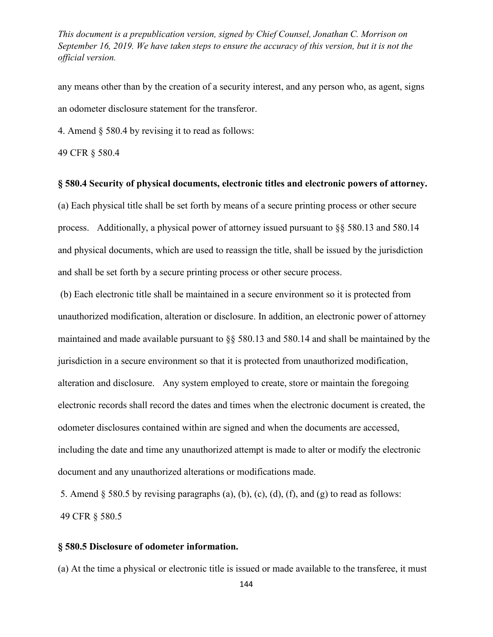any means other than by the creation of a security interest, and any person who, as agent, signs an odometer disclosure statement for the transferor.

4. Amend [§ 580.4](http://www.westlaw.com/Link/Document/FullText?findType=L&pubNum=1000547&cite=49CFRS580.4&originatingDoc=IC350B0F0F25711E5AE9ECA0D137ECF34&refType=LQ&originationContext=document&vr=3.0&rs=cblt1.0&transitionType=DocumentItem&contextData=(sc.UserEnteredCitation)) by revising it to read as follows:

[49 CFR § 580.4](http://www.westlaw.com/Link/Document/FullText?findType=L&pubNum=1000547&cite=49CFRS580.4&originatingDoc=IC350B0F0F25711E5AE9ECA0D137ECF34&refType=LQ&originationContext=document&vr=3.0&rs=cblt1.0&transitionType=DocumentItem&contextData=(sc.UserEnteredCitation))

#### **§ 580.4 Security of physical documents, electronic titles and electronic powers of attorney.**

(a) Each physical title shall be set forth by means of a secure printing process or other secure process. Additionally, a physical power of attorney issued pursuant to §§ 580.13 and 580.14 and physical documents, which are used to reassign the title, shall be issued by the jurisdiction and shall be set forth by a secure printing process or other secure process.

(b) Each electronic title shall be maintained in a secure environment so it is protected from unauthorized modification, alteration or disclosure. In addition, an electronic power of attorney maintained and made available pursuant to §§ 580.13 and 580.14 and shall be maintained by the jurisdiction in a secure environment so that it is protected from unauthorized modification, alteration and disclosure. Any system employed to create, store or maintain the foregoing electronic records shall record the dates and times when the electronic document is created, the odometer disclosures contained within are signed and when the documents are accessed, including the date and time any unauthorized attempt is made to alter or modify the electronic document and any unauthorized alterations or modifications made.

5. Amend  $\S$  580.5 by revising paragraphs (a), (b), (c), (d), (f), and (g) to read as follows: 49 CFR § 580.5

#### **§ 580.5 Disclosure of odometer information.**

(a) At the time a physical or electronic title is issued or made available to the transferee, it must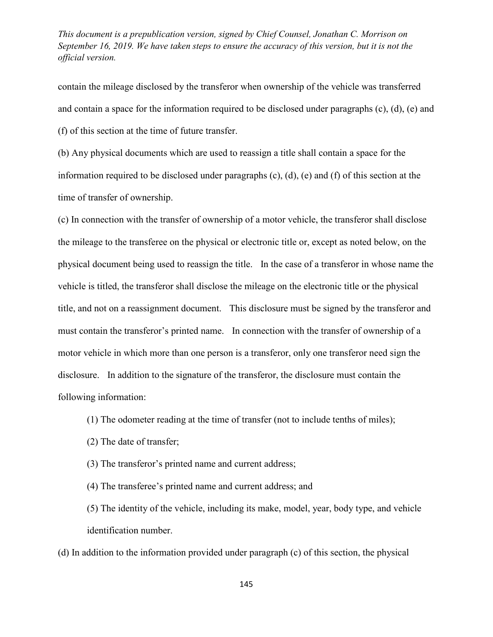contain the mileage disclosed by the transferor when ownership of the vehicle was transferred and contain a space for the information required to be disclosed under paragraphs (c), (d), (e) and (f) of this section at the time of future transfer.

(b) Any physical documents which are used to reassign a title shall contain a space for the information required to be disclosed under paragraphs (c), (d), (e) and (f) of this section at the time of transfer of ownership.

(c) In connection with the transfer of ownership of a motor vehicle, the transferor shall disclose the mileage to the transferee on the physical or electronic title or, except as noted below, on the physical document being used to reassign the title. In the case of a transferor in whose name the vehicle is titled, the transferor shall disclose the mileage on the electronic title or the physical title, and not on a reassignment document. This disclosure must be signed by the transferor and must contain the transferor's printed name. In connection with the transfer of ownership of a motor vehicle in which more than one person is a transferor, only one transferor need sign the disclosure. In addition to the signature of the transferor, the disclosure must contain the following information:

(1) The odometer reading at the time of transfer (not to include tenths of miles);

(2) The date of transfer;

(3) The transferor's printed name and current address;

(4) The transferee's printed name and current address; and

(5) The identity of the vehicle, including its make, model, year, body type, and vehicle identification number.

(d) In addition to the information provided under paragraph (c) of this section, the physical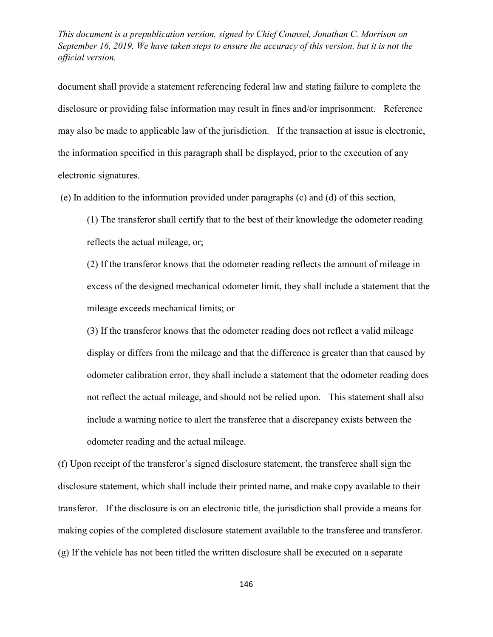document shall provide a statement referencing federal law and stating failure to complete the disclosure or providing false information may result in fines and/or imprisonment. Reference may also be made to applicable law of the jurisdiction. If the transaction at issue is electronic, the information specified in this paragraph shall be displayed, prior to the execution of any electronic signatures.

(e) In addition to the information provided under paragraphs (c) and (d) of this section,

(1) The transferor shall certify that to the best of their knowledge the odometer reading reflects the actual mileage, or;

(2) If the transferor knows that the odometer reading reflects the amount of mileage in excess of the designed mechanical odometer limit, they shall include a statement that the mileage exceeds mechanical limits; or

(3) If the transferor knows that the odometer reading does not reflect a valid mileage display or differs from the mileage and that the difference is greater than that caused by odometer calibration error, they shall include a statement that the odometer reading does not reflect the actual mileage, and should not be relied upon. This statement shall also include a warning notice to alert the transferee that a discrepancy exists between the odometer reading and the actual mileage.

(f) Upon receipt of the transferor's signed disclosure statement, the transferee shall sign the disclosure statement, which shall include their printed name, and make copy available to their transferor. If the disclosure is on an electronic title, the jurisdiction shall provide a means for making copies of the completed disclosure statement available to the transferee and transferor. (g) If the vehicle has not been titled the written disclosure shall be executed on a separate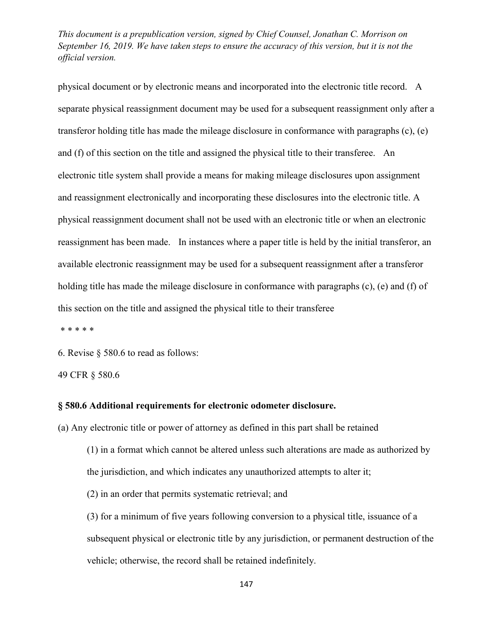physical document or by electronic means and incorporated into the electronic title record. A separate physical reassignment document may be used for a subsequent reassignment only after a transferor holding title has made the mileage disclosure in conformance with paragraphs (c), (e) and (f) of this section on the title and assigned the physical title to their transferee. An electronic title system shall provide a means for making mileage disclosures upon assignment and reassignment electronically and incorporating these disclosures into the electronic title. A physical reassignment document shall not be used with an electronic title or when an electronic reassignment has been made. In instances where a paper title is held by the initial transferor, an available electronic reassignment may be used for a subsequent reassignment after a transferor holding title has made the mileage disclosure in conformance with paragraphs (c), (e) and (f) of this section on the title and assigned the physical title to their transferee

\* \* \* \* \*

6. Revise § 580.6 to read as follows:

49 CFR § 580.6

#### **§ 580.6 Additional requirements for electronic odometer disclosure.**

(a) Any electronic title or power of attorney as defined in this part shall be retained

- (1) in a format which cannot be altered unless such alterations are made as authorized by the jurisdiction, and which indicates any unauthorized attempts to alter it;
- (2) in an order that permits systematic retrieval; and

(3) for a minimum of five years following conversion to a physical title, issuance of a subsequent physical or electronic title by any jurisdiction, or permanent destruction of the vehicle; otherwise, the record shall be retained indefinitely.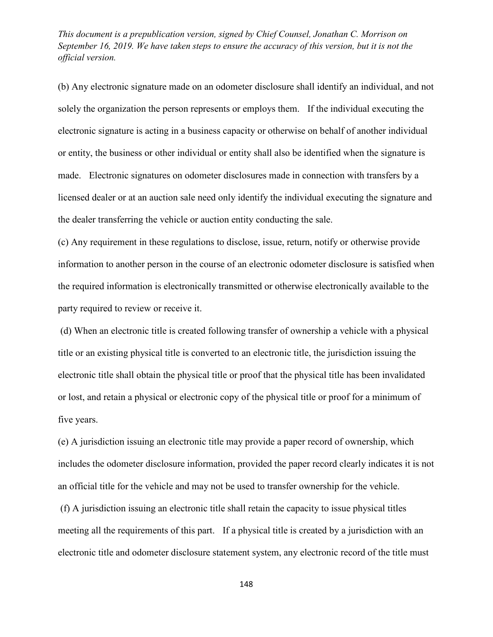(b) Any electronic signature made on an odometer disclosure shall identify an individual, and not solely the organization the person represents or employs them. If the individual executing the electronic signature is acting in a business capacity or otherwise on behalf of another individual or entity, the business or other individual or entity shall also be identified when the signature is made. Electronic signatures on odometer disclosures made in connection with transfers by a licensed dealer or at an auction sale need only identify the individual executing the signature and the dealer transferring the vehicle or auction entity conducting the sale.

(c) Any requirement in these regulations to disclose, issue, return, notify or otherwise provide information to another person in the course of an electronic odometer disclosure is satisfied when the required information is electronically transmitted or otherwise electronically available to the party required to review or receive it.

(d) When an electronic title is created following transfer of ownership a vehicle with a physical title or an existing physical title is converted to an electronic title, the jurisdiction issuing the electronic title shall obtain the physical title or proof that the physical title has been invalidated or lost, and retain a physical or electronic copy of the physical title or proof for a minimum of five years.

(e) A jurisdiction issuing an electronic title may provide a paper record of ownership, which includes the odometer disclosure information, provided the paper record clearly indicates it is not an official title for the vehicle and may not be used to transfer ownership for the vehicle.

(f) A jurisdiction issuing an electronic title shall retain the capacity to issue physical titles meeting all the requirements of this part. If a physical title is created by a jurisdiction with an electronic title and odometer disclosure statement system, any electronic record of the title must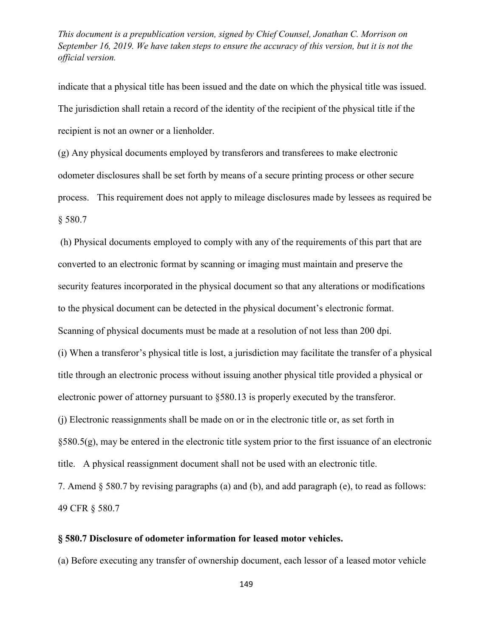indicate that a physical title has been issued and the date on which the physical title was issued. The jurisdiction shall retain a record of the identity of the recipient of the physical title if the recipient is not an owner or a lienholder.

(g) Any physical documents employed by transferors and transferees to make electronic odometer disclosures shall be set forth by means of a secure printing process or other secure process. This requirement does not apply to mileage disclosures made by lessees as required be § 580.7

(h) Physical documents employed to comply with any of the requirements of this part that are converted to an electronic format by scanning or imaging must maintain and preserve the security features incorporated in the physical document so that any alterations or modifications to the physical document can be detected in the physical document's electronic format. Scanning of physical documents must be made at a resolution of not less than 200 dpi. (i) When a transferor's physical title is lost, a jurisdiction may facilitate the transfer of a physical title through an electronic process without issuing another physical title provided a physical or electronic power of attorney pursuant to §580.13 is properly executed by the transferor. (j) Electronic reassignments shall be made on or in the electronic title or, as set forth in §580.5(g), may be entered in the electronic title system prior to the first issuance of an electronic title. A physical reassignment document shall not be used with an electronic title. 7. Amend § 580.7 by revising paragraphs (a) and (b), and add paragraph (e), to read as follows: 49 CFR § 580.7

# **§ 580.7 Disclosure of odometer information for leased motor vehicles.**

(a) Before executing any transfer of ownership document, each lessor of a leased motor vehicle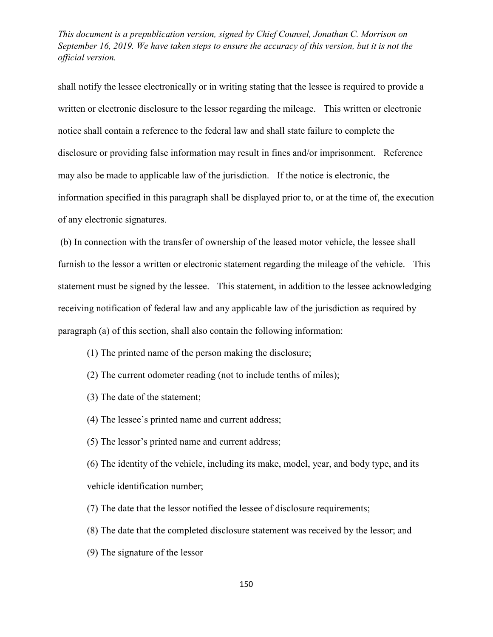shall notify the lessee electronically or in writing stating that the lessee is required to provide a written or electronic disclosure to the lessor regarding the mileage. This written or electronic notice shall contain a reference to the federal law and shall state failure to complete the disclosure or providing false information may result in fines and/or imprisonment. Reference may also be made to applicable law of the jurisdiction. If the notice is electronic, the information specified in this paragraph shall be displayed prior to, or at the time of, the execution of any electronic signatures.

(b) In connection with the transfer of ownership of the leased motor vehicle, the lessee shall furnish to the lessor a written or electronic statement regarding the mileage of the vehicle. This statement must be signed by the lessee. This statement, in addition to the lessee acknowledging receiving notification of federal law and any applicable law of the jurisdiction as required by paragraph (a) of this section, shall also contain the following information:

- (1) The printed name of the person making the disclosure;
- (2) The current odometer reading (not to include tenths of miles);
- (3) The date of the statement;
- (4) The lessee's printed name and current address;
- (5) The lessor's printed name and current address;

(6) The identity of the vehicle, including its make, model, year, and body type, and its vehicle identification number;

- (7) The date that the lessor notified the lessee of disclosure requirements;
- (8) The date that the completed disclosure statement was received by the lessor; and
- (9) The signature of the lessor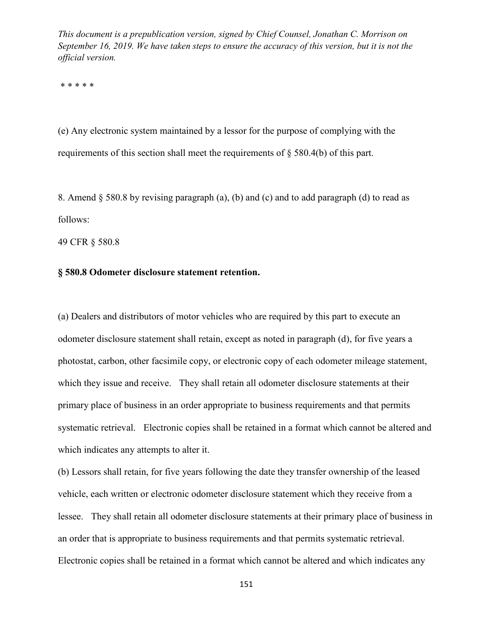\* \* \* \* \*

(e) Any electronic system maintained by a lessor for the purpose of complying with the requirements of this section shall meet the requirements of § 580.4(b) of this part.

8. Amend § 580.8 by revising paragraph (a), (b) and (c) and to add paragraph (d) to read as follows:

49 CFR § 580.8

# **§ 580.8 Odometer disclosure statement retention.**

(a) Dealers and distributors of motor vehicles who are required by this part to execute an odometer disclosure statement shall retain, except as noted in paragraph (d), for five years a photostat, carbon, other facsimile copy, or electronic copy of each odometer mileage statement, which they issue and receive. They shall retain all odometer disclosure statements at their primary place of business in an order appropriate to business requirements and that permits systematic retrieval. Electronic copies shall be retained in a format which cannot be altered and which indicates any attempts to alter it.

(b) Lessors shall retain, for five years following the date they transfer ownership of the leased vehicle, each written or electronic odometer disclosure statement which they receive from a lessee. They shall retain all odometer disclosure statements at their primary place of business in an order that is appropriate to business requirements and that permits systematic retrieval. Electronic copies shall be retained in a format which cannot be altered and which indicates any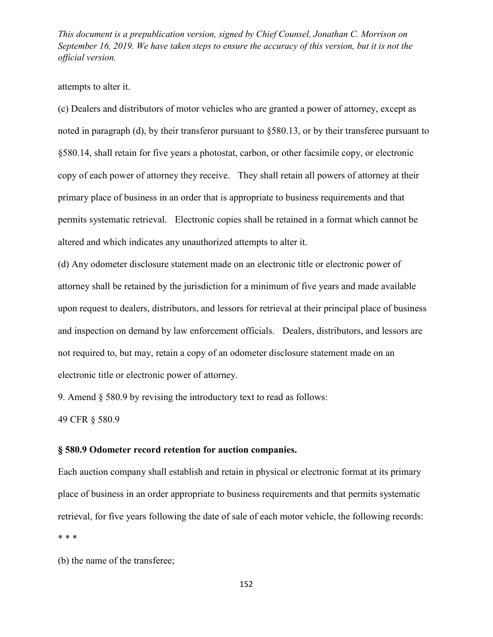#### attempts to alter it.

(c) Dealers and distributors of motor vehicles who are granted a power of attorney, except as noted in paragraph (d), by their transferor pursuant to §580.13, or by their transferee pursuant to §580.14, shall retain for five years a photostat, carbon, or other facsimile copy, or electronic copy of each power of attorney they receive. They shall retain all powers of attorney at their primary place of business in an order that is appropriate to business requirements and that permits systematic retrieval. Electronic copies shall be retained in a format which cannot be altered and which indicates any unauthorized attempts to alter it.

(d) Any odometer disclosure statement made on an electronic title or electronic power of attorney shall be retained by the jurisdiction for a minimum of five years and made available upon request to dealers, distributors, and lessors for retrieval at their principal place of business and inspection on demand by law enforcement officials. Dealers, distributors, and lessors are not required to, but may, retain a copy of an odometer disclosure statement made on an electronic title or electronic power of attorney.

9. Amend § 580.9 by revising the introductory text to read as follows:

49 CFR § 580.9

#### **§ 580.9 Odometer record retention for auction companies.**

Each auction company shall establish and retain in physical or electronic format at its primary place of business in an order appropriate to business requirements and that permits systematic retrieval, for five years following the date of sale of each motor vehicle, the following records: \* \* \*

(b) the name of the transferee;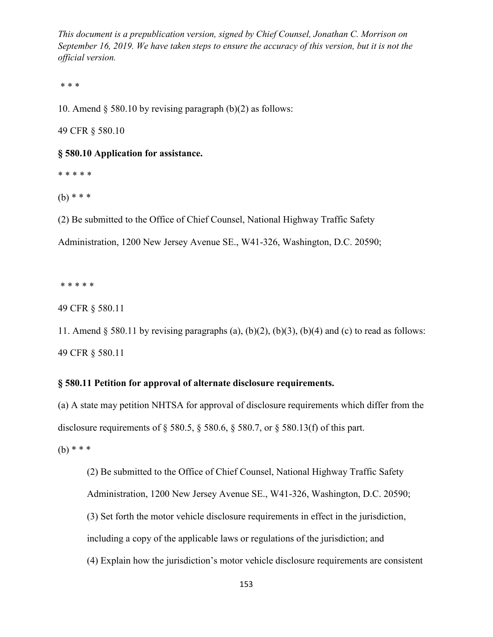\* \* \*

10. Amend  $\S$  580.10 by revising paragraph (b)(2) as follows:

49 CFR § 580.10

#### **§ 580.10 Application for assistance.**

\* \* \* \* \*

(b) \* \* \*

(2) Be submitted to the Office of Chief Counsel, National Highway Traffic Safety

Administration, 1200 New Jersey Avenue SE., W41-326, Washington, D.C. 20590;

\* \* \* \* \*

49 CFR § 580.11

11. Amend  $\S$  580.11 by revising paragraphs (a), (b)(2), (b)(3), (b)(4) and (c) to read as follows: 49 CFR § 580.11

### **§ 580.11 Petition for approval of alternate disclosure requirements.**

(a) A state may petition NHTSA for approval of disclosure requirements which differ from the disclosure requirements of § 580.5, § 580.6, § 580.7, or § 580.13(f) of this part.

 $(b)$  \* \* \*

(2) Be submitted to the Office of Chief Counsel, National Highway Traffic Safety Administration, 1200 New Jersey Avenue SE., W41-326, Washington, D.C. 20590; (3) Set forth the motor vehicle disclosure requirements in effect in the jurisdiction, including a copy of the applicable laws or regulations of the jurisdiction; and (4) Explain how the jurisdiction's motor vehicle disclosure requirements are consistent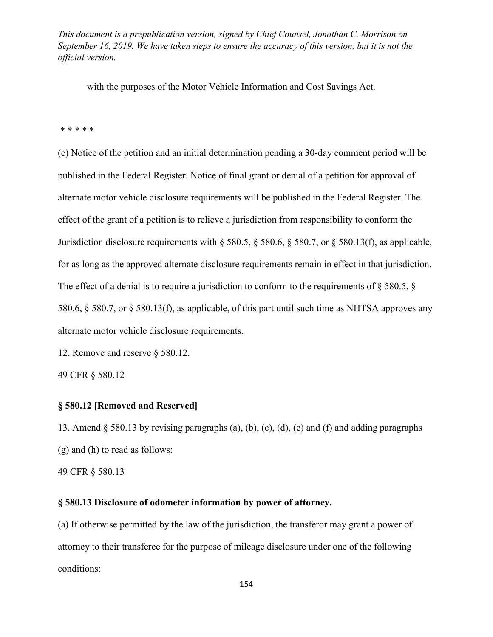with the purposes of the Motor Vehicle Information and Cost Savings Act.

\* \* \* \* \*

(c) Notice of the petition and an initial determination pending a 30-day comment period will be published in the Federal Register. Notice of final grant or denial of a petition for approval of alternate motor vehicle disclosure requirements will be published in the Federal Register. The effect of the grant of a petition is to relieve a jurisdiction from responsibility to conform the Jurisdiction disclosure requirements with § 580.5, § 580.6, § 580.7, or § 580.13(f), as applicable, for as long as the approved alternate disclosure requirements remain in effect in that jurisdiction. The effect of a denial is to require a jurisdiction to conform to the requirements of § 580.5, § 580.6, § 580.7, or § 580.13(f), as applicable, of this part until such time as NHTSA approves any alternate motor vehicle disclosure requirements.

12. Remove and reserve § 580.12.

49 CFR § 580.12

### **§ 580.12 [Removed and Reserved]**

13. Amend § 580.13 by revising paragraphs (a), (b), (c), (d), (e) and (f) and adding paragraphs (g) and (h) to read as follows:

49 CFR § 580.13

### **§ 580.13 Disclosure of odometer information by power of attorney.**

(a) If otherwise permitted by the law of the jurisdiction, the transferor may grant a power of attorney to their transferee for the purpose of mileage disclosure under one of the following conditions: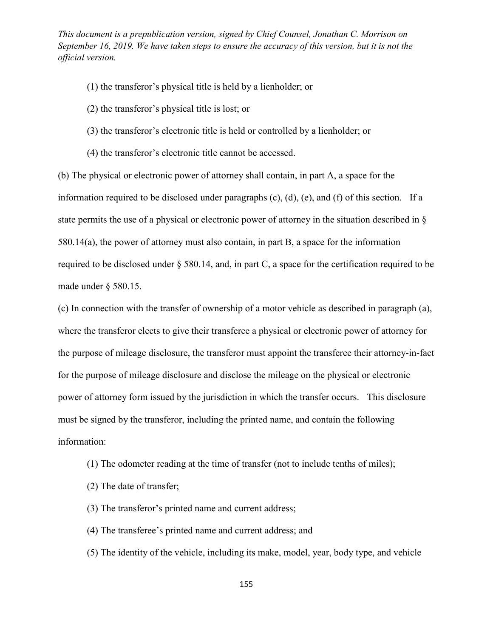- (1) the transferor's physical title is held by a lienholder; or
- (2) the transferor's physical title is lost; or
- (3) the transferor's electronic title is held or controlled by a lienholder; or
- (4) the transferor's electronic title cannot be accessed.

(b) The physical or electronic power of attorney shall contain, in part A, a space for the information required to be disclosed under paragraphs (c), (d), (e), and (f) of this section. If a state permits the use of a physical or electronic power of attorney in the situation described in § 580.14(a), the power of attorney must also contain, in part B, a space for the information required to be disclosed under § 580.14, and, in part C, a space for the certification required to be made under § 580.15.

(c) In connection with the transfer of ownership of a motor vehicle as described in paragraph (a), where the transferor elects to give their transferee a physical or electronic power of attorney for the purpose of mileage disclosure, the transferor must appoint the transferee their attorney-in-fact for the purpose of mileage disclosure and disclose the mileage on the physical or electronic power of attorney form issued by the jurisdiction in which the transfer occurs. This disclosure must be signed by the transferor, including the printed name, and contain the following information:

- (1) The odometer reading at the time of transfer (not to include tenths of miles);
- (2) The date of transfer;
- (3) The transferor's printed name and current address;
- (4) The transferee's printed name and current address; and
- (5) The identity of the vehicle, including its make, model, year, body type, and vehicle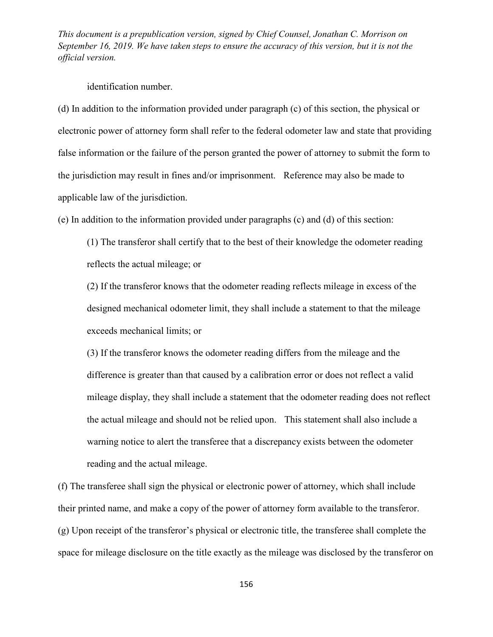identification number.

(d) In addition to the information provided under paragraph (c) of this section, the physical or electronic power of attorney form shall refer to the federal odometer law and state that providing false information or the failure of the person granted the power of attorney to submit the form to the jurisdiction may result in fines and/or imprisonment. Reference may also be made to applicable law of the jurisdiction.

(e) In addition to the information provided under paragraphs (c) and (d) of this section:

(1) The transferor shall certify that to the best of their knowledge the odometer reading reflects the actual mileage; or

(2) If the transferor knows that the odometer reading reflects mileage in excess of the designed mechanical odometer limit, they shall include a statement to that the mileage exceeds mechanical limits; or

(3) If the transferor knows the odometer reading differs from the mileage and the difference is greater than that caused by a calibration error or does not reflect a valid mileage display, they shall include a statement that the odometer reading does not reflect the actual mileage and should not be relied upon. This statement shall also include a warning notice to alert the transferee that a discrepancy exists between the odometer reading and the actual mileage.

(f) The transferee shall sign the physical or electronic power of attorney, which shall include their printed name, and make a copy of the power of attorney form available to the transferor. (g) Upon receipt of the transferor's physical or electronic title, the transferee shall complete the space for mileage disclosure on the title exactly as the mileage was disclosed by the transferor on

156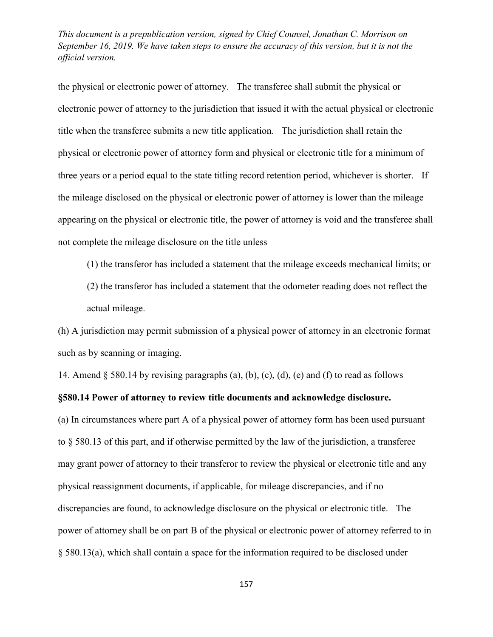the physical or electronic power of attorney. The transferee shall submit the physical or electronic power of attorney to the jurisdiction that issued it with the actual physical or electronic title when the transferee submits a new title application. The jurisdiction shall retain the physical or electronic power of attorney form and physical or electronic title for a minimum of three years or a period equal to the state titling record retention period, whichever is shorter. If the mileage disclosed on the physical or electronic power of attorney is lower than the mileage appearing on the physical or electronic title, the power of attorney is void and the transferee shall not complete the mileage disclosure on the title unless

(1) the transferor has included a statement that the mileage exceeds mechanical limits; or

(2) the transferor has included a statement that the odometer reading does not reflect the actual mileage.

(h) A jurisdiction may permit submission of a physical power of attorney in an electronic format such as by scanning or imaging.

14. Amend  $\S$  580.14 by revising paragraphs (a), (b), (c), (d), (e) and (f) to read as follows

## **§580.14 Power of attorney to review title documents and acknowledge disclosure.**

(a) In circumstances where part A of a physical power of attorney form has been used pursuant to § 580.13 of this part, and if otherwise permitted by the law of the jurisdiction, a transferee may grant power of attorney to their transferor to review the physical or electronic title and any physical reassignment documents, if applicable, for mileage discrepancies, and if no discrepancies are found, to acknowledge disclosure on the physical or electronic title. The power of attorney shall be on part B of the physical or electronic power of attorney referred to in § 580.13(a), which shall contain a space for the information required to be disclosed under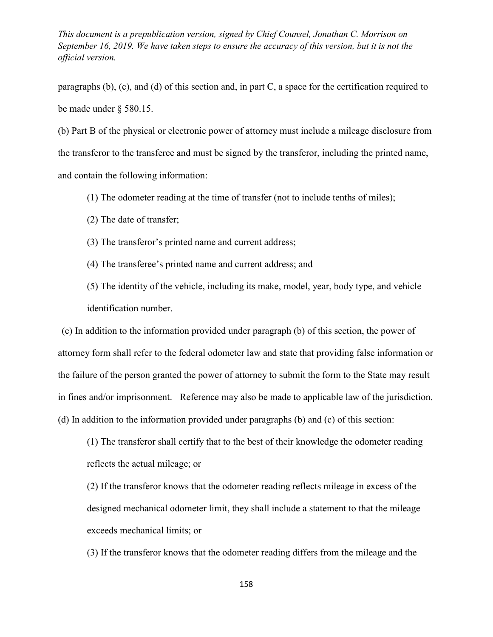paragraphs (b), (c), and (d) of this section and, in part C, a space for the certification required to be made under § 580.15.

(b) Part B of the physical or electronic power of attorney must include a mileage disclosure from the transferor to the transferee and must be signed by the transferor, including the printed name, and contain the following information:

- (1) The odometer reading at the time of transfer (not to include tenths of miles);
- (2) The date of transfer;
- (3) The transferor's printed name and current address;
- (4) The transferee's printed name and current address; and
- (5) The identity of the vehicle, including its make, model, year, body type, and vehicle identification number.

(c) In addition to the information provided under paragraph (b) of this section, the power of attorney form shall refer to the federal odometer law and state that providing false information or the failure of the person granted the power of attorney to submit the form to the State may result in fines and/or imprisonment. Reference may also be made to applicable law of the jurisdiction. (d) In addition to the information provided under paragraphs (b) and (c) of this section:

(1) The transferor shall certify that to the best of their knowledge the odometer reading reflects the actual mileage; or

(2) If the transferor knows that the odometer reading reflects mileage in excess of the designed mechanical odometer limit, they shall include a statement to that the mileage exceeds mechanical limits; or

(3) If the transferor knows that the odometer reading differs from the mileage and the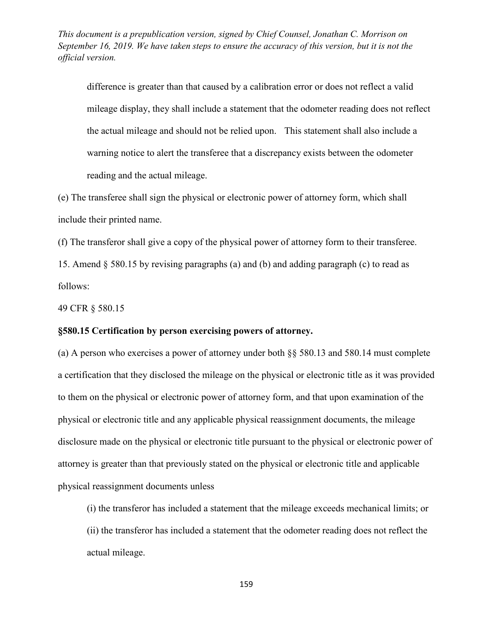difference is greater than that caused by a calibration error or does not reflect a valid mileage display, they shall include a statement that the odometer reading does not reflect the actual mileage and should not be relied upon. This statement shall also include a warning notice to alert the transferee that a discrepancy exists between the odometer reading and the actual mileage.

(e) The transferee shall sign the physical or electronic power of attorney form, which shall include their printed name.

(f) The transferor shall give a copy of the physical power of attorney form to their transferee.

15. Amend § 580.15 by revising paragraphs (a) and (b) and adding paragraph (c) to read as follows:

49 CFR § 580.15

# **§580.15 Certification by person exercising powers of attorney.**

(a) A person who exercises a power of attorney under both §§ 580.13 and 580.14 must complete a certification that they disclosed the mileage on the physical or electronic title as it was provided to them on the physical or electronic power of attorney form, and that upon examination of the physical or electronic title and any applicable physical reassignment documents, the mileage disclosure made on the physical or electronic title pursuant to the physical or electronic power of attorney is greater than that previously stated on the physical or electronic title and applicable physical reassignment documents unless

(i) the transferor has included a statement that the mileage exceeds mechanical limits; or

(ii) the transferor has included a statement that the odometer reading does not reflect the actual mileage.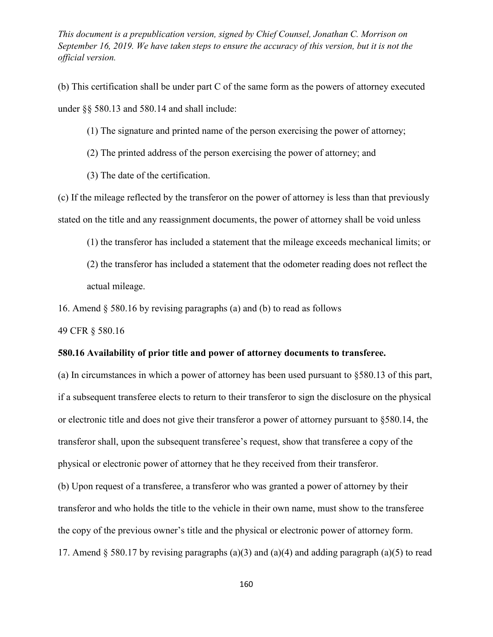(b) This certification shall be under part C of the same form as the powers of attorney executed under §§ 580.13 and 580.14 and shall include:

(1) The signature and printed name of the person exercising the power of attorney;

- (2) The printed address of the person exercising the power of attorney; and
- (3) The date of the certification.

(c) If the mileage reflected by the transferor on the power of attorney is less than that previously stated on the title and any reassignment documents, the power of attorney shall be void unless

(1) the transferor has included a statement that the mileage exceeds mechanical limits; or

(2) the transferor has included a statement that the odometer reading does not reflect the actual mileage.

16. Amend § 580.16 by revising paragraphs (a) and (b) to read as follows

49 CFR § 580.16

### **580.16 Availability of prior title and power of attorney documents to transferee.**

(a) In circumstances in which a power of attorney has been used pursuant to §580.13 of this part, if a subsequent transferee elects to return to their transferor to sign the disclosure on the physical or electronic title and does not give their transferor a power of attorney pursuant to §580.14, the transferor shall, upon the subsequent transferee's request, show that transferee a copy of the physical or electronic power of attorney that he they received from their transferor. (b) Upon request of a transferee, a transferor who was granted a power of attorney by their transferor and who holds the title to the vehicle in their own name, must show to the transferee the copy of the previous owner's title and the physical or electronic power of attorney form. 17. Amend § 580.17 by revising paragraphs (a)(3) and (a)(4) and adding paragraph (a)(5) to read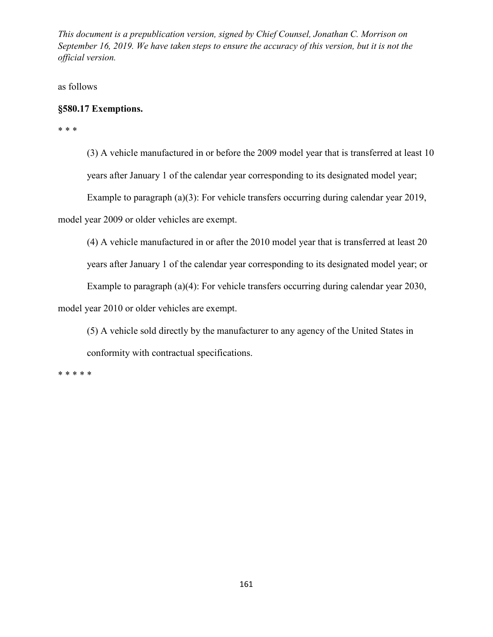as follows

# **§580.17 Exemptions.**

\* \* \*

(3) A vehicle manufactured in or before the 2009 model year that is transferred at least 10 years after January 1 of the calendar year corresponding to its designated model year;

Example to paragraph (a)(3): For vehicle transfers occurring during calendar year 2019,

model year 2009 or older vehicles are exempt.

(4) A vehicle manufactured in or after the 2010 model year that is transferred at least 20

years after January 1 of the calendar year corresponding to its designated model year; or

Example to paragraph (a)(4): For vehicle transfers occurring during calendar year 2030,

model year 2010 or older vehicles are exempt.

(5) A vehicle sold directly by the manufacturer to any agency of the United States in conformity with contractual specifications.

\* \* \* \* \*